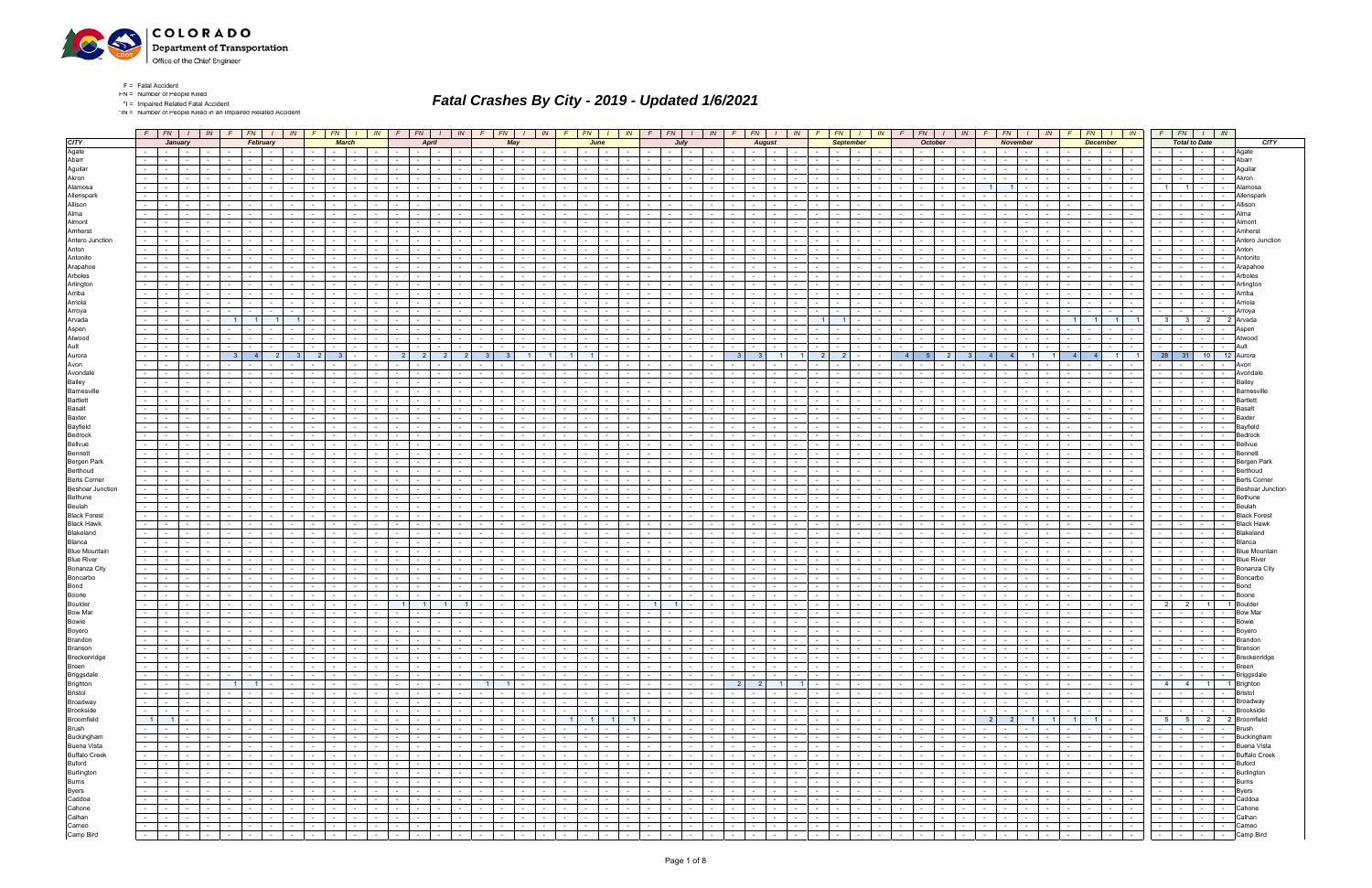

\*IN = Number of People Killed in an Impaired Related Accident

|                                            |                 | $F$ $FN$                        |                 | IN                                       |                                     | $FN$   $1$                                                                                                                                                                                                                     | IN               |                                                                                                                 | FN           | <b>IN</b>                              |                | FN                                                            | IN                                            |                  | FN                              | IN                                   | FN                     |                                                                                                                                                                                                                                                                                                                                                                                                                                               |                 | FN                                                                                                            | IN               | <b>FN</b><br>IN                                                                |                          | <b>FN</b>                |                                   |                          | FN                     |                                     | FN<br>IN I                                                                                                      |                                            | IN                                     |                                 | <b>FN</b>                                |                 | <b>FN</b>                                                                                                                                                                                                                      | IN.                       |
|--------------------------------------------|-----------------|---------------------------------|-----------------|------------------------------------------|-------------------------------------|--------------------------------------------------------------------------------------------------------------------------------------------------------------------------------------------------------------------------------|------------------|-----------------------------------------------------------------------------------------------------------------|--------------|----------------------------------------|----------------|---------------------------------------------------------------|-----------------------------------------------|------------------|---------------------------------|--------------------------------------|------------------------|-----------------------------------------------------------------------------------------------------------------------------------------------------------------------------------------------------------------------------------------------------------------------------------------------------------------------------------------------------------------------------------------------------------------------------------------------|-----------------|---------------------------------------------------------------------------------------------------------------|------------------|--------------------------------------------------------------------------------|--------------------------|--------------------------|-----------------------------------|--------------------------|------------------------|-------------------------------------|-----------------------------------------------------------------------------------------------------------------|--------------------------------------------|----------------------------------------|---------------------------------|------------------------------------------|-----------------|--------------------------------------------------------------------------------------------------------------------------------------------------------------------------------------------------------------------------------|---------------------------|
| <b>CITY</b>                                |                 |                                 | January         |                                          |                                     | February                                                                                                                                                                                                                       |                  |                                                                                                                 | <b>March</b> |                                        |                | April                                                         |                                               |                  | May                             |                                      | June                   |                                                                                                                                                                                                                                                                                                                                                                                                                                               |                 | Julv                                                                                                          |                  | August                                                                         |                          |                          | <b>September</b>                  |                          | <b>October</b>         |                                     | <b>November</b>                                                                                                 |                                            |                                        |                                 | <b>December</b>                          |                 | <b>Total to Date</b>                                                                                                                                                                                                           | <b>CITY</b>               |
| Agate                                      |                 |                                 |                 |                                          |                                     |                                                                                                                                                                                                                                |                  |                                                                                                                 |              |                                        |                |                                                               |                                               |                  |                                 |                                      |                        |                                                                                                                                                                                                                                                                                                                                                                                                                                               |                 |                                                                                                               |                  |                                                                                |                          |                          |                                   |                          |                        |                                     |                                                                                                                 |                                            |                                        |                                 |                                          |                 |                                                                                                                                                                                                                                | Agate                     |
| Abarr                                      |                 |                                 |                 |                                          |                                     |                                                                                                                                                                                                                                |                  |                                                                                                                 |              |                                        |                |                                                               |                                               |                  |                                 |                                      |                        |                                                                                                                                                                                                                                                                                                                                                                                                                                               |                 |                                                                                                               |                  |                                                                                |                          |                          |                                   |                          |                        |                                     |                                                                                                                 |                                            |                                        |                                 |                                          |                 |                                                                                                                                                                                                                                | Abarr                     |
| Aguilar                                    |                 |                                 | $\sim$          |                                          |                                     |                                                                                                                                                                                                                                |                  |                                                                                                                 |              |                                        |                |                                                               |                                               |                  |                                 |                                      |                        |                                                                                                                                                                                                                                                                                                                                                                                                                                               |                 | $\sim$                                                                                                        |                  |                                                                                |                          |                          |                                   |                          |                        |                                     |                                                                                                                 |                                            |                                        |                                 |                                          |                 |                                                                                                                                                                                                                                |                           |
| Akron                                      |                 |                                 |                 |                                          |                                     |                                                                                                                                                                                                                                |                  |                                                                                                                 |              |                                        |                |                                                               |                                               |                  |                                 |                                      |                        |                                                                                                                                                                                                                                                                                                                                                                                                                                               |                 |                                                                                                               |                  |                                                                                |                          |                          |                                   |                          |                        |                                     |                                                                                                                 |                                            |                                        |                                 |                                          |                 |                                                                                                                                                                                                                                |                           |
| Alamosa                                    |                 |                                 |                 |                                          |                                     |                                                                                                                                                                                                                                |                  |                                                                                                                 |              |                                        |                |                                                               |                                               |                  |                                 |                                      |                        |                                                                                                                                                                                                                                                                                                                                                                                                                                               |                 |                                                                                                               |                  |                                                                                |                          |                          |                                   |                          |                        |                                     |                                                                                                                 |                                            |                                        |                                 |                                          |                 |                                                                                                                                                                                                                                |                           |
| Allenspark                                 |                 |                                 |                 |                                          |                                     |                                                                                                                                                                                                                                |                  |                                                                                                                 |              |                                        |                |                                                               |                                               |                  |                                 |                                      |                        |                                                                                                                                                                                                                                                                                                                                                                                                                                               |                 |                                                                                                               |                  |                                                                                |                          |                          |                                   |                          |                        |                                     |                                                                                                                 |                                            |                                        |                                 |                                          |                 |                                                                                                                                                                                                                                |                           |
| Allison                                    |                 |                                 |                 |                                          |                                     |                                                                                                                                                                                                                                |                  |                                                                                                                 |              |                                        |                |                                                               |                                               |                  |                                 |                                      |                        |                                                                                                                                                                                                                                                                                                                                                                                                                                               |                 |                                                                                                               |                  |                                                                                |                          |                          |                                   |                          |                        |                                     |                                                                                                                 |                                            |                                        |                                 |                                          |                 |                                                                                                                                                                                                                                |                           |
| Alma                                       |                 |                                 |                 |                                          |                                     |                                                                                                                                                                                                                                |                  |                                                                                                                 |              |                                        |                |                                                               |                                               |                  |                                 |                                      |                        |                                                                                                                                                                                                                                                                                                                                                                                                                                               |                 |                                                                                                               |                  |                                                                                |                          |                          |                                   |                          |                        |                                     |                                                                                                                 |                                            |                                        |                                 |                                          |                 |                                                                                                                                                                                                                                |                           |
|                                            |                 |                                 |                 |                                          |                                     |                                                                                                                                                                                                                                |                  |                                                                                                                 |              |                                        |                |                                                               |                                               |                  |                                 |                                      |                        |                                                                                                                                                                                                                                                                                                                                                                                                                                               |                 |                                                                                                               |                  |                                                                                |                          |                          |                                   |                          |                        |                                     |                                                                                                                 |                                            |                                        |                                 |                                          |                 |                                                                                                                                                                                                                                |                           |
| Almont<br>Amherst                          |                 |                                 |                 |                                          |                                     |                                                                                                                                                                                                                                |                  |                                                                                                                 |              |                                        |                |                                                               |                                               |                  |                                 |                                      |                        |                                                                                                                                                                                                                                                                                                                                                                                                                                               |                 |                                                                                                               |                  |                                                                                |                          |                          |                                   |                          |                        |                                     |                                                                                                                 |                                            |                                        |                                 |                                          |                 |                                                                                                                                                                                                                                |                           |
|                                            |                 |                                 |                 |                                          |                                     |                                                                                                                                                                                                                                |                  |                                                                                                                 |              |                                        |                |                                                               |                                               |                  |                                 |                                      |                        |                                                                                                                                                                                                                                                                                                                                                                                                                                               |                 |                                                                                                               |                  |                                                                                |                          |                          |                                   |                          |                        |                                     |                                                                                                                 |                                            |                                        |                                 |                                          |                 |                                                                                                                                                                                                                                |                           |
| Antero Junction                            |                 |                                 |                 |                                          |                                     |                                                                                                                                                                                                                                |                  |                                                                                                                 |              |                                        |                |                                                               |                                               |                  |                                 |                                      |                        |                                                                                                                                                                                                                                                                                                                                                                                                                                               |                 |                                                                                                               |                  |                                                                                |                          |                          |                                   |                          |                        |                                     |                                                                                                                 |                                            |                                        |                                 |                                          |                 |                                                                                                                                                                                                                                |                           |
| Anton                                      |                 |                                 |                 |                                          |                                     |                                                                                                                                                                                                                                |                  |                                                                                                                 |              |                                        |                |                                                               |                                               |                  |                                 |                                      |                        |                                                                                                                                                                                                                                                                                                                                                                                                                                               |                 |                                                                                                               |                  |                                                                                |                          |                          |                                   |                          |                        |                                     |                                                                                                                 |                                            |                                        |                                 |                                          |                 |                                                                                                                                                                                                                                |                           |
| Antonito                                   |                 |                                 |                 |                                          |                                     |                                                                                                                                                                                                                                |                  |                                                                                                                 |              |                                        |                |                                                               |                                               |                  |                                 |                                      |                        |                                                                                                                                                                                                                                                                                                                                                                                                                                               |                 |                                                                                                               |                  |                                                                                |                          |                          |                                   |                          |                        |                                     |                                                                                                                 |                                            |                                        |                                 |                                          |                 |                                                                                                                                                                                                                                |                           |
| Arapahoe                                   |                 |                                 |                 |                                          |                                     |                                                                                                                                                                                                                                |                  |                                                                                                                 |              |                                        |                |                                                               |                                               |                  |                                 |                                      |                        |                                                                                                                                                                                                                                                                                                                                                                                                                                               |                 |                                                                                                               |                  |                                                                                |                          |                          |                                   |                          |                        |                                     |                                                                                                                 |                                            |                                        |                                 |                                          |                 |                                                                                                                                                                                                                                |                           |
| Arboles                                    |                 |                                 |                 |                                          |                                     |                                                                                                                                                                                                                                |                  |                                                                                                                 |              |                                        |                |                                                               |                                               |                  |                                 |                                      |                        |                                                                                                                                                                                                                                                                                                                                                                                                                                               |                 |                                                                                                               |                  |                                                                                |                          |                          |                                   |                          |                        |                                     |                                                                                                                 |                                            |                                        |                                 |                                          |                 |                                                                                                                                                                                                                                |                           |
| Arlington                                  |                 |                                 |                 |                                          |                                     |                                                                                                                                                                                                                                |                  |                                                                                                                 |              |                                        |                |                                                               |                                               |                  |                                 |                                      |                        |                                                                                                                                                                                                                                                                                                                                                                                                                                               |                 |                                                                                                               |                  |                                                                                |                          |                          |                                   |                          |                        |                                     |                                                                                                                 |                                            |                                        |                                 |                                          |                 |                                                                                                                                                                                                                                |                           |
| Arriba                                     |                 |                                 |                 |                                          |                                     |                                                                                                                                                                                                                                |                  |                                                                                                                 |              |                                        |                |                                                               |                                               |                  |                                 |                                      |                        |                                                                                                                                                                                                                                                                                                                                                                                                                                               |                 |                                                                                                               |                  |                                                                                |                          |                          |                                   |                          |                        |                                     |                                                                                                                 |                                            |                                        |                                 |                                          |                 |                                                                                                                                                                                                                                |                           |
| Arriola                                    |                 |                                 |                 |                                          |                                     |                                                                                                                                                                                                                                |                  |                                                                                                                 |              |                                        |                |                                                               |                                               |                  |                                 |                                      |                        |                                                                                                                                                                                                                                                                                                                                                                                                                                               |                 |                                                                                                               |                  |                                                                                |                          |                          |                                   |                          |                        |                                     |                                                                                                                 |                                            |                                        |                                 |                                          |                 |                                                                                                                                                                                                                                |                           |
| Arroya                                     |                 |                                 |                 |                                          |                                     |                                                                                                                                                                                                                                |                  |                                                                                                                 |              |                                        |                |                                                               |                                               |                  |                                 |                                      |                        |                                                                                                                                                                                                                                                                                                                                                                                                                                               |                 |                                                                                                               |                  |                                                                                |                          |                          |                                   |                          |                        |                                     |                                                                                                                 |                                            |                                        |                                 |                                          |                 |                                                                                                                                                                                                                                |                           |
| Arvada                                     |                 |                                 |                 |                                          |                                     |                                                                                                                                                                                                                                |                  |                                                                                                                 |              |                                        |                |                                                               |                                               |                  |                                 |                                      |                        |                                                                                                                                                                                                                                                                                                                                                                                                                                               |                 |                                                                                                               |                  |                                                                                |                          |                          |                                   |                          |                        |                                     |                                                                                                                 |                                            |                                        |                                 |                                          |                 |                                                                                                                                                                                                                                |                           |
| Aspen                                      |                 |                                 |                 |                                          |                                     |                                                                                                                                                                                                                                |                  |                                                                                                                 |              |                                        |                |                                                               |                                               |                  |                                 |                                      |                        |                                                                                                                                                                                                                                                                                                                                                                                                                                               |                 |                                                                                                               |                  |                                                                                |                          |                          |                                   |                          |                        |                                     |                                                                                                                 |                                            |                                        |                                 |                                          |                 |                                                                                                                                                                                                                                |                           |
| Atwood                                     |                 |                                 |                 |                                          |                                     |                                                                                                                                                                                                                                |                  |                                                                                                                 |              |                                        |                |                                                               |                                               |                  |                                 |                                      |                        |                                                                                                                                                                                                                                                                                                                                                                                                                                               |                 |                                                                                                               |                  |                                                                                |                          |                          |                                   |                          |                        |                                     |                                                                                                                 |                                            |                                        |                                 |                                          |                 |                                                                                                                                                                                                                                |                           |
| Ault                                       |                 |                                 |                 |                                          |                                     |                                                                                                                                                                                                                                |                  |                                                                                                                 |              |                                        |                |                                                               |                                               |                  |                                 |                                      |                        |                                                                                                                                                                                                                                                                                                                                                                                                                                               |                 |                                                                                                               |                  |                                                                                |                          |                          |                                   |                          |                        |                                     |                                                                                                                 |                                            |                                        |                                 |                                          |                 |                                                                                                                                                                                                                                |                           |
| Aurora                                     |                 |                                 |                 |                                          |                                     |                                                                                                                                                                                                                                |                  |                                                                                                                 |              |                                        | 2 <sup>1</sup> |                                                               |                                               |                  |                                 |                                      |                        |                                                                                                                                                                                                                                                                                                                                                                                                                                               |                 |                                                                                                               |                  |                                                                                |                          |                          |                                   |                          |                        |                                     |                                                                                                                 |                                            |                                        |                                 |                                          | 28 <sup>1</sup> | 31<br>10                                                                                                                                                                                                                       |                           |
| Avon                                       |                 |                                 |                 |                                          |                                     |                                                                                                                                                                                                                                |                  |                                                                                                                 |              |                                        |                |                                                               |                                               |                  |                                 |                                      |                        |                                                                                                                                                                                                                                                                                                                                                                                                                                               |                 | $\sim$                                                                                                        |                  |                                                                                |                          |                          |                                   |                          |                        |                                     |                                                                                                                 |                                            |                                        |                                 |                                          |                 |                                                                                                                                                                                                                                |                           |
| Avondale                                   |                 |                                 |                 |                                          |                                     |                                                                                                                                                                                                                                |                  |                                                                                                                 |              |                                        |                |                                                               |                                               |                  |                                 |                                      |                        |                                                                                                                                                                                                                                                                                                                                                                                                                                               |                 |                                                                                                               |                  |                                                                                |                          |                          |                                   |                          |                        |                                     |                                                                                                                 |                                            |                                        |                                 |                                          |                 |                                                                                                                                                                                                                                |                           |
| Bailey                                     |                 |                                 |                 |                                          |                                     |                                                                                                                                                                                                                                |                  |                                                                                                                 |              |                                        |                |                                                               |                                               |                  |                                 |                                      |                        |                                                                                                                                                                                                                                                                                                                                                                                                                                               |                 |                                                                                                               |                  |                                                                                |                          |                          |                                   |                          |                        |                                     |                                                                                                                 |                                            |                                        |                                 |                                          |                 |                                                                                                                                                                                                                                |                           |
| Barnesville                                |                 |                                 |                 |                                          |                                     |                                                                                                                                                                                                                                |                  |                                                                                                                 |              |                                        |                |                                                               |                                               |                  |                                 |                                      |                        |                                                                                                                                                                                                                                                                                                                                                                                                                                               |                 |                                                                                                               |                  |                                                                                |                          |                          |                                   |                          |                        |                                     |                                                                                                                 |                                            |                                        |                                 |                                          |                 |                                                                                                                                                                                                                                | Barnesvill                |
| <b>Bartlett</b>                            |                 |                                 |                 |                                          |                                     |                                                                                                                                                                                                                                |                  |                                                                                                                 |              |                                        |                |                                                               |                                               |                  |                                 |                                      |                        |                                                                                                                                                                                                                                                                                                                                                                                                                                               |                 |                                                                                                               |                  |                                                                                |                          |                          |                                   |                          |                        |                                     |                                                                                                                 |                                            |                                        |                                 |                                          |                 |                                                                                                                                                                                                                                |                           |
| <b>Basalt</b>                              |                 |                                 |                 |                                          |                                     |                                                                                                                                                                                                                                |                  |                                                                                                                 |              |                                        |                |                                                               |                                               |                  |                                 |                                      |                        |                                                                                                                                                                                                                                                                                                                                                                                                                                               |                 |                                                                                                               |                  |                                                                                |                          |                          |                                   |                          |                        |                                     |                                                                                                                 |                                            |                                        |                                 |                                          |                 |                                                                                                                                                                                                                                |                           |
| Baxter                                     |                 |                                 |                 |                                          |                                     |                                                                                                                                                                                                                                |                  |                                                                                                                 |              |                                        |                |                                                               |                                               |                  |                                 |                                      |                        |                                                                                                                                                                                                                                                                                                                                                                                                                                               |                 | $\sim$ $-$                                                                                                    |                  |                                                                                |                          |                          |                                   |                          |                        |                                     |                                                                                                                 |                                            |                                        |                                 |                                          |                 |                                                                                                                                                                                                                                |                           |
| Bayfield                                   |                 |                                 |                 |                                          |                                     |                                                                                                                                                                                                                                |                  |                                                                                                                 |              |                                        |                |                                                               |                                               |                  |                                 |                                      |                        |                                                                                                                                                                                                                                                                                                                                                                                                                                               |                 |                                                                                                               |                  |                                                                                |                          |                          |                                   |                          |                        |                                     |                                                                                                                 |                                            |                                        |                                 |                                          |                 |                                                                                                                                                                                                                                |                           |
| Bedrock                                    |                 |                                 |                 |                                          |                                     |                                                                                                                                                                                                                                |                  |                                                                                                                 |              |                                        |                |                                                               |                                               |                  |                                 |                                      |                        |                                                                                                                                                                                                                                                                                                                                                                                                                                               |                 |                                                                                                               |                  |                                                                                |                          |                          |                                   |                          |                        |                                     |                                                                                                                 |                                            |                                        |                                 |                                          |                 |                                                                                                                                                                                                                                |                           |
| Bellvue                                    | $\sim 100$      |                                 |                 |                                          |                                     |                                                                                                                                                                                                                                |                  |                                                                                                                 |              |                                        |                |                                                               |                                               |                  |                                 |                                      |                        |                                                                                                                                                                                                                                                                                                                                                                                                                                               |                 | $\sim$                                                                                                        |                  |                                                                                |                          |                          |                                   |                          |                        |                                     |                                                                                                                 |                                            |                                        |                                 |                                          |                 |                                                                                                                                                                                                                                |                           |
| Bennett                                    |                 |                                 |                 |                                          |                                     |                                                                                                                                                                                                                                |                  |                                                                                                                 |              |                                        |                |                                                               |                                               |                  |                                 |                                      |                        |                                                                                                                                                                                                                                                                                                                                                                                                                                               |                 |                                                                                                               |                  |                                                                                |                          |                          |                                   |                          |                        |                                     |                                                                                                                 |                                            |                                        |                                 |                                          |                 |                                                                                                                                                                                                                                |                           |
| Bergen Park                                |                 |                                 |                 |                                          |                                     |                                                                                                                                                                                                                                |                  |                                                                                                                 |              |                                        |                |                                                               |                                               |                  |                                 |                                      |                        |                                                                                                                                                                                                                                                                                                                                                                                                                                               |                 |                                                                                                               |                  |                                                                                |                          |                          |                                   |                          |                        |                                     |                                                                                                                 |                                            |                                        |                                 |                                          |                 |                                                                                                                                                                                                                                |                           |
| Berthoud                                   |                 |                                 |                 |                                          |                                     |                                                                                                                                                                                                                                |                  |                                                                                                                 |              |                                        |                |                                                               |                                               |                  |                                 |                                      |                        |                                                                                                                                                                                                                                                                                                                                                                                                                                               |                 |                                                                                                               |                  |                                                                                |                          |                          |                                   |                          |                        |                                     |                                                                                                                 |                                            |                                        |                                 |                                          |                 |                                                                                                                                                                                                                                |                           |
| <b>Berts Corner</b>                        |                 |                                 |                 |                                          |                                     |                                                                                                                                                                                                                                |                  |                                                                                                                 |              |                                        |                |                                                               |                                               |                  |                                 |                                      |                        |                                                                                                                                                                                                                                                                                                                                                                                                                                               |                 |                                                                                                               |                  |                                                                                |                          |                          |                                   |                          |                        |                                     |                                                                                                                 |                                            |                                        |                                 |                                          |                 |                                                                                                                                                                                                                                |                           |
| <b>Beshoar Junction</b>                    |                 |                                 |                 |                                          |                                     |                                                                                                                                                                                                                                |                  |                                                                                                                 |              |                                        |                |                                                               |                                               |                  |                                 |                                      |                        |                                                                                                                                                                                                                                                                                                                                                                                                                                               |                 |                                                                                                               |                  |                                                                                |                          |                          |                                   |                          |                        |                                     |                                                                                                                 |                                            |                                        |                                 |                                          |                 |                                                                                                                                                                                                                                |                           |
| <b>Bethune</b>                             |                 |                                 |                 |                                          |                                     |                                                                                                                                                                                                                                |                  |                                                                                                                 |              |                                        |                |                                                               |                                               |                  |                                 |                                      |                        |                                                                                                                                                                                                                                                                                                                                                                                                                                               |                 |                                                                                                               |                  |                                                                                |                          |                          |                                   |                          |                        |                                     |                                                                                                                 |                                            |                                        |                                 |                                          |                 |                                                                                                                                                                                                                                |                           |
| Beulah                                     |                 |                                 |                 |                                          |                                     |                                                                                                                                                                                                                                |                  |                                                                                                                 |              |                                        |                |                                                               |                                               |                  |                                 |                                      |                        |                                                                                                                                                                                                                                                                                                                                                                                                                                               |                 |                                                                                                               |                  |                                                                                |                          |                          |                                   |                          |                        |                                     |                                                                                                                 |                                            |                                        |                                 |                                          |                 |                                                                                                                                                                                                                                |                           |
| <b>Black Forest</b>                        |                 |                                 |                 |                                          |                                     |                                                                                                                                                                                                                                |                  |                                                                                                                 |              |                                        |                |                                                               |                                               |                  |                                 |                                      |                        |                                                                                                                                                                                                                                                                                                                                                                                                                                               |                 |                                                                                                               |                  |                                                                                |                          |                          |                                   |                          |                        |                                     |                                                                                                                 |                                            |                                        |                                 |                                          |                 |                                                                                                                                                                                                                                |                           |
| <b>Black Hawk</b>                          |                 |                                 |                 |                                          |                                     |                                                                                                                                                                                                                                |                  |                                                                                                                 |              |                                        |                |                                                               |                                               |                  |                                 |                                      |                        |                                                                                                                                                                                                                                                                                                                                                                                                                                               |                 |                                                                                                               |                  |                                                                                |                          |                          |                                   |                          |                        |                                     |                                                                                                                 |                                            |                                        |                                 |                                          |                 |                                                                                                                                                                                                                                |                           |
| Blakeland                                  |                 |                                 |                 |                                          |                                     |                                                                                                                                                                                                                                |                  |                                                                                                                 |              |                                        |                |                                                               |                                               |                  |                                 |                                      |                        |                                                                                                                                                                                                                                                                                                                                                                                                                                               |                 |                                                                                                               |                  |                                                                                |                          |                          |                                   |                          |                        |                                     |                                                                                                                 |                                            |                                        |                                 |                                          |                 |                                                                                                                                                                                                                                |                           |
| Blanca                                     |                 |                                 |                 |                                          |                                     |                                                                                                                                                                                                                                |                  |                                                                                                                 |              |                                        |                |                                                               |                                               |                  |                                 |                                      |                        |                                                                                                                                                                                                                                                                                                                                                                                                                                               |                 |                                                                                                               |                  |                                                                                |                          |                          |                                   |                          |                        |                                     |                                                                                                                 |                                            |                                        |                                 |                                          |                 |                                                                                                                                                                                                                                |                           |
| <b>Blue Mountair</b>                       |                 |                                 |                 |                                          |                                     |                                                                                                                                                                                                                                |                  |                                                                                                                 |              |                                        |                |                                                               |                                               |                  |                                 |                                      |                        |                                                                                                                                                                                                                                                                                                                                                                                                                                               |                 |                                                                                                               |                  |                                                                                |                          |                          |                                   |                          |                        |                                     |                                                                                                                 |                                            |                                        |                                 |                                          |                 |                                                                                                                                                                                                                                |                           |
| <b>Blue River</b>                          |                 |                                 |                 |                                          |                                     |                                                                                                                                                                                                                                |                  |                                                                                                                 |              |                                        |                |                                                               |                                               |                  |                                 |                                      |                        |                                                                                                                                                                                                                                                                                                                                                                                                                                               |                 |                                                                                                               |                  |                                                                                |                          |                          |                                   |                          |                        |                                     |                                                                                                                 |                                            |                                        |                                 |                                          |                 |                                                                                                                                                                                                                                |                           |
| <b>Bonanza City</b>                        |                 |                                 |                 |                                          |                                     |                                                                                                                                                                                                                                |                  |                                                                                                                 |              |                                        |                |                                                               |                                               |                  |                                 |                                      |                        |                                                                                                                                                                                                                                                                                                                                                                                                                                               |                 |                                                                                                               |                  |                                                                                |                          |                          |                                   |                          |                        |                                     |                                                                                                                 |                                            |                                        |                                 |                                          |                 |                                                                                                                                                                                                                                | Bonanza Citv              |
| Boncarbo                                   |                 |                                 |                 |                                          |                                     |                                                                                                                                                                                                                                |                  |                                                                                                                 |              |                                        |                |                                                               |                                               |                  |                                 |                                      |                        |                                                                                                                                                                                                                                                                                                                                                                                                                                               |                 |                                                                                                               |                  |                                                                                |                          |                          |                                   |                          |                        |                                     |                                                                                                                 |                                            |                                        |                                 |                                          |                 |                                                                                                                                                                                                                                | Boncarbo                  |
| Bond                                       |                 |                                 |                 |                                          |                                     |                                                                                                                                                                                                                                |                  |                                                                                                                 |              |                                        |                |                                                               |                                               |                  |                                 |                                      |                        |                                                                                                                                                                                                                                                                                                                                                                                                                                               |                 |                                                                                                               |                  |                                                                                |                          |                          |                                   |                          |                        |                                     |                                                                                                                 |                                            |                                        |                                 |                                          |                 |                                                                                                                                                                                                                                |                           |
| Boone                                      |                 |                                 |                 |                                          |                                     |                                                                                                                                                                                                                                |                  |                                                                                                                 |              |                                        |                |                                                               |                                               |                  |                                 |                                      |                        |                                                                                                                                                                                                                                                                                                                                                                                                                                               |                 |                                                                                                               |                  |                                                                                |                          |                          |                                   |                          |                        |                                     |                                                                                                                 |                                            |                                        |                                 |                                          |                 |                                                                                                                                                                                                                                |                           |
| Boulder                                    |                 |                                 |                 |                                          |                                     |                                                                                                                                                                                                                                |                  |                                                                                                                 |              |                                        |                |                                                               |                                               |                  |                                 |                                      |                        |                                                                                                                                                                                                                                                                                                                                                                                                                                               |                 |                                                                                                               |                  |                                                                                |                          |                          |                                   |                          |                        |                                     |                                                                                                                 |                                            |                                        |                                 |                                          | 2 <sup>1</sup>  | $\overline{2}$                                                                                                                                                                                                                 |                           |
| Bow Mar                                    |                 |                                 |                 |                                          |                                     |                                                                                                                                                                                                                                |                  |                                                                                                                 |              |                                        |                |                                                               |                                               |                  |                                 |                                      |                        |                                                                                                                                                                                                                                                                                                                                                                                                                                               |                 |                                                                                                               |                  |                                                                                |                          |                          |                                   |                          |                        |                                     |                                                                                                                 |                                            |                                        |                                 |                                          |                 |                                                                                                                                                                                                                                |                           |
| Bowie                                      |                 |                                 |                 |                                          |                                     |                                                                                                                                                                                                                                |                  |                                                                                                                 |              |                                        |                |                                                               |                                               |                  |                                 |                                      |                        |                                                                                                                                                                                                                                                                                                                                                                                                                                               |                 |                                                                                                               |                  |                                                                                |                          |                          |                                   |                          |                        |                                     |                                                                                                                 |                                            |                                        |                                 |                                          |                 |                                                                                                                                                                                                                                |                           |
| Boyero                                     |                 |                                 | $\sim$          |                                          |                                     |                                                                                                                                                                                                                                |                  | .                                                                                                               |              |                                        |                | .                                                             |                                               |                  | $-1 - 1$                        | the contract of                      | the collection         |                                                                                                                                                                                                                                                                                                                                                                                                                                               |                 | 1 - 1 - 1 - 1 - 1 - 1 - 1                                                                                     |                  | $-1 - 1 - 1 - 1 - 1$                                                           |                          | the contract of          | .                                 |                          |                        |                                     | the contract of the contract of the contract of the contract of the contract of the contract of the contract of | .                                          |                                        |                                 |                                          |                 | the contract of the contract of the contract of the contract of the contract of the contract of the contract of the contract of the contract of the contract of the contract of the contract of the contract of the contract o | Boyero                    |
| Brandon                                    |                 | $-1 - 1$                        |                 | <b>Contract Contract</b>                 |                                     |                                                                                                                                                                                                                                |                  | te die die die die die s                                                                                        |              | ster i berne                           |                | $-1 - 1 - 1 - 1 = 0$                                          | $\sim$ $  \sim$                               |                  |                                 | terative and the control of the con- |                        | $\overline{\phantom{a}}$ , $\overline{\phantom{a}}$ , $\overline{\phantom{a}}$ , $\overline{\phantom{a}}$ , $\overline{\phantom{a}}$ , $\overline{\phantom{a}}$ , $\overline{\phantom{a}}$ , $\overline{\phantom{a}}$ , $\overline{\phantom{a}}$ , $\overline{\phantom{a}}$ , $\overline{\phantom{a}}$ , $\overline{\phantom{a}}$ , $\overline{\phantom{a}}$ , $\overline{\phantom{a}}$ , $\overline{\phantom{a}}$ , $\overline{\phantom{a}}$ |                 | .                                                                                                             | $\sim$ $-$       | $-1 - 1$<br><b>Contract Contract</b>                                           |                          | . <del>.</del>           | 1949 - Personal Propinsi          |                          | the contract of        |                                     | <b>Second Second Second</b>                                                                                     | and the state of the state of the state of |                                        |                                 |                                          |                 | the collection of the collection                                                                                                                                                                                               | <b>Brandon</b>            |
| Branson                                    | $\sim$ $\sim$   | <b>Contract Contract</b>        |                 | the contract of                          |                                     |                                                                                                                                                                                                                                |                  | the collection                                                                                                  |              | the contract                           |                |                                                               | <b>Contract</b>                               | $\sim$           |                                 | the contract of the contract of      |                        | $\sim$                                                                                                                                                                                                                                                                                                                                                                                                                                        |                 | and the later                                                                                                 | $\sim 100$       | $-1 - 1$<br>$\sim$ $\sim$ $\sim$<br>$\sim 10^{-11}$                            |                          | the contract of          | the contract of                   | the contract             |                        | <b>Contract Contract</b>            | and the state                                                                                                   |                                            | <b>Contract</b>                        |                                 | the contract of the contract of the con- |                 | $-1 - 1 - 1 - 1 - 1$                                                                                                                                                                                                           | Branson                   |
| Breckenridge                               |                 | the contract of the contract of |                 | the contract of the con-                 |                                     |                                                                                                                                                                                                                                | $\sim 100$       | the collection                                                                                                  |              | $-1$<br>$\sim 10^{-1}$                 |                | the contract of the contract of                               | <b>Contract</b>                               | $\sim$           | $\sim$ $-$                      | the contract of                      |                        | $\sim$                                                                                                                                                                                                                                                                                                                                                                                                                                        |                 | .                                                                                                             | <b>Contract</b>  | the contract of the con-<br>the contract of                                    |                          | the contract of          | the collection                    | the contract of          |                        |                                     | المحارب المحارب                                                                                                 |                                            |                                        |                                 | $-1 - 1 - 1 - 1 - 1$                     |                 |                                                                                                                                                                                                                                | - - - - Breckenridge      |
| Breen                                      |                 |                                 |                 | .                                        |                                     |                                                                                                                                                                                                                                |                  |                                                                                                                 | .            |                                        |                |                                                               | $\mathsf{I}$ . The set of $\mathsf{I}$        |                  |                                 |                                      |                        |                                                                                                                                                                                                                                                                                                                                                                                                                                               |                 |                                                                                                               |                  | .                                                                              |                          |                          | $-1 - 1 - 1 - 1 - 1$              |                          | $-1 - 1$               |                                     | المتواري المتوارد                                                                                               |                                            |                                        | उपारंग र सिंह से सामने के साम   |                                          |                 | $\vert \cdot \vert$ $\vert \cdot \vert$ $\vert \cdot \vert$ Breen                                                                                                                                                              |                           |
| Briggsdale                                 | $\sim$ $\sim$   |                                 |                 | and the contract                         |                                     |                                                                                                                                                                                                                                | <b>Contract</b>  | and the state                                                                                                   |              | $-1$<br>$\sim$                         |                | the contract of<br>$\sim 10^{-11}$                            | <b>Contract</b>                               | $\sim$           | $\sim$ $\sim$                   | <b>Service</b> Service               |                        | $\sim$ $-$                                                                                                                                                                                                                                                                                                                                                                                                                                    |                 |                                                                                                               | $\sim$           | the contract of<br>$\sim$ $-$<br>$\sim$ $-$                                    | <b>Contract Contract</b> | $\sim 100$               | <b>Contract Contract</b>          | the contract             |                        | the contract of                     | $\sim 100$<br>$\sim$ $\sim$ $\sim$ $\sim$                                                                       |                                            | $\sim$ $\sim$ $\sim$                   | $-1 - 1$                        | and the state                            |                 | - -   -   -   - Briggsdale                                                                                                                                                                                                     |                           |
| Brighton                                   | $\sim$ $-$      | $\sim$ $-$                      |                 | and the state of the state               |                                     | $1 \mid 1 \mid -$                                                                                                                                                                                                              | $\sim 10^{-11}$  | the collection                                                                                                  |              | $-1$<br>$\sim$ $-$                     |                | the contract of the contract of                               | <b>Contract</b>                               |                  |                                 |                                      |                        | $\sim$                                                                                                                                                                                                                                                                                                                                                                                                                                        |                 | and the contract                                                                                              | $\sim$ $-$       | $\begin{array}{ c c c c c c c c c } \hline 2 & 2 & 1 & 1 \ \hline \end{array}$ |                          | the contract of          | the contract of                   | the contract of          |                        | the contract of                     | $\sim 100$<br>the contract of                                                                                   |                                            | <b>Contract</b>                        | the contract of                 | and the state of the state               |                 | 4 4 1 1 Brighton                                                                                                                                                                                                               |                           |
| <b>Bristol</b>                             |                 |                                 |                 | .                                        |                                     |                                                                                                                                                                                                                                | <b>Contract</b>  |                                                                                                                 |              | the contract                           |                | المحارب والمنجا                                               |                                               | $\sim$ $-$       |                                 | المحارب والمنافذ                     |                        | and the state of the state of the state of the state of the state of the state of the state of the state of the                                                                                                                                                                                                                                                                                                                               |                 | .                                                                                                             | <b>Contract</b>  | the contract of the con-<br>the contract of                                    |                          | the contract of          | and the state                     | <b>Service State</b>     |                        |                                     | المحارب المحارب<br>and the co                                                                                   |                                            | $\sim$ $\sim$ $\sim$                   |                                 | .                                        |                 | -   -   -   - Bristol                                                                                                                                                                                                          |                           |
|                                            | $\sim 100$      |                                 |                 | .                                        | the contract of the contract of the | $\sim 10^{-10}$                                                                                                                                                                                                                | <b>Contract</b>  | <b>Contract Contract</b><br>and the state                                                                       |              |                                        |                | <b>Contract Contract Contract</b>                             | $\sim 10^{-11}$<br><b>Contract</b>            |                  |                                 | <b>Contract Contract</b>             |                        | $\sim$                                                                                                                                                                                                                                                                                                                                                                                                                                        |                 |                                                                                                               | $\sim$           | $\sim$ $\sim$ $\sim$<br>$\sim$                                                 | <b>Contract Contract</b> | $\sim 10^{-11}$          | and the control                   | <b>Service</b> State     |                        | <b>Contract Contract</b>            | $\sim 10^{-11}$<br>the contract of                                                                              |                                            | $\mathbf{I}$ $\mathbf{I}$ $\mathbf{I}$ | <b>Carl Carl Carl</b>           | and the state                            |                 |                                                                                                                                                                                                                                |                           |
| Broadway                                   |                 |                                 |                 |                                          |                                     |                                                                                                                                                                                                                                |                  |                                                                                                                 |              | $-1$<br>$\sim$                         |                | $\sim 10^{-11}$                                               |                                               | $\sim$           | $\sim$ $\sim$ $\sim$            |                                      |                        |                                                                                                                                                                                                                                                                                                                                                                                                                                               |                 | .                                                                                                             |                  | the contract of                                                                |                          |                          |                                   |                          |                        |                                     |                                                                                                                 |                                            |                                        |                                 |                                          | the contract of |                                                                                                                                                                                                                                | - Broadway                |
| Brookside                                  |                 |                                 |                 | $       -$                               |                                     |                                                                                                                                                                                                                                |                  | and the state                                                                                                   |              | the contract                           |                | the collection of the collection<br>المستوار المستوار المستور | <b>Contract</b>                               | $\sim$           |                                 | and the contract                     |                        | $\sim$                                                                                                                                                                                                                                                                                                                                                                                                                                        |                 | 1989 - 1989 - 1989 - 1989 - 1989 - 1989 - 1989 - 1989 - 1989 - 1989 - 1989 - 1989 - 1989 - 1989 - 1989 - 1989 | $\sim 100$       | $-1 - 1$<br>the contract of the con-                                           |                          | the contract of          | and the state                     | the contract of          |                        |                                     | and the contract                                                                                                |                                            |                                        |                                 | the collection of the collection         |                 | -   -   -   - Brookside                                                                                                                                                                                                        |                           |
| Broomfield                                 |                 |                                 |                 | $1 \quad 1 \quad - \quad -$              |                                     | .                                                                                                                                                                                                                              |                  | and the state                                                                                                   |              | the contract                           |                |                                                               | <b>Contract</b>                               | $\sim 10^{-11}$  |                                 |                                      |                        |                                                                                                                                                                                                                                                                                                                                                                                                                                               |                 | $1$ 1 1 1 1 $1$ $   -$                                                                                        | <b>Contract</b>  |                                                                                |                          | the contract of the con- |                                   | the contract of          |                        | the contract of the contract of the | $2$ 2 1 1 1 1 1 -<br>and the contract of the con-                                                               |                                            |                                        |                                 |                                          |                 | 5 5 2 2 Broomfield                                                                                                                                                                                                             |                           |
| <b>Brush</b>                               | $\sim 10^{-11}$ |                                 |                 | the contract of the contract of the con- | $-1$                                | and the state of the state of the state of                                                                                                                                                                                     | <b>Contract</b>  | and the state of the state of                                                                                   |              | the contract of                        |                | and the state of the state of the<br><b>Contract</b>          | <b>Contractor</b>                             |                  | $-1 - 1 - 1$                    | and the state                        |                        |                                                                                                                                                                                                                                                                                                                                                                                                                                               |                 | .                                                                                                             | <b>Contract</b>  | $-1 - 1$<br>the contract of the con-                                           |                          | the contract of          | and the state                     | the contract of          |                        |                                     |                                                                                                                 |                                            |                                        | the contract of the contract of | and the state of the state               |                 | $    -$ Brush                                                                                                                                                                                                                  |                           |
| Buckingham<br>Buena Vista<br>Buffalo Creek |                 |                                 |                 | .                                        |                                     | the contract of the contract of the con-                                                                                                                                                                                       |                  | <b>Contract Contract</b>                                                                                        |              | <b>Service</b> Service                 |                | the contract of the con-                                      | $\mathsf{I} \mathsf{I} \mathsf{I} \mathsf{I}$ |                  |                                 | te di ser di serie di serie          |                        | and the state of the state of the state of the state of the state of the state of the state of the state of the                                                                                                                                                                                                                                                                                                                               |                 | 1 - 1 - 1 - 1                                                                                                 | <b>Contract</b>  | $-$ 1 $-$ 1 $-$ 1 $-$                                                          |                          |                          | $-1 - 1 - 1 -$                    |                          | the contract of        |                                     | <b>Second Second Second</b>                                                                                     |                                            |                                        |                                 | $        -$                              |                 | - - - - Buckingham                                                                                                                                                                                                             |                           |
|                                            |                 |                                 |                 | and the state of the state of the state  |                                     |                                                                                                                                                                                                                                |                  | and the state                                                                                                   |              | the contract of                        |                | and the contract                                              | <b>Contract</b>                               | $\sim$           |                                 | the collection of the collection     |                        | $-1 - 1 - 1$<br>$\sim$ $-$                                                                                                                                                                                                                                                                                                                                                                                                                    |                 | $\mathbf{I}$ and $\mathbf{I}$ are all the set                                                                 | <b>Contract</b>  | $-1 - 1$<br>the contract of                                                    |                          | the contract of          | the collection                    | the contract             |                        | the contract of                     | the contract of<br>$\sim 100$                                                                                   |                                            | . <b>.</b>                             | the contract of                 | <b>Contract Contract</b>                 |                 |                                                                                                                                                                                                                                | -   -   -   - Buena Vista |
|                                            |                 |                                 |                 | $-1 - 1 - 1 - 1 -$                       |                                     |                                                                                                                                                                                                                                |                  | and the state                                                                                                   |              | and the state                          |                | المحال الجال الجار                                            | <b>Contractor</b>                             | $\sim$ 100 $\mu$ | $\sim$ $\sim$ $\sim$ $\sim$     | the contract of                      |                        | .<br>$\sim$                                                                                                                                                                                                                                                                                                                                                                                                                                   |                 | the contract of the con-                                                                                      | <b>Contract</b>  | the contract of the con-<br>the contract of                                    |                          | the contract of          | and the state                     | the contract of          |                        |                                     | $\sim 10^{-11}$                                                                                                 |                                            |                                        |                                 | $-1 - 1 - 1 - 1 - 1$                     |                 |                                                                                                                                                                                                                                | - - - - - Buffalo Creek   |
| <b>Buford</b>                              |                 |                                 |                 | .                                        |                                     | the contract of the contract of the contract of the contract of the contract of the contract of the contract of the contract of the contract of the contract of the contract of the contract of the contract of the contract o |                  | <b>Contract Contract</b>                                                                                        |              | <b>Contract Contract</b>               |                | the contract of the con-                                      | $\sim$ $-$                                    |                  |                                 | $-1 - 1 - 1 - 1 - 1$                 |                        | and the state of the state of the state of the state of the state of the state of the state of the state of the                                                                                                                                                                                                                                                                                                                               |                 | $  \cdot   \cdot   \cdot  $                                                                                   | <b>Contract</b>  | .                                                                              |                          |                          | $-1 - 1 - 1 -$                    | <b>Contract Contract</b> |                        |                                     | <b>Second Second Second</b>                                                                                     |                                            |                                        |                                 |                                          |                 |                                                                                                                                                                                                                                | <b>Buford</b>             |
| Burlington<br>Burns                        | $\sim 100$      | <b>Contract Contract</b>        |                 | <b>Contract Contract</b>                 | $\sim$ $\sim$                       | the contract of                                                                                                                                                                                                                | $\sim$ $-$       | and the state                                                                                                   |              | $\sim$ $\sim$<br>$\sim$                |                | the contract of<br>$\sim 10^{-11}$                            | $\sim 10^{-11}$                               | $\sim$           | $\sim$ $\sim$                   | <b>Service</b> Service               | <b>Service</b> Service | $\sim$<br>$1 - 2 - 1$                                                                                                                                                                                                                                                                                                                                                                                                                         | $\sim 10^{-10}$ | <b>Contract Contract</b>                                                                                      | $\sim 10^{-1}$   | $-1 - 1 - 1$<br>$\sim$<br>$\sim$                                               |                          | the company              | and the state                     | the collection           |                        | the contract of                     | $\sim$ $-$<br>المحال المحا                                                                                      |                                            | $\sim 10^{-11}$                        | 도시기                             | and the state                            |                 | $   -$ Burlington                                                                                                                                                                                                              |                           |
|                                            |                 |                                 |                 | $-1 - 1 - 1 - 1 - 1$                     |                                     |                                                                                                                                                                                                                                | $\sim$ 100 $\mu$ | the contract of                                                                                                 |              | <b>Contract Contract</b><br>$\sim$ $-$ |                |                                                               | <b>Contract Contract</b>                      | $\sim$           | <b>Contract Contract Street</b> | the contract of                      |                        | $\sim$                                                                                                                                                                                                                                                                                                                                                                                                                                        |                 | .                                                                                                             | $\sim$ 100 $\mu$ | $-1 - 1$<br>$\sim$ $\sim$ $\sim$<br>$\sim 100$                                 |                          | the contract of          | the collection                    | the contract             |                        | the contract of                     | $\sim 100$                                                                                                      | <b>Contract Contract</b>                   | <b>Contract Contract</b>               | the contract of the con-        | the contract                             |                 | .                                                                                                                                                                                                                              | <b>Burns</b>              |
| <b>Byers</b>                               | $\sim 100$      |                                 |                 | $-1 - 1 - 1 - 1$                         |                                     | .                                                                                                                                                                                                                              | <b>Contract</b>  | $\sim$ - $\sim$ $\sim$ $\sim$                                                                                   |              | $\sim 10^{-1}$                         |                | المحال جال جا                                                 | , . J                                         | $\sim$           | $-1$                            | <b>Contract Contract</b>             |                        |                                                                                                                                                                                                                                                                                                                                                                                                                                               |                 | $-1 - 1 - 1 - 1$                                                                                              | $\sim$ $-$       | $-1 - 1$<br>the contract of                                                    |                          | 그래 나는                    | <b>Contract Contract</b>          | the company              |                        |                                     | <b>Second Second Second</b>                                                                                     | $-1 - 1$                                   | $\sim$ $\sim$ $\sim$                   | $-1 - 1$                        | and the state                            |                 | the contract of the contract of the contract of the contract of the contract of the contract of the contract of the contract of the contract of the contract of the contract of the contract of the contract of the contract o | Byers                     |
| Caddoa                                     | $\sim$ 10 $\pm$ | $\sim$ $-$                      |                 | and the co                               |                                     | .                                                                                                                                                                                                                              | <b>Contract</b>  | <b>Contract Contract</b>                                                                                        |              | the collection                         |                | المسترات والمناسب                                             | $\sim 10^{-11}$                               | $\sim$           | $\sim$ $-$                      | <b>Carl Park</b>                     |                        | $        -$                                                                                                                                                                                                                                                                                                                                                                                                                                   |                 | 1 - 1 - 1 - 1                                                                                                 | $\sim 10^{-11}$  | $-1 - 1$<br>the company of                                                     |                          | the company              | and the state                     | the collection           |                        |                                     | المحارب المحارب<br><b>Contract Contract</b>                                                                     |                                            | $\sim$ $\sim$ $\sim$ $\sim$            | $-1 - 1$                        | <b>Second Card</b>                       |                 | the contract of the contract of the contract of the contract of the contract of the contract of the contract of the contract of the contract of the contract of the contract of the contract of the contract of the contract o | Caddoa                    |
| Cahone                                     |                 | $-1 - 1$                        |                 | and the state of the state               |                                     |                                                                                                                                                                                                                                | $\sim 100$       | the contract of                                                                                                 |              | the contract                           |                | the contract of the contract of                               | $\sim 10^{-10}$                               | $\sim$           |                                 | $-1 - 1 - 1 - 1$                     |                        | $\sim$ $ \sim$                                                                                                                                                                                                                                                                                                                                                                                                                                |                 | .                                                                                                             | $\sim 100$       | $-1 - 1$<br>the contract of                                                    |                          | the contract of the con- | and the state of the state        | the contract of          |                        |                                     | <b>Contract</b><br>and the state                                                                                |                                            | <b>Contract</b>                        |                                 | $-1 - 1 - 1 - 1$                         |                 |                                                                                                                                                                                                                                | Cahone                    |
| Calhan                                     | $\sim 100$      |                                 | the contract of | $\mathbf{I}$                             |                                     | .                                                                                                                                                                                                                              |                  | and the state                                                                                                   |              | the contract                           |                | المحارب والمنجا                                               | <b>Contract</b>                               | $\sim$           |                                 | .                                    |                        | and the change of the control of the control of the control of the control of the control of the control of the                                                                                                                                                                                                                                                                                                                               |                 | 1981 - 1981                                                                                                   | <b>Contract</b>  | the contract of the con-<br>the contract of                                    |                          | the contract of          | the collection                    | the contract             |                        |                                     | المحارب المحارب                                                                                                 |                                            |                                        | .                               |                                          | the company     | 1949 - Personal Propinsi                                                                                                                                                                                                       | Calhan                    |
| Cameo                                      | $\sim$ $-$      | $\sim$ $-$                      |                 | the contract of                          |                                     | the contract of the contract of the contract of the contract of the contract of the contract of the contract of the contract of the contract of the contract of the contract of the contract of the contract of the contract o |                  | and the co                                                                                                      |              | 1999 - Personal Propinsi               |                | $-1 - 1 - 1 - 1$                                              | $\sim$ $\sim$ $\sim$                          |                  |                                 | $-1 - 1 - 1 - 1 - 1$                 |                        |                                                                                                                                                                                                                                                                                                                                                                                                                                               |                 | - Tariha   Anima   Anima   Anima                                                                              | $\sim 10^{-10}$  | .                                                                              |                          |                          | 1949 - <b>1949</b>                |                          | $-1 - 1$               |                                     | المحال والمحا                                                                                                   | .                                          |                                        | 그리다                             | and the control                          | and the state   | $\sim$ $\sim$ $\sim$ $\sim$                                                                                                                                                                                                    | $\sim 10^{-1}$<br>Cameo   |
| Camp Bird                                  |                 |                                 |                 | 55   Federal Ford                        |                                     |                                                                                                                                                                                                                                |                  | the contract of the contract of the contract of the contract of the contract of the contract of the contract of |              | se presenta                            |                |                                                               |                                               |                  |                                 | .                                    |                        |                                                                                                                                                                                                                                                                                                                                                                                                                                               |                 |                                                                                                               |                  | $       -$                                                                     |                          |                          | and the first product of the con- |                          | <b>Service</b> Service |                                     |                                                                                                                 |                                            |                                        | 4   4   4   4   4   4   4       |                                          |                 |                                                                                                                                                                                                                                |                           |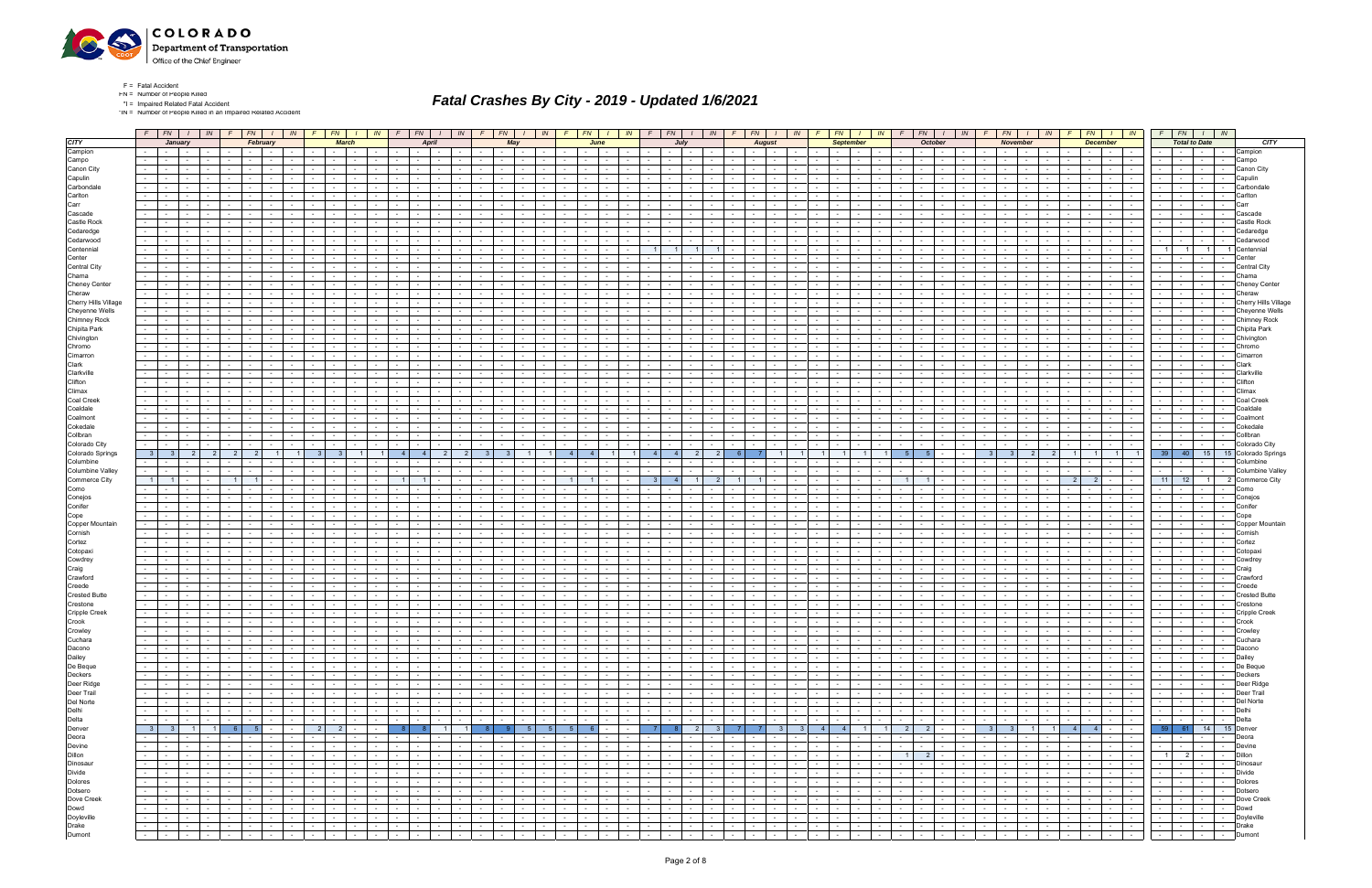

F = Fatal Accident FN = Number of People Killed

\*I = Impaired Related Fatal Accident

\*IN = Number of People Killed in an Impaired Related Accident

|                                                                                                            |                                                        |                                         |                  |                                             |        |                                                                |                      |                                                  |                                       |                                                                                                                                                                                                                                                                                                                                                                                                                                                                |                                                                                                                                                                                                                                |                 |                                                    |                  | $F$   $FN$   $I$   $IN$                                                                                                                                                                                                        |        |                               |                          |                                    |                               |                                                                  |                  |                                   |                 |                                        |                                              |               | F                         |                                    |        |                                    |                          |                                                                    |                                                                                                                                                                                                                                |                      |                                          |                               |        | F.                                                 | $FN$ $\mid$ $\mid$ $\mid$ $\mid$ $\mid$ $\mid$ $\mid$                                |                                    |               | $F$ $FN$ $I$ $N$                                                                                                     |                  |                 |                             | $F$ $FN$ $I$ $N$                                                                                     |                      |                                |                                               |
|------------------------------------------------------------------------------------------------------------|--------------------------------------------------------|-----------------------------------------|------------------|---------------------------------------------|--------|----------------------------------------------------------------|----------------------|--------------------------------------------------|---------------------------------------|----------------------------------------------------------------------------------------------------------------------------------------------------------------------------------------------------------------------------------------------------------------------------------------------------------------------------------------------------------------------------------------------------------------------------------------------------------------|--------------------------------------------------------------------------------------------------------------------------------------------------------------------------------------------------------------------------------|-----------------|----------------------------------------------------|------------------|--------------------------------------------------------------------------------------------------------------------------------------------------------------------------------------------------------------------------------|--------|-------------------------------|--------------------------|------------------------------------|-------------------------------|------------------------------------------------------------------|------------------|-----------------------------------|-----------------|----------------------------------------|----------------------------------------------|---------------|---------------------------|------------------------------------|--------|------------------------------------|--------------------------|--------------------------------------------------------------------|--------------------------------------------------------------------------------------------------------------------------------------------------------------------------------------------------------------------------------|----------------------|------------------------------------------|-------------------------------|--------|----------------------------------------------------|--------------------------------------------------------------------------------------|------------------------------------|---------------|----------------------------------------------------------------------------------------------------------------------|------------------|-----------------|-----------------------------|------------------------------------------------------------------------------------------------------|----------------------|--------------------------------|-----------------------------------------------|
| <b>CITY</b>                                                                                                |                                                        | January                                 |                  |                                             |        |                                                                | February             |                                                  |                                       |                                                                                                                                                                                                                                                                                                                                                                                                                                                                | <b>March</b>                                                                                                                                                                                                                   |                 |                                                    | <b>April</b>     |                                                                                                                                                                                                                                |        |                               | May                      |                                    |                               |                                                                  | June             |                                   |                 |                                        | July                                         |               |                           | <b>August</b>                      |        |                                    |                          | <b>September</b>                                                   |                                                                                                                                                                                                                                |                      | <b>October</b>                           |                               |        |                                                    | <b>November</b>                                                                      |                                    |               |                                                                                                                      | <b>December</b>  |                 |                             | <b>Total to Date</b>                                                                                 |                      |                                | CITY                                          |
| Campion                                                                                                    |                                                        | the contract                            |                  |                                             |        | $\sim$                                                         | $\sim$               |                                                  |                                       |                                                                                                                                                                                                                                                                                                                                                                                                                                                                | $\sim$                                                                                                                                                                                                                         | $\sim$          |                                                    | $\sim$           | $\sim$ 100 $\mu$                                                                                                                                                                                                               | $\sim$ |                               | $\sim$                   | $\sim$                             | $\overline{\phantom{a}}$      |                                                                  | $\sim$ 100 $\mu$ | $\sim$ $-$                        | $\sim$          |                                        | $\sim 10^{-11}$                              | $\sim$ $-$    |                           | <b>Service</b> State               |        |                                    |                          | <b>Contract</b>                                                    | $\sim$                                                                                                                                                                                                                         |                      | $\mathcal{L}^{\text{max}}$               | $\sim 10^{-10}$               | $\sim$ |                                                    | $\sim$<br>$\sim$ 100 $\sim$                                                          |                                    |               |                                                                                                                      | <b>Contract</b>  | $\sim$          |                             | the contract of                                                                                      |                      | $\sim$ $-$                     | Campion                                       |
| Campo                                                                                                      |                                                        | $\sim 100$                              | $\sim$           |                                             |        |                                                                |                      |                                                  |                                       |                                                                                                                                                                                                                                                                                                                                                                                                                                                                |                                                                                                                                                                                                                                |                 |                                                    | $\sim$           |                                                                                                                                                                                                                                |        |                               | $\sim$                   |                                    |                               |                                                                  |                  |                                   |                 |                                        | $\sim$                                       |               |                           |                                    |        |                                    |                          |                                                                    |                                                                                                                                                                                                                                |                      |                                          |                               |        |                                                    | $\sim$                                                                               |                                    |               |                                                                                                                      | $\sim$           |                 |                             |                                                                                                      | $\sim$               |                                | Campo                                         |
| Canon City                                                                                                 |                                                        | $\sim$<br>$\sim$ $-$                    | $\sim$<br>$\sim$ |                                             |        |                                                                |                      |                                                  |                                       |                                                                                                                                                                                                                                                                                                                                                                                                                                                                |                                                                                                                                                                                                                                |                 |                                                    | $\sim$<br>$\sim$ |                                                                                                                                                                                                                                |        |                               | $\sim$                   |                                    |                               |                                                                  |                  |                                   |                 |                                        | $\sim$<br>$\sim$                             |               |                           |                                    |        |                                    |                          |                                                                    |                                                                                                                                                                                                                                |                      |                                          | $\sim$                        |        |                                                    | $\sim$<br>$\sim$                                                                     |                                    |               | $\sim$                                                                                                               | $\sim$           |                 |                             |                                                                                                      | $\sim$<br>$\sim$ $-$ |                                | Canon City                                    |
| Capulin<br>Carbondale                                                                                      |                                                        |                                         |                  |                                             |        |                                                                |                      |                                                  |                                       |                                                                                                                                                                                                                                                                                                                                                                                                                                                                |                                                                                                                                                                                                                                |                 |                                                    |                  |                                                                                                                                                                                                                                |        |                               |                          |                                    |                               |                                                                  |                  |                                   |                 |                                        |                                              |               |                           |                                    |        |                                    |                          |                                                                    |                                                                                                                                                                                                                                |                      |                                          |                               |        |                                                    |                                                                                      |                                    |               |                                                                                                                      |                  |                 |                             |                                                                                                      |                      |                                | Capulin<br>Carbondal                          |
| Carlton                                                                                                    |                                                        |                                         |                  |                                             |        |                                                                |                      |                                                  |                                       |                                                                                                                                                                                                                                                                                                                                                                                                                                                                |                                                                                                                                                                                                                                |                 |                                                    |                  |                                                                                                                                                                                                                                |        |                               |                          |                                    |                               |                                                                  |                  |                                   |                 |                                        |                                              |               |                           |                                    |        |                                    |                          |                                                                    |                                                                                                                                                                                                                                |                      |                                          |                               |        |                                                    |                                                                                      |                                    |               |                                                                                                                      |                  |                 |                             |                                                                                                      | $\sim$               |                                | Carltor                                       |
| Carr                                                                                                       |                                                        |                                         |                  |                                             |        |                                                                |                      |                                                  |                                       |                                                                                                                                                                                                                                                                                                                                                                                                                                                                |                                                                                                                                                                                                                                |                 |                                                    |                  |                                                                                                                                                                                                                                |        |                               |                          |                                    |                               |                                                                  |                  |                                   |                 |                                        |                                              |               |                           |                                    |        |                                    |                          |                                                                    |                                                                                                                                                                                                                                |                      |                                          |                               |        |                                                    |                                                                                      |                                    |               |                                                                                                                      |                  |                 |                             |                                                                                                      | $\sim$ $-$           |                                |                                               |
| Cascade                                                                                                    |                                                        |                                         |                  |                                             |        |                                                                |                      |                                                  |                                       |                                                                                                                                                                                                                                                                                                                                                                                                                                                                |                                                                                                                                                                                                                                |                 |                                                    |                  |                                                                                                                                                                                                                                |        |                               |                          |                                    |                               |                                                                  |                  |                                   |                 |                                        |                                              |               |                           |                                    |        |                                    |                          |                                                                    |                                                                                                                                                                                                                                |                      |                                          |                               |        |                                                    |                                                                                      |                                    |               |                                                                                                                      |                  |                 |                             |                                                                                                      |                      |                                | Cascade                                       |
| Castle Rock                                                                                                | $\sim 100$                                             | $\sim$                                  | $\sim$           |                                             |        |                                                                |                      |                                                  |                                       |                                                                                                                                                                                                                                                                                                                                                                                                                                                                |                                                                                                                                                                                                                                |                 |                                                    | $\sim$           |                                                                                                                                                                                                                                |        |                               |                          |                                    |                               |                                                                  |                  |                                   |                 |                                        | $\sim$                                       |               |                           |                                    |        |                                    |                          |                                                                    |                                                                                                                                                                                                                                |                      |                                          |                               |        |                                                    | $\sim$                                                                               |                                    |               |                                                                                                                      |                  |                 |                             |                                                                                                      | $\sim$               |                                | `astle Roc                                    |
| Cedaredge                                                                                                  |                                                        |                                         |                  |                                             |        |                                                                |                      |                                                  |                                       |                                                                                                                                                                                                                                                                                                                                                                                                                                                                |                                                                                                                                                                                                                                |                 |                                                    |                  |                                                                                                                                                                                                                                |        |                               |                          |                                    |                               |                                                                  |                  |                                   |                 |                                        |                                              |               |                           |                                    |        |                                    |                          |                                                                    |                                                                                                                                                                                                                                |                      |                                          |                               |        |                                                    |                                                                                      |                                    |               |                                                                                                                      |                  |                 |                             |                                                                                                      |                      |                                |                                               |
| Cedarwood<br>Centennial                                                                                    |                                                        |                                         |                  |                                             |        |                                                                |                      |                                                  |                                       |                                                                                                                                                                                                                                                                                                                                                                                                                                                                |                                                                                                                                                                                                                                |                 |                                                    |                  |                                                                                                                                                                                                                                |        |                               |                          |                                    |                               |                                                                  |                  |                                   |                 |                                        |                                              |               |                           |                                    |        |                                    |                          |                                                                    |                                                                                                                                                                                                                                |                      |                                          |                               |        |                                                    |                                                                                      |                                    |               |                                                                                                                      |                  |                 |                             | 1 I                                                                                                  | $\blacksquare$       |                                | Cedarwood                                     |
| Center                                                                                                     |                                                        |                                         |                  |                                             |        |                                                                |                      |                                                  |                                       |                                                                                                                                                                                                                                                                                                                                                                                                                                                                |                                                                                                                                                                                                                                |                 |                                                    |                  |                                                                                                                                                                                                                                |        |                               |                          |                                    |                               |                                                                  |                  |                                   |                 |                                        |                                              |               |                           |                                    |        |                                    |                          |                                                                    |                                                                                                                                                                                                                                |                      |                                          |                               |        |                                                    |                                                                                      |                                    |               |                                                                                                                      |                  |                 |                             |                                                                                                      |                      |                                |                                               |
| Central City                                                                                               |                                                        |                                         |                  |                                             |        |                                                                |                      |                                                  |                                       |                                                                                                                                                                                                                                                                                                                                                                                                                                                                |                                                                                                                                                                                                                                |                 |                                                    |                  |                                                                                                                                                                                                                                |        |                               |                          |                                    |                               |                                                                  |                  |                                   |                 |                                        |                                              |               |                           |                                    |        |                                    |                          |                                                                    |                                                                                                                                                                                                                                |                      |                                          |                               |        |                                                    |                                                                                      |                                    |               |                                                                                                                      |                  |                 |                             |                                                                                                      |                      |                                | Central City                                  |
| Chama                                                                                                      |                                                        |                                         | $\sim$           |                                             |        |                                                                |                      |                                                  |                                       |                                                                                                                                                                                                                                                                                                                                                                                                                                                                |                                                                                                                                                                                                                                |                 |                                                    |                  |                                                                                                                                                                                                                                |        |                               |                          |                                    |                               |                                                                  |                  |                                   |                 |                                        | $\sim$                                       |               |                           |                                    |        |                                    |                          |                                                                    |                                                                                                                                                                                                                                |                      |                                          |                               |        |                                                    |                                                                                      |                                    |               |                                                                                                                      |                  |                 |                             | $\sim$                                                                                               | $\sim$ $-$           |                                | :hama                                         |
| <b>Cheney Center</b>                                                                                       |                                                        |                                         |                  |                                             |        |                                                                |                      |                                                  |                                       |                                                                                                                                                                                                                                                                                                                                                                                                                                                                |                                                                                                                                                                                                                                |                 |                                                    |                  |                                                                                                                                                                                                                                |        |                               |                          |                                    |                               |                                                                  |                  |                                   |                 |                                        |                                              |               |                           |                                    |        |                                    |                          |                                                                    |                                                                                                                                                                                                                                |                      |                                          |                               |        |                                                    |                                                                                      |                                    |               |                                                                                                                      |                  |                 |                             |                                                                                                      |                      |                                | Cheney Center                                 |
| Cheraw<br>Cherry Hills Village                                                                             | $\sim 100$                                             | $\sim$                                  | $\sim$           |                                             |        |                                                                |                      |                                                  |                                       |                                                                                                                                                                                                                                                                                                                                                                                                                                                                |                                                                                                                                                                                                                                |                 |                                                    |                  |                                                                                                                                                                                                                                |        |                               |                          |                                    |                               |                                                                  |                  |                                   |                 |                                        | $\sim$                                       |               |                           |                                    |        |                                    |                          |                                                                    |                                                                                                                                                                                                                                |                      |                                          |                               |        |                                                    | $\sim$                                                                               |                                    |               |                                                                                                                      |                  |                 |                             |                                                                                                      | $\sim$ $-$           |                                | Cheraw                                        |
| Cheyenne Wells                                                                                             |                                                        |                                         |                  |                                             |        |                                                                |                      |                                                  |                                       |                                                                                                                                                                                                                                                                                                                                                                                                                                                                |                                                                                                                                                                                                                                |                 |                                                    |                  |                                                                                                                                                                                                                                |        |                               |                          |                                    |                               |                                                                  |                  |                                   |                 |                                        |                                              |               |                           |                                    |        |                                    |                          |                                                                    |                                                                                                                                                                                                                                |                      |                                          |                               |        |                                                    |                                                                                      |                                    |               |                                                                                                                      |                  |                 |                             |                                                                                                      |                      |                                | Cherry Hills Village<br><b>Cheyenne Wells</b> |
| <b>Chimney Rock</b>                                                                                        | $\sim 100$                                             | $\sim$                                  |                  |                                             |        |                                                                |                      |                                                  |                                       |                                                                                                                                                                                                                                                                                                                                                                                                                                                                |                                                                                                                                                                                                                                |                 |                                                    |                  |                                                                                                                                                                                                                                |        |                               |                          |                                    |                               |                                                                  |                  |                                   |                 |                                        |                                              |               |                           |                                    |        |                                    |                          |                                                                    |                                                                                                                                                                                                                                |                      |                                          |                               |        |                                                    |                                                                                      |                                    |               |                                                                                                                      |                  |                 |                             |                                                                                                      | $\sim$               |                                | Chimney Rock                                  |
| Chipita Park                                                                                               |                                                        |                                         |                  |                                             |        |                                                                |                      |                                                  |                                       |                                                                                                                                                                                                                                                                                                                                                                                                                                                                |                                                                                                                                                                                                                                |                 |                                                    |                  |                                                                                                                                                                                                                                |        |                               |                          |                                    |                               |                                                                  |                  |                                   |                 |                                        | $\sim$                                       |               |                           |                                    |        |                                    |                          |                                                                    |                                                                                                                                                                                                                                |                      |                                          |                               |        |                                                    |                                                                                      |                                    |               |                                                                                                                      |                  |                 |                             |                                                                                                      |                      |                                | Chipita Park                                  |
| Chivington                                                                                                 |                                                        |                                         |                  |                                             |        |                                                                |                      |                                                  |                                       |                                                                                                                                                                                                                                                                                                                                                                                                                                                                |                                                                                                                                                                                                                                |                 |                                                    |                  |                                                                                                                                                                                                                                |        |                               |                          |                                    |                               |                                                                  |                  |                                   |                 |                                        |                                              |               |                           |                                    |        |                                    |                          |                                                                    |                                                                                                                                                                                                                                |                      |                                          |                               |        |                                                    |                                                                                      |                                    |               |                                                                                                                      |                  |                 |                             |                                                                                                      |                      |                                | Chivinaton                                    |
| Chromo                                                                                                     | $\sim 100$                                             |                                         |                  |                                             |        |                                                                |                      |                                                  |                                       |                                                                                                                                                                                                                                                                                                                                                                                                                                                                |                                                                                                                                                                                                                                |                 |                                                    |                  |                                                                                                                                                                                                                                |        |                               |                          |                                    |                               |                                                                  |                  |                                   |                 |                                        |                                              |               |                           |                                    |        |                                    |                          |                                                                    |                                                                                                                                                                                                                                |                      |                                          |                               |        |                                                    |                                                                                      |                                    |               |                                                                                                                      |                  |                 |                             |                                                                                                      | $\sim$               |                                | Chromo                                        |
| Cimarron<br>Clark                                                                                          |                                                        |                                         |                  |                                             |        |                                                                |                      |                                                  |                                       |                                                                                                                                                                                                                                                                                                                                                                                                                                                                |                                                                                                                                                                                                                                |                 |                                                    |                  |                                                                                                                                                                                                                                |        |                               |                          |                                    |                               |                                                                  |                  |                                   |                 |                                        |                                              |               |                           |                                    |        |                                    |                          |                                                                    |                                                                                                                                                                                                                                |                      |                                          |                               |        |                                                    |                                                                                      |                                    |               |                                                                                                                      |                  |                 |                             |                                                                                                      |                      |                                | ∑imarroı<br>Clark                             |
| Clarkville                                                                                                 | $\sim 10$                                              |                                         | $\sim$           |                                             |        |                                                                |                      |                                                  |                                       |                                                                                                                                                                                                                                                                                                                                                                                                                                                                |                                                                                                                                                                                                                                |                 |                                                    |                  |                                                                                                                                                                                                                                |        |                               |                          |                                    |                               |                                                                  |                  |                                   |                 |                                        | $\sim$                                       |               |                           |                                    |        |                                    |                          |                                                                    |                                                                                                                                                                                                                                |                      |                                          |                               |        |                                                    | $\sim$                                                                               |                                    |               |                                                                                                                      |                  |                 |                             |                                                                                                      | $\sim$ $-$           |                                | Clarkville                                    |
| Clifton                                                                                                    |                                                        |                                         |                  |                                             |        |                                                                |                      |                                                  |                                       |                                                                                                                                                                                                                                                                                                                                                                                                                                                                |                                                                                                                                                                                                                                |                 |                                                    |                  |                                                                                                                                                                                                                                |        |                               |                          |                                    |                               |                                                                  |                  |                                   |                 |                                        |                                              |               |                           |                                    |        |                                    |                          |                                                                    |                                                                                                                                                                                                                                |                      |                                          |                               |        |                                                    |                                                                                      |                                    |               |                                                                                                                      |                  |                 |                             |                                                                                                      |                      |                                | lifton                                        |
| Climax                                                                                                     | $\sim 100$                                             |                                         |                  |                                             |        |                                                                |                      |                                                  |                                       |                                                                                                                                                                                                                                                                                                                                                                                                                                                                |                                                                                                                                                                                                                                |                 |                                                    |                  |                                                                                                                                                                                                                                |        |                               |                          |                                    |                               |                                                                  |                  |                                   |                 |                                        |                                              |               |                           |                                    |        |                                    |                          |                                                                    |                                                                                                                                                                                                                                |                      |                                          |                               |        |                                                    |                                                                                      |                                    |               |                                                                                                                      |                  |                 |                             |                                                                                                      |                      |                                | :lima                                         |
| Coal Creek                                                                                                 |                                                        |                                         |                  |                                             |        |                                                                |                      |                                                  |                                       |                                                                                                                                                                                                                                                                                                                                                                                                                                                                |                                                                                                                                                                                                                                |                 |                                                    |                  |                                                                                                                                                                                                                                |        |                               |                          |                                    |                               |                                                                  |                  |                                   |                 |                                        | $\sim$                                       |               |                           |                                    |        |                                    |                          |                                                                    |                                                                                                                                                                                                                                |                      |                                          |                               |        |                                                    |                                                                                      |                                    |               |                                                                                                                      |                  |                 |                             |                                                                                                      | $\sim$               |                                |                                               |
| Coaldale<br>Coalmont                                                                                       | $\sim 100$                                             | $\sim$                                  | $\sim$<br>$\sim$ |                                             |        |                                                                |                      |                                                  |                                       |                                                                                                                                                                                                                                                                                                                                                                                                                                                                |                                                                                                                                                                                                                                |                 |                                                    |                  |                                                                                                                                                                                                                                |        |                               |                          |                                    |                               |                                                                  |                  |                                   |                 |                                        |                                              |               |                           |                                    |        |                                    |                          |                                                                    |                                                                                                                                                                                                                                |                      |                                          |                               |        |                                                    |                                                                                      |                                    |               |                                                                                                                      |                  |                 |                             |                                                                                                      | $\sim$               |                                | Coalmon                                       |
| Cokedale                                                                                                   |                                                        |                                         |                  |                                             |        |                                                                |                      |                                                  |                                       |                                                                                                                                                                                                                                                                                                                                                                                                                                                                |                                                                                                                                                                                                                                |                 |                                                    |                  |                                                                                                                                                                                                                                |        |                               |                          |                                    |                               |                                                                  |                  |                                   |                 |                                        |                                              |               |                           |                                    |        |                                    |                          |                                                                    |                                                                                                                                                                                                                                |                      |                                          |                               |        |                                                    |                                                                                      |                                    |               |                                                                                                                      |                  |                 |                             |                                                                                                      | $\sim$               |                                | Cokedale                                      |
| Collbran                                                                                                   |                                                        |                                         | $\sim$           |                                             |        |                                                                |                      |                                                  |                                       |                                                                                                                                                                                                                                                                                                                                                                                                                                                                |                                                                                                                                                                                                                                |                 |                                                    |                  |                                                                                                                                                                                                                                |        |                               |                          |                                    |                               |                                                                  |                  |                                   |                 |                                        |                                              |               |                           |                                    |        |                                    |                          |                                                                    |                                                                                                                                                                                                                                |                      |                                          |                               |        |                                                    |                                                                                      |                                    |               |                                                                                                                      |                  |                 |                             |                                                                                                      | $\sim$               |                                | Collbran                                      |
| Colorado City                                                                                              |                                                        |                                         |                  |                                             |        |                                                                |                      |                                                  |                                       |                                                                                                                                                                                                                                                                                                                                                                                                                                                                |                                                                                                                                                                                                                                |                 |                                                    |                  |                                                                                                                                                                                                                                |        |                               |                          |                                    |                               |                                                                  |                  |                                   |                 |                                        |                                              |               |                           |                                    |        |                                    |                          |                                                                    |                                                                                                                                                                                                                                |                      |                                          |                               |        |                                                    |                                                                                      |                                    |               |                                                                                                                      |                  |                 |                             |                                                                                                      | $\sim$ $-$           | $\sim$                         | Colorado City                                 |
| Colorado Springs<br>Columbine                                                                              | 3 <sup>1</sup>                                         |                                         |                  |                                             |        | 2 <sup>1</sup><br>2                                            |                      |                                                  |                                       |                                                                                                                                                                                                                                                                                                                                                                                                                                                                |                                                                                                                                                                                                                                |                 | $\overline{4}$                                     |                  |                                                                                                                                                                                                                                |        | $\overline{\mathbf{3}}$       |                          |                                    |                               | $\overline{4}$                                                   |                  |                                   |                 |                                        |                                              |               |                           |                                    |        |                                    |                          |                                                                    |                                                                                                                                                                                                                                |                      |                                          |                               |        |                                                    |                                                                                      | $\overline{2}$                     |               |                                                                                                                      |                  |                 | 39                          | 40                                                                                                   | 15<br>$\sim$         |                                | 15 Colorado Springs<br>Columbine              |
| Columbine Valley                                                                                           | $\sim 10$                                              | $\sim$                                  | $\sim$           |                                             |        |                                                                |                      |                                                  |                                       |                                                                                                                                                                                                                                                                                                                                                                                                                                                                |                                                                                                                                                                                                                                |                 |                                                    | $\sim$           |                                                                                                                                                                                                                                |        |                               | $\sim$                   |                                    |                               |                                                                  |                  |                                   |                 |                                        | $\sim$                                       |               |                           | $\sim$                             |        |                                    |                          |                                                                    |                                                                                                                                                                                                                                |                      |                                          |                               |        |                                                    | $\sim$<br>$\sim$                                                                     |                                    |               | $\sim$                                                                                                               | $\sim$           |                 |                             | $\sim$ $-$                                                                                           | $\sim$ $-$           | $\sim$                         | <b>Columbine Valley</b>                       |
| Commerce City                                                                                              | $\overline{1}$                                         |                                         |                  |                                             |        |                                                                |                      |                                                  |                                       |                                                                                                                                                                                                                                                                                                                                                                                                                                                                |                                                                                                                                                                                                                                |                 |                                                    |                  |                                                                                                                                                                                                                                |        |                               |                          |                                    |                               |                                                                  |                  |                                   |                 |                                        |                                              |               |                           |                                    |        |                                    |                          |                                                                    |                                                                                                                                                                                                                                |                      |                                          |                               |        |                                                    |                                                                                      |                                    |               | 2<br>2 <sup>1</sup>                                                                                                  |                  |                 | 11                          | 12                                                                                                   | 1 <sup>1</sup>       |                                | 2 Commerce City                               |
| Como                                                                                                       |                                                        |                                         |                  |                                             |        |                                                                |                      |                                                  |                                       |                                                                                                                                                                                                                                                                                                                                                                                                                                                                |                                                                                                                                                                                                                                |                 |                                                    |                  |                                                                                                                                                                                                                                |        |                               |                          |                                    |                               |                                                                  |                  |                                   |                 |                                        |                                              |               |                           |                                    |        |                                    |                          |                                                                    |                                                                                                                                                                                                                                |                      |                                          |                               |        |                                                    |                                                                                      |                                    |               |                                                                                                                      |                  |                 |                             |                                                                                                      |                      |                                | Como                                          |
| Conejos                                                                                                    | $\sim 100$                                             | <b>Contract Contract</b>                | $\sim$ $-$       |                                             | $\sim$ | $\sim$                                                         |                      |                                                  |                                       |                                                                                                                                                                                                                                                                                                                                                                                                                                                                |                                                                                                                                                                                                                                |                 |                                                    | $\sim$           | $\sim$                                                                                                                                                                                                                         |        |                               | $\sim$                   |                                    |                               | $\sim$                                                           | $\sim$ 100 $\mu$ |                                   | $\sim$          | $\sim$                                 | $\sim$                                       |               | $\sim$                    | $\sim$ $\sim$                      | $\sim$ |                                    |                          |                                                                    |                                                                                                                                                                                                                                |                      | $\sim$                                   | $\sim$ 100 $\mu$              |        |                                                    | $\sim$<br>$\sim$                                                                     |                                    |               | $\sim$                                                                                                               | $\sim$           | $\sim$          |                             | <b>Contract</b>                                                                                      | $\sim 10^{-11}$      | $\sim$                         | Conejos                                       |
| Conifer<br>Cope                                                                                            |                                                        | $\sim$                                  |                  |                                             |        |                                                                |                      |                                                  |                                       |                                                                                                                                                                                                                                                                                                                                                                                                                                                                |                                                                                                                                                                                                                                |                 |                                                    |                  |                                                                                                                                                                                                                                |        |                               |                          |                                    |                               |                                                                  |                  |                                   |                 |                                        |                                              |               |                           |                                    |        |                                    |                          |                                                                    |                                                                                                                                                                                                                                |                      |                                          |                               |        |                                                    |                                                                                      |                                    |               |                                                                                                                      |                  |                 |                             |                                                                                                      | $\sim$               |                                | Conifer<br>Cope                               |
| Copper Mountain                                                                                            | $\sim 100$                                             | <b>Contract Contract</b>                | $\sim$ $-$       |                                             | $\sim$ |                                                                | $\sim$               |                                                  |                                       | $\sim$ 100 $\mu$                                                                                                                                                                                                                                                                                                                                                                                                                                               |                                                                                                                                                                                                                                | $\sim$          |                                                    | $\sim 100$       |                                                                                                                                                                                                                                |        |                               | $\sim$                   |                                    |                               | $\sim$                                                           |                  | $\sim 100$                        | $\sim$          | $\sim$                                 | $\sim$                                       |               | $\sim$                    | $\sim$ 100 $\mu$                   | $\sim$ |                                    |                          |                                                                    |                                                                                                                                                                                                                                |                      | $\sim$                                   |                               | $\sim$ |                                                    | $\sim$                                                                               |                                    |               | $\sim$                                                                                                               | $\sim$ 100 $\mu$ |                 |                             |                                                                                                      | $\sim 10^{-11}$      |                                | Copper Mountain                               |
| Cornish                                                                                                    |                                                        |                                         |                  |                                             |        |                                                                |                      |                                                  |                                       |                                                                                                                                                                                                                                                                                                                                                                                                                                                                |                                                                                                                                                                                                                                |                 |                                                    |                  |                                                                                                                                                                                                                                |        |                               |                          |                                    |                               |                                                                  |                  |                                   |                 |                                        |                                              |               |                           |                                    |        |                                    |                          |                                                                    |                                                                                                                                                                                                                                |                      |                                          |                               |        |                                                    |                                                                                      |                                    |               |                                                                                                                      |                  |                 |                             |                                                                                                      |                      |                                |                                               |
| Cortez                                                                                                     | $\sim 100$                                             | $\sim$                                  | $\sim$           |                                             |        |                                                                |                      |                                                  |                                       |                                                                                                                                                                                                                                                                                                                                                                                                                                                                |                                                                                                                                                                                                                                |                 |                                                    | $\sim$           |                                                                                                                                                                                                                                |        |                               |                          |                                    |                               |                                                                  |                  |                                   |                 |                                        | $\sim$                                       |               |                           |                                    |        |                                    |                          |                                                                    |                                                                                                                                                                                                                                |                      |                                          |                               |        |                                                    | $\sim$                                                                               |                                    |               |                                                                                                                      | $\sim$           |                 |                             |                                                                                                      | $\sim$               |                                | Cortez                                        |
| Cotopaxi                                                                                                   |                                                        | $\sim$                                  | $\sim$           |                                             |        |                                                                |                      |                                                  |                                       |                                                                                                                                                                                                                                                                                                                                                                                                                                                                |                                                                                                                                                                                                                                |                 |                                                    | $\sim$           |                                                                                                                                                                                                                                |        |                               |                          |                                    |                               |                                                                  |                  |                                   |                 |                                        | $\sim$                                       |               |                           |                                    |        |                                    |                          |                                                                    |                                                                                                                                                                                                                                |                      |                                          |                               |        |                                                    |                                                                                      |                                    |               |                                                                                                                      |                  |                 |                             |                                                                                                      |                      |                                | Cotopax<br>owdre:                             |
| Cowdrey<br>Craig                                                                                           | $\sim 100$                                             | $\sim$                                  | $\sim$           |                                             |        |                                                                |                      |                                                  |                                       |                                                                                                                                                                                                                                                                                                                                                                                                                                                                |                                                                                                                                                                                                                                |                 |                                                    | $\sim$           |                                                                                                                                                                                                                                |        |                               |                          |                                    |                               |                                                                  |                  |                                   |                 |                                        | $\sim$                                       |               |                           |                                    |        |                                    |                          |                                                                    |                                                                                                                                                                                                                                |                      |                                          |                               |        |                                                    | $\sim$                                                                               |                                    |               |                                                                                                                      | $\sim$           |                 |                             |                                                                                                      | $\sim$ $-$           |                                | Craig                                         |
| Crawford                                                                                                   |                                                        |                                         |                  |                                             |        |                                                                |                      |                                                  |                                       |                                                                                                                                                                                                                                                                                                                                                                                                                                                                |                                                                                                                                                                                                                                |                 |                                                    |                  |                                                                                                                                                                                                                                |        |                               |                          |                                    |                               |                                                                  |                  |                                   |                 |                                        | $\sim$                                       |               |                           |                                    |        |                                    |                          |                                                                    |                                                                                                                                                                                                                                |                      |                                          |                               |        |                                                    |                                                                                      |                                    |               |                                                                                                                      |                  |                 |                             |                                                                                                      |                      |                                | Crawforc                                      |
| Creede                                                                                                     |                                                        |                                         |                  |                                             |        |                                                                |                      |                                                  |                                       |                                                                                                                                                                                                                                                                                                                                                                                                                                                                |                                                                                                                                                                                                                                |                 |                                                    |                  |                                                                                                                                                                                                                                |        |                               |                          |                                    |                               |                                                                  |                  |                                   |                 |                                        |                                              |               |                           |                                    |        |                                    |                          |                                                                    |                                                                                                                                                                                                                                |                      |                                          |                               |        |                                                    |                                                                                      |                                    |               |                                                                                                                      |                  |                 |                             |                                                                                                      |                      |                                | :reed                                         |
| <b>Crested Butte</b>                                                                                       |                                                        |                                         |                  |                                             |        |                                                                |                      |                                                  |                                       |                                                                                                                                                                                                                                                                                                                                                                                                                                                                |                                                                                                                                                                                                                                |                 |                                                    |                  |                                                                                                                                                                                                                                |        |                               |                          |                                    |                               |                                                                  |                  |                                   |                 |                                        | $\sim$                                       |               |                           |                                    |        |                                    |                          |                                                                    |                                                                                                                                                                                                                                |                      |                                          |                               |        |                                                    | $\sim$                                                                               |                                    |               |                                                                                                                      |                  |                 |                             |                                                                                                      | $\sim$ $-$           |                                | :rested B⊔tt                                  |
| Crestone<br><b>Cripple Creek</b>                                                                           |                                                        | $\sim$                                  | $\sim$<br>$\sim$ |                                             |        |                                                                |                      |                                                  |                                       |                                                                                                                                                                                                                                                                                                                                                                                                                                                                |                                                                                                                                                                                                                                |                 |                                                    | $\sim$<br>$\sim$ |                                                                                                                                                                                                                                |        |                               | $\overline{\phantom{a}}$ |                                    |                               |                                                                  |                  |                                   |                 |                                        | $\sim$<br>$\sim$                             |               |                           |                                    |        |                                    |                          |                                                                    |                                                                                                                                                                                                                                |                      |                                          |                               |        |                                                    | $\sim$                                                                               |                                    |               |                                                                                                                      |                  |                 |                             | $\sim$                                                                                               | $\sim$<br>$\sim 100$ |                                | Crestone<br>Cripple Creek                     |
| Crook                                                                                                      | $\sim 100$                                             | $\sim 10^{-11}$                         | $\sim$           | $\sim$                                      | $\sim$ |                                                                |                      |                                                  |                                       | $\sim$ 100 $\mu$                                                                                                                                                                                                                                                                                                                                                                                                                                               | $\sim$                                                                                                                                                                                                                         | $\sim$ $-$      |                                                    | $\sim$           |                                                                                                                                                                                                                                | $\sim$ |                               | $\sim$                   |                                    |                               |                                                                  |                  | $\sim 100$<br>$\sim$ $-$          | $\sim$          |                                        | $\sim$                                       |               |                           | $\sim$ 100 $\mu$                   | $\sim$ |                                    |                          |                                                                    | $\sim$                                                                                                                                                                                                                         |                      | $\sim 10$                                | <b>Contract</b>               | $\sim$ |                                                    | $\sim$<br>$\sim$                                                                     |                                    |               |                                                                                                                      |                  |                 | $\sim$ 10 $\pm$             | $\sim 100$                                                                                           | $\sim$ $-$           | $\sim$                         | Crook                                         |
| Crowley                                                                                                    |                                                        | $-1 - 1 - 1 - 1$                        |                  |                                             |        | .                                                              | $\sim$               |                                                  |                                       |                                                                                                                                                                                                                                                                                                                                                                                                                                                                |                                                                                                                                                                                                                                |                 |                                                    |                  |                                                                                                                                                                                                                                |        | $\mathbf{I}$ . $\mathbf{I}$ . |                          | $\mathbf{1}$ $\mathbf{1}$          | $\sim$                        | $\sim$ $\sim$ $\sim$ $\sim$ $\sim$                               |                  | and the contract of               |                 |                                        | .                                            |               |                           | $\sim$ $\sim$ $\sim$ $\sim$ $\sim$ |        | <b>Contract</b>                    |                          | the contract of the contract of                                    |                                                                                                                                                                                                                                |                      |                                          | and the state of the state    |        | $\mathbf{I}$ , and $\mathbf{I}$ , and $\mathbf{I}$ |                                                                                      | $\sim$ $\sim$ $\sim$ $\sim$ $\sim$ |               |                                                                                                                      |                  | .               |                             |                                                                                                      |                      |                                | - Crowley                                     |
| Cuchara                                                                                                    | $\sim$ $\sim$                                          | and the state of the state of the state |                  |                                             |        |                                                                |                      |                                                  |                                       | $\sim$ $-$                                                                                                                                                                                                                                                                                                                                                                                                                                                     | and the contract of the con-                                                                                                                                                                                                   |                 | and the contract of the contract of                |                  | and the state of the state of                                                                                                                                                                                                  |        | the contract of               |                          | <b>Contract Contract</b>           | $\sim$                        | $\sim$ $-$                                                       | $\sim 10^{-11}$  |                                   | <b>Contract</b> |                                        | and the contract of the contract of the con- |               | $\mathbb{Z}^{\mathbb{Z}}$ | and the state of the state of      |        |                                    | $\sim$ 1.000 $\sim$      |                                                                    | the contract of                                                                                                                                                                                                                |                      | $\sim 10^{-10}$                          | and the state of the state of |        | $\sim 10^{-10}$                                    | $\sim 10^{-11}$<br>$\sim$ $-$                                                        |                                    |               |                                                                                                                      |                  |                 | $\sim$ $\sim$ $\sim$ $\sim$ | the contract of the con-                                                                             |                      |                                | - Cuchara                                     |
| Dacono                                                                                                     | $\sim 100$<br>the contract of the contract of the con- | and the state                           |                  | $\sim 10^{-10}$<br><b>Contract Contract</b> |        | the collection of<br>$\sim$ $\sim$ $\sim$ $\sim$ $\sim$ $\sim$ | $\sim$<br>$\sim$     | <b>Contract</b><br>$\mathbf{I}$ and $\mathbf{I}$ | $\sim$ $\sim$ $\sim$                  |                                                                                                                                                                                                                                                                                                                                                                                                                                                                | <b>Carolina College</b><br>the contract of the contract of the con-                                                                                                                                                            |                 | the contract of<br>the contract of the contract of |                  | and the con-<br>and the state of the state                                                                                                                                                                                     |        | <b>Contract Contract</b>      |                          | $\sim$ $\sim$                      | $\sim$ $-$                    | the contract of<br><b>Contract Contract Contract</b>             |                  | <b>Contract Contract</b>          | $\sim 10^{-10}$ |                                        | .                                            |               | $\sim$<br>$\sim 10^{-1}$  | and the state                      |        | $\sim 10^{-11}$<br>$\mathbf{1}$    | the contract of the con- | the contract of the contract of                                    | and the state                                                                                                                                                                                                                  | $\sim$ $\sim$ $\sim$ | $\sim$ $\sim$ $\sim$<br>.                | and the state                 |        | $\sim 10^{-11}$                                    | the contract of the con-<br>$-1 - 1 - 1 - 1$                                         | $\sim$ $-$                         |               | .<br>$-1 - 1 - 1 - 1 - 1$                                                                                            |                  | $\sim$          |                             | -   -   -   - Dailey                                                                                 |                      |                                | - Dacono                                      |
|                                                                                                            | <b>Allen Barnet</b>                                    |                                         |                  | <b>Contract Contract</b>                    |        | the contract of                                                | $\sim$ $-$           | <b>Contract</b>                                  | $\sim$ $\sim$ $\sim$                  | $\sim$ $-$                                                                                                                                                                                                                                                                                                                                                                                                                                                     | the contract of                                                                                                                                                                                                                |                 | the contract of the con-                           |                  | $\sim$ $\sim$ $\sim$ $\sim$                                                                                                                                                                                                    |        |                               |                          |                                    | $\sim 10^{-11}$               | the contract of the con-                                         |                  |                                   |                 |                                        | the contract of the con-                     |               | $\sim$                    | and the state                      |        | <b>Contract</b>                    | the contract of the con- |                                                                    | the contract of                                                                                                                                                                                                                |                      | <u>कार। स्</u>                           |                               |        | <b>Contract Contract</b>                           | the contract of the contract of                                                      |                                    |               |                                                                                                                      |                  | $\sim 100$      | <b>Contract Contract</b>    |                                                                                                      |                      |                                | - - De Beque                                  |
| Dailey<br>De Beque<br>Deckers                                                                              |                                                        | $-1 - 1 - 1 - 1$                        |                  | <b>Contract Contract</b>                    |        | and the contract of the con-                                   | $\sim$               | <b>Contract</b>                                  |                                       |                                                                                                                                                                                                                                                                                                                                                                                                                                                                | .                                                                                                                                                                                                                              |                 |                                                    |                  |                                                                                                                                                                                                                                |        | the contract of               |                          | $\sim$ $-$                         | $\sim$ $-$                    | and the state                                                    |                  | the contract of                   |                 |                                        |                                              |               | $\sim$                    | the collection                     |        | <b>Contract</b>                    |                          |                                                                    | .                                                                                                                                                                                                                              |                      |                                          |                               |        |                                                    |                                                                                      |                                    |               |                                                                                                                      |                  |                 |                             | -   -   -   -   Deckers                                                                              |                      |                                |                                               |
|                                                                                                            |                                                        | $-1 - 1 - 1 - 1$                        |                  | $\sim 10^{-10}$                             |        |                                                                | $\sim$               | $\sim$ 100 $\mu$                                 | $\sim 10^{-10}$                       | $\sim$ $-$                                                                                                                                                                                                                                                                                                                                                                                                                                                     | and the contract                                                                                                                                                                                                               |                 | and the contract of the con-                       |                  | and the state of the state of                                                                                                                                                                                                  |        |                               |                          |                                    | $\sim$                        | $\sim$ $\sim$ $\sim$<br>$\sim 10^{-11}$                          |                  | the contract of                   | $\sim 10^{-10}$ |                                        | the contract of the con-                     |               | $\sim$ $-$                | and the state                      |        | $\sim$                             | the contract of the con- |                                                                    | the contract of                                                                                                                                                                                                                | $\sim$ $\sim$ $\sim$ | $\sim 10^{-10}$                          | and the control               |        | $\sim 10^{-10}$                                    | the contract of the con-                                                             | $\sim$ $-$                         |               |                                                                                                                      |                  | $\sim$          | $\sim$ $\sim$               |                                                                                                      |                      |                                | -   -   - Deer Ridge                          |
|                                                                                                            | $-1 - 1 - 1$                                           |                                         |                  | <b>Contract</b>                             |        | $-1 - 1 - 1$                                                   | $\sim$ $-$           | <b>Contract</b>                                  | $\sim$ $\sim$                         |                                                                                                                                                                                                                                                                                                                                                                                                                                                                |                                                                                                                                                                                                                                |                 |                                                    |                  |                                                                                                                                                                                                                                |        | .                             |                          |                                    | $\sim 10^{-11}$               | the company's                                                    |                  | the contract of                   |                 | and the characters of the con-         |                                              |               | $\sim$                    | the contract of                    |        | $\sim$ $-$                         |                          | the contract of                                                    | and the contract of the contract of the contract of the contract of the contract of the contract of the contract of the contract of the contract of the contract of the contract of the contract of the contract of the contra |                      |                                          |                               |        | $\sim 10^{-10}$                                    |                                                                                      |                                    |               | $     -$                                                                                                             |                  |                 | $\sim$ $\sim$ $\sim$        |                                                                                                      |                      |                                | - - Deer Trail                                |
|                                                                                                            | the contract of the con-                               |                                         |                  | <b>Contract Contract</b><br>$\sim 10^{-10}$ |        |                                                                | $\sim$<br>$\sim$     | $\sim$ $-$<br>$\sim$                             | $\sim$ $-$                            | $\sim$ $-$                                                                                                                                                                                                                                                                                                                                                                                                                                                     | the contract of                                                                                                                                                                                                                |                 | <b>Contract Contract</b>                           |                  | and the state                                                                                                                                                                                                                  |        | the contract of               |                          | $\sim$ $\sim$ $\sim$ $\sim$ $\sim$ | $\sim 10^{-1}$<br>$\sim$      | <b>Contract Contract</b><br>$\sim$ $\sim$ $\sim$<br>$\sim$ $-$   |                  | the collection<br>the contract of | $\sim 10^{-10}$ | .                                      | and the contract of the contract of          |               | $\sim$<br>$\sim 10$       | the collection<br>and the state    |        | <b>Contract</b><br>$\sim 10^{-11}$ | the contract of the con- |                                                                    | $-1 - 1 - 1 - 1 - 1$<br>and the state                                                                                                                                                                                          | $\sim$ $\sim$ $\sim$ | $\sim 10^{-10}$                          | and the control               |        | $\sim 10^{-10}$                                    | the contract of the contract of the contract of<br>$\sim 10^{-11}$<br>$\blacksquare$ | $\sim$                             |               | .                                                                                                                    |                  | $\sim$          | $\sim$ $\sim$               | -   -   - Delhi                                                                                      |                      |                                | -   -   -   - Del Norte                       |
| Deckers<br>Deer Trial<br>Del Norte<br>Del Norte<br>Del Del Denver<br>Deora<br>Devine<br>Dillon<br>Dinssaur |                                                        | $-1 - 1 - 1 -$                          |                  | <b>Contract Contract</b>                    |        | the contract of the con-                                       | $\sim$ $-$           | $\mathbf{I}$ and $\mathbf{I}$                    | $\sim$ $\sim$                         |                                                                                                                                                                                                                                                                                                                                                                                                                                                                |                                                                                                                                                                                                                                |                 |                                                    |                  | the contract of the contract of the contract of the contract of the contract of the contract of the contract of the contract of the contract of the contract of the contract of the contract of the contract of the contract o |        |                               |                          |                                    | $\sim$ $-$                    | <b>Service State</b>                                             |                  |                                   |                 | te die die die die die s               |                                              |               | $\sim$                    | and the state                      |        | in Andr                            |                          | the contract of                                                    |                                                                                                                                                                                                                                |                      | 77   20   20   20                        |                               |        |                                                    | $-1 - 1 - 1 - 1 - 1$                                                                 |                                    |               | <u>a je po predstavanja pro</u>                                                                                      |                  |                 |                             | $\overline{\cdot}$ $\overline{\cdot}$ $\overline{\cdot}$ $\overline{\cdot}$ $\overline{\cdot}$ Delta |                      |                                |                                               |
|                                                                                                            |                                                        |                                         |                  |                                             |        | $3$ $3$ $1$ $1$ $6$ $5$ $-$                                    |                      | $\sim 10^{-11}$                                  |                                       |                                                                                                                                                                                                                                                                                                                                                                                                                                                                | $2 \mid 2 \mid - \mid -$                                                                                                                                                                                                       |                 |                                                    |                  |                                                                                                                                                                                                                                |        |                               |                          |                                    |                               | 8 8 1 1 8 9 5 5 5 6                                              |                  | the company                       |                 | 7 8 2 3                                |                                              |               |                           | $7 \mid 7 \mid 3 \mid 3 \mid$      |        |                                    |                          |                                                                    | 4 4 1 1 2 2 -                                                                                                                                                                                                                  |                      |                                          |                               |        |                                                    | $3 \mid 3 \mid 1$                                                                    |                                    |               | $4 \mid 4 \mid -1$                                                                                                   |                  | $\sim$          |                             | 59 61 14 15 Denver                                                                                   |                      |                                |                                               |
|                                                                                                            |                                                        | the contract of the con-                |                  | $\sim 10^{-11}$                             |        |                                                                | $\sim$               | <b>Contract</b>                                  |                                       | the contract of the contract of                                                                                                                                                                                                                                                                                                                                                                                                                                | the contract of                                                                                                                                                                                                                |                 | the contract of the con-                           |                  | and the state                                                                                                                                                                                                                  |        | .                             |                          |                                    | $\sim$                        | the contract                                                     |                  | the contract of                   | $\sim 10^{-10}$ |                                        | and the state of the state                   |               | $\sim$                    | and the state                      |        | <b>Contract</b>                    | the contract of          |                                                                    | the contract of                                                                                                                                                                                                                |                      | the contract of                          | and the state                 |        | $\sim 10^{-10}$                                    | $\sim 100$<br>$\sim$ $-$                                                             | $\sim$                             |               |                                                                                                                      |                  | $\sim$ $-$      | $  -$                       | <b>Contract Contract</b>                                                                             |                      | - Deora                        |                                               |
|                                                                                                            | the contract of the contract of the con-<br>$\sim 100$ | the contract of                         |                  | $\sim 10^{-10}$<br>$\sim$                   |        | the contract of the con-                                       | $\sim$ $-$<br>$\sim$ | $\sim$ $\sim$<br>$\sim$ 100 $\sim$               | $\sim$ $\sim$ $\sim$<br>$\sim$ $\sim$ | <b>Contract</b>                                                                                                                                                                                                                                                                                                                                                                                                                                                | المتوارث والمتوارث<br>$\sim$ $-$                                                                                                                                                                                               | $\sim 10^{-11}$ | the contract of                                    |                  | and the state of the state                                                                                                                                                                                                     |        | .<br>and the state            |                          | $\sim 10^{-11}$                    | $\sim$<br>$\sim$              | <b>Second Contract</b><br>$\sim$ $\sim$ $\sim$<br>$\sim 10^{-1}$ |                  | $-1 - 1$<br>the collection        | $\sim 10^{-11}$ | .<br><b>Contract Contract Contract</b> |                                              | and the state | $\sim 10$<br>$\sim$       | and the state                      |        | $\sim 10^{-11}$<br>$\sim 10^{-11}$ |                          | the contract of the contract of<br>the contract of the contract of | <b>Contract Contract</b>                                                                                                                                                                                                       |                      | $\blacksquare$ 1                         | and the state<br>$2$ $ -$     |        | <b>Service</b>                                     | $-1 - 1 - 1 - 1 -$<br>$-1 - 1$                                                       | $\sim$ $-$                         |               | <b>Second Contract Contract</b>                                                                                      |                  | $\sim$ $-$      |                             | - - - - - Devine<br>$1 \quad 2 \quad - \quad -$ Dillon                                               |                      |                                |                                               |
|                                                                                                            |                                                        |                                         |                  | <b>Contract</b>                             |        | the contract of the con-                                       | $\sim$               | <b>Contract</b>                                  |                                       | the contract of the con-                                                                                                                                                                                                                                                                                                                                                                                                                                       | the contract of                                                                                                                                                                                                                |                 | the contract of the con-                           |                  | the collection                                                                                                                                                                                                                 |        | the company of                |                          | $\sim$ $ -$                        | $\sim$                        | $-1$<br>$\sim$                                                   |                  | the contract of                   | <b>Contract</b> |                                        | .                                            |               | $\sim$ $-$                | the contract of                    |        | <b>Contract</b>                    | the contract of the con- |                                                                    | the contract of                                                                                                                                                                                                                |                      |                                          |                               |        | $\sim 100$                                         | the contract of the con-                                                             | $\sim$ $-$                         |               |                                                                                                                      |                  | $\sim$ $-$      | $\sim 100$                  |                                                                                                      |                      |                                | - - - - Dinosaur                              |
| Divide                                                                                                     | $-1 - 1 -$                                             |                                         |                  | <b>Contract</b>                             |        | the contract of                                                | $\sim$               | <b>Contract</b>                                  |                                       |                                                                                                                                                                                                                                                                                                                                                                                                                                                                |                                                                                                                                                                                                                                |                 |                                                    |                  |                                                                                                                                                                                                                                |        | and the con-                  |                          | $\sim$ $-$                         | $\sim$ $-$                    | and the state                                                    |                  | the contract of                   |                 | .                                      |                                              |               | $\sim$                    |                                    |        | $\sim$ $-$                         |                          | the contract of                                                    | .                                                                                                                                                                                                                              |                      |                                          | and the state                 |        |                                                    |                                                                                      |                                    |               | .                                                                                                                    |                  |                 |                             | the contract of                                                                                      |                      | - Divide                       |                                               |
| Dolores                                                                                                    | $\sim 100$                                             | and the state                           |                  | <b>Contract Contract</b>                    |        | <b>Contract Contract Contract</b>                              | $\sim$               | $\sim$ 100 $\mu$                                 |                                       | the contract of the contract of                                                                                                                                                                                                                                                                                                                                                                                                                                | and the contract                                                                                                                                                                                                               |                 | and the contract of the con-                       |                  | and the state of the state                                                                                                                                                                                                     |        | and the control               |                          | $\sim$ $\sim$ $\sim$ $\sim$ $\sim$ | $\sim$                        | and the state                                                    |                  | <b>Contract Contract Contract</b> | $\sim 10^{-11}$ |                                        |                                              |               | $\sim$                    | the contract of                    |        | <b>Contract</b>                    |                          | the contract of the contract of                                    | and the state                                                                                                                                                                                                                  | <b>Contract</b>      | $\sim 10^{-10}$                          | and the state                 |        | <b>Contract Contract</b>                           | and the contract                                                                     |                                    |               |                                                                                                                      |                  | $\sim$ $-$      | $\sim 10^{-10}$             | $\sim$ $\sim$ $\sim$ Dolores                                                                         |                      |                                |                                               |
| Dotsero                                                                                                    |                                                        |                                         |                  | $\sim 100$ m $^{-1}$                        |        |                                                                | $\sim$               | <b>Contract</b>                                  |                                       | $\overline{\mathcal{L}^{\mathcal{L}}(\mathcal{L}^{\mathcal{L}}(\mathcal{L}^{\mathcal{L}}(\mathcal{L}^{\mathcal{L}}(\mathcal{L}^{\mathcal{L}}(\mathcal{L}^{\mathcal{L}}(\mathcal{L}^{\mathcal{L}}(\mathcal{L}^{\mathcal{L}}(\mathcal{L}^{\mathcal{L}}(\mathcal{L}^{\mathcal{L}}(\mathcal{L}^{\mathcal{L}}(\mathcal{L}^{\mathcal{L}}(\mathcal{L}^{\mathcal{L}}(\mathcal{L}^{\mathcal{L}}(\mathcal{L}^{\mathcal{L}}(\mathcal{L}^{\mathcal{L}}(\mathcal{L}^{\math$ | the contract of                                                                                                                                                                                                                |                 | and the state                                      |                  | the collection                                                                                                                                                                                                                 |        | .                             |                          |                                    | $\sim 10^{-11}$               | $ -$<br>$\sim 100$                                               |                  |                                   | $\sim 10^{-10}$ |                                        | and the state of the state of the state      |               | $\sim$                    | the contract of                    |        | <b>Contract</b>                    | the contract of the con- |                                                                    | the contract of                                                                                                                                                                                                                |                      | the contract of the contract of the con- |                               |        | $\sim 10^{-11}$                                    | .                                                                                    |                                    |               |                                                                                                                      |                  | $\sim$ $-$      | $\sim$ $-$                  | - - - Dotsero                                                                                        |                      |                                |                                               |
| Dove Creek<br>Dowd<br>Doyleville                                                                           | $\sim$ $-$<br>the contract of the contract of the con- | the contract of                         |                  | <b>Contract</b><br><b>Contract Contract</b> |        | the contract of<br>the contract of the contract of             | $\sim$<br>$\sim$     | $\sim$ 100 $\mu$<br>$\sim$ 100 $\mu$             | $\sim 10^{-10}$                       |                                                                                                                                                                                                                                                                                                                                                                                                                                                                | 1 - 1 - 1 - 1                                                                                                                                                                                                                  |                 |                                                    |                  |                                                                                                                                                                                                                                |        | and the control               |                          | $\sim$ $\sim$                      | $\sim$ $-$<br>$\sim 10^{-11}$ | <b>Service</b> Service<br>and the state                          |                  | المحارب والمنافذ                  |                 | .<br>.                                 |                                              |               | $\sim$ $-$<br>$\sim$      | the contract of the con-           |        | $\sim$ $-$                         | the contract of          | the contract of the contract of                                    | and the state                                                                                                                                                                                                                  |                      |                                          |                               |        | and the control<br>$\sim 10^{-10}$                 | and the contract                                                                     |                                    |               | .<br>the contract of the contract of the contract of the contract of the contract of the contract of the contract of |                  |                 | $\sim$ $\sim$               | - - - Dowd                                                                                           |                      |                                | -   -   -   -   Dove Creek                    |
|                                                                                                            | <b>Second Second Second</b>                            |                                         |                  | $\sim 10^{-10}$                             |        | <b>Contract Contract</b>                                       | $\sim$               | $\mathcal{L} = \mathcal{L}$                      |                                       |                                                                                                                                                                                                                                                                                                                                                                                                                                                                | the contract of the contract of the contract of the contract of the contract of the contract of the contract of the contract of the contract of the contract of the contract of the contract of the contract of the contract o |                 |                                                    |                  | $-1 - 1 - 1 -$                                                                                                                                                                                                                 |        |                               |                          |                                    | $\sim$                        | <b>Service</b> State                                             |                  |                                   |                 |                                        |                                              |               | $\sim$                    | and the state                      |        | $\mathbf{I}$ and $\mathbf{I}$      |                          | $-1 - 1$                                                           | 도미치                                                                                                                                                                                                                            |                      | .                                        |                               |        | 7- T                                               | <b>Committee State</b>                                                               |                                    |               | $-1 - 1 - 1$                                                                                                         |                  | $\sim 10^{-1}$  | $\sim$ 100 $\pm$            |                                                                                                      |                      |                                | - - - Doyleville                              |
| Drake                                                                                                      | the contract of the con-                               |                                         |                  | $\sim 10^{-11}$                             |        |                                                                | and the contract     | $\sim$ $-$                                       |                                       |                                                                                                                                                                                                                                                                                                                                                                                                                                                                | the contract of the contract of the con-                                                                                                                                                                                       |                 |                                                    |                  |                                                                                                                                                                                                                                |        |                               |                          |                                    | $\sim$                        |                                                                  |                  |                                   |                 | .                                      |                                              |               | $\sim$                    | 1949 - Peter                       |        | المنابي                            |                          |                                                                    |                                                                                                                                                                                                                                |                      |                                          |                               |        |                                                    | and the characters of the con-                                                       |                                    |               | <b>The Committee of the Committee</b>                                                                                |                  |                 |                             |                                                                                                      |                      | $\overline{\phantom{a}}$ Drake |                                               |
| Dumont                                                                                                     | <b>The Common</b>                                      |                                         |                  | $\sim 10^{-10}$                             |        | the contract of                                                | $\sim$               | <b>Contract</b>                                  | $\sim$ $\sim$                         | $\sim$ $\sim$ $\sim$                                                                                                                                                                                                                                                                                                                                                                                                                                           | and the co                                                                                                                                                                                                                     |                 | and the control                                    |                  | and the state                                                                                                                                                                                                                  |        |                               |                          |                                    | $\sim$                        | $\sim$ $\sim$                                                    | $\sim 10^{-11}$  | .                                 |                 |                                        | the contract of the con-                     |               | $\sim$                    | <b>Contract Contract</b>           |        | <b>Contract</b>                    |                          | the contract of                                                    | the contract of                                                                                                                                                                                                                |                      | and the co                               | and the state                 |        | $\sim$ $\sim$                                      | .                                                                                    |                                    | $\sim$ $\sim$ |                                                                                                                      | the contract of  | $\sim 10^{-11}$ | $\sim$                      | <b>Carl Carl</b>                                                                                     |                      |                                | - Dumont                                      |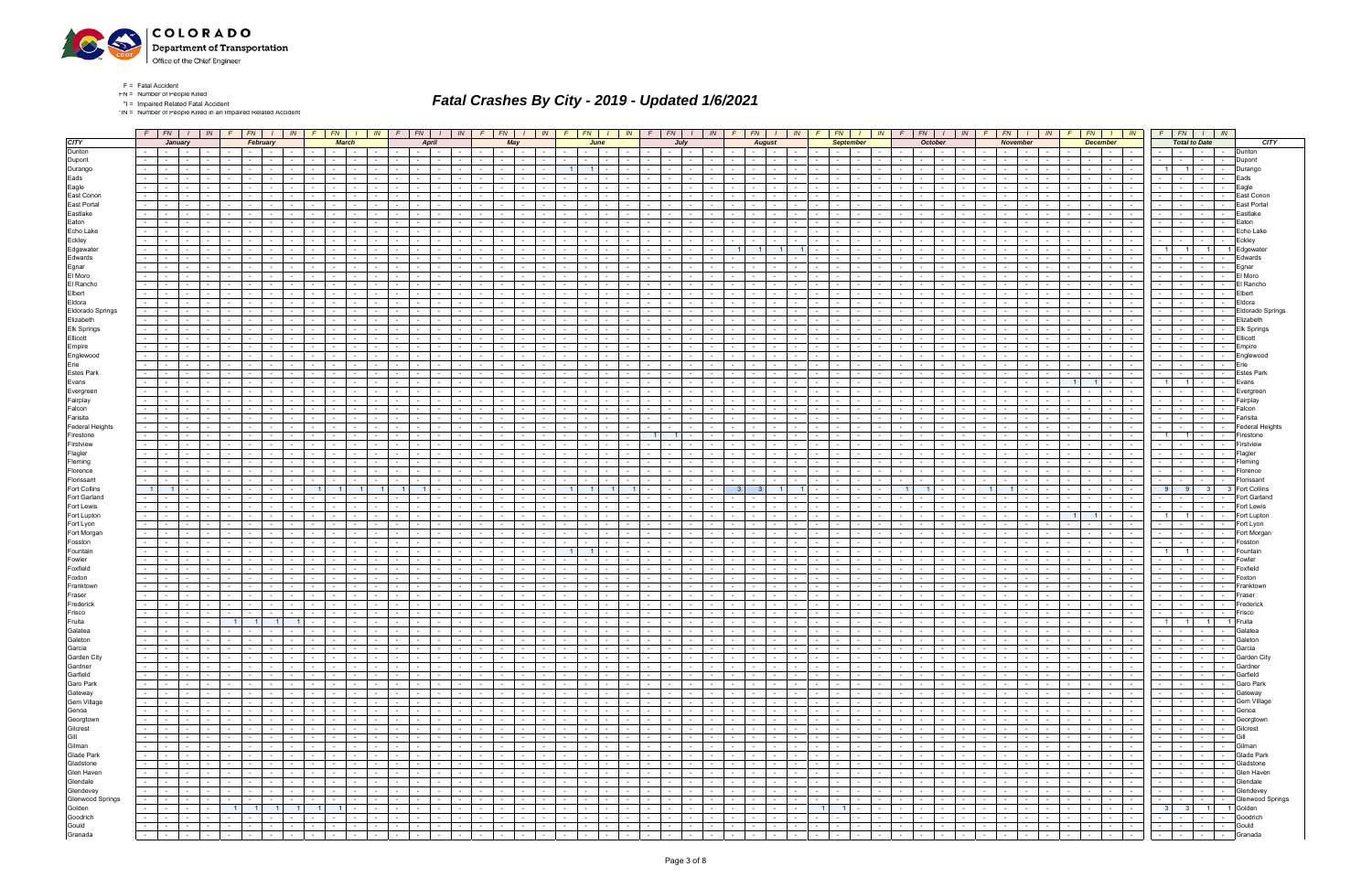

\*IN = Number of People Killed in an Impaired Related Accident

|                         | $F$ $FN$ $I$ $N$                                                                                                                                                                                                               | $F$ $FN$ $I$<br>IN                                                     | $F$ $FN$ $I$                                                          | $F$ $FN$ $I$<br>IN                                                 | IN                                           |                          | $F$ $FN$ $1$                                                                                                                                                                                                                   | IN             | $F$ $FN$ $1$             |                | IN.                                          |                 | $F$ $FN$ $I$ $N$                         |                          |                                           |                 | $F$ $FN$ $1$                  | IN                   | $F$ $FN$                                                                                                                                                                                                                       |                  | IN                          | F              | $FN$ $I$<br>$\mathbb{N}$                                          | $\sqrt{F}$               | FN                                           | <b>IN</b>                               |                          | $FN$ $I$ $IN$                                                                                                  |                | $F$ $FN$ $I$ $N$                                                                                                                                                                                                               |                         |            |                     |
|-------------------------|--------------------------------------------------------------------------------------------------------------------------------------------------------------------------------------------------------------------------------|------------------------------------------------------------------------|-----------------------------------------------------------------------|--------------------------------------------------------------------|----------------------------------------------|--------------------------|--------------------------------------------------------------------------------------------------------------------------------------------------------------------------------------------------------------------------------|----------------|--------------------------|----------------|----------------------------------------------|-----------------|------------------------------------------|--------------------------|-------------------------------------------|-----------------|-------------------------------|----------------------|--------------------------------------------------------------------------------------------------------------------------------------------------------------------------------------------------------------------------------|------------------|-----------------------------|----------------|-------------------------------------------------------------------|--------------------------|----------------------------------------------|-----------------------------------------|--------------------------|----------------------------------------------------------------------------------------------------------------|----------------|--------------------------------------------------------------------------------------------------------------------------------------------------------------------------------------------------------------------------------|-------------------------|------------|---------------------|
|                         | January                                                                                                                                                                                                                        | February                                                               | <b>March</b>                                                          | April                                                              |                                              |                          | May                                                                                                                                                                                                                            |                |                          | June           |                                              |                 | July                                     |                          |                                           |                 | <b>August</b>                 |                      |                                                                                                                                                                                                                                | <b>September</b> |                             |                | <b>October</b>                                                    |                          | <b>November</b>                              |                                         | <b>December</b>          |                                                                                                                |                |                                                                                                                                                                                                                                | <b>Total to Date</b>    |            |                     |
|                         | $\sim$ 100 $\mu$<br>$\sim$                                                                                                                                                                                                     | $\sim 10^{-11}$                                                        |                                                                       |                                                                    |                                              |                          |                                                                                                                                                                                                                                |                |                          |                |                                              |                 |                                          |                          |                                           |                 | $\sim$                        |                      |                                                                                                                                                                                                                                |                  |                             |                |                                                                   |                          |                                              |                                         | $\sim$                   | $\sim 10^{-11}$                                                                                                |                | $\sim$ $-$                                                                                                                                                                                                                     |                         |            | Dunton              |
|                         | $\sim$                                                                                                                                                                                                                         |                                                                        |                                                                       |                                                                    |                                              |                          |                                                                                                                                                                                                                                |                |                          |                |                                              |                 |                                          |                          |                                           |                 |                               |                      |                                                                                                                                                                                                                                |                  |                             |                |                                                                   |                          |                                              |                                         |                          | $\sim$                                                                                                         |                | $\sim$                                                                                                                                                                                                                         |                         |            | Dupont              |
|                         | $\sim$<br>$\sim$ $\sim$<br>$\sim$                                                                                                                                                                                              | $\sim$<br>$\sim$                                                       | $\sim$                                                                |                                                                    |                                              |                          | $\sim$<br>$\sim$                                                                                                                                                                                                               |                | 11                       | $\overline{1}$ |                                              |                 | $\sim$                                   |                          |                                           |                 |                               |                      | $\sim$                                                                                                                                                                                                                         | $\sim$           |                             |                |                                                                   |                          |                                              |                                         |                          |                                                                                                                |                | 11                                                                                                                                                                                                                             | $1 -$                   | $\sim$     | Durango             |
|                         |                                                                                                                                                                                                                                |                                                                        |                                                                       |                                                                    |                                              |                          |                                                                                                                                                                                                                                |                |                          |                |                                              |                 |                                          |                          |                                           |                 |                               |                      |                                                                                                                                                                                                                                |                  |                             |                |                                                                   |                          |                                              |                                         |                          |                                                                                                                |                |                                                                                                                                                                                                                                |                         |            | Eads                |
|                         |                                                                                                                                                                                                                                |                                                                        |                                                                       |                                                                    |                                              |                          |                                                                                                                                                                                                                                |                |                          |                |                                              |                 |                                          |                          |                                           |                 |                               |                      |                                                                                                                                                                                                                                |                  |                             |                |                                                                   |                          |                                              |                                         |                          |                                                                                                                |                |                                                                                                                                                                                                                                |                         |            |                     |
|                         | $\sim$                                                                                                                                                                                                                         |                                                                        |                                                                       |                                                                    |                                              |                          |                                                                                                                                                                                                                                |                |                          |                |                                              |                 |                                          |                          |                                           |                 |                               |                      |                                                                                                                                                                                                                                |                  |                             |                |                                                                   |                          |                                              |                                         |                          |                                                                                                                |                | $\sim$                                                                                                                                                                                                                         |                         |            | Eagle               |
|                         | $\sim$                                                                                                                                                                                                                         |                                                                        |                                                                       |                                                                    |                                              |                          |                                                                                                                                                                                                                                |                |                          |                |                                              |                 |                                          |                          |                                           |                 |                               |                      |                                                                                                                                                                                                                                |                  |                             |                |                                                                   |                          |                                              |                                         |                          |                                                                                                                |                | $\sim$                                                                                                                                                                                                                         |                         |            | East Conon          |
|                         |                                                                                                                                                                                                                                |                                                                        |                                                                       |                                                                    |                                              |                          |                                                                                                                                                                                                                                |                |                          |                |                                              |                 |                                          |                          |                                           |                 |                               |                      |                                                                                                                                                                                                                                |                  |                             |                |                                                                   |                          |                                              |                                         |                          |                                                                                                                |                |                                                                                                                                                                                                                                |                         |            | East Porta          |
|                         |                                                                                                                                                                                                                                |                                                                        |                                                                       |                                                                    |                                              |                          |                                                                                                                                                                                                                                |                |                          |                |                                              |                 |                                          |                          |                                           |                 |                               |                      |                                                                                                                                                                                                                                |                  |                             |                |                                                                   |                          |                                              |                                         |                          |                                                                                                                |                |                                                                                                                                                                                                                                |                         |            | Eastlake            |
|                         | $\sim$                                                                                                                                                                                                                         |                                                                        |                                                                       |                                                                    |                                              |                          |                                                                                                                                                                                                                                |                |                          |                |                                              |                 |                                          |                          |                                           |                 |                               |                      |                                                                                                                                                                                                                                |                  |                             |                |                                                                   |                          |                                              |                                         |                          |                                                                                                                |                | $\sim$                                                                                                                                                                                                                         |                         |            | Eaton               |
|                         |                                                                                                                                                                                                                                |                                                                        |                                                                       |                                                                    |                                              |                          |                                                                                                                                                                                                                                |                |                          |                |                                              |                 |                                          |                          |                                           |                 |                               |                      |                                                                                                                                                                                                                                |                  |                             |                |                                                                   |                          |                                              |                                         |                          |                                                                                                                |                |                                                                                                                                                                                                                                |                         |            | Echo Lake           |
|                         |                                                                                                                                                                                                                                |                                                                        |                                                                       |                                                                    |                                              |                          |                                                                                                                                                                                                                                |                |                          |                |                                              |                 |                                          |                          |                                           |                 |                               |                      |                                                                                                                                                                                                                                |                  |                             |                |                                                                   |                          |                                              |                                         |                          |                                                                                                                |                |                                                                                                                                                                                                                                |                         |            | Eckley              |
|                         | $\sim 100$<br>$\sim$                                                                                                                                                                                                           |                                                                        |                                                                       |                                                                    |                                              |                          |                                                                                                                                                                                                                                |                |                          |                |                                              |                 |                                          |                          |                                           |                 |                               |                      |                                                                                                                                                                                                                                |                  |                             |                |                                                                   |                          |                                              |                                         |                          |                                                                                                                |                |                                                                                                                                                                                                                                |                         |            |                     |
|                         | $\sim$                                                                                                                                                                                                                         |                                                                        |                                                                       |                                                                    |                                              |                          |                                                                                                                                                                                                                                |                |                          |                |                                              |                 |                                          |                          |                                           |                 |                               |                      |                                                                                                                                                                                                                                |                  |                             |                |                                                                   |                          |                                              |                                         |                          |                                                                                                                |                |                                                                                                                                                                                                                                |                         |            | Edgewate            |
|                         |                                                                                                                                                                                                                                |                                                                        |                                                                       |                                                                    |                                              |                          |                                                                                                                                                                                                                                |                |                          |                |                                              |                 |                                          |                          |                                           |                 |                               |                      |                                                                                                                                                                                                                                |                  |                             |                |                                                                   |                          |                                              |                                         |                          |                                                                                                                |                |                                                                                                                                                                                                                                |                         |            | Edwards             |
|                         | $\sim 100$<br>$\sim$                                                                                                                                                                                                           |                                                                        |                                                                       |                                                                    |                                              |                          |                                                                                                                                                                                                                                |                |                          |                |                                              |                 |                                          |                          |                                           |                 |                               |                      |                                                                                                                                                                                                                                |                  |                             |                |                                                                   |                          |                                              |                                         |                          |                                                                                                                |                | $\sim$                                                                                                                                                                                                                         | $\sim$ $-$              |            | Egnar               |
|                         |                                                                                                                                                                                                                                |                                                                        |                                                                       |                                                                    |                                              |                          |                                                                                                                                                                                                                                |                |                          |                |                                              |                 |                                          |                          |                                           |                 |                               |                      |                                                                                                                                                                                                                                |                  |                             |                |                                                                   |                          |                                              |                                         |                          |                                                                                                                |                |                                                                                                                                                                                                                                |                         |            | El Moro             |
|                         |                                                                                                                                                                                                                                |                                                                        |                                                                       |                                                                    |                                              |                          |                                                                                                                                                                                                                                |                |                          |                |                                              |                 |                                          |                          |                                           |                 |                               |                      |                                                                                                                                                                                                                                |                  |                             |                |                                                                   |                          |                                              |                                         |                          |                                                                                                                |                | $\sim$                                                                                                                                                                                                                         |                         |            | El Rancho           |
|                         | $\sim$                                                                                                                                                                                                                         |                                                                        |                                                                       |                                                                    |                                              |                          |                                                                                                                                                                                                                                |                |                          |                |                                              |                 |                                          |                          |                                           |                 |                               |                      |                                                                                                                                                                                                                                |                  |                             |                |                                                                   |                          |                                              |                                         |                          |                                                                                                                |                | $\sim$                                                                                                                                                                                                                         |                         |            | ∃lbert              |
|                         |                                                                                                                                                                                                                                |                                                                        |                                                                       |                                                                    |                                              |                          |                                                                                                                                                                                                                                |                |                          |                |                                              |                 |                                          |                          |                                           |                 |                               |                      |                                                                                                                                                                                                                                |                  |                             |                |                                                                   |                          |                                              |                                         |                          |                                                                                                                |                |                                                                                                                                                                                                                                |                         |            |                     |
|                         | $\sim$                                                                                                                                                                                                                         |                                                                        |                                                                       |                                                                    |                                              |                          |                                                                                                                                                                                                                                |                |                          |                |                                              |                 |                                          |                          |                                           |                 |                               |                      |                                                                                                                                                                                                                                |                  |                             |                |                                                                   |                          |                                              |                                         |                          |                                                                                                                |                | $\sim$                                                                                                                                                                                                                         | $\sim$ $-$              |            | Eldora              |
| Eldorado Springs        |                                                                                                                                                                                                                                |                                                                        |                                                                       |                                                                    |                                              |                          |                                                                                                                                                                                                                                |                |                          |                |                                              |                 |                                          |                          |                                           |                 |                               |                      |                                                                                                                                                                                                                                |                  |                             |                |                                                                   |                          |                                              |                                         |                          |                                                                                                                |                | $\sim$                                                                                                                                                                                                                         | $\sim$ $-$              |            | Eldorado Springs    |
|                         | $\sim 10$<br>$\sim$                                                                                                                                                                                                            |                                                                        |                                                                       |                                                                    |                                              |                          |                                                                                                                                                                                                                                |                |                          |                |                                              |                 |                                          |                          |                                           |                 |                               |                      |                                                                                                                                                                                                                                |                  |                             |                |                                                                   |                          |                                              |                                         |                          |                                                                                                                |                | $\sim$                                                                                                                                                                                                                         |                         |            | Elizabeth           |
|                         |                                                                                                                                                                                                                                |                                                                        |                                                                       |                                                                    |                                              |                          |                                                                                                                                                                                                                                |                |                          |                |                                              |                 |                                          |                          |                                           |                 |                               |                      |                                                                                                                                                                                                                                |                  |                             |                |                                                                   |                          |                                              |                                         |                          |                                                                                                                |                |                                                                                                                                                                                                                                |                         |            | <b>Elk Springs</b>  |
|                         |                                                                                                                                                                                                                                |                                                                        |                                                                       |                                                                    |                                              |                          |                                                                                                                                                                                                                                |                |                          |                |                                              |                 |                                          |                          |                                           |                 |                               |                      |                                                                                                                                                                                                                                |                  |                             |                |                                                                   |                          |                                              |                                         |                          |                                                                                                                |                |                                                                                                                                                                                                                                |                         |            | Ellicott            |
|                         | $\sim$                                                                                                                                                                                                                         |                                                                        |                                                                       |                                                                    |                                              |                          |                                                                                                                                                                                                                                |                |                          |                |                                              |                 |                                          |                          |                                           |                 |                               |                      |                                                                                                                                                                                                                                |                  |                             |                |                                                                   |                          |                                              |                                         |                          |                                                                                                                |                | $\sim$                                                                                                                                                                                                                         |                         |            | Empire              |
|                         |                                                                                                                                                                                                                                |                                                                        |                                                                       |                                                                    |                                              |                          |                                                                                                                                                                                                                                |                |                          |                |                                              |                 |                                          |                          |                                           |                 |                               |                      |                                                                                                                                                                                                                                |                  |                             |                |                                                                   |                          |                                              |                                         |                          |                                                                                                                |                |                                                                                                                                                                                                                                |                         |            | Englewood           |
|                         |                                                                                                                                                                                                                                |                                                                        |                                                                       |                                                                    |                                              |                          |                                                                                                                                                                                                                                |                |                          |                |                                              |                 |                                          |                          |                                           |                 |                               |                      |                                                                                                                                                                                                                                |                  |                             |                |                                                                   |                          |                                              |                                         |                          |                                                                                                                |                |                                                                                                                                                                                                                                |                         |            |                     |
|                         | $\sim$                                                                                                                                                                                                                         | $\sim$                                                                 |                                                                       |                                                                    |                                              |                          |                                                                                                                                                                                                                                |                |                          |                |                                              |                 |                                          |                          |                                           |                 |                               |                      |                                                                                                                                                                                                                                |                  |                             |                |                                                                   |                          |                                              |                                         |                          | $\sim$ 100 $\pm$                                                                                               |                | $\sim$                                                                                                                                                                                                                         | $\sim$ 100 $\mu$        | $\sim$     | Erie                |
|                         |                                                                                                                                                                                                                                |                                                                        |                                                                       |                                                                    |                                              |                          |                                                                                                                                                                                                                                |                |                          |                |                                              |                 |                                          |                          |                                           |                 |                               |                      |                                                                                                                                                                                                                                |                  |                             |                |                                                                   |                          |                                              |                                         |                          |                                                                                                                |                |                                                                                                                                                                                                                                |                         |            | Estes Park          |
|                         | $\sim$                                                                                                                                                                                                                         |                                                                        |                                                                       |                                                                    |                                              |                          |                                                                                                                                                                                                                                |                |                          |                |                                              |                 |                                          |                          |                                           |                 |                               |                      |                                                                                                                                                                                                                                |                  |                             |                |                                                                   |                          |                                              |                                         |                          |                                                                                                                | $\overline{1}$ |                                                                                                                                                                                                                                | $1 -$                   |            | Evans               |
|                         | $\sim$                                                                                                                                                                                                                         |                                                                        |                                                                       |                                                                    |                                              |                          |                                                                                                                                                                                                                                |                |                          |                |                                              |                 |                                          |                          |                                           |                 |                               |                      |                                                                                                                                                                                                                                |                  |                             |                |                                                                   |                          |                                              |                                         |                          |                                                                                                                |                | $\sim$                                                                                                                                                                                                                         |                         |            | Evergree            |
|                         |                                                                                                                                                                                                                                |                                                                        |                                                                       |                                                                    |                                              |                          |                                                                                                                                                                                                                                |                |                          |                |                                              |                 |                                          |                          |                                           |                 |                               |                      |                                                                                                                                                                                                                                |                  |                             |                |                                                                   |                          |                                              |                                         |                          |                                                                                                                |                |                                                                                                                                                                                                                                |                         |            | Fairplay            |
|                         | $\sim$                                                                                                                                                                                                                         |                                                                        |                                                                       |                                                                    |                                              |                          |                                                                                                                                                                                                                                |                |                          |                |                                              |                 |                                          |                          |                                           |                 |                               |                      |                                                                                                                                                                                                                                |                  |                             |                |                                                                   |                          |                                              |                                         |                          |                                                                                                                |                | $\sim$                                                                                                                                                                                                                         | $\sim$ $-$              |            | Falcon              |
|                         | $\sim$                                                                                                                                                                                                                         |                                                                        |                                                                       |                                                                    |                                              |                          |                                                                                                                                                                                                                                |                |                          |                |                                              |                 |                                          |                          |                                           |                 |                               |                      |                                                                                                                                                                                                                                |                  |                             |                |                                                                   |                          |                                              |                                         |                          |                                                                                                                |                | $\sim$                                                                                                                                                                                                                         | $\sim$                  |            | Farisita            |
|                         |                                                                                                                                                                                                                                |                                                                        |                                                                       |                                                                    |                                              |                          |                                                                                                                                                                                                                                |                |                          |                |                                              |                 |                                          |                          |                                           |                 |                               |                      |                                                                                                                                                                                                                                |                  |                             |                |                                                                   |                          |                                              |                                         |                          |                                                                                                                |                |                                                                                                                                                                                                                                |                         |            | Federal Heights     |
|                         |                                                                                                                                                                                                                                |                                                                        |                                                                       |                                                                    |                                              |                          |                                                                                                                                                                                                                                |                |                          |                |                                              |                 |                                          |                          |                                           |                 |                               |                      |                                                                                                                                                                                                                                |                  |                             |                |                                                                   |                          |                                              |                                         |                          |                                                                                                                |                |                                                                                                                                                                                                                                |                         |            |                     |
|                         |                                                                                                                                                                                                                                |                                                                        |                                                                       |                                                                    |                                              |                          |                                                                                                                                                                                                                                |                |                          |                |                                              |                 |                                          |                          |                                           |                 |                               |                      |                                                                                                                                                                                                                                |                  |                             |                |                                                                   |                          |                                              |                                         |                          |                                                                                                                | $\overline{1}$ |                                                                                                                                                                                                                                | $1 \cdot$               |            | Firestone           |
|                         | $\mathcal{L}_{\rm{max}}$<br>$\sim$                                                                                                                                                                                             | $\sim$                                                                 |                                                                       |                                                                    |                                              |                          |                                                                                                                                                                                                                                |                |                          | $\sim$         |                                              |                 |                                          |                          |                                           |                 |                               |                      |                                                                                                                                                                                                                                |                  |                             |                |                                                                   |                          |                                              |                                         |                          |                                                                                                                |                | $\sim$                                                                                                                                                                                                                         |                         |            | Firstview           |
|                         |                                                                                                                                                                                                                                |                                                                        |                                                                       |                                                                    |                                              |                          |                                                                                                                                                                                                                                |                |                          |                |                                              |                 |                                          |                          |                                           |                 |                               |                      |                                                                                                                                                                                                                                |                  |                             |                |                                                                   |                          |                                              |                                         |                          |                                                                                                                |                |                                                                                                                                                                                                                                |                         |            | -lagler             |
|                         | $\sim$<br>$\sim$                                                                                                                                                                                                               |                                                                        |                                                                       |                                                                    |                                              |                          |                                                                                                                                                                                                                                |                |                          |                |                                              |                 |                                          |                          |                                           |                 |                               |                      |                                                                                                                                                                                                                                |                  |                             |                |                                                                   |                          |                                              |                                         |                          | $\sim$                                                                                                         |                | $\sim$                                                                                                                                                                                                                         | $\sim$ $-$              |            | Fleming             |
|                         | $\sim$                                                                                                                                                                                                                         |                                                                        |                                                                       |                                                                    |                                              |                          |                                                                                                                                                                                                                                |                |                          |                |                                              |                 |                                          |                          |                                           |                 |                               |                      |                                                                                                                                                                                                                                |                  |                             |                |                                                                   |                          |                                              |                                         |                          |                                                                                                                |                | $\sim$                                                                                                                                                                                                                         |                         |            | Florence            |
|                         |                                                                                                                                                                                                                                |                                                                        |                                                                       |                                                                    |                                              |                          |                                                                                                                                                                                                                                |                |                          |                |                                              |                 |                                          |                          |                                           |                 |                               |                      |                                                                                                                                                                                                                                |                  |                             |                |                                                                   |                          |                                              |                                         |                          |                                                                                                                |                |                                                                                                                                                                                                                                |                         |            | Florissan           |
|                         | $\overline{1}$<br>$\sim$                                                                                                                                                                                                       |                                                                        |                                                                       |                                                                    |                                              |                          |                                                                                                                                                                                                                                |                |                          |                |                                              |                 |                                          |                          |                                           |                 |                               |                      |                                                                                                                                                                                                                                |                  |                             |                |                                                                   |                          |                                              |                                         |                          | $\sim$                                                                                                         |                | -9                                                                                                                                                                                                                             | - 3                     |            | <b>Fort Collins</b> |
|                         |                                                                                                                                                                                                                                |                                                                        |                                                                       |                                                                    |                                              |                          |                                                                                                                                                                                                                                |                |                          |                |                                              |                 |                                          |                          |                                           |                 |                               |                      |                                                                                                                                                                                                                                |                  |                             |                |                                                                   |                          |                                              |                                         |                          |                                                                                                                | - 9            |                                                                                                                                                                                                                                |                         |            |                     |
|                         |                                                                                                                                                                                                                                |                                                                        |                                                                       |                                                                    |                                              |                          |                                                                                                                                                                                                                                |                |                          |                |                                              |                 |                                          |                          |                                           |                 |                               |                      |                                                                                                                                                                                                                                |                  |                             |                |                                                                   |                          |                                              |                                         |                          |                                                                                                                |                |                                                                                                                                                                                                                                |                         |            | Fort Garland        |
|                         |                                                                                                                                                                                                                                |                                                                        |                                                                       |                                                                    |                                              |                          |                                                                                                                                                                                                                                |                |                          |                |                                              |                 |                                          |                          |                                           |                 |                               |                      |                                                                                                                                                                                                                                |                  |                             |                |                                                                   |                          |                                              |                                         |                          |                                                                                                                |                | $\sim$                                                                                                                                                                                                                         |                         |            | Fort Lewis          |
|                         | $\sim$                                                                                                                                                                                                                         |                                                                        |                                                                       |                                                                    |                                              |                          |                                                                                                                                                                                                                                |                |                          |                |                                              |                 |                                          |                          |                                           |                 |                               |                      |                                                                                                                                                                                                                                |                  |                             |                |                                                                   |                          |                                              |                                         |                          |                                                                                                                |                | $1 \mid$                                                                                                                                                                                                                       | $1 \cdot$               |            | Fort Lupton         |
|                         |                                                                                                                                                                                                                                |                                                                        |                                                                       |                                                                    |                                              |                          |                                                                                                                                                                                                                                |                |                          |                |                                              |                 |                                          |                          |                                           |                 |                               |                      |                                                                                                                                                                                                                                |                  |                             |                |                                                                   |                          |                                              |                                         |                          |                                                                                                                |                |                                                                                                                                                                                                                                |                         |            | Fort Lyon           |
|                         | $\sim$                                                                                                                                                                                                                         |                                                                        |                                                                       |                                                                    |                                              |                          |                                                                                                                                                                                                                                |                |                          |                |                                              |                 |                                          |                          |                                           |                 |                               |                      |                                                                                                                                                                                                                                |                  |                             |                |                                                                   |                          |                                              |                                         |                          |                                                                                                                |                | $\sim$                                                                                                                                                                                                                         |                         |            | Fort Morgar         |
|                         | $\sim$                                                                                                                                                                                                                         |                                                                        |                                                                       |                                                                    |                                              |                          |                                                                                                                                                                                                                                |                |                          |                |                                              |                 |                                          |                          |                                           |                 |                               |                      |                                                                                                                                                                                                                                |                  |                             |                |                                                                   |                          |                                              |                                         |                          |                                                                                                                |                |                                                                                                                                                                                                                                |                         |            | Fosston             |
|                         |                                                                                                                                                                                                                                |                                                                        |                                                                       |                                                                    |                                              |                          |                                                                                                                                                                                                                                |                |                          |                |                                              |                 |                                          |                          |                                           |                 |                               |                      |                                                                                                                                                                                                                                |                  |                             |                |                                                                   |                          |                                              |                                         |                          |                                                                                                                | $\overline{1}$ | 11                                                                                                                                                                                                                             |                         |            | Fountair            |
|                         |                                                                                                                                                                                                                                |                                                                        |                                                                       |                                                                    |                                              |                          |                                                                                                                                                                                                                                |                |                          |                |                                              |                 |                                          |                          |                                           |                 |                               |                      |                                                                                                                                                                                                                                |                  |                             |                |                                                                   |                          |                                              |                                         |                          |                                                                                                                |                |                                                                                                                                                                                                                                |                         |            |                     |
|                         |                                                                                                                                                                                                                                |                                                                        |                                                                       |                                                                    |                                              |                          |                                                                                                                                                                                                                                |                |                          |                |                                              |                 |                                          |                          |                                           |                 |                               |                      |                                                                                                                                                                                                                                |                  |                             |                |                                                                   |                          |                                              |                                         |                          |                                                                                                                |                |                                                                                                                                                                                                                                |                         |            | owler               |
|                         |                                                                                                                                                                                                                                |                                                                        |                                                                       |                                                                    |                                              |                          |                                                                                                                                                                                                                                |                |                          |                |                                              |                 |                                          |                          |                                           |                 |                               |                      |                                                                                                                                                                                                                                |                  |                             |                |                                                                   |                          |                                              |                                         |                          |                                                                                                                |                |                                                                                                                                                                                                                                |                         |            | oxfield             |
|                         |                                                                                                                                                                                                                                |                                                                        |                                                                       |                                                                    |                                              |                          |                                                                                                                                                                                                                                |                |                          |                |                                              |                 |                                          |                          |                                           |                 |                               |                      |                                                                                                                                                                                                                                |                  |                             |                |                                                                   |                          |                                              |                                         |                          |                                                                                                                |                |                                                                                                                                                                                                                                |                         |            | Foxton              |
|                         | $\sim$                                                                                                                                                                                                                         | $\overline{\phantom{a}}$                                               |                                                                       |                                                                    |                                              |                          |                                                                                                                                                                                                                                |                |                          |                |                                              |                 |                                          |                          |                                           |                 |                               |                      |                                                                                                                                                                                                                                |                  |                             |                |                                                                   |                          |                                              |                                         |                          |                                                                                                                |                | $\sim$                                                                                                                                                                                                                         |                         |            | Franktow            |
|                         |                                                                                                                                                                                                                                |                                                                        |                                                                       |                                                                    |                                              |                          |                                                                                                                                                                                                                                |                |                          |                |                                              |                 |                                          |                          |                                           |                 |                               |                      |                                                                                                                                                                                                                                |                  |                             |                |                                                                   |                          |                                              |                                         |                          |                                                                                                                |                |                                                                                                                                                                                                                                |                         |            | rase                |
|                         |                                                                                                                                                                                                                                |                                                                        |                                                                       |                                                                    |                                              |                          |                                                                                                                                                                                                                                |                |                          |                |                                              |                 |                                          |                          |                                           |                 |                               |                      |                                                                                                                                                                                                                                |                  |                             |                |                                                                   |                          |                                              |                                         |                          |                                                                                                                |                |                                                                                                                                                                                                                                |                         |            | rederick            |
|                         | $\sim 100$<br>$\sim$ $-$<br>$\sim$<br>$\sim$                                                                                                                                                                                   | $\sim$<br>$\sim$<br>$\sim$                                             | $\sim$<br>$\sim$                                                      | $\sim$ 100 $\pm$                                                   |                                              |                          | $\sim$<br>$\sim$                                                                                                                                                                                                               |                |                          | $\sim$         |                                              |                 | $\sim$                                   | $\sim$                   |                                           |                 | $\sim$                        |                      | $\sim$<br>$\sim$                                                                                                                                                                                                               | $\sim$           |                             |                |                                                                   |                          | $\sim$                                       |                                         | $\sim$                   | $\sim$ $-$<br><b>Contract Contract</b>                                                                         |                | $\sim 10^{-11}$                                                                                                                                                                                                                | $\sim$ $-$              | $\sim$     | Frisco              |
|                         | $\sim$ $-$<br>$\sim$                                                                                                                                                                                                           | $1 \vert$<br>$\overline{1}$                                            |                                                                       |                                                                    |                                              |                          | $\sim$<br>$\sim$                                                                                                                                                                                                               |                | $\sim$                   | $\sim$         |                                              |                 | $\sim$                                   |                          |                                           |                 | $\sim$                        |                      | $\sim$                                                                                                                                                                                                                         | $\sim$           |                             |                |                                                                   |                          |                                              |                                         |                          |                                                                                                                | $1 \vert$      | $1 \vert$                                                                                                                                                                                                                      |                         |            | Fruita              |
|                         | $\sim$                                                                                                                                                                                                                         | 1 <sup>1</sup>                                                         |                                                                       |                                                                    |                                              |                          |                                                                                                                                                                                                                                |                |                          |                |                                              |                 |                                          |                          |                                           |                 |                               |                      |                                                                                                                                                                                                                                |                  |                             |                |                                                                   |                          |                                              |                                         |                          |                                                                                                                |                |                                                                                                                                                                                                                                |                         |            |                     |
|                         | the contract of<br>l – I                                                                                                                                                                                                       | $\sim$ $\sim$ $\sim$ $\sim$<br>$\mathbf{I}$ $\mathbf{I}$<br>$\sim$ $-$ | $1 - 1 - 1 - 1$<br>$\sim$                                             | the contract of the contract of                                    | and the state of the state of the            |                          |                                                                                                                                                                                                                                |                | $\sim$ $\sim$ $\sim$     |                | $1 - 1 - 1$                                  |                 |                                          |                          |                                           |                 |                               |                      |                                                                                                                                                                                                                                |                  | $\mathbf{I}$ $\mathbf{I}$   | $\sim$         | $-1$<br>$\sim$ $-$<br>$\blacksquare$                              |                          | $\mathbf{1}$ $\mathbf{1}$                    | $\sim 10^{-10}$                         | the contract of          | and the state                                                                                                  |                | -   -   -   - Galatea                                                                                                                                                                                                          |                         |            |                     |
|                         | $\sim$ $\sim$ $\sim$<br>the contract of                                                                                                                                                                                        | $\sim 10$<br>the collection<br><b>Contract</b>                         | $\sim$<br>$\vert \cdot \vert$ $\vert$ $\vert$ $\vert$ $\vert$ $\vert$ | <b>Contract</b><br>$-1$                                            | <b>Second Second Second</b>                  |                          |                                                                                                                                                                                                                                |                | in a britain an          |                | $\sim$ 100 $\pm$ 100 $\pm$<br>$\sim 10^{-1}$ |                 |                                          |                          |                                           |                 | and the state of the state    | $\sim$ $-$           | and the collection                                                                                                                                                                                                             |                  | <b>Contract</b>             | $\sim$         | .<br>$\sim 10^{-11}$                                              | the contract of          | $\sim 10^{-11}$                              | $\sim 10^{-11}$                         | the contract of          | the collection                                                                                                 |                | $      -$                                                                                                                                                                                                                      |                         |            | Galeton             |
|                         | $\sim 100$<br><b>Contract Contract</b><br><b>Contract</b><br>$\sim$                                                                                                                                                            | $\sim$ $  -$<br>$\sim$<br>$\sim$                                       | $\sim$<br>$\sim$ $\sim$ $\sim$<br>$\sim$ $-$                          | $\sim$<br><b>Contract Contract</b>                                 | <b>Contract Contract</b><br>$\sim$ 100 $\mu$ | <b>Contract Contract</b> | <b>Contract</b><br>$\sim 100$                                                                                                                                                                                                  | $\sim$         | the contract of          |                | $\sim$                                       | the contract of | $\sim 10^{-1}$                           | <b>Contract Contract</b> | $\sim$ $-$<br>$\sim$ $\sim$ $\sim$ $\sim$ | <b>Contract</b> | <b>Contract</b>               | $\sim$               | $\sim$ $-$<br><b>Contract Contract</b>                                                                                                                                                                                         | $\sim$           | $\sim 100$                  |                | <b>Service</b><br>$\sim$<br>$\sim$                                | $\sim$                   | $\sim$ $ \sim$<br>$\sim$ $-$                 | $\sim$ $-$<br>$\sim$ $-$                | <b>Contract</b>          | <b>Contract Contract</b>                                                                                       |                | $-1 - 1 - 1 - 1$                                                                                                                                                                                                               |                         |            | Garcia              |
|                         | $-1 - 1 - 1 - 1 - 1 - 1 - 1 = 0$                                                                                                                                                                                               | $\sim$<br>n e 1 e 1<br>$\sim 100$                                      | and the state<br>$\sim$                                               | <b>Service</b><br>$\sim$ $  -$<br>$\sim$ $-$                       | the contract of                              |                          |                                                                                                                                                                                                                                | $\sim 10^{-1}$ | the contract of          |                | <b>Contractor</b><br>$\sim$                  |                 | .                                        |                          | $\sim$ $-$                                |                 |                               | <b>Contract</b>      | the contract of                                                                                                                                                                                                                | $\sim 100$       | $\sim 100$ km s $^{-1}$     | $\sim$         | the collection<br>$\sim 100$                                      | the contract of          | $\sim 10^{-11}$                              | $\sim 10^{-11}$                         | the contract of          | the collection                                                                                                 |                | .                                                                                                                                                                                                                              |                         |            | Garden City         |
|                         | $\sim$ $\sim$<br>and the contract                                                                                                                                                                                              | المتحال المناب<br>$\sim$<br><b>Contract</b>                            | <b>Carl Carl</b><br>$\sim$                                            | $\sim$ $\sim$ $\sim$<br>$\sim 10^{-11}$                            | المحال والمحال                               |                          | $-1 - 1 - 1 - 1$                                                                                                                                                                                                               | $\sim 100$     | the contract of          |                | $\sim$ $ -$<br>$\sim$                        |                 | .                                        |                          | $\sim 10^{-1}$                            |                 | 1981 - The T                  | $\sim$ $-$           |                                                                                                                                                                                                                                | $\sim 100$       | <b>Contract</b>             | $\sim$ $-$     | and the state<br>$\sim 100$                                       | the contract of          | $\sim 10^{-11}$                              | $\sim$ $-$                              |                          | - - - - - - - -                                                                                                |                | the contract of the contract of the con-                                                                                                                                                                                       |                         |            | Gardner             |
|                         | $\sim$ $\sim$<br>the contract of the con-<br>$\sim$                                                                                                                                                                            | .<br>$\sim$<br>$\sim$                                                  | the contract<br>$\sim$                                                | $\sim 10^{-11}$<br><b>Service</b>                                  | <b>Contract Contract</b><br>$\sim 10^{-11}$  | <b>Contract Contract</b> | $\sim 10^{-11}$<br><b>Contract</b>                                                                                                                                                                                             | $\sim$         | the contract of          |                | $\sim$ 100 $\mu$<br>$\sim$                   | $-1$            | $\sim 10^{-1}$                           | <b>Contract</b>          | $\sim 10^{-11}$<br>$\sim$ $-$             | $\sim 10^{-1}$  | $\sim 10^{-11}$               | $\sim$               | $\sim$<br><b>Contract</b>                                                                                                                                                                                                      | $\sim$ $-$       | $\sim 10^{-11}$             | $\sim$         | $\sim$<br>$\sim$ $-$                                              | $\sim$                   | <b>Contract</b><br><b>Contract</b>           | $\sim 10^{-11}$<br>$\sim$               | <b>Contract</b>          | <b>Contract Contract</b>                                                                                       |                | the collection of the collection                                                                                                                                                                                               |                         |            | Garfield            |
|                         | $\sim$ $\sim$<br>and the contract of the con-<br>$\sim$ 100 $\pm$                                                                                                                                                              | $\sim 100$<br><b>Contract Contract</b><br>$\sim$ $-$                   | $\sim$<br>$\sim$ $\sim$ $\sim$ $\sim$<br>$\sim$ $-$                   | $\sim 100$<br><b>Contract</b><br>$\sim$ $-$                        | the contract of                              | the contract of          | <b>Common</b>                                                                                                                                                                                                                  | $\sim$         | <b>Contract Contract</b> |                | <b>Contract</b><br>$\sim$                    | $-1$            | $\sim 10^{-11}$                          | $\sim$ $-$               | $\sim$ $-$<br>$\sim$ $\sim$ $\sim$ $\sim$ | $\sim$ $ -$     | <b>Contract</b>               | <b>Contract</b>      | the contract of                                                                                                                                                                                                                | $\sim 100$       | $\sim 10^{-11}$             | $\sim$         | $-1$<br>$\sim$<br>$\sim 100$                                      | $\sim$                   | $\mathbf{I}$ and $\mathbf{I}$<br>$\sim 100$  | $\sim 10^{-11}$                         | the contract of          | and the state of the state                                                                                     |                | $-1 - 1 - 1 - 1$                                                                                                                                                                                                               |                         |            | Garo Park           |
|                         |                                                                                                                                                                                                                                |                                                                        |                                                                       |                                                                    |                                              |                          |                                                                                                                                                                                                                                |                |                          |                |                                              |                 |                                          |                          |                                           |                 |                               |                      |                                                                                                                                                                                                                                |                  |                             |                |                                                                   |                          |                                              |                                         |                          |                                                                                                                |                |                                                                                                                                                                                                                                |                         |            |                     |
|                         | $\sim$ $\sim$<br>and the state of the state of the state                                                                                                                                                                       | $\sim$<br>and the state<br>$\sim$ $-$                                  | $\sim$<br>the contract                                                | $\sim 10^{-11}$<br>$\sim$                                          | <b>Second Second Second</b>                  |                          |                                                                                                                                                                                                                                | $\sim$         | the contract of          |                | <b>Contract</b><br>$\sim$                    |                 | the contract                             | $\sim 10^{-10}$          | $\sim$ $-$                                | $-1 - 1$        | <b>Contract</b>               | <b>Contract</b>      | the contract of                                                                                                                                                                                                                | $\sim 100$       | <b>Contract</b>             | $\sim$         | $\sim$ $\sim$<br>$\sim$ $-$<br>$\sim 100$                         | $\sim$                   | $\sim$ $-$<br>$\sim$ $-$                     | $\sim$ $-$                              | the company of           | and the state                                                                                                  |                | $-1 - 1 - 1 - 1$                                                                                                                                                                                                               |                         |            | Gateway             |
|                         | $\sim$ $-$<br><b>Contract</b>                                                                                                                                                                                                  | .<br>$\sim 100$                                                        | and the state<br>$\sim$                                               | $\sim 10^{-11}$<br><b>Contract Contract</b>                        | $\sim 100$                                   | <b>Contract Contract</b> | $\sim 10^{-11}$<br><b>Contract</b>                                                                                                                                                                                             | $\sim$         | the contract of          |                | $\sim$ 100 $\mu$<br>$\sim$                   | $\sim$ $\sim$   | $\sim 10^{-1}$                           | <b>Contract</b>          | $\sim$ $-$<br>$\sim$ $-$                  | $\sim 10^{-1}$  | $\sim 10^{-11}$               | $\sim$               | $\sim 100$<br><b>Contract</b>                                                                                                                                                                                                  | $\sim$ $-$       | $\sim 100$                  | $\sim$         | <b>Service</b><br>$\sim$<br>$\sim$ 100 $\sim$                     | $\sim$                   | .<br>$\sim 10^{-11}$                         | $\sim 10^{-11}$<br>$\sim$ 100 $\mu$     | <b>Contract</b>          | and the state                                                                                                  |                | the collection of the collection                                                                                                                                                                                               |                         |            | <b>Gem Village</b>  |
|                         | $-1$<br>the contract of the contract                                                                                                                                                                                           | $\sim$<br><b>Contract Contract</b><br>$\sim$ $-$                       | $\sim$<br>$\sim$ $\sim$ $\sim$ $\sim$<br>$\sim$ $-$                   | $\sim 100$<br><b>Contract</b><br>$\sim$ $-$                        | the contract of                              | the contract of          | $\mathbf{I}$ and $\mathbf{I}$                                                                                                                                                                                                  | $\sim 100$     | <b>Contract Contract</b> |                | $\sim$ 100 $\mu$<br>$\sim$                   | $-1$            | $\sim 10^{-11}$                          | <b>Common</b>            | $\sim$ $-$<br>$\sim$ $\sim$ $\sim$ $\sim$ | $\sim$ $ -$     | <b>Contract</b>               | <b>Contract</b>      | the contract of                                                                                                                                                                                                                | $\sim 10^{-11}$  | $\sim 10^{-11}$             | $\sim$         | $-1$<br>$\sim$<br>$\sim 100$                                      | $\sim$                   | $\mathbf{I}$ and $\mathbf{I}$<br>$\sim 100$  | $\sim 10^{-11}$                         | the contract of          | and the state of the state                                                                                     |                |                                                                                                                                                                                                                                |                         |            | Genoa               |
|                         | .                                                                                                                                                                                                                              | $\sim 100$<br>and the state<br><b>Contract Contract</b>                | $\sim$ $\sim$<br>the collection                                       | $\sim 10^{-11}$<br>$\sim$ $-$                                      | and the collection                           |                          | $-$ 1 $-$ 1 $-$ 1 $-$                                                                                                                                                                                                          |                | the contract of          |                | $\sim$<br>$\sim 10^{-11}$                    |                 | the contract of the con-                 |                          | $\sim$ $-$                                |                 | the company of the company of | <b>Contract</b>      | the contract of the contract of the contract of the contract of the contract of the contract of the contract of the contract of the contract of the contract of the contract of the contract of the contract of the contract o |                  | <b>Contract</b>             | $\sim$ $-$     | the contract of<br><b>Service</b>                                 | the contract of the con- | $\sim 10^{-11}$                              | $\sim$ $-$                              |                          | .                                                                                                              |                | the contract of the contract of the contract of the contract of the contract of the contract of the contract of the contract of the contract of the contract of the contract of the contract of the contract of the contract o |                         |            | Georgtown           |
|                         | the contract of the contract of the contract of<br>$\sim$                                                                                                                                                                      | $\sim$<br><b>Contract Contract</b><br>$\sim$ 100 $\sim$                | $\sim 10^{-1}$<br>$\sim$ $-$<br>$-1$                                  | <b>Service</b><br><b>Contract Contract</b>                         | and the state                                |                          | <b>Contract</b>                                                                                                                                                                                                                | $\sim$         | the contract of          |                | <b>Service</b><br>$\sim$                     | $-1$            | $\sim$ $-$                               | <b>Contract</b>          | $\sim$ $\sim$ $\sim$<br>$\sim$ $-$        | $\sim 10^{-10}$ | <b>Contract</b>               | $\sim 10^{-11}$      | <b>Service State</b>                                                                                                                                                                                                           | $\sim 10^{-1}$   | <b>Contract</b>             | $\sim$         | $-1$<br>$\sim 10^{-1}$<br>$\sim 10^{-11}$                         | $\sim$                   | $\sim 10^{-10}$<br>$\mathbf{1}$ $\mathbf{1}$ | $\sim$ $\sim$ $\sim$<br>$\sim 10^{-11}$ | $\sim 10^{-10}$          | and the con-                                                                                                   |                |                                                                                                                                                                                                                                |                         | $\sim 100$ | Gilcrest            |
|                         | $-1 - 1 - 1 - 1 - 1$                                                                                                                                                                                                           | <b>Andrew Park</b><br><b>Contract</b>                                  | $\sim$<br>$\sim$ $\sim$ $\sim$                                        | $\sim$ $\sim$<br>$\sim$ $-$                                        |                                              |                          | the contract of the contract of the contract of the contract of the contract of the contract of the contract of the contract of the contract of the contract of the contract of the contract of the contract of the contract o |                | the contract             |                | $\sim 100$<br>$\sim$                         |                 | the contract of the con-                 |                          | $\sim$ $-$                                |                 | the contract of the con-      | <b>Contract</b>      | $-1 - 1 - 1 - 1$                                                                                                                                                                                                               |                  | <b>Contract</b>             | $\sim$         | the collection<br><b>Contract</b>                                 | the contract of          | $\sim$ $-$                                   | $\sim 10^{-10}$                         | the contract of          | and the state                                                                                                  |                | $-1 - 1 - 1 - 1 - 1$                                                                                                                                                                                                           |                         |            | Gill                |
|                         |                                                                                                                                                                                                                                |                                                                        |                                                                       |                                                                    |                                              |                          |                                                                                                                                                                                                                                |                |                          |                |                                              |                 |                                          |                          |                                           |                 |                               |                      |                                                                                                                                                                                                                                |                  |                             |                |                                                                   |                          |                                              |                                         |                          |                                                                                                                |                | $-1$ , $-1$ , $-1$ , $-1$                                                                                                                                                                                                      |                         |            | Gilman              |
|                         | $\sim$ $\sim$<br>the contract of the contract of the con-                                                                                                                                                                      | $\sim$<br><b>Contract Contract</b><br>$\sim$ $-$                       | the contract<br>$\sim$                                                | $\sim$ $-$<br>$\sim$ $-$<br>$\sim$                                 | the contract of                              |                          |                                                                                                                                                                                                                                | $\sim 100$     | the contract of          |                | $\sim$ 100 $\mu$<br>$\sim$                   |                 | the contract                             | <b>Common</b>            | $\sim$ $-$                                |                 | <b>Contract</b>               | $\sim 100$           | the contract of                                                                                                                                                                                                                | $\sim 100$       | $\sim 10^{-11}$             | $\sim$         | <b>Contract Contract</b><br>$\sim$ $ \sim$<br>$\sim$ $-$          | $\sim$ $-$               | <b>Common</b><br>$\sim$ $-$                  | $\sim 10^{-11}$                         | the contract of          | the contract of                                                                                                |                |                                                                                                                                                                                                                                |                         |            |                     |
|                         | $\sim$ $\sim$<br>the contract of the contract                                                                                                                                                                                  | the collection<br>$\sim$ $-$<br>$\sim 100$                             | and the state<br>$-1$                                                 | $\sim 10^{-10}$<br><b>Contract</b><br>$\sim$                       | the contract of                              |                          |                                                                                                                                                                                                                                | $\sim$         | the contract of          |                | <b>Contract</b><br>$\sim$                    |                 | the contract of the con-                 |                          | $\sim$<br>$\sim$ $\sim$                   | <b>Contract</b> | <b>Contract</b>               | $\sim 100$           | the contract of                                                                                                                                                                                                                | $\sim$ $-$       | $\sim 100$                  | $\sim$         | $\sim$ $-$<br>$\sim$ $ \sim$<br>$\sim$ $-$                        | the contract of          | $\sim$ $-$                                   | $\sim$ $\sim$ $\sim$<br>$\sim 10^{-11}$ | <b>Contract</b>          | the contract of                                                                                                |                | .                                                                                                                                                                                                                              |                         |            | Glade Park          |
|                         | $\sim$ 1<br>$-1 - 1 - 1 - 1$                                                                                                                                                                                                   | 1 - 1 -<br>$\sim 100$<br><b>Service</b>                                | $1 - 1 -$<br>$\sim$                                                   | $\sim$ $\sim$<br><b>Contract</b>                                   | $-1 - 1 - 1 - 1 = 0$                         |                          | the contract of the contract of the contract of the contract of the contract of the contract of the contract of the contract of the contract of the contract of the contract of the contract of the contract of the contract o |                | the collection           |                | $\sim$ $\sim$ $\sim$<br>$\sim$               |                 | the contract of the con-                 |                          | $\sim$ $-$                                | the contract of | $\sim 10^{-11}$               | $\sim 10^{-11}$      | the contract of                                                                                                                                                                                                                | $\sim$ $-$       | $\mathbf{r}$ = $\mathbf{r}$ | $\sim$         | the contract<br>$\sim 100$                                        | the contract of          | $\sim 10^{-11}$                              | $\sim$ $-$                              |                          | n en liveli                                                                                                    |                | $-1 - 1 - 1 - 1 - 1$                                                                                                                                                                                                           |                         |            | Gladstone           |
|                         | $\sim 100$<br>$\sim 100$<br><b>Contract Contract</b>                                                                                                                                                                           | $\sim$<br>.<br>$\sim$ 100 $\sim$                                       | $\sim$<br>$\sim$<br>$\sim$ $\sim$ $\sim$                              | $\sim 10^{-11}$<br>$\sim 10^{-11}$<br>$\sim$ $-$                   | the contract of                              | <b>Contract Contract</b> | $\sim$ $\sim$ $\sim$                                                                                                                                                                                                           | $\sim$         | the contract             |                | <b>Contract</b><br>$\sim$                    | $\sim$ $-$      | $\sim$                                   | $\sim 10^{-11}$          | $\sim$                                    | the contract of | $\sim$ $-$                    | $\sim 10^{-1}$       | the company's                                                                                                                                                                                                                  | $\sim$ $ \sim$   | <b>Contract</b>             | $\sim$         | $\sim$ $\sim$ $\sim$<br>$\sim$<br>$\sim 10^{-11}$                 | $\sim$ $-$               | $\sim 100$ km s $^{-1}$<br>$\sim$ $-$        | $\sim$ $\sim$<br>$\sim$                 | $\sim 10^{-11}$          | <b>Contract Contract</b>                                                                                       |                | $      -$                                                                                                                                                                                                                      |                         |            | Glen Haven          |
|                         | $-$ 1 $-$ 1 $-$ 1 $-$                                                                                                                                                                                                          | $\sim 100$<br>the collection<br>$\sim 100$                             | and the state<br>$\sim$                                               | $\sim 10^{-10}$<br><b>Contract</b>                                 | the contract of                              |                          |                                                                                                                                                                                                                                | $\sim$ $-$     | $\sim$ $\sim$ $\sim$     |                | <b>Contract</b><br>$\sim$                    |                 | the contract of the con-                 |                          | $\sim$ $-$                                | the contract of | <b>Contract</b>               | <b>Contract</b>      | the contract of                                                                                                                                                                                                                | $\sim$ $-$       | $\sim 100$                  | $\sim$ $-$     | $\sim$ $-$<br>$\sim$ $ \sim$<br>$\sim$ 100 $\mu$                  | the contract of          | $\sim$ $-$                                   | $\sim 10^{-11}$                         | the contract of          | the contract of                                                                                                |                | $    -$ Glendale                                                                                                                                                                                                               |                         |            |                     |
|                         | $\sim$ 1<br>and the contract                                                                                                                                                                                                   | <b>Andrew Park</b><br>$\sim 10^{-11}$                                  | $1 - 1 -$<br>$\sim$                                                   | $\sim$ $\sim$<br><b>Contract</b>                                   | and the later                                |                          | the contract of the contract of the contract of the contract of the contract of the contract of the contract of the contract of the contract of the contract of the contract of the contract of the contract of the contract o |                | <b>Service</b> Service   |                | $\sim$<br>$\sim$ $\sim$ $\sim$               |                 | the contract of the con-                 |                          | $\sim$ $-$                                | the contract of | $\sim 10^{-10}$               | <b>Contract</b>      | the contract of                                                                                                                                                                                                                | $\sim$ $-$       | $\mathbf{r}$ = $\mathbf{r}$ | $\sim$         | the contract<br>$\sim 10^{-11}$                                   | $-1 - 1$                 | $\sim 10^{-11}$                              | $\sim$ $-$                              |                          | - Tangle - Head - Head - Head - Head - Head - Head - Head - Head - Head - Head - Head - Head - Head - Head - H |                | -   -   -   - Glendevey                                                                                                                                                                                                        |                         |            |                     |
| <b>Glenwood Springs</b> | $\sim$ $-$                                                                                                                                                                                                                     | $-1 - 1 - 1 - 1$<br>$\sim$                                             | $\sim$<br>$1 - 1 - 1$                                                 | $\sim$ $-$<br>$\sim$ $\sim$ $\sim$                                 |                                              |                          |                                                                                                                                                                                                                                | $\sim 10^{-1}$ |                          |                | $\sim$                                       |                 |                                          |                          | $\sim$                                    | the contract of |                               | $\sim$               |                                                                                                                                                                                                                                | $\sim 10^{-11}$  | $\sim 10^{-10}$             | $\sim$ $-$     | $\sim$ $\sim$ $\sim$ $\sim$<br>$\sim 10^{-11}$<br>$\sim 10^{-11}$ | the contract of          | $\sim 10^{-10}$                              |                                         | 그리 나는                    |                                                                                                                |                | - - - - - Glenwood Springs                                                                                                                                                                                                     |                         |            |                     |
|                         | and the state of the state of the state                                                                                                                                                                                        |                                                                        |                                                                       |                                                                    | and the collection                           |                          | $-1 - 1 - 1 - 1$                                                                                                                                                                                                               |                | the contract             |                | $\sim 10^{-10}$                              |                 | the contract of the con-                 |                          |                                           |                 | $\sim 10^{-11}$               |                      | the contract of                                                                                                                                                                                                                |                  |                             |                |                                                                   |                          |                                              | $\sim$                                  |                          | <b>Contract Contract</b>                                                                                       |                |                                                                                                                                                                                                                                |                         |            |                     |
|                         | $\sim$ 1<br>the contract of the contract of the con-                                                                                                                                                                           | $1 \mid 1 \mid 1$<br>$\blacksquare$ 1                                  | $1 \mid 1 \mid$                                                       | $\sim$ $-$<br>$\sim$ $\sim$ $\sim$ $\sim$<br>$\sim 10^{-11}$       | and the state of the state                   |                          | $-1 - 1 - 1 - 1 - 1$                                                                                                                                                                                                           |                |                          |                | <b>Contract</b><br>$\sim$                    |                 |                                          |                          | $\sim$ $-$                                |                 | the contract of the con-      | <b>Contract</b>      | $1 \quad 1$                                                                                                                                                                                                                    |                  | <b>Contract</b>             | $\sim$ $-$     | the contract of<br>$\sim 10^{-11}$                                | the contract of          | $\sim$ $\sim$ $\sim$                         | $\sim$ $-$                              | <b>Contract Contract</b> | $\sim$ $\sim$ $\sim$ $\sim$                                                                                    |                | 3 3 1 1 Golden                                                                                                                                                                                                                 |                         |            |                     |
|                         | $\sim 100$<br>the contract of the contract of                                                                                                                                                                                  | $-1 - 1 - 1 - 1$<br><b>Contract</b>                                    | $\sim$ $\sim$<br>the contract of                                      | the contract of the contract of the contract of<br><b>Contract</b> |                                              |                          |                                                                                                                                                                                                                                |                | <b>Contract Contract</b> |                | $\sim$<br>$\sim 100$                         |                 | the contract of the contract of the con- |                          |                                           |                 | the contract of the con-      | $\sim$ $\sim$        | the contract of the contract of                                                                                                                                                                                                |                  | $\sim 10^{-10}$             | $\sim 10^{-1}$ | the contract<br><b>Contract</b>                                   |                          | the collection of the collection             |                                         | the contract of          | and the state                                                                                                  |                | $     -$ Goodrich                                                                                                                                                                                                              |                         |            |                     |
|                         | the contract of the contract of the contract of the contract of the contract of the contract of the contract of the contract of the contract of the contract of the contract of the contract of the contract of the contract o | $\overline{z}$                                                         | .                                                                     | रामिक समिति<br>$\sim 10^{-11}$                                     |                                              |                          |                                                                                                                                                                                                                                |                | .                        |                | $\sim 10^{-11}$                              |                 | रामानामा समिति                           |                          |                                           |                 |                               | $\sim$ $\sim$ $\sim$ | <u>ta masa</u> ng ka                                                                                                                                                                                                           |                  | $\sim 10^{-10}$             |                | the contract of the con-<br>$\mathbb{R}^n$                        | and the contract         | <b>Carl Carl</b>                             |                                         | $\overline{\phantom{a}}$ | the contract of                                                                                                |                | .                                                                                                                                                                                                                              |                         |            | Gould               |
|                         | <u>रतारत साम</u>                                                                                                                                                                                                               |                                                                        |                                                                       |                                                                    |                                              |                          |                                                                                                                                                                                                                                |                |                          |                |                                              |                 |                                          |                          |                                           |                 |                               |                      |                                                                                                                                                                                                                                |                  |                             |                |                                                                   |                          |                                              |                                         |                          |                                                                                                                |                |                                                                                                                                                                                                                                | -   -   -   -   Granada |            |                     |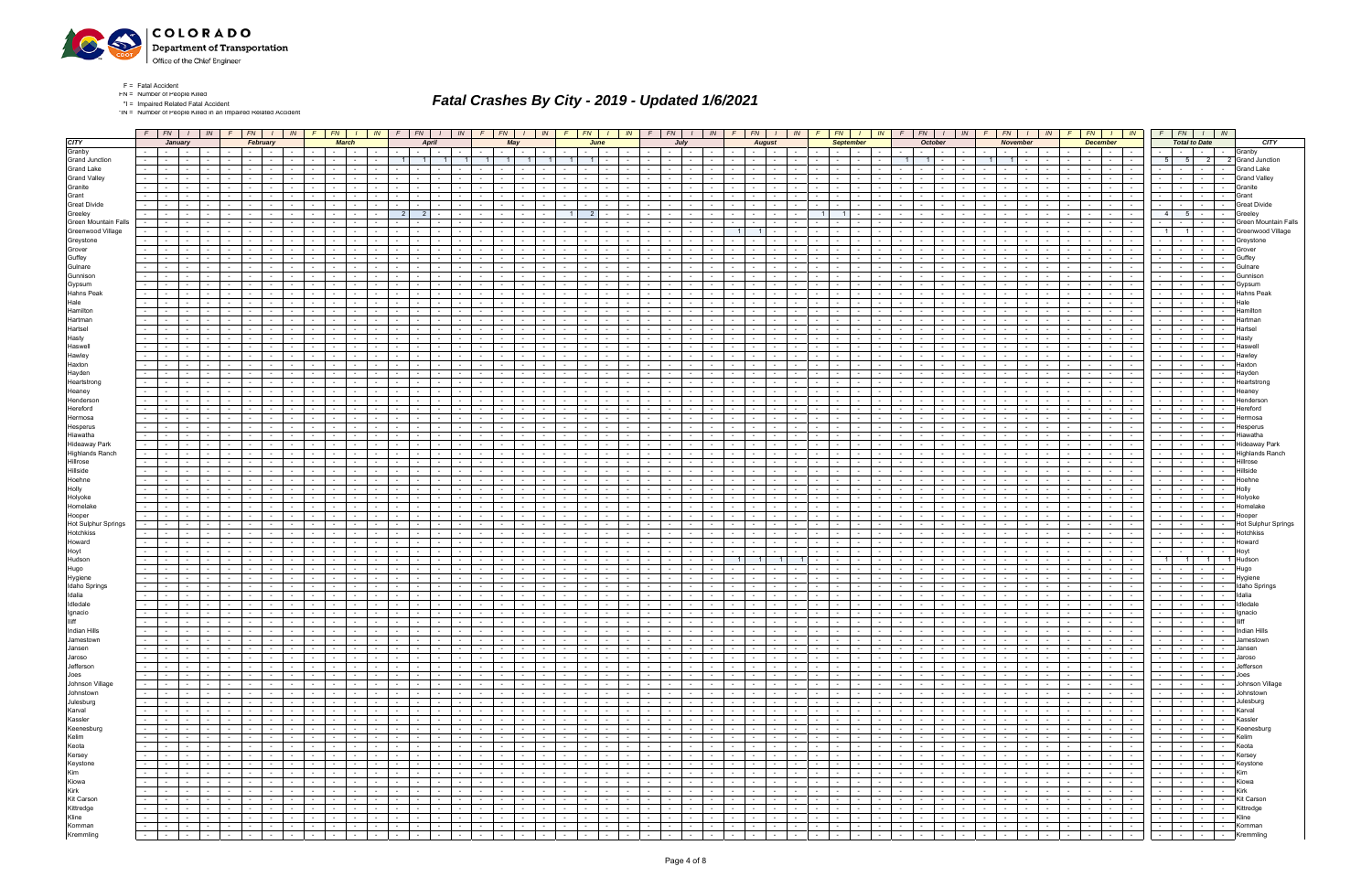

\*IN = Number of People Killed in an Impaired Related Accident

| <b>CITY</b>                |                      |                          | January                                  |                                             |                     | February                                                    |                  |                               |                      | <b>March</b>             |                          |                 | $F$   FN   I   IN   F   FN   I   IN   F   FN   I   IN   F   FN   I   IN | <b>April</b>                  |                 |                               | May    |                                       |                                                                 | June                 |                             |                             | $F$   FN   I   IN   F   FN   I   IN   F   FN   I   IN  <br>July        |                                             |                                                            |                          | $F$   FN   $I$   IN   F<br><b>August</b>                                                                        |                           |                          | <b>September</b>           |                     |                                          | $FN$ $I$ $N$ $F$ $F$ $N$ $I$ $N$         | <b>October</b>                | $F$ $FN$ $1$                                                                                                                                                                                                                   | <b>November</b>                          | $\sqrt{N}$      |                          | <b>December</b> | $F$ $F$ $N$ $I$ $N$                                    | $F$ $FN$ $I$ $N$                                                                                                          | <b>Total to Date</b>        |        | <b>CITY</b>                       |
|----------------------------|----------------------|--------------------------|------------------------------------------|---------------------------------------------|---------------------|-------------------------------------------------------------|------------------|-------------------------------|----------------------|--------------------------|--------------------------|-----------------|-------------------------------------------------------------------------|-------------------------------|-----------------|-------------------------------|--------|---------------------------------------|-----------------------------------------------------------------|----------------------|-----------------------------|-----------------------------|------------------------------------------------------------------------|---------------------------------------------|------------------------------------------------------------|--------------------------|-----------------------------------------------------------------------------------------------------------------|---------------------------|--------------------------|----------------------------|---------------------|------------------------------------------|------------------------------------------|-------------------------------|--------------------------------------------------------------------------------------------------------------------------------------------------------------------------------------------------------------------------------|------------------------------------------|-----------------|--------------------------|-----------------|--------------------------------------------------------|---------------------------------------------------------------------------------------------------------------------------|-----------------------------|--------|-----------------------------------|
| Granby                     |                      |                          | and the state of the state of the        |                                             |                     |                                                             |                  |                               |                      |                          |                          |                 | $\sim$                                                                  |                               |                 |                               |        |                                       |                                                                 |                      |                             |                             |                                                                        |                                             |                                                            |                          | $\sim$                                                                                                          |                           |                          |                            |                     |                                          |                                          |                               |                                                                                                                                                                                                                                |                                          |                 |                          | $\sim$          |                                                        | $\sim$                                                                                                                    |                             |        | Granby                            |
| <b>Grand Junction</b>      |                      | $\sim$ $-$               |                                          |                                             |                     |                                                             |                  |                               |                      |                          |                          |                 |                                                                         |                               |                 |                               |        |                                       |                                                                 |                      |                             |                             |                                                                        |                                             |                                                            |                          |                                                                                                                 |                           |                          |                            |                     |                                          |                                          |                               |                                                                                                                                                                                                                                | $\overline{1}$                           |                 |                          |                 |                                                        | - 5                                                                                                                       | 2 <sup>1</sup>              |        | 2 Grand Junction                  |
| <b>Grand Lake</b>          | $\sim 10$            | <b>Contract Contract</b> | $\sim$                                   |                                             |                     |                                                             |                  |                               |                      |                          |                          |                 |                                                                         |                               |                 |                               |        |                                       |                                                                 |                      |                             |                             |                                                                        | $\sim$                                      | $\sim$                                                     |                          | $\sim$                                                                                                          |                           |                          |                            |                     |                                          |                                          |                               |                                                                                                                                                                                                                                |                                          |                 |                          | $\sim$          | $\sim$                                                 | $\sim$                                                                                                                    |                             | $\sim$ | <b>Grand Lake</b>                 |
| <b>Grand Valley</b>        |                      |                          |                                          |                                             |                     |                                                             |                  |                               |                      |                          |                          |                 |                                                                         |                               |                 |                               |        |                                       |                                                                 |                      |                             |                             |                                                                        |                                             |                                                            |                          |                                                                                                                 |                           |                          |                            |                     |                                          |                                          |                               |                                                                                                                                                                                                                                |                                          |                 |                          |                 |                                                        |                                                                                                                           |                             |        | <b>Grand Valley</b>               |
| Granite                    |                      |                          |                                          |                                             |                     |                                                             |                  |                               |                      |                          |                          |                 |                                                                         |                               |                 |                               |        |                                       |                                                                 |                      |                             |                             |                                                                        |                                             |                                                            |                          |                                                                                                                 |                           |                          |                            |                     |                                          |                                          |                               |                                                                                                                                                                                                                                |                                          |                 |                          |                 |                                                        |                                                                                                                           |                             |        | Granite                           |
| Grant                      |                      |                          |                                          |                                             |                     |                                                             |                  |                               |                      |                          |                          |                 |                                                                         |                               |                 |                               |        |                                       |                                                                 |                      |                             |                             |                                                                        |                                             |                                                            |                          |                                                                                                                 |                           |                          |                            |                     |                                          |                                          |                               |                                                                                                                                                                                                                                |                                          |                 |                          |                 | $\sim$                                                 | $\sim$                                                                                                                    |                             |        | Grant                             |
| <b>Great Divide</b>        |                      |                          |                                          |                                             |                     |                                                             |                  |                               |                      |                          |                          |                 |                                                                         |                               |                 |                               |        |                                       |                                                                 |                      |                             |                             |                                                                        |                                             |                                                            |                          |                                                                                                                 |                           |                          |                            |                     |                                          |                                          |                               |                                                                                                                                                                                                                                |                                          |                 |                          |                 |                                                        |                                                                                                                           |                             |        | Great Divide                      |
| Greeley                    |                      | $\sim$ $-$               |                                          |                                             |                     |                                                             |                  |                               |                      |                          |                          |                 | 2                                                                       |                               |                 |                               |        |                                       |                                                                 |                      |                             |                             |                                                                        |                                             |                                                            |                          |                                                                                                                 |                           |                          |                            |                     |                                          |                                          |                               |                                                                                                                                                                                                                                |                                          |                 |                          |                 |                                                        | 5<br>-4                                                                                                                   | $\sim$                      |        | Greele                            |
| Green Mountain Falls       |                      |                          |                                          |                                             |                     |                                                             |                  |                               |                      |                          |                          |                 |                                                                         |                               |                 |                               |        |                                       |                                                                 |                      |                             |                             |                                                                        |                                             |                                                            |                          |                                                                                                                 |                           |                          |                            |                     |                                          |                                          |                               |                                                                                                                                                                                                                                |                                          |                 |                          |                 |                                                        |                                                                                                                           |                             |        | Green Mountain Fall:              |
| Greenwood Village          | $\sim$               |                          |                                          |                                             |                     |                                                             |                  |                               |                      |                          |                          |                 |                                                                         |                               |                 |                               |        |                                       |                                                                 |                      |                             |                             |                                                                        |                                             |                                                            |                          |                                                                                                                 |                           |                          |                            |                     |                                          |                                          |                               |                                                                                                                                                                                                                                |                                          |                 |                          |                 |                                                        | 1 <sup>1</sup>                                                                                                            | $\sim$                      |        | Greenwood Village                 |
| Greystone                  | $\sim$               |                          |                                          |                                             |                     |                                                             |                  |                               |                      |                          |                          |                 |                                                                         |                               |                 |                               |        |                                       |                                                                 |                      |                             |                             |                                                                        |                                             |                                                            |                          |                                                                                                                 |                           |                          |                            |                     |                                          |                                          |                               |                                                                                                                                                                                                                                |                                          |                 |                          |                 |                                                        |                                                                                                                           | $\sim$ 100 $\mu$            |        | Greystone                         |
| Grover                     |                      |                          |                                          |                                             |                     |                                                             |                  |                               |                      |                          |                          |                 |                                                                         |                               |                 |                               |        |                                       |                                                                 |                      |                             |                             |                                                                        |                                             |                                                            |                          |                                                                                                                 |                           |                          |                            |                     |                                          |                                          |                               |                                                                                                                                                                                                                                |                                          |                 |                          |                 |                                                        |                                                                                                                           |                             |        | Grover                            |
| Guffey                     |                      |                          |                                          |                                             |                     |                                                             |                  |                               |                      |                          |                          |                 |                                                                         |                               |                 |                               |        |                                       |                                                                 |                      |                             |                             |                                                                        |                                             |                                                            |                          |                                                                                                                 |                           |                          |                            |                     |                                          |                                          |                               |                                                                                                                                                                                                                                |                                          |                 |                          |                 |                                                        |                                                                                                                           |                             |        | Guffev                            |
| Gulnare                    |                      |                          |                                          |                                             |                     |                                                             |                  |                               |                      |                          |                          |                 |                                                                         |                               |                 |                               |        |                                       |                                                                 |                      |                             |                             |                                                                        |                                             |                                                            |                          |                                                                                                                 |                           |                          |                            |                     |                                          |                                          |                               |                                                                                                                                                                                                                                |                                          |                 |                          |                 |                                                        |                                                                                                                           |                             |        | Gulnan                            |
| Gunnison                   |                      |                          |                                          |                                             |                     |                                                             |                  |                               |                      |                          |                          |                 |                                                                         |                               |                 |                               |        |                                       |                                                                 |                      |                             |                             |                                                                        |                                             |                                                            |                          |                                                                                                                 |                           |                          |                            |                     |                                          |                                          |                               |                                                                                                                                                                                                                                |                                          |                 |                          |                 |                                                        |                                                                                                                           |                             |        |                                   |
| Gypsum                     |                      |                          |                                          |                                             |                     |                                                             |                  |                               |                      |                          |                          |                 |                                                                         |                               |                 |                               |        |                                       |                                                                 |                      |                             |                             |                                                                        |                                             |                                                            |                          |                                                                                                                 |                           |                          |                            |                     |                                          |                                          |                               |                                                                                                                                                                                                                                |                                          |                 |                          |                 |                                                        |                                                                                                                           |                             |        | Gvpsur                            |
| Hahns Peak                 |                      |                          |                                          |                                             |                     |                                                             |                  |                               |                      |                          |                          |                 |                                                                         |                               |                 |                               |        |                                       |                                                                 |                      |                             |                             |                                                                        |                                             |                                                            |                          |                                                                                                                 |                           |                          |                            |                     |                                          |                                          |                               |                                                                                                                                                                                                                                |                                          |                 |                          |                 |                                                        |                                                                                                                           |                             |        | Hahns Peak                        |
| Hale                       |                      |                          |                                          |                                             |                     |                                                             |                  |                               |                      |                          |                          |                 |                                                                         |                               |                 |                               |        |                                       |                                                                 |                      |                             |                             |                                                                        |                                             |                                                            |                          |                                                                                                                 |                           |                          |                            |                     |                                          |                                          |                               |                                                                                                                                                                                                                                |                                          |                 |                          |                 |                                                        |                                                                                                                           |                             |        |                                   |
| Hamilton                   | $\sim 100$           |                          |                                          |                                             |                     |                                                             |                  |                               |                      |                          |                          |                 |                                                                         |                               |                 |                               |        |                                       |                                                                 |                      |                             |                             |                                                                        |                                             |                                                            |                          |                                                                                                                 |                           |                          |                            |                     |                                          |                                          |                               |                                                                                                                                                                                                                                |                                          |                 |                          |                 |                                                        | $\sim$                                                                                                                    | $\sim$                      |        | Hamiltor                          |
| Hartman                    |                      |                          |                                          |                                             |                     |                                                             |                  |                               |                      |                          |                          |                 |                                                                         |                               |                 |                               |        |                                       |                                                                 |                      |                             |                             |                                                                        |                                             |                                                            |                          |                                                                                                                 |                           |                          |                            |                     |                                          |                                          |                               |                                                                                                                                                                                                                                |                                          |                 |                          |                 |                                                        |                                                                                                                           |                             |        |                                   |
| Hartsel                    |                      |                          |                                          |                                             |                     |                                                             |                  |                               |                      |                          |                          |                 |                                                                         |                               |                 |                               |        |                                       |                                                                 |                      |                             |                             |                                                                        |                                             |                                                            |                          |                                                                                                                 |                           |                          |                            |                     |                                          |                                          |                               |                                                                                                                                                                                                                                |                                          |                 |                          |                 |                                                        |                                                                                                                           |                             |        | Hartse                            |
| Hasty                      | $\sim 10$            | $\sim$                   |                                          |                                             |                     |                                                             |                  |                               |                      |                          |                          |                 |                                                                         |                               |                 |                               |        |                                       |                                                                 |                      |                             |                             |                                                                        |                                             | $\sim$                                                     |                          | $\sim$                                                                                                          |                           |                          |                            |                     |                                          |                                          |                               |                                                                                                                                                                                                                                |                                          |                 |                          |                 | $\sim$                                                 | $\sim$                                                                                                                    | $\sim$                      |        | Hasty                             |
| Haswell                    |                      |                          |                                          |                                             |                     |                                                             |                  |                               |                      |                          |                          |                 |                                                                         |                               |                 |                               |        |                                       |                                                                 |                      |                             |                             |                                                                        |                                             |                                                            |                          |                                                                                                                 |                           |                          |                            |                     |                                          |                                          |                               |                                                                                                                                                                                                                                |                                          |                 |                          |                 |                                                        |                                                                                                                           |                             |        |                                   |
| Hawley                     |                      |                          |                                          |                                             |                     |                                                             |                  |                               |                      |                          |                          |                 |                                                                         |                               |                 |                               |        |                                       |                                                                 |                      |                             |                             |                                                                        |                                             |                                                            |                          |                                                                                                                 |                           |                          |                            |                     |                                          |                                          |                               |                                                                                                                                                                                                                                |                                          |                 |                          |                 |                                                        |                                                                                                                           |                             |        | Hawle                             |
| Haxton                     | $\sim$               |                          |                                          |                                             |                     |                                                             |                  |                               |                      |                          |                          |                 |                                                                         |                               |                 |                               |        |                                       |                                                                 |                      |                             |                             |                                                                        |                                             |                                                            |                          |                                                                                                                 |                           |                          |                            |                     |                                          |                                          |                               |                                                                                                                                                                                                                                |                                          |                 |                          |                 | $\sim$                                                 | $\sim$                                                                                                                    |                             |        | Haxtor                            |
| Hayden                     |                      |                          |                                          |                                             |                     |                                                             |                  |                               |                      |                          |                          |                 |                                                                         |                               |                 |                               |        |                                       |                                                                 |                      |                             |                             |                                                                        |                                             |                                                            |                          |                                                                                                                 |                           |                          |                            |                     |                                          |                                          |                               |                                                                                                                                                                                                                                |                                          |                 |                          |                 |                                                        |                                                                                                                           |                             |        |                                   |
| Heartstrong                | $\sim$ 10 $\pm$      |                          |                                          |                                             |                     |                                                             |                  |                               |                      |                          |                          |                 |                                                                         |                               |                 |                               |        |                                       |                                                                 |                      |                             |                             |                                                                        |                                             |                                                            |                          |                                                                                                                 |                           |                          |                            |                     |                                          |                                          |                               |                                                                                                                                                                                                                                |                                          |                 |                          |                 |                                                        |                                                                                                                           |                             |        | Heartstror                        |
| Heaney<br>Henderson        | $\sim 10$            | $\sim$                   | $\sim$                                   |                                             |                     |                                                             |                  |                               |                      |                          |                          |                 | $\sim$                                                                  |                               |                 |                               |        |                                       |                                                                 |                      |                             |                             |                                                                        |                                             |                                                            |                          | $\sim$                                                                                                          |                           |                          |                            |                     |                                          |                                          |                               | $\sim$                                                                                                                                                                                                                         |                                          |                 |                          |                 | $\sim$                                                 | $\sim$                                                                                                                    |                             |        | Heanev<br>Hendersor               |
| Hereford                   |                      |                          |                                          |                                             |                     |                                                             |                  |                               |                      |                          |                          |                 |                                                                         |                               |                 |                               |        |                                       |                                                                 |                      |                             |                             |                                                                        |                                             |                                                            |                          |                                                                                                                 |                           |                          |                            |                     |                                          |                                          |                               |                                                                                                                                                                                                                                |                                          |                 |                          |                 |                                                        |                                                                                                                           |                             |        |                                   |
| Hermosa                    | $\sim$               |                          | $\sim$                                   |                                             |                     |                                                             |                  |                               |                      |                          |                          |                 |                                                                         |                               |                 |                               |        |                                       |                                                                 |                      |                             |                             |                                                                        |                                             |                                                            |                          |                                                                                                                 |                           |                          |                            |                     |                                          |                                          |                               |                                                                                                                                                                                                                                |                                          |                 |                          |                 | $\sim$                                                 | $\sim$                                                                                                                    |                             |        | lermosa                           |
| Hesperus                   |                      |                          |                                          |                                             |                     |                                                             |                  |                               |                      |                          |                          |                 |                                                                         |                               |                 |                               |        |                                       |                                                                 |                      |                             |                             |                                                                        |                                             |                                                            |                          |                                                                                                                 |                           |                          |                            |                     |                                          |                                          |                               |                                                                                                                                                                                                                                |                                          |                 |                          |                 |                                                        |                                                                                                                           |                             |        |                                   |
| Hiawatha                   |                      | $\sim$                   |                                          |                                             |                     |                                                             |                  |                               |                      |                          |                          |                 |                                                                         |                               |                 |                               |        |                                       |                                                                 |                      |                             |                             |                                                                        |                                             |                                                            |                          |                                                                                                                 |                           |                          |                            |                     |                                          |                                          |                               |                                                                                                                                                                                                                                |                                          |                 |                          |                 |                                                        | $\sim$                                                                                                                    | $\sim$                      |        | Hiawatha                          |
| <b>Hideaway Park</b>       |                      |                          |                                          |                                             |                     |                                                             |                  |                               |                      |                          |                          |                 |                                                                         |                               |                 |                               |        |                                       |                                                                 |                      |                             |                             |                                                                        |                                             |                                                            |                          |                                                                                                                 |                           |                          |                            |                     |                                          |                                          |                               |                                                                                                                                                                                                                                |                                          |                 |                          |                 |                                                        |                                                                                                                           |                             |        | Hideaway Park                     |
| <b>Highlands Ranch</b>     |                      |                          |                                          |                                             |                     |                                                             |                  |                               |                      |                          |                          |                 |                                                                         |                               |                 |                               |        |                                       |                                                                 |                      |                             |                             |                                                                        |                                             |                                                            |                          |                                                                                                                 |                           |                          |                            |                     |                                          |                                          |                               |                                                                                                                                                                                                                                |                                          |                 |                          |                 |                                                        |                                                                                                                           |                             |        | <b>Highlands Ranch</b>            |
| Hillrose                   | $\sim$               |                          |                                          |                                             |                     |                                                             |                  |                               |                      |                          |                          |                 |                                                                         |                               |                 |                               |        |                                       |                                                                 |                      |                             |                             |                                                                        |                                             |                                                            |                          |                                                                                                                 |                           |                          |                            |                     |                                          |                                          |                               |                                                                                                                                                                                                                                |                                          |                 |                          |                 |                                                        | $\sim$                                                                                                                    | $\sim$ 100 $\mu$            |        | Hillrose                          |
| Hillside                   |                      |                          |                                          |                                             |                     |                                                             |                  |                               |                      |                          |                          |                 |                                                                         |                               |                 |                               |        |                                       |                                                                 |                      |                             |                             |                                                                        |                                             |                                                            |                          |                                                                                                                 |                           |                          |                            |                     |                                          |                                          |                               |                                                                                                                                                                                                                                |                                          |                 |                          |                 |                                                        |                                                                                                                           |                             |        | Hillside                          |
| Hoehne                     |                      |                          |                                          |                                             |                     |                                                             |                  |                               |                      |                          |                          |                 |                                                                         |                               |                 |                               |        |                                       |                                                                 |                      |                             |                             |                                                                        |                                             |                                                            |                          |                                                                                                                 |                           |                          |                            |                     |                                          |                                          |                               |                                                                                                                                                                                                                                |                                          |                 |                          |                 |                                                        |                                                                                                                           |                             |        | Hoehne                            |
| Holly                      |                      |                          |                                          |                                             |                     |                                                             |                  |                               |                      |                          |                          |                 |                                                                         |                               |                 |                               |        |                                       |                                                                 |                      |                             |                             |                                                                        |                                             |                                                            |                          |                                                                                                                 |                           |                          |                            |                     |                                          |                                          |                               |                                                                                                                                                                                                                                |                                          |                 |                          |                 |                                                        |                                                                                                                           |                             |        | Holly                             |
| Holyoke                    |                      |                          |                                          |                                             |                     |                                                             |                  |                               |                      |                          |                          |                 |                                                                         |                               |                 |                               |        |                                       |                                                                 |                      |                             |                             |                                                                        |                                             |                                                            |                          |                                                                                                                 |                           |                          |                            |                     |                                          |                                          |                               |                                                                                                                                                                                                                                |                                          |                 |                          |                 |                                                        |                                                                                                                           |                             |        | Holyok                            |
| Homelake                   |                      |                          |                                          |                                             |                     |                                                             |                  |                               |                      |                          |                          |                 |                                                                         |                               |                 |                               |        |                                       |                                                                 |                      |                             |                             |                                                                        |                                             |                                                            |                          |                                                                                                                 |                           |                          |                            |                     |                                          |                                          |                               |                                                                                                                                                                                                                                |                                          |                 |                          |                 |                                                        |                                                                                                                           |                             |        | Homelal                           |
| Hooper                     |                      |                          |                                          |                                             |                     |                                                             |                  |                               |                      |                          |                          |                 |                                                                         |                               |                 |                               |        |                                       |                                                                 |                      |                             |                             |                                                                        |                                             |                                                            |                          |                                                                                                                 |                           |                          |                            |                     |                                          |                                          |                               |                                                                                                                                                                                                                                |                                          |                 |                          |                 |                                                        |                                                                                                                           |                             |        | Hooper                            |
| <b>Hot Sulphur Springs</b> |                      |                          |                                          |                                             |                     |                                                             |                  |                               |                      |                          |                          |                 |                                                                         |                               |                 |                               |        |                                       |                                                                 |                      |                             |                             |                                                                        |                                             |                                                            |                          |                                                                                                                 |                           |                          |                            |                     |                                          |                                          |                               |                                                                                                                                                                                                                                |                                          |                 |                          |                 |                                                        |                                                                                                                           |                             |        | <b>Hot Sulphur Springs</b>        |
| Hotchkiss                  | $\sim$ 10 $\pm$      |                          |                                          |                                             |                     |                                                             |                  |                               |                      |                          |                          |                 |                                                                         |                               |                 |                               |        |                                       |                                                                 |                      |                             |                             |                                                                        |                                             |                                                            |                          |                                                                                                                 |                           |                          |                            |                     |                                          |                                          |                               |                                                                                                                                                                                                                                |                                          |                 |                          |                 |                                                        | $\sim$                                                                                                                    | $\sim$                      | $\sim$ | <b>Hotchkiss</b>                  |
| Howard                     |                      |                          |                                          |                                             |                     |                                                             |                  |                               |                      |                          |                          |                 |                                                                         |                               |                 |                               |        |                                       |                                                                 |                      |                             |                             |                                                                        |                                             |                                                            |                          |                                                                                                                 |                           |                          |                            |                     |                                          |                                          |                               |                                                                                                                                                                                                                                |                                          |                 |                          |                 |                                                        |                                                                                                                           |                             |        | Howard                            |
| Hoyt                       |                      |                          |                                          |                                             |                     |                                                             |                  |                               |                      |                          |                          |                 |                                                                         |                               |                 |                               |        |                                       |                                                                 |                      |                             |                             |                                                                        |                                             |                                                            |                          |                                                                                                                 |                           |                          |                            |                     |                                          |                                          |                               |                                                                                                                                                                                                                                |                                          |                 |                          |                 |                                                        |                                                                                                                           |                             |        | Hovi                              |
| Hudson                     |                      |                          |                                          |                                             |                     |                                                             |                  |                               |                      |                          |                          |                 |                                                                         |                               |                 |                               |        |                                       |                                                                 |                      |                             |                             |                                                                        |                                             |                                                            |                          |                                                                                                                 |                           |                          |                            |                     |                                          |                                          |                               |                                                                                                                                                                                                                                |                                          |                 |                          |                 |                                                        |                                                                                                                           | $1 \vert$                   |        | 1 Hudsor                          |
| Hugo                       |                      |                          |                                          |                                             |                     |                                                             |                  |                               |                      |                          |                          |                 |                                                                         |                               |                 |                               |        |                                       |                                                                 |                      |                             |                             |                                                                        |                                             |                                                            |                          |                                                                                                                 |                           |                          |                            |                     |                                          |                                          |                               |                                                                                                                                                                                                                                |                                          |                 |                          |                 |                                                        |                                                                                                                           |                             |        | Hugo                              |
| Hygiene                    |                      |                          |                                          |                                             |                     |                                                             |                  |                               |                      |                          |                          |                 |                                                                         |                               |                 |                               |        |                                       |                                                                 |                      |                             |                             |                                                                        |                                             |                                                            |                          |                                                                                                                 |                           |                          |                            |                     |                                          |                                          |                               |                                                                                                                                                                                                                                |                                          |                 |                          |                 |                                                        |                                                                                                                           |                             |        | Hygien                            |
| <b>Idaho Springs</b>       | $\sim 100$           |                          |                                          |                                             |                     |                                                             |                  |                               |                      |                          |                          |                 |                                                                         |                               |                 |                               |        |                                       |                                                                 |                      |                             |                             |                                                                        |                                             |                                                            |                          |                                                                                                                 |                           |                          |                            |                     |                                          |                                          |                               |                                                                                                                                                                                                                                |                                          |                 |                          |                 | $\sim$                                                 | $\sim$                                                                                                                    | $\sim$                      | $\sim$ | <b>Idaho Springs</b>              |
| Idalia                     |                      |                          |                                          |                                             |                     |                                                             |                  |                               |                      |                          |                          |                 |                                                                         |                               |                 |                               |        |                                       |                                                                 |                      |                             |                             |                                                                        |                                             |                                                            |                          |                                                                                                                 |                           |                          |                            |                     |                                          |                                          |                               |                                                                                                                                                                                                                                |                                          |                 |                          |                 |                                                        |                                                                                                                           |                             |        |                                   |
| Idledale                   | $\sim 100$           |                          |                                          |                                             |                     |                                                             |                  |                               |                      |                          |                          |                 |                                                                         |                               |                 |                               |        |                                       |                                                                 |                      |                             |                             |                                                                        |                                             |                                                            |                          |                                                                                                                 |                           |                          |                            |                     |                                          |                                          |                               |                                                                                                                                                                                                                                |                                          |                 |                          |                 |                                                        |                                                                                                                           |                             |        | Idledal                           |
| Ignacio                    |                      |                          |                                          |                                             |                     |                                                             |                  |                               |                      |                          |                          |                 |                                                                         |                               |                 |                               |        |                                       |                                                                 |                      |                             |                             |                                                                        |                                             |                                                            |                          |                                                                                                                 |                           |                          |                            |                     |                                          |                                          |                               | $\sim$                                                                                                                                                                                                                         |                                          |                 |                          |                 | $\sim$                                                 | $\sim$                                                                                                                    | $\sim$ 10 $\pm$             | $\sim$ | Ignacio                           |
| <b>Illiff</b>              |                      |                          |                                          |                                             |                     |                                                             |                  |                               |                      |                          |                          |                 |                                                                         |                               |                 |                               |        |                                       |                                                                 |                      |                             |                             |                                                                        |                                             |                                                            |                          |                                                                                                                 |                           |                          |                            |                     |                                          |                                          |                               |                                                                                                                                                                                                                                |                                          |                 |                          |                 |                                                        |                                                                                                                           |                             |        |                                   |
| Indian Hills               | $\sim$ 1<br>$\sim$   |                          |                                          |                                             |                     |                                                             |                  |                               |                      |                          |                          |                 | <b>Contract Contract Contract</b><br><u>ta a pa</u>                     | the contract of               |                 | $-1$<br>$\sim$ 100 $\sim$     | $\sim$ | $-1$<br>$\sim$                        | $-1$                                                            | $\sim$               | $\sim$ $\sim$ $\sim$ $\sim$ |                             | $\sim$                                                                 | <b>Contract</b>                             | <b>Contract Contract</b><br><b>Contract</b><br><u>ta i</u> |                          | the contract of                                                                                                 | $\mathbf{1}$ $\mathbf{1}$ | $\sim$                   | $\sim$ $\sim$ $\sim$       | $\sim$ $-$          |                                          | <b>Contract Contract</b>                 | $\sim 100$                    |                                                                                                                                                                                                                                | <b>Contract Contract</b>                 |                 | the contract of          |                 | $\sim$ $\sim$ $\sim$ $\sim$<br>$\sim$<br>$\sim$ $\sim$ | $\sim$ $-$                                                                                                                | the contract of the con-    |        | Indian Hills                      |
| Jamestown                  |                      |                          | the contract of                          | $\sim 10^{-10}$                             |                     | the contract of                                             | $\sim$           | <b>Contract</b>               | $\sim$ $\sim$        | <b>Service</b>           | $\sim$ $-$               | <b>Contract</b> |                                                                         | and the control               |                 |                               |        | and the state                         | $\sim$ $\sim$ $\sim$                                            | $\sim$ $-$           | <b>Second Second</b>        | $\sim$ $\sim$ $\sim$        |                                                                        | <b>Carolina Coll</b>                        |                                                            |                          |                                                                                                                 |                           |                          | the contract of            |                     | $\sim 10^{-11}$                          | the contract of                          | the contract of               | $\sim 10^{-11}$                                                                                                                                                                                                                | the contract of the contract of the con- |                 | the contract of          |                 |                                                        | $\sim 10^{-1}$                                                                                                            |                             |        | -   -   Jamestown                 |
| Jansen                     | $\sim 100$           |                          | and the state of the state of            | $\sim$                                      |                     | <b>Service State</b>                                        |                  |                               |                      | the contract of the con- |                          | $\sim 10^{-11}$ | the contract of                                                         | <b>Contract Contract</b>      |                 | <b>Contract Contract</b>      |        | and the state                         | $\sim 10^{-10}$                                                 | $\sim$               | and the state               | $\sim$ $\sim$               | $\sim 10^{-11}$                                                        | the collection                              | $\sim 10^{-11}$<br>$\sim$                                  | <b>Contract Contract</b> | 5 - 1 - 1                                                                                                       |                           | $\sim$ $-$               | the contract               |                     | $\sim$<br>$\sim$ $-$                     | $\mathbf{1}$ $\mathbf{2}$ $\mathbf{1}$   | and the state of the state of | <b>Service</b>                                                                                                                                                                                                                 | the contract of the contract of the      | $\sim 10^{-11}$ | and the state            |                 |                                                        | <u>जिल्लामा साम</u>                                                                                                       |                             |        | Jansen                            |
| Jaroso<br>Jefferson        |                      |                          |                                          | $\sim 10^{-10}$                             |                     | $\sim$ $\sim$ $\sim$ $\sim$ $\sim$                          | $\sim$           | $\sim$ $-$                    | the contract of      |                          | the contract of          |                 | the collection<br>.                                                     | the contract of the con-      |                 | the contract of               |        | .                                     | $\sim$ $\sim$ $\sim$ $\sim$                                     | $\sim$ $-$           |                             |                             | and the contract of the contract of the<br>$\sim$ $\sim$ $\sim$ $\sim$ | <b>Contract Contract</b>                    |                                                            |                          | .                                                                                                               |                           | $\sim 10^{-11}$          | المحال جان                 |                     | <b>Contract</b>                          | .                                        |                               | the contract of the contract of the contract of the contract of the contract of the contract of the contract of the contract of the contract of the contract of the contract of the contract of the contract of the contract o |                                          |                 | the contract of          |                 | .                                                      | .<br>- - - - - Jefferson                                                                                                  |                             |        | Jaroso                            |
| Joes                       | $\sim$ 1             |                          | المحارب والمنجا                          | $\sim 10^{-10}$<br><b>Contract Contract</b> |                     | and the contract of the con-<br>$\sim$ $\sim$ $\sim$ $\sim$ | $\sim$<br>$\sim$ | $\sim 10^{-11}$<br>$\sim$ $-$ |                      | the contract of the con- | <b>Contract Contract</b> |                 | and the contract of                                                     | and the state of the state of |                 | 1949 - Peter<br>and the state |        | <b>Service</b> State<br>and the state | 1940   1941   1941   1941<br>$\sim$ $\sim$ $\sim$ $\sim$ $\sim$ | $\sim$ $-$           | $1 - 1 - 1$                 | $\sim$ $\sim$               | $\sim 10^{-11}$                                                        | <b>Contract Contract</b><br>the contract of | $\sim 10^{-11}$                                            |                          | .                                                                                                               |                           | $\sim 10$                | and the state              |                     | المنتقب<br>$\mathbf{1}$ and $\mathbf{1}$ | .                                        |                               | $\sim 100$                                                                                                                                                                                                                     |                                          |                 | the contract of          |                 | the contract                                           | रिकारी साम                                                                                                                |                             |        |                                   |
| Johnson Village            |                      |                          | and a state of                           | $\sim 10^{-11}$                             |                     | and the con-                                                | $\sim$           | $\sim$ $-$                    |                      | the contract of          | the contract of          |                 | <b>Contract Contract</b>                                                | <b>Contract Contract</b>      |                 | <b>Carl Land</b>              |        | <b>Contract Contract</b>              | $\sim$ $\sim$ $\sim$ $\sim$                                     |                      | <b>Contract Contract</b>    |                             | <b>Service</b> Service                                                 | the contract of                             | $\sim 10^{-11}$                                            |                          | .                                                                                                               |                           | $\sim$ $-$               | and the state              |                     | <b>Contract</b>                          | the contract of the contract of the con- |                               | . 도고                                                                                                                                                                                                                           | <b>Contract Contract</b>                 |                 | the company              |                 | 1. – 1. – 1                                            |                                                                                                                           |                             |        | Joes<br>- - - - - Johnson Village |
| Johnstown                  | $\sim 100$           |                          | the contract of                          | <b>Contract</b>                             |                     |                                                             | $\sim$           | $\sim 100$                    |                      | the contract of the con- | the contract of          |                 | the collection                                                          | the contract of the con-      |                 | <b>Contract Contract</b>      |        | <b>Contract Contract</b>              | $\sim 10^{-10}$                                                 | $\sim$ $-$<br>$\sim$ | the college of              |                             | the contract of                                                        | <b>Contract Contract</b>                    | $\sim$                                                     |                          | .                                                                                                               |                           | $\sim$ $-$               | the contract               |                     | $\sim$<br>$\sim 100$                     | $\mathbf{1}$ and $\mathbf{1}$            | the contract of               | $\sim 10^{-11}$                                                                                                                                                                                                                | the collection                           | <b>Contract</b> | the contract of          |                 |                                                        | -   -   -   -  Johnstown                                                                                                  |                             |        |                                   |
| Julesburg                  | $\sim 100$           |                          | the contract of the con-                 | <b>Contract Contract</b>                    |                     | the contract of the con-                                    | $\sim$           | <b>Contract</b>               |                      | <b>Service</b> Control   | $\sim$ $-$               | <b>Contract</b> |                                                                         | $\sim$ $\sim$                 | $\sim 10^{-11}$ | <b>Contract Contract</b>      |        | <b>Contract Contract</b>              | $\sim$ $-$                                                      | $\sim$               | the contract                | $\sim$ $-$                  | $\sim$                                                                 | the contract of                             | $\sim 10^{-11}$                                            |                          |                                                                                                                 |                           | $\sim$ $-$               | and the state              |                     | <b>Contract</b>                          | $\sim$ $\sim$ $\sim$ $\sim$              | and the contract              |                                                                                                                                                                                                                                | the contract of the contract of the      | <b>Contract</b> | the contract of the con- |                 | the contract                                           | .   .   .   . Julesburg                                                                                                   |                             |        |                                   |
| Karval                     |                      |                          | <b>Andrew Park</b>                       | $\sim 10^{-11}$                             |                     | and the con-                                                | $\sim$           | $\sim$ $-$                    |                      | the contract of          | <b>Service State</b>     |                 | <b>Carl Carl</b>                                                        | <b>Carl Park</b>              |                 | المحارك والمناور              |        | <b>Contract Contract</b>              | $\sim$ $\sim$ $\sim$                                            | $\sim$               | <b>Contract Contract</b>    |                             | <b>Service</b> Service                                                 | the contract of                             | $\sim 10^{-11}$                                            |                          | and the state of the state of the state of the state of the state of the state of the state of the state of the |                           | $\sim$ $-$               | and the state              |                     | <b>Contract</b>                          | the contract of the contract of the con- |                               | $\sim 10^{-11}$                                                                                                                                                                                                                | the property of the con-                 |                 |                          |                 | $-1 - 1 - 1 - 1 - 1$                                   | 75   F.   F.   F.                                                                                                         |                             |        | Karval                            |
| Kassler                    | $\sim$ $-$           |                          |                                          | $\sim 10^{-10}$                             |                     |                                                             | $\sim$           | $\sim$ $-$                    |                      | the contract of          | the contract of          |                 | and the control                                                         | the contract of               |                 | the contract                  |        | the contract of                       | <b>Contract Contract</b>                                        | $\sim$               | the contract                | the contract of             |                                                                        | <b>Contract Contract</b>                    | $\sim 10^{-11}$                                            |                          | .                                                                                                               |                           | $\sim$                   | the contract               |                     | $\sim$<br>$\sim 10^{-11}$                | $\sim$ $\sim$ $\sim$ $\sim$              | the contract of               | <b>Contract</b>                                                                                                                                                                                                                | the collection                           | <b>Contract</b> | <b>Contract Contract</b> |                 |                                                        | <b>The Second Line Contract Contract Contract Contract Contract Contract Contract Contract Contract Contract Contract</b> |                             |        |                                   |
| Keenesburg                 |                      |                          | $-1 - 1 - 1 - 1$                         |                                             |                     |                                                             | $\sim$           | $\sim$ $-$                    | the contract of      |                          | the contract of          |                 | the contract of                                                         | the contract of               |                 | and the state                 |        | the contract of                       | $\sim 10^{-10}$                                                 | $\sim$               | the contract                |                             | $\sim 10^{-11}$                                                        | the contract of the con-                    | $\sim 10^{-11}$                                            |                          | .                                                                                                               |                           | $\sim$                   | and the state              |                     | <b>Contract Contract</b>                 | the contract of the con-                 | the contract of               | $\sim 10^{-11}$                                                                                                                                                                                                                | the contract of the contract of          | <b>Contract</b> | the contract of          |                 | the contract                                           |                                                                                                                           |                             |        | -   -   - Keenesburg              |
| Kelim                      | $\sim 10^{-1}$       |                          | and the con-                             | $\sim 10^{-10}$                             |                     | the contract of                                             | $\sim$           | <b>Contract</b>               |                      | the contract of          | <b>Second Second</b>     |                 | <b>Contract Contract</b>                                                | the contract of               |                 | المحال جان                    |        | <b>Contract Contract</b>              | $\sim$ $\sim$ $\sim$                                            | $\sim$               | <b>Carl Park</b>            | $-1$                        | $\sim 10^{-11}$                                                        | the company                                 | $\sim 10^{-11}$                                            |                          |                                                                                                                 |                           | $\sim$ $-$               | and the state              |                     | $\sim 10^{-11}$                          | the contract of the contract of the con- |                               | $\sim 100$                                                                                                                                                                                                                     | and the later                            |                 | the company              |                 | 1940 - <b>1940</b>                                     | $\begin{array}{ c c c c c c }\hline \cdots & \cdots & \cdots \end{array}$                                                 |                             |        | Kelim                             |
| Keota                      | $\sim 10^{-11}$      |                          | the contract of                          | <b>Contract</b>                             |                     | the company of                                              | $\sim$           | $\sim$ $-$                    | the contract of      |                          | the contract of          |                 | and the con-                                                            | the contract of               |                 | the contract                  |        | <b>Contract Contract</b>              | $\sim 10^{-11}$                                                 | $\sim$               | and the state               | $\sim$ $\sim$               | $\sim 10^{-11}$                                                        | <b>Security</b>                             | $\sim 10^{-1}$                                             |                          | <b>Contract Contract Contract</b>                                                                               | <b>Contract</b>           | $\sim$                   | the contract               |                     | $\sim$<br>$\sim 10^{-11}$                | $\vert \cdot \vert = \vert \cdot \vert$  | <b>Service</b> Service        | $\sim 10^{-11}$                                                                                                                                                                                                                | the company                              | $\sim 10^{-11}$ | the contract of          |                 | <b>Carl Land</b>                                       |                                                                                                                           |                             |        | Keota                             |
| Kersey                     |                      | $-1 - 1 - 1 - 1$         |                                          | <b>Contract</b>                             |                     |                                                             | $\sim$           | $\sim$                        |                      | the contract of the con- | the contract of          |                 | <b>Carl Land</b>                                                        | the contract of the con-      |                 | the contract of               |        | and the state of the state of         | <b>Contract Contract</b>                                        | $\sim$               | and the state of the state  | $\sim$ $\sim$ $\sim$ $\sim$ | $\sim 10^{-11}$                                                        | the contract of                             | $\sim 10^{-11}$                                            |                          | .                                                                                                               |                           | $\sim 10^{-11}$          | and the state of the state |                     | $\sim 10^{-10}$                          |                                          |                               | $\sim$ $\sim$ $\sim$                                                                                                                                                                                                           | .                                        |                 | the contract of the con- |                 | the contract                                           | <b>Contract</b><br><b>Contract</b>                                                                                        | <b>Contract Contract</b>    |        | Kersey                            |
| Keystone                   | $\sim 100$           |                          | the contract of                          |                                             |                     | <b>Contract Contract</b>                                    | $\sim$           |                               |                      | the contract of the con- | the contract of          |                 | and the control                                                         | the contract of               |                 | and the state                 |        | <b>Contract Contract</b>              | $\sim$ $\sim$ $\sim$ $\sim$                                     | $\sim$               | the college of              | and the state               |                                                                        | the contract of                             | $\sim 10^{-11}$                                            |                          |                                                                                                                 |                           | <b>Contract</b>          | the contract               |                     | <b>Contract</b><br>$\sim$                | $\sim$ $\sim$ $\sim$ $\sim$              | and the control               | $\sim 10^{-11}$                                                                                                                                                                                                                | the contract of the contract of the con- |                 | the contract of          |                 | 1. – 1. – 1                                            | $\vert \hspace{.1cm} \cdot \hspace{.1cm} \vert$ . $\vert$ , $\vert$ , $\vert$                                             | $\sim$ $\sim$ $\sim$ $\sim$ |        | Keystone                          |
| Kim                        | $\sim$ $\sim$ $\sim$ |                          |                                          | $\sim 10^{-10}$                             |                     | the contract of                                             | $\sim$           | $\sim 10^{-11}$               | the contract of      |                          | the contract of          |                 | <u>जिल्ला जिल्ल</u>                                                     | the contract of               |                 | and the state                 |        | <b>Contract Contract</b>              | $\sim$ $\sim$ $\sim$ $\sim$                                     | $\sim$               | $1 - 1 - 1$                 | $\sim$ $\sim$               | $\sim 10^{-11}$                                                        | <b>Contract Contract</b>                    | $\overline{\mathcal{L}^{\mathcal{L}}}$                     |                          | .                                                                                                               |                           | $\sim$                   | the contract               |                     | $\sim 10^{-11}$                          | $-1 - 1$                                 | the contract of               | $\sim$ 1                                                                                                                                                                                                                       | the contract of                          | $\sim 100$      | the contract of          |                 | $\sim$ $\sim$                                          | <del>.</del>                                                                                                              |                             |        | Kim                               |
| Kiowa                      |                      | $-1 - 1 - 1 - 1$         |                                          |                                             |                     |                                                             | $\sim$           | $\sim$ $-$                    |                      | the contract of the con- | the contract of          |                 | <b>Carl Tarry</b>                                                       | and the state of the state    |                 | the contract of               |        | and the state of the state of         | <b>Contract Contract</b>                                        | $\sim$ $-$           | the contract                | $\sim$ $-$                  | <b>Contract</b>                                                        | the contract of                             | $\sim$                                                     |                          | .                                                                                                               |                           | $\sim$ $-$               | and the state of the state |                     | $\sim 100$                               | the contract of the contract of the      | and the control of the con-   | $\sim$ $\sim$                                                                                                                                                                                                                  | the contract of the contract of          | <b>Contract</b> | the contract of the con- |                 | the contract                                           | <b>Contract</b>                                                                                                           | the contract of the con-    |        | Kiowa                             |
| Kirk                       | $\sim 100$           |                          | the contract of                          |                                             |                     | the contract of                                             | $\sim$           |                               |                      | the contract of          |                          |                 |                                                                         | the contract of               |                 | and the state                 |        | <b>Contract Contract</b>              | $\sim$ $\sim$ $\sim$                                            | $\sim$               | the college of              | the contract of             |                                                                        | the company                                 | $\sim 10^{-11}$                                            |                          |                                                                                                                 |                           | $\sim 10^{-11}$          | the contract               |                     | $\sim 10^{-11}$<br><b>Service</b>        |                                          |                               | $\sim$ $\sim$                                                                                                                                                                                                                  | .                                        |                 | the contract of          |                 | 1. – 1. – 1                                            | and the state                                                                                                             |                             |        | Kirk                              |
| Kit Carson                 |                      |                          | the contract of the contract of the con- | $\sim 10^{-10}$                             |                     | <b><i>Command</i></b>                                       | $\sim$           | <b>Contract</b>               | <b>Service State</b> |                          | the contract of          |                 | <b>The Company</b>                                                      | and the state                 |                 | and the state                 |        | and the state                         | $\sim$ $\sim$ $\sim$ $\sim$                                     | المعارض والمنافذ     |                             |                             | $\sim 10^{-10}$ km s $^{-1}$                                           | the contract of                             |                                                            |                          | का का का क                                                                                                      |                           | $\overline{\mathcal{L}}$ | the contract               |                     | $\sim$ $-$                               | .                                        |                               | कारिको सामग्री                                                                                                                                                                                                                 |                                          |                 | and the state            |                 | <u>ta ta</u>                                           | <del>.</del>                                                                                                              |                             |        | Kit Carson                        |
| Kittredge                  |                      |                          | $-1 - 1 - 1$                             | $\sim 10^{-10}$                             |                     | <b>Contract Contract Contract</b>                           | $\sim$ $-$       | $\mathbf{I}$                  |                      | the contract of          |                          |                 | .                                                                       | <b>Contract Contract</b>      |                 | and the state                 |        | and the state                         | 1981 - 1981 - 1982                                              |                      |                             |                             | $\sim$ 1 $\sim$ 1                                                      | the contract of                             |                                                            |                          | - 1 - 1 - 1 - 1                                                                                                 |                           | $\sim 10^{-1}$           |                            | 1949   Andrew Brown |                                          | $-1 - 1 - 1 - 1 - 1$                     |                               | the contract of the contract of the con-                                                                                                                                                                                       |                                          |                 | $-1 - 1 - 1$             |                 | $\sim$ 100 $\sim$                                      | $\sim 10^{-11}$<br>$\sim 10^{-11}$                                                                                        | -   - Kittredge             |        |                                   |
| Kline                      | $\sim 10^{-11}$      |                          | the collection                           | $\sim 10^{-10}$                             |                     | the contract of                                             | $\sim$           | <b>Contract</b>               |                      | the contract of the con- |                          |                 | $-$ 1 $-$ 1 $-$ 1 $-$                                                   | the contract of               |                 | <b>Contract Contract</b>      |        | <b>Contract Contract</b>              | $\sim$ $\sim$ $\sim$ $\sim$ $\sim$                              | $\sim$               | 1989 - Personal Property    | <b>Contract Contract</b>    |                                                                        | the contract of                             | $\sim 10^{-10}$                                            |                          | .                                                                                                               |                           | $\sim 10^{-11}$          | and the state              |                     | <b>Contract</b>                          | the contract of the contract of the con- |                               | $\sim$ $\sim$                                                                                                                                                                                                                  | and the first part of the con-           |                 | the contract of          |                 | and the state                                          | $\sim 100$<br><b>Contract Contract</b>                                                                                    | the contract                |        | Kline                             |
| Kornman                    | $\sim$ $-$           |                          |                                          | $\sim 10^{-10}$                             |                     | the contract of                                             | the contract of  |                               |                      | <b>Second Contract</b>   | the contract of          |                 | <u>and the state</u>                                                    | and the control               |                 |                               |        | and the state                         | $\sim$ $\sim$ $\sim$ $\sim$ $\sim$                              | المحال المساريحية    |                             |                             | 1 - 1 - 1 - 1 - 1                                                      |                                             |                                                            |                          | राज सामान                                                                                                       |                           | $\sim 10^{-10}$          | 1949 - November 1949       |                     | $\sim 100$ m $^{-1}$                     | $-1 - 1 - 1 - 1 - 1$                     |                               |                                                                                                                                                                                                                                |                                          |                 | <b>Contract Contract</b> |                 | <u>and</u> the state                                   | $\overline{a}$<br>$\sim$ $-$                                                                                              | <b>Contract Contract</b>    |        | Kornman                           |
| Kremmling                  |                      |                          | $-1 - 1 - 1$                             |                                             | - 1 - 1 - 1 - 1 - 1 |                                                             |                  |                               |                      | $-1 - 1$                 |                          |                 |                                                                         |                               |                 | <b>Carl Park</b>              |        | <b>Contract Contract</b>              |                                                                 |                      |                             |                             |                                                                        |                                             |                                                            |                          | <u> 1950 - Jacques Jacques II e a la p</u>                                                                      |                           |                          |                            |                     |                                          | $-1 - 1 - 1 - 1$                         |                               | the contract of the contract of the con-                                                                                                                                                                                       |                                          |                 |                          |                 | $\sim 10^{-1}$ km s $^{-1}$                            | 1 - 1 - 1 - 1 - 1                                                                                                         |                             |        | Kremmling                         |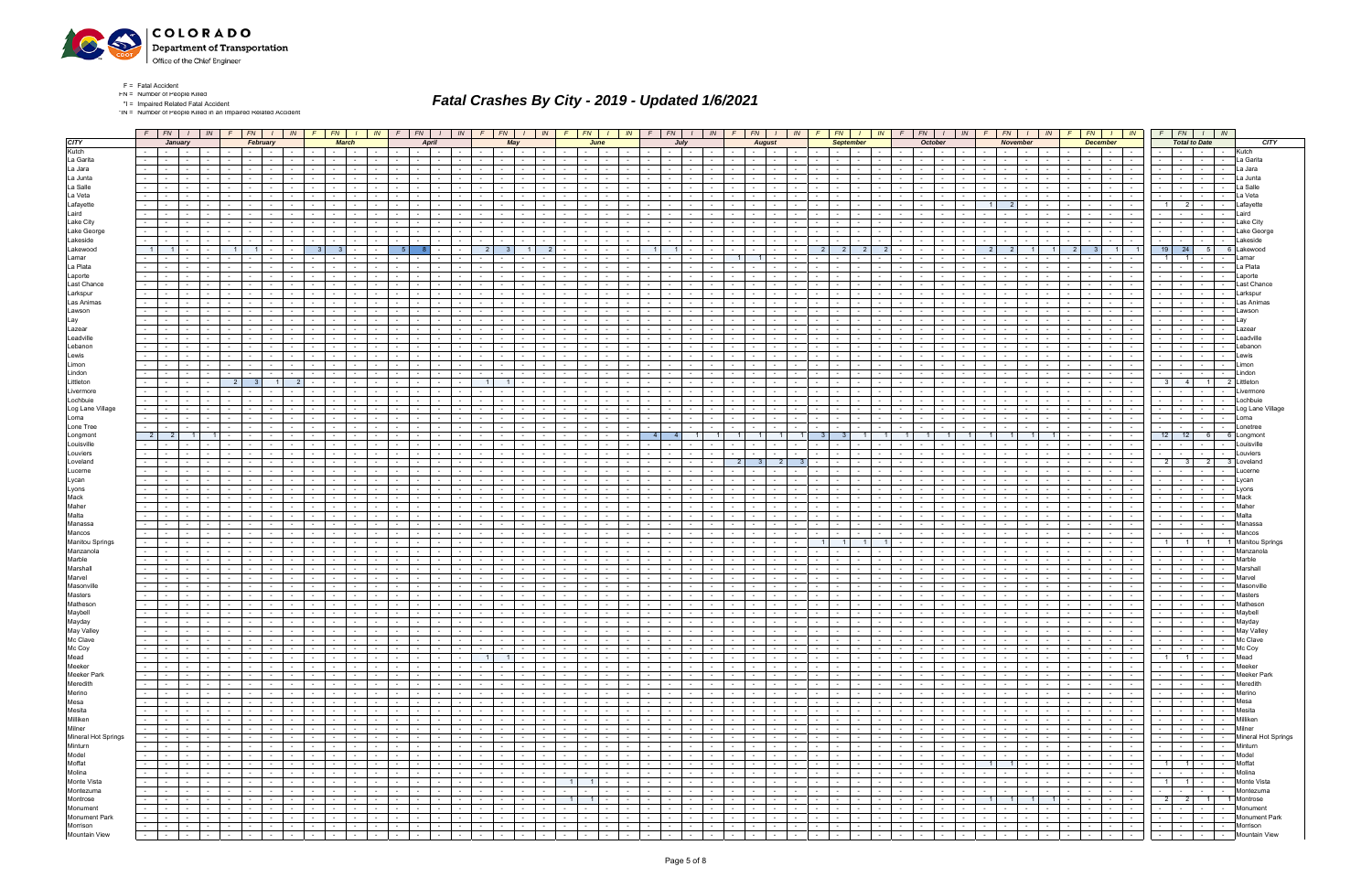

- $F =$  Fatal Accident  $FN =$  Number of People Killed
- \*I = Impaired Related Fatal Accident

\*IN = Number of People Killed in an Impaired Related Accident

## Fatal Crashes By City - 2019 - Updated 1/6/2021

|                        |                 |                          | $F$ $FN$ $I$ $N$           |                      | $F$ $FN$ $I$ $IN$             |                                        |                               | $F$ $FN$ $I$                               | IN              | $F$ $FN$                               |                               | $1 \mid W$                     | $F \mid$                         |                          | $FN$ $1$                    | IN                          | F                          | FN                                 | $\frac{1}{1}$ $\frac{1}{1}$ |           |                                                | $F$ $FN$ $I$ $N$ |                                         | $F$ $FN$ $I$ $N$            |                                   |                                  | $F$ $FN$ $I$              |                |                                   | $IN$ $F$ $F$ $I$                        | IN 1            |                  | $F$ $FN$ $I$                                      | IN                          |                  |                                | $F N$ $I$ $N$               |                 | $F N$ $I$ $I$ $N$                                                                             |                        |                             |
|------------------------|-----------------|--------------------------|----------------------------|----------------------|-------------------------------|----------------------------------------|-------------------------------|--------------------------------------------|-----------------|----------------------------------------|-------------------------------|--------------------------------|----------------------------------|--------------------------|-----------------------------|-----------------------------|----------------------------|------------------------------------|-----------------------------|-----------|------------------------------------------------|------------------|-----------------------------------------|-----------------------------|-----------------------------------|----------------------------------|---------------------------|----------------|-----------------------------------|-----------------------------------------|-----------------|------------------|---------------------------------------------------|-----------------------------|------------------|--------------------------------|-----------------------------|-----------------|-----------------------------------------------------------------------------------------------|------------------------|-----------------------------|
| <b>CITY</b>            |                 |                          | January                    |                      | February                      |                                        |                               | <b>March</b>                               |                 |                                        | <b>April</b>                  |                                |                                  |                          | May                         |                             |                            | June                               |                             |           | July                                           |                  |                                         | <b>August</b>               |                                   |                                  | <b>September</b>          |                |                                   | <b>October</b>                          |                 |                  | <b>November</b>                                   |                             |                  | <b>December</b>                |                             |                 | <b>Total to Date</b>                                                                          |                        | <b>CITY</b>                 |
| Kutch                  |                 | $\sim 10^{-11}$          | $\sim$                     |                      |                               |                                        |                               | $\sim$                                     |                 |                                        |                               |                                |                                  |                          | $\sim$                      |                             |                            |                                    |                             |           |                                                |                  |                                         | $\sim$<br>$\sim$            |                                   | $\sim$                           |                           |                |                                   |                                         |                 |                  | $\sim$ 100 $\mu$                                  | $\sim$                      |                  |                                |                             |                 |                                                                                               |                        | Kutch                       |
| La Garita              | $\sim$          | $\sim$                   |                            |                      |                               |                                        |                               |                                            |                 | $\sim$                                 |                               |                                |                                  |                          |                             |                             |                            |                                    |                             |           |                                                |                  |                                         |                             |                                   |                                  |                           |                |                                   |                                         |                 |                  | $\sim$                                            | $\overline{\phantom{a}}$    |                  |                                |                             |                 | $\sim$                                                                                        | $\sim 10^{-11}$        | La Garita                   |
| La Jara                | $\sim$          | $\sim$                   | $\sim$                     |                      |                               |                                        |                               |                                            |                 |                                        |                               |                                |                                  |                          | $\sim$                      |                             |                            | $\sim$                             |                             |           |                                                |                  |                                         |                             |                                   | $\sim$                           |                           |                |                                   |                                         |                 |                  |                                                   | $\overline{\phantom{a}}$    |                  |                                |                             |                 | $\sim$                                                                                        | $\sim$                 | La Jara                     |
| La Junta               |                 |                          |                            |                      |                               |                                        |                               |                                            |                 |                                        |                               |                                |                                  |                          |                             |                             |                            |                                    |                             |           |                                                |                  |                                         |                             |                                   |                                  |                           |                |                                   |                                         |                 |                  |                                                   |                             |                  |                                |                             |                 |                                                                                               |                        | .a Junta                    |
| La Salle               | $\sim$          |                          |                            |                      |                               |                                        |                               |                                            |                 |                                        |                               |                                |                                  |                          |                             |                             |                            |                                    |                             |           |                                                |                  |                                         |                             |                                   |                                  |                           |                |                                   |                                         |                 |                  |                                                   |                             |                  |                                |                             |                 |                                                                                               |                        | a Salle                     |
|                        |                 |                          |                            |                      |                               |                                        |                               |                                            |                 |                                        |                               |                                |                                  |                          |                             |                             |                            |                                    |                             |           |                                                |                  |                                         |                             |                                   |                                  |                           |                |                                   |                                         |                 |                  |                                                   |                             |                  |                                |                             |                 |                                                                                               |                        |                             |
| La Veta                | $\sim$          |                          |                            |                      |                               |                                        |                               |                                            |                 |                                        |                               |                                |                                  |                          |                             |                             |                            |                                    |                             |           |                                                |                  |                                         |                             |                                   |                                  |                           |                |                                   |                                         |                 |                  |                                                   |                             |                  |                                |                             |                 |                                                                                               |                        |                             |
| Lafayette              |                 |                          |                            |                      |                               |                                        |                               |                                            |                 |                                        |                               |                                |                                  |                          |                             |                             |                            |                                    |                             |           |                                                |                  |                                         |                             |                                   |                                  |                           |                |                                   |                                         |                 |                  |                                                   |                             |                  |                                |                             |                 |                                                                                               |                        |                             |
| Laird                  | $\sim$ 10 $\pm$ |                          |                            |                      |                               |                                        |                               |                                            |                 |                                        |                               |                                |                                  |                          |                             |                             |                            |                                    |                             |           |                                                |                  |                                         |                             |                                   |                                  |                           |                |                                   |                                         |                 |                  |                                                   |                             |                  |                                |                             |                 |                                                                                               |                        |                             |
| Lake City              |                 |                          |                            |                      |                               |                                        |                               |                                            |                 |                                        |                               |                                |                                  |                          |                             |                             |                            |                                    |                             |           |                                                |                  |                                         |                             |                                   |                                  |                           |                |                                   |                                         |                 |                  |                                                   |                             |                  |                                |                             |                 |                                                                                               |                        | Lake Citv                   |
| Lake George            |                 |                          |                            |                      |                               |                                        |                               |                                            |                 |                                        |                               |                                |                                  |                          |                             |                             |                            |                                    |                             |           |                                                |                  |                                         |                             |                                   |                                  |                           |                |                                   |                                         |                 |                  |                                                   |                             |                  |                                |                             |                 |                                                                                               |                        | Lake George                 |
| Lakeside               | $\sim$          |                          |                            |                      |                               |                                        |                               |                                            |                 |                                        |                               |                                |                                  |                          |                             |                             |                            |                                    |                             |           |                                                |                  |                                         |                             |                                   |                                  |                           |                |                                   |                                         |                 |                  |                                                   |                             |                  |                                |                             |                 |                                                                                               |                        | .akeside                    |
| Lakewood               |                 | $\overline{1}$           |                            |                      |                               |                                        |                               |                                            |                 |                                        |                               |                                |                                  | 3 <sup>1</sup>           |                             |                             |                            |                                    |                             |           |                                                |                  |                                         |                             |                                   | $\overline{2}$<br>2 <sup>1</sup> | 2                         |                |                                   |                                         |                 | $\mathcal{P}$    | $\overline{2}$                                    |                             | 2 <sup>1</sup>   | 3 <sup>1</sup>                 | $\overline{1}$              | 19              | 24                                                                                            | 5 <sub>1</sub>         | 6 Lakewood                  |
| Lamar                  |                 |                          |                            |                      |                               |                                        |                               |                                            |                 |                                        |                               |                                |                                  |                          |                             |                             |                            |                                    |                             |           |                                                |                  |                                         |                             |                                   |                                  |                           |                |                                   |                                         |                 |                  |                                                   |                             |                  |                                |                             |                 |                                                                                               |                        | amar                        |
| La Plata               | $\sim$          |                          |                            |                      |                               |                                        |                               |                                            |                 |                                        |                               |                                |                                  |                          |                             |                             |                            |                                    |                             |           |                                                |                  |                                         |                             |                                   |                                  |                           |                |                                   |                                         |                 |                  |                                                   |                             |                  |                                |                             |                 |                                                                                               |                        | a Plata                     |
| Laporte                |                 |                          |                            |                      |                               |                                        |                               |                                            |                 |                                        |                               |                                |                                  |                          |                             |                             |                            |                                    |                             |           |                                                |                  |                                         |                             |                                   |                                  |                           |                |                                   |                                         |                 |                  |                                                   |                             |                  |                                |                             |                 |                                                                                               |                        |                             |
| Last Chance            |                 |                          |                            |                      |                               |                                        |                               |                                            |                 |                                        |                               |                                |                                  |                          |                             |                             |                            |                                    |                             |           |                                                |                  |                                         |                             |                                   |                                  |                           |                |                                   |                                         |                 |                  |                                                   |                             |                  |                                |                             |                 |                                                                                               |                        | ast Chance.                 |
| Larkspur               |                 |                          |                            |                      |                               |                                        |                               |                                            |                 |                                        |                               |                                |                                  |                          |                             |                             |                            |                                    |                             |           |                                                |                  |                                         |                             |                                   |                                  |                           |                |                                   |                                         |                 |                  |                                                   |                             |                  |                                |                             |                 |                                                                                               |                        | .arkspur                    |
| Las Animas             |                 |                          |                            |                      |                               |                                        |                               |                                            |                 |                                        |                               |                                |                                  |                          |                             |                             |                            |                                    |                             |           |                                                |                  |                                         |                             |                                   |                                  |                           |                |                                   |                                         |                 |                  |                                                   |                             |                  |                                |                             |                 |                                                                                               |                        | Las Animas                  |
| Lawson                 | $\sim$          |                          |                            |                      |                               |                                        |                               |                                            |                 |                                        |                               |                                |                                  |                          |                             |                             |                            |                                    |                             |           |                                                |                  |                                         |                             |                                   |                                  |                           |                |                                   |                                         |                 |                  |                                                   |                             |                  |                                |                             |                 |                                                                                               |                        | awsor                       |
| Lay                    | $\sim$          |                          |                            |                      |                               |                                        |                               |                                            |                 |                                        |                               |                                |                                  |                          |                             |                             |                            |                                    |                             |           |                                                |                  |                                         |                             |                                   |                                  |                           |                |                                   |                                         |                 |                  |                                                   |                             |                  |                                |                             |                 |                                                                                               |                        |                             |
| Lazear                 |                 |                          |                            |                      |                               |                                        |                               |                                            |                 |                                        |                               |                                |                                  |                          |                             |                             |                            |                                    |                             |           |                                                |                  |                                         |                             |                                   |                                  |                           |                |                                   |                                         |                 |                  |                                                   |                             |                  |                                |                             |                 |                                                                                               |                        | azear                       |
| Leadville              |                 |                          |                            |                      |                               |                                        |                               |                                            |                 |                                        |                               |                                |                                  |                          |                             |                             |                            |                                    |                             |           |                                                |                  |                                         |                             |                                   |                                  |                           |                |                                   |                                         |                 |                  |                                                   |                             |                  |                                |                             |                 |                                                                                               |                        | eadvill                     |
| Lebanon                |                 |                          |                            |                      |                               |                                        |                               |                                            |                 |                                        |                               |                                |                                  |                          |                             |                             |                            |                                    |                             |           |                                                |                  |                                         |                             |                                   |                                  |                           |                |                                   |                                         |                 |                  |                                                   |                             |                  |                                |                             |                 |                                                                                               |                        |                             |
| Lewis                  |                 |                          |                            |                      |                               |                                        |                               |                                            |                 |                                        |                               |                                |                                  |                          |                             |                             |                            |                                    |                             |           |                                                |                  |                                         |                             |                                   |                                  |                           |                |                                   |                                         |                 |                  |                                                   |                             |                  |                                |                             |                 |                                                                                               |                        |                             |
| Limon                  | $\sim$          |                          |                            |                      |                               |                                        |                               |                                            |                 |                                        |                               |                                |                                  |                          |                             |                             |                            |                                    |                             |           |                                                |                  |                                         |                             |                                   |                                  |                           |                |                                   |                                         |                 |                  |                                                   |                             |                  |                                |                             |                 |                                                                                               |                        |                             |
| Lindon                 |                 |                          |                            |                      |                               |                                        |                               |                                            |                 |                                        |                               |                                |                                  |                          |                             |                             |                            |                                    |                             |           |                                                |                  |                                         |                             |                                   |                                  |                           |                |                                   |                                         |                 |                  |                                                   |                             |                  |                                |                             |                 |                                                                                               |                        |                             |
| Littleton              |                 |                          |                            |                      |                               |                                        |                               |                                            |                 |                                        |                               |                                |                                  |                          |                             |                             |                            |                                    |                             |           |                                                |                  |                                         |                             |                                   |                                  |                           |                |                                   |                                         |                 |                  |                                                   |                             |                  |                                |                             |                 | 4                                                                                             | 11<br>- 21             | Littleton                   |
| Livermore              | $\sim$          |                          | $\sim$                     |                      |                               |                                        |                               | $\sim$<br>$\sim$                           |                 |                                        |                               |                                |                                  |                          |                             |                             |                            | $\sim$                             |                             |           |                                                |                  |                                         |                             |                                   | $\sim$                           |                           |                |                                   |                                         |                 |                  | $\sim$                                            | $\sim$                      |                  | $\sim$                         |                             |                 |                                                                                               |                        |                             |
| Lochbuie               |                 |                          |                            |                      |                               |                                        |                               |                                            |                 |                                        |                               |                                |                                  |                          |                             |                             |                            |                                    |                             |           |                                                |                  |                                         |                             |                                   |                                  |                           |                |                                   |                                         |                 |                  |                                                   |                             |                  |                                |                             |                 |                                                                                               |                        | .ochbuie                    |
| Log Lane Village       |                 |                          |                            |                      |                               |                                        |                               |                                            |                 |                                        |                               |                                |                                  |                          |                             |                             |                            |                                    |                             |           |                                                |                  |                                         |                             |                                   |                                  |                           |                |                                   |                                         |                 |                  |                                                   |                             |                  |                                |                             |                 |                                                                                               |                        | og Lane Village             |
| Loma                   | $\sim$ $-$      |                          | $\sim$                     |                      |                               |                                        |                               | $\sim$                                     |                 | $\sim$                                 |                               |                                |                                  |                          | $\sim$                      |                             |                            | $\sim$                             |                             |           |                                                |                  |                                         |                             |                                   | $\sim$                           |                           |                |                                   | $\sim$                                  |                 |                  | $\sim$                                            | $\sim$                      |                  | $\sim$                         |                             |                 | $\sim$ 10 $\pm$<br>$\sim$                                                                     | $\sim$                 | Loma                        |
| Lone Tree              | $\sim$          |                          |                            |                      |                               |                                        |                               |                                            |                 |                                        |                               |                                |                                  |                          |                             |                             |                            |                                    |                             |           |                                                |                  |                                         |                             |                                   |                                  |                           |                |                                   |                                         |                 |                  |                                                   |                             |                  |                                |                             |                 |                                                                                               |                        |                             |
| Longmont               |                 | $\overline{2}$           |                            |                      |                               |                                        |                               |                                            |                 |                                        |                               |                                |                                  |                          |                             |                             |                            |                                    |                             |           |                                                |                  |                                         |                             |                                   |                                  |                           |                |                                   |                                         |                 |                  |                                                   |                             |                  |                                |                             | 12 <sub>1</sub> | 12                                                                                            | 6                      | Longmon                     |
| Louisville             | $\sim$          |                          |                            |                      |                               |                                        |                               | $\sim$                                     |                 | $\sim$                                 |                               |                                |                                  |                          |                             |                             |                            | $\sim$                             |                             |           |                                                |                  |                                         |                             |                                   | $\sim$                           |                           |                |                                   |                                         |                 |                  |                                                   |                             |                  | $\sim$                         |                             |                 |                                                                                               |                        | _ouisville                  |
| Louviers               |                 |                          |                            |                      |                               |                                        |                               |                                            |                 |                                        |                               |                                |                                  |                          |                             |                             |                            |                                    |                             |           |                                                |                  |                                         |                             |                                   |                                  |                           |                |                                   |                                         |                 |                  |                                                   |                             |                  |                                |                             |                 |                                                                                               |                        |                             |
| Loveland               |                 |                          |                            |                      |                               |                                        |                               |                                            |                 |                                        |                               |                                |                                  |                          |                             |                             |                            |                                    |                             |           |                                                |                  |                                         |                             |                                   |                                  |                           |                |                                   |                                         |                 |                  |                                                   |                             |                  |                                |                             | 2               |                                                                                               | -3                     |                             |
|                        | $\sim$          | $\sim$                   |                            |                      |                               |                                        |                               |                                            |                 |                                        |                               |                                |                                  |                          |                             |                             |                            |                                    |                             |           |                                                |                  | 2 <sup>1</sup>                          |                             |                                   |                                  |                           |                |                                   |                                         |                 |                  |                                                   | $\sim$                      |                  |                                |                             |                 | -3                                                                                            | 2 <sub>1</sub>         |                             |
| Lucerne                | $\sim$          |                          |                            |                      |                               |                                        |                               |                                            |                 |                                        |                               |                                |                                  |                          |                             |                             |                            |                                    |                             |           |                                                |                  |                                         |                             |                                   |                                  |                           |                |                                   |                                         |                 |                  |                                                   |                             |                  |                                |                             |                 |                                                                                               |                        |                             |
| Lycan                  |                 |                          |                            |                      |                               |                                        |                               |                                            |                 |                                        |                               |                                |                                  |                          |                             |                             |                            |                                    |                             |           |                                                |                  |                                         |                             |                                   |                                  |                           |                |                                   |                                         |                 |                  |                                                   |                             |                  |                                |                             |                 |                                                                                               |                        |                             |
| Lyons                  | $\sim$          |                          |                            |                      |                               |                                        |                               |                                            |                 |                                        |                               |                                |                                  |                          |                             |                             |                            |                                    |                             |           |                                                |                  |                                         |                             |                                   |                                  |                           |                |                                   |                                         |                 |                  |                                                   |                             |                  |                                |                             |                 |                                                                                               |                        |                             |
| Mack                   | $\sim$          |                          |                            |                      |                               |                                        |                               |                                            |                 |                                        |                               |                                |                                  |                          |                             |                             |                            |                                    |                             |           |                                                |                  |                                         |                             |                                   |                                  |                           |                |                                   |                                         |                 |                  |                                                   |                             |                  |                                |                             |                 |                                                                                               |                        | Mack                        |
| Maher                  |                 |                          |                            |                      |                               |                                        |                               |                                            |                 |                                        |                               |                                |                                  |                          |                             |                             |                            |                                    |                             |           |                                                |                  |                                         |                             |                                   |                                  |                           |                |                                   |                                         |                 |                  |                                                   |                             |                  |                                |                             |                 |                                                                                               |                        |                             |
| Malta                  | $\sim$          |                          |                            |                      |                               |                                        |                               |                                            |                 |                                        |                               |                                |                                  |                          |                             |                             |                            |                                    |                             |           |                                                |                  |                                         |                             |                                   |                                  |                           |                |                                   |                                         |                 |                  |                                                   |                             |                  |                                |                             |                 |                                                                                               |                        |                             |
| Manassa                |                 |                          |                            |                      |                               |                                        |                               |                                            |                 |                                        |                               |                                |                                  |                          |                             |                             |                            |                                    |                             |           |                                                |                  |                                         |                             |                                   |                                  |                           |                |                                   |                                         |                 |                  |                                                   |                             |                  |                                |                             |                 |                                                                                               |                        |                             |
| Mancos                 | $\sim$          |                          |                            |                      |                               |                                        |                               |                                            |                 |                                        |                               |                                |                                  |                          |                             |                             |                            |                                    |                             |           |                                                |                  |                                         |                             |                                   |                                  |                           |                |                                   |                                         |                 |                  |                                                   |                             |                  |                                |                             |                 |                                                                                               |                        | Mancos                      |
| <b>Manitou Springs</b> | $\sim$          |                          |                            |                      |                               |                                        |                               |                                            |                 |                                        |                               |                                |                                  |                          |                             |                             |                            |                                    |                             |           |                                                |                  |                                         |                             |                                   |                                  |                           |                |                                   |                                         |                 |                  |                                                   |                             |                  |                                |                             |                 |                                                                                               | $\overline{1}$         | Manitou Springs             |
| Manzanola              | $\sim$          |                          |                            |                      |                               |                                        |                               |                                            |                 |                                        |                               |                                |                                  |                          |                             |                             |                            |                                    |                             |           |                                                |                  |                                         |                             |                                   |                                  |                           |                |                                   |                                         |                 |                  |                                                   |                             |                  |                                |                             |                 |                                                                                               |                        | Manzanola                   |
| Marble                 | $\sim$          |                          |                            |                      |                               |                                        |                               |                                            |                 |                                        |                               |                                |                                  |                          |                             |                             |                            |                                    |                             |           |                                                |                  |                                         |                             |                                   |                                  |                           |                |                                   |                                         |                 |                  |                                                   |                             |                  |                                |                             |                 |                                                                                               |                        | Marble                      |
| Marshall               | $\sim$          |                          |                            |                      |                               |                                        |                               |                                            |                 |                                        |                               |                                |                                  |                          |                             |                             |                            |                                    |                             |           |                                                |                  |                                         |                             |                                   |                                  |                           |                |                                   |                                         |                 |                  |                                                   |                             |                  |                                |                             |                 |                                                                                               |                        | ⁄larshall                   |
| Marvel                 |                 |                          |                            |                      |                               |                                        |                               |                                            |                 |                                        |                               |                                |                                  |                          |                             |                             |                            |                                    |                             |           |                                                |                  |                                         |                             |                                   |                                  |                           |                |                                   |                                         |                 |                  |                                                   |                             |                  |                                |                             |                 |                                                                                               |                        |                             |
| Masonville             | $\sim$          |                          |                            |                      |                               |                                        |                               | $\sim$                                     |                 |                                        |                               |                                |                                  |                          |                             |                             |                            |                                    |                             |           |                                                |                  |                                         |                             |                                   |                                  |                           |                |                                   |                                         |                 |                  |                                                   | $\sim$                      |                  | $\sim$                         |                             |                 |                                                                                               |                        | ∧asonvill                   |
| <b>Masters</b>         |                 |                          |                            |                      |                               |                                        |                               |                                            |                 |                                        |                               |                                |                                  |                          |                             |                             |                            |                                    |                             |           |                                                |                  |                                         |                             |                                   |                                  |                           |                |                                   |                                         |                 |                  |                                                   |                             |                  |                                |                             |                 |                                                                                               |                        |                             |
| Matheson               |                 |                          |                            |                      |                               |                                        |                               |                                            |                 |                                        |                               |                                |                                  |                          |                             |                             |                            |                                    |                             |           |                                                |                  |                                         |                             |                                   |                                  |                           |                |                                   |                                         |                 |                  |                                                   |                             |                  |                                |                             |                 |                                                                                               |                        | lathesor                    |
| Maybell                | $\sim$          | $\sim$                   | $\sim$                     |                      | $\sim$                        |                                        |                               | $\sim$<br>$\sim$                           |                 | $\sim$                                 |                               |                                |                                  |                          | $\sim$ 100 $\mu$            |                             |                            | $\sim$                             |                             |           |                                                |                  | $\sim$ $-$                              |                             | $\sim$                            | $\sim$                           |                           |                |                                   | $\sim$ 100 $\pm$                        |                 | $\sim$           | $\sim$ $-$                                        | $\sim$                      |                  | $\sim$                         |                             |                 | <b>Service</b><br>$\sim$ $-$                                                                  | $\sim$ 100 $\mu$       | Maybell                     |
| Mayday                 |                 | $\sim$ $-$               | $\sim$                     |                      |                               | $\sim$                                 |                               | $\sim$<br>$\sim$                           | $\sim$          | $\sim$ 10 $\pm$<br>$\sim$              |                               |                                |                                  |                          | $\sim$ $-$                  |                             |                            | $\sim$<br>$\sim$                   |                             |           | $\sim$ 100 $\pm$<br>$\sim$                     |                  | $\sim$ $-$                              | $\sim 10^{-1}$              | $\sim$<br>$\sim$                  | $\sim$                           |                           |                |                                   |                                         |                 | $\sim$           | $\sim$ $-$                                        | $\sim$                      |                  |                                |                             |                 | $\sim$                                                                                        |                        | Mayday                      |
| May Valley             |                 | $\sim$                   | $\sim$                     | $\sim$ $-$<br>$\sim$ | $\mathbf{1}$ $\mathbf{1}$     | the contract of the con-               | and the state of the state of | $\mathbf{I}$ $\mathbf{I}$                  | $\sim$ $-$      | $-1$<br>$\sim$                         |                               | $\sim$ $\sim$                  | $\sim$ 1<br>$\sim$ $\sim$ $\sim$ |                          | the contract of             | $\sim$ $\sim$ $\sim$ $\sim$ | <b>Contract</b>            | <b>Contract</b><br>$\sim$          | $\mathbf{1}$ $\mathbf{1}$   | $\sim$    |                                                | $1 - 1 - 1 - 1$  | the contract of                         | the contract of             |                                   | the contract of the              | $1 - 1$                   | $\sim$         | $\sim$ $\sim$ $\sim$              | $\sim$ $  -$<br>$ -$                    | $\sim$ $-$      | $\sim 10^{-10}$  | the collection                                    | $\sim$ $\sim$ $\sim$ $\sim$ | $\sim$           | $1 - 1$                        | $\sim$ $\sim$ $\sim$ $\sim$ |                 | <u> - - - - - -</u>                                                                           |                        | May Valley                  |
| Mc Clave               | $\sim$          | $\sim 100$ m $^{-1}$     | $\sim$                     | $\sim$ $-$           |                               | $\sim 10^{-11}$<br>$\sim$ $\sim$       | $\sim 10^{-10}$               | <b>Contract Contract</b>                   | $\sim 10^{-1}$  | the contract                           |                               | $\sim$<br>$-1$                 | $\sim 10^{-11}$                  |                          | the company                 | <b>Contract</b>             | (Till                      | $\sim 100$ km s $^{-1}$            | <b>Service State</b>        | $\sim$    |                                                | $\sim 10^{-11}$  | जिल्ला प                                | <b>Service</b> State        |                                   |                                  | $-1 - 1 - 1$              | $\sim$         | $\sim 10^{-11}$                   | $\sim 10^{-11}$                         | the company     |                  | <b>Committee</b>                                  | $\sim$ $-$                  | $-1 - 1$         |                                | the contract of             |                 |                                                                                               | - - - Mc Clave         |                             |
| Mc Coy                 | $\sim$          | $\sim 100$               | $\sim$                     | $\sim$               | <b>Contract Contract</b>      | $\sim$<br>$\sim 100$                   | <b>Contract Contract</b>      | $\sim 100$<br>$\sim 100$                   | $\sim$          | the contract of                        | $\sim$ 100 $\mu$              | $\sim$                         | $\sim$ $-$                       | the contract of the con- |                             | $\sim$                      | $\sim$ $-$                 | $\sim 10^{-11}$<br>$\sim 100$      | . .                         | $\sim$    | <b>Contract</b><br>$\sim$                      | $\sim$ $-$       | $\sim$ $-$<br><b>Contract</b>           | and the state               | <b>Contract Contract</b>          | $\sim 10^{-11}$                  | $\sim$ $-$                | $\sim$         | $\sim$ 100 $\mu$<br>$\sim$ $-$    | $\sim 10^{-10}$                         | $\sim$          | $\sim 100$       | the collection                                    | $\sim$                      | $\sim$           | $\sim$ 100 $\mu$<br>$\sim$ $-$ | $\sim$                      | $\sim$          | $\frac{1}{2}$ , $\frac{1}{2}$ , $\frac{1}{2}$ , $\frac{1}{2}$ , $\frac{1}{2}$ , $\frac{1}{2}$ |                        | Mc Coy                      |
| Mead                   | $\sim 100$      | $\sim 100$               | $\sim$<br>$\sim$ 100 $\mu$ |                      | the contract of               | $\sim 10^{-11}$<br>$\sim 10^{-11}$     | $\sim 10^{-11}$               | <b>Contract</b><br>$\sim 100$ km s $^{-1}$ | $\sim$          | the contract of                        | $\sim 10^{-10}$               | $\sim$                         | 1 <sup>1</sup>                   |                          | $1 \cdot$                   | $\sim 10^{-11}$             | $\sim$                     | <b>Contract</b>                    | the contract of             | $\sim$    | $\sim$ $-$                                     | $\sim 10^{-11}$  | the contract of                         | the contract of             | $\sim 10^{-11}$                   | <b>Contract</b>                  | <b>Contract</b>           | $\sim$         | $\sim 10^{-11}$                   | $\sim$ $-$<br><b>Contract</b>           | $\sim$ $-$      | $\sim$ 100 $\mu$ | and the state                                     | $\sim 10^{-11}$             | $\sim$ 100 $\mu$ | $\sim$ $\sim$ $\sim$           | $\sim$<br>$\sim$            |                 | $1 \quad 1 \quad - \quad -$                                                                   |                        | Mead                        |
|                        | $\sim$          | $\sim$ $-$               | the contract of the con-   |                      | the contract of               | $\sim$ $-$<br>$\sim$ $-$               |                               |                                            | $\sim 10^{-11}$ | the control of the                     |                               | $\sim$ $\sim$ $\sim$<br>$\sim$ | $\sim 100$                       |                          | the contract of             | <b>Contract</b>             | <b>Contract Contract</b>   |                                    | the contract of             | $\sim$    | $\mathbf{I}$ . The set of $\mathbf{I}$         | $\sim 10^{-11}$  | 도메리                                     | and the control             |                                   |                                  | $-1$ . $-1$               | $\sim$         | $\sim 10^{-11}$                   | $\sim 10^{-11}$                         | the collection  | $\sim$ $ -$      | and the state of the state                        | $\sim 10^{-11}$             |                  |                                | $-1 - 1 - 1 - 1 - 1$        | $\sim$ $\sim$   | and the contract of the con-                                                                  |                        | Meeker                      |
| Meeker<br>Meeker Park  | $\sim$          | $\sim$                   | $\sim$                     | $\sim$<br>$\sim$     | <b>Contract Contract</b>      | $\sim$ $-$<br>$\sim$                   | $\sim$                        | $\sim 10^{-11}$<br>$\sim 100$              | $\sim$          | $\sim$ $\sim$ $\sim$<br>$\sim 10^{-1}$ | $\sim$                        | $\sim$                         | $\sim$ 10 $\pm$                  | $\sim$                   | $\sim 10^{-11}$             | $\sim$                      | $\sim$                     | $\sim 10^{-11}$<br>$\sim 100$      | .                           | $\sim$    | $\sim$ $-$<br><b>Contract Contract</b>         | $\sim$           | $\sim$<br>$\sim$ $-$                    | the contract                | $\sim$ 100 $\mu$                  | $\sim$                           | <b>Service</b>            | $\sim$ $-$     | $\sim 100$<br>$\sim$              | $\sim 10^{-11}$                         | $\sim$          | $\sim$           | المحارات والمنافذ                                 | $\sim$                      | $\sim$ 10 $\pm$  | $\sim$<br>$\sim$               | $\sim$ $-$                  | $\sim$          | <b>Service</b>                                                                                | the contract of        | <b>Meeker Park</b>          |
| Meredith               | $\sim$ $-$      | $\sim 100$ m $^{-1}$     | $\sim$                     | $\sim$ $-$           | the contract of               | $\sim$<br>$\sim 10^{-11}$              | <b>Contract</b>               | $\sim 10^{-10}$<br><b>Contract</b>         | $\sim$          | the contract of                        | <b>Contract</b>               | $\sim$                         | $\sim$ 100 $\mu$                 |                          | $\sim$ $\sim$ $\sim$ $\sim$ | $\sim$ $-$                  | $\sim$                     | $\sim 100$                         | the contract of             | $\sim$    | $\sim$                                         | $\sim$ $-$       | the contract of                         | the contract                | <b>Service</b>                    | $\sim 10^{-11}$                  | <b>Contract</b>           | $\sim$ $ \sim$ | $\sim 100$<br>$\sim$ $-$          | <b>Contract</b>                         | $\sim$ $-$      | $\sim 10^{-11}$  | and the state of the state                        | $\sim$                      | $\sim$ $-$       | <b>Contract</b>                | $\sim$<br>$\sim 100$        | $\sim$          | $\sim$ $\sim$ $\sim$ $\sim$                                                                   | the contract of        | Meredith                    |
| Merino                 | $\sim$          | $\sim 10^{-10}$          | $\sim$                     | $\sim$ $-$<br>$\sim$ | $\sim$ $-$                    | $\sim$ $-$<br>$\sim 10^{-11}$          | $\sim 10^{-11}$               | $\sim 10^{-11}$<br><b>Contract</b>         | $\sim$          | <b>Service</b> Service                 | <b>Service</b>                | $\sim$                         | <b>Contract</b>                  | $\sim$ $\sim$            | $\sim 10^{-11}$             | $\sim$ $-$                  | $\sim$                     | <b>Contract</b><br>$\sim$          | <b>Contract</b>             | $\sim$    | $\sim 10^{-11}$<br>$\sim$                      | $\sim$           | $\sim$ $-$<br><b>Contract</b>           | $\sim$ $\sim$ $\sim$        | <b>Contract</b>                   | $\sim 10^{-11}$                  | <b>Service</b>            | $\sim$         | $\sim 10^{-11}$<br>$\sim$ $-$     | $\sim$ $  -$                            | $\sim 100$      | $\sim$           | and the state                                     | $\sim$                      | $\sim$           | $\sim 100$                     | $\sim$<br>$\sim 10^{-11}$   | $\sim$          |                                                                                               | $   -$ Merino          |                             |
| Mesa                   | $\sim$          | $\sim$                   | $\sim$                     | $\sim$<br>$\sim$     | $\sim$ 100 $\mu$              | $\sim$<br>$\sim$                       | $\sim$                        | $\sim 10^{-10}$<br>$\sim$ $-$              | $\sim$          | $\sim 100$<br>$\sim$                   | $\sim$                        | $\sim$                         | $\sim$ 10 $\pm$                  | $\sim$                   | $\sim 10^{-11}$             | $\sim$                      | $\sim$                     | $\sim 10^{-11}$<br>$\sim$ 10 $\pm$ | .                           | $\sim$    | $\sim$ $-$<br><b>Contract</b>                  | $\sim$           | $\sim$ $-$<br>$\sim$                    | $\sim$ $\sim$               | $\sim 10^{-1}$<br>$\sim$ 10 $\pm$ | $\sim$ $-$                       | <b>Service</b>            | $\sim$ $-$     | $\sim$ 100 $\mu$<br>$\sim$ $-$    | $\sim 10$                               | $\sim$          | $\sim$           | $\sim$ $\sim$                                     | $\sim 10^{-1}$<br>$\sim$    | $\sim$ $-$       | $\sim$<br>$\sim$ 100 $\mu$     | $\sim$ $-$                  | $\sim$          | $\sim$ $\sim$                                                                                 | and the contract       | Mesa                        |
| Mesita                 | $\sim$          | $\sim 100$ m $^{-1}$     | $\sim$                     | $\sim$ 100 $\mu$     | the contract of the con-      | $\sim$<br>$\sim 10^{-11}$              | <b>Contract</b>               | $\sim 10^{-10}$<br><b>Contract</b>         | $\sim$          | <b>Service</b> Service                 | <b>Service</b>                | $\sim$                         | $\sim$ 100 $\mu$                 |                          | $\sim$ $\sim$ $\sim$ $\sim$ | $\sim$ $-$                  | $\sim$                     | $\sim 100$                         | the contract of             | $\sim$    | $\sim$ $\sim$ $\sim$ $\sim$<br>$\sim 10^{-10}$ | $\sim 10^{-11}$  | the contract of                         | the contract                | $\sim 10^{-11}$                   | $\sim 100$                       | <b>Contract</b>           | $\sim$ $ \sim$ | $\sim 10^{-11}$                   | $\sim$ $ \sim$<br>$\sim 10^{-10}$       | $\sim$ $-$      | $\sim$           | and the state of the state                        | $\sim$                      | $\sim$ $-$       | <b>Contract</b>                | $\sim$<br>$\sim 100$        | $\sim$          | the contract of the contract of the con-                                                      |                        | Mesita                      |
| Milliken               | $\sim$          | $\sim 10^{-10}$          | $\sim$                     | $\sim$<br>$\sim$ $-$ | <b>Contract</b>               | $\sim$ $-$<br>$\sim 10^{-11}$          | $\sim 10^{-10}$               | $\sim 100$<br><b>Contract</b>              | $\sim$          | the contract                           | <b>Service</b>                | $\sim$                         | <b>Contract</b>                  |                          | the contract of             | $\sim$                      | $\sim$                     | <b>Contract</b><br>$\sim$          | <b>Contract</b>             | $\sim$    | $\sim 10^{-11}$<br>$\sim$                      | $\sim$           | $\sim$ $-$<br><b>Contract</b>           | $\sim$ $\sim$ $\sim$        | <b>Contract</b>                   | $\sim 100$                       | $\sim 10^{-10}$           | $\sim$         | $\sim 10^{-11}$<br>$\sim$ $-$     | $\sim$ $-$                              | $\sim 100$      | $\sim$           | and the state                                     | $\sim 10^{-11}$             | $\sim$           | $\sim 100$<br>$\sim$           | $\sim$ $-$                  | $\sim$          |                                                                                               | $   -$ Milliken        |                             |
| Milner                 | $\sim$          | <b>Contract Contract</b> | $\sim$                     | $\sim$               | $\mathbf{1}$ and $\mathbf{1}$ | $\sim$<br>$\sim$ 10 $\pm$              | <b>Contract</b>               | $\sim 10^{-11}$<br>$\sim 100$              | $\sim$          | the contract of the con-               | $\sim$ 100 $\mu$              | $\sim$                         | $\sim$ 10 $\pm$                  | $\sim$ $-$               | $\sim 10^{-11}$             | $\sim$                      | $\sim$                     | $\sim 10^{-11}$                    | the contract of             | $\sim$    | <b>Service</b><br>$\sim$ $-$                   | $\sim 10^{-11}$  | $\sim 10^{-11}$<br><b>Contract</b>      | $\sim$ $\sim$ $\sim$ $\sim$ | $\sim 10^{-11}$                   | $\sim 10^{-11}$                  | <b>Contract Contract</b>  | $\sim$ $-$     | $\sim 100$<br>$\sim 10^{-1}$      | <b>Contract</b>                         | $\sim 10^{-1}$  | $\sim 10^{-11}$  | and the state                                     | $\sim$                      | $\sim$           | $\sim 10^{-11}$<br>$\sim$ $-$  | $\sim$ $-$                  | $\sim$          | the contract of the con-                                                                      |                        | Milner                      |
| Mineral Hot Springs    | $\sim 100$      | $\sim 10^{-10}$          | $\sim$                     | $\sim$ $-$           | the contract of               | $\sim 10^{-11}$<br>$\sim 100$          | $\sim 10^{-11}$               | $\sim 10^{-11}$<br><b>Contract</b>         | $\sim$          | the contract of                        | <b>Contract</b>               | $\sim$                         | $\sim 100$                       |                          | the contract of             | $\sim$ 100 $\pm$            | $\sim$                     | <b>Contract</b>                    | the contract of             | $\sim$    | $\sim$ $\sim$<br>$\sim$ $-$                    | <b>Contract</b>  | <b>Contract Contract</b>                | and the state               | $\sim$ $\sim$                     | $\sim 100$                       | <b>Common</b>             | $\sim$ $ \sim$ | <b>Contract</b>                   | $\sim 10^{-11}$<br>$\sim$ $ \sim$       | $\sim 10^{-1}$  | $\sim 10^{-1}$   | and the state                                     | $\sim 100$                  | $\sim$           | $\sim 100$                     | $\sim$<br>$\sim 100$        | $\sim$          | <b>Second Contract</b>                                                                        |                        | <b>Mineral Hot Springs</b>  |
| Minturn                | $\sim$          | $\sim 100$               | $\sim$                     | $\sim$<br>$\sim$     | $\sim$ $-$                    | $\sim 10^{-11}$<br>$\sim$ $-$          | <b>Contract</b>               | $\sim$ $-$<br>$\sim 10^{-11}$              | $\sim$          | $\sim 100$<br>$-1$                     | $\sim 100$                    | $\sim$                         | $\sim$ 10 $\pm$                  | <b>Contract</b>          | $\sim 10^{-11}$             | $\sim$                      | $\sim$                     | <b>Contract</b><br>$\sim$          | $\sim 100$                  | $\sim$    | $\sim$<br>$\sim 100$                           | $\sim$           | $\sim 10^{-11}$<br>$\sim 10^{-11}$      | $\sim$ $\sim$ $\sim$        | <b>Contract</b>                   | $\sim 10^{-11}$                  | <b>Contract</b>           | $\sim$         | <b>Contract</b><br>$\sim$ $-$     | $\sim$ $  -$                            | $\sim 10^{-1}$  | $\sim$           | and the state                                     | $\sim$                      | $\sim$           | $\sim$<br>$\sim 100$           | $\sim$ $-$                  | $\sim$          | $\sim$ $\sim$                                                                                 | -   - Minturn          |                             |
| Model                  | $\sim$ 10 $\pm$ | $\sim 100$               | $\sim$                     |                      | the contract of the con-      | $\sim$<br>$\sim 100$                   | $\sim 10^{-11}$               | <b>Contract</b><br><b>Contract</b>         | $\sim$          | <b>Service</b> Service                 | <b>Service</b>                | $\sim$                         | $\sim$ 100 $\mu$                 |                          | the contract of             | $\sim$                      | $\sim$                     | $\sim 100$                         | <b>Second Control</b>       | $\sim$    | $\sim$ $-$<br>$\sim$ $\sim$ $\sim$ $\sim$      | $\sim$ $-$       | the contract of                         | $\sim$ $\sim$ $\sim$        | $\sim 100$                        | $\sim$ $-$                       | <b>Common</b>             | $\sim$ $ \sim$ | $\sim$ $-$<br>$\sim 100$          | $\sim$ $-$                              | $\sim 10^{-1}$  | $\sim 10^{-11}$  | and the state                                     | $\sim$                      | $\sim 100$       | $\sim$ $-$                     | $\sim$<br>$\sim$ 100 $\mu$  | $\sim$          |                                                                                               | $   -$ Model           |                             |
| Moffat                 | $\sim$          | $\sim 10^{-10}$          | $\sim$                     | $\sim$<br>$\sim$ $-$ | $\mathbf{I}$                  | $\sim 10^{-11}$<br>$\sim 10^{-11}$     | $\sim 10^{-11}$               | $\sim 10^{-11}$<br><b>Contract</b>         | $\sim$          | the control of the                     |                               | $\sim$<br>$\sim 100$           | $\sim$ $-$                       |                          | the contract of             | $\sim 10^{-11}$             | $\sim 10$                  | <b>Contract</b>                    | the contract of             | $\sim$    | $\sim$ $-$<br>$\sim$ $  \sim$                  | $\sim 10^{-11}$  | $\sim$ $\sim$<br>$\sim 10^{-11}$        | and the con-                |                                   | the control of                   | $\sim 10^{-11}$           | $\sim$         | $\sim 100$                        | $\sim$<br>$\sim 10^{-11}$               | $\sim 10^{-11}$ |                  | $1 \mid 1 \mid -1$                                | $\sim$ 10 $\pm$             | $\sim$           | $\sim$<br>$\sim 100$           | $\sim 10^{-11}$             |                 | $1 \ 1 \ 1 \ -1$                                                                              |                        | Moffat                      |
| Molina                 | $\sim$          | $\sim 10^{-11}$          | $\sim$                     | $\sim$<br>$\sim$     | $\sim$ $-$                    | $\sim 10^{-1}$<br>$\sim 10^{-11}$      | $\sim 10^{-11}$               | $\sim 10^{-11}$<br>$\sim 10^{-11}$         | $\sim$          | $\sim$ $\sim$<br>$\sim 100$            | $\sim$ 100 $\mu$              | $\sim$                         | $\sim$ $-$                       | $\sim 10^{-11}$          | $\sim 100$                  | $\sim$                      | $\sim$                     | $\sim 10^{-11}$<br>$\sim$          | <b>Contract</b>             | $\sim$    | $\sim 100$<br>$\sim$                           | $\sim 10^{-11}$  | $\sim$ $-$<br>$\sim$ $-$                | and the state               | $\sim 10^{-11}$                   | $\sim 10^{-11}$                  | $\sim 10^{-11}$           | $\sim$         | $\sim 10^{-11}$<br>$\sim 10^{-1}$ | $\sim 10^{-11}$                         | $\sim$          | $\sim 100$       | and the state                                     | $\sim$                      | $\sim$           | $\sim$<br>$\sim 100$           | $\sim$ $-$                  |                 | the contract of the contract of the con-                                                      |                        | Molina                      |
| Monte Vista            | $\sim$          | $\sim 100$               | $\sim$                     | $\sim$ $-$           | $\overline{\phantom{a}}$      | $\sim$<br>$\sim$ $-$                   | $\sim 10^{-11}$               | $\sim 10^{-11}$<br><b>Contract</b>         | $\sim$          | <b>Service</b> Service                 | <b>Contract</b>               | $\sim$                         | $\sim$ $-$                       |                          | the contract of             | $\sim$                      | $1 \quad 1$                | $\sim$                             | <b>Contract</b>             | $\sim$    | $\sim$<br><b>Contract Contract</b>             | $\sim$ $-$       | the contract of                         | $\sim$ $\sim$ $\sim$        | <b>Service</b>                    | $\sim 10^{-11}$                  | <b>Contractor</b>         | $\sim$ $ \sim$ | $\sim$ 100 $\mu$<br>$\sim$        | $\sim$ $  -$                            | $\sim$ $-$      | $\sim 100$       | and the state                                     | $\sim$                      | $\sim$ $-$       | $\sim$ 100 $\mu$               | $\sim$<br>$\sim$ 100 $\mu$  |                 | $1 \cdot 1$ $-1$                                                                              |                        | Monte Vista                 |
| Montezuma              | $\sim$          | $\sim 10^{-10}$          | $\sim$                     | $\sim$               | the contract of               | $\sim 10^{-11}$<br>$\sim 10^{-11}$     | $\sim 10^{-10}$               | $\sim 10^{-11}$<br><b>Contract</b>         | $\sim$          | the control of the                     |                               | $\sim$<br>$\sim 100$           | $\sim$ 100 $\mu$                 |                          | the contract of             | $\sim 10^{-11}$             | $\sim 10$                  | <b>Contract</b>                    | the contract of             | $\sim$    | $\sim$ $-$<br>$\sim$ $-$                       | $\sim 10^{-11}$  | and the state                           | and the con-                |                                   | <b>Second Control</b>            | $\sim 10^{-10}$           | $\sim$         | $\sim 10^{-11}$                   | $\sim$<br>$\sim$ $-$                    | $\sim 10^{-1}$  | $\sim 10^{-11}$  | and the state                                     | $\sim$ 10 $\pm$             | $\sim$           | $\sim$ $\sim$                  | $\sim$<br>$\sim$ $-$        | $\sim$ $\sim$   | المحال جال جا                                                                                 |                        | Montezuma                   |
| Montrose               | $\sim$          | $\sim 100$               | $\sim$ $-$                 | $\sim$<br>$\sim$     | $\mathbf{1}$ and $\mathbf{1}$ | $\sim 10^{-11}$<br>$\sim 10^{-11}$     | <b>Contract</b>               | $\sim 10^{-11}$<br><b>Contract</b>         | $\sim$          | the contract of                        | $\sim 100$                    | $\sim$                         | $\sim$ $-$                       | $\sim$ $-$               | $\sim 100$                  | $\sim$                      |                            | $1 \quad 1$                        |                             | $\sim$    | $\sim 10^{-11}$<br>$\sim$                      | $\sim 10^{-11}$  | $\sim$ $\sim$ $\sim$<br>$\sim 10^{-11}$ | and the state               | $\sim 10^{-11}$                   | $\sim 10^{-1}$                   | $\sim 10^{-11}$           | $\sim$         | $\sim 100$<br>$\sim$ $-$          | $\sim$ $-$                              | $\sim 10^{-1}$  |                  | $1 \mid 1 \mid 1$                                 | $\overline{1}$              | $\sim$           | $\sim$<br>$\sim 100$           | $\sim$                      |                 |                                                                                               | 2 2 1 1 Montrose       |                             |
| Monument               |                 |                          | $\sim$ 100 $\mu$           |                      |                               |                                        |                               |                                            |                 |                                        |                               |                                |                                  |                          |                             |                             |                            |                                    |                             |           |                                                |                  | <b>Carl Tarry</b>                       |                             |                                   |                                  |                           |                |                                   |                                         |                 |                  |                                                   |                             |                  |                                |                             |                 |                                                                                               | -   -   -   Monument   |                             |
|                        | $\sim$ 10 $\pm$ | <b>Contract</b>          | $\sim$                     |                      | the contract of the con-      | $\sim$<br><b>Contract</b>              | $\sim$ $-$                    | <b>Contract</b><br><b>Contract</b>         | $\sim$          | the contract of                        |                               | $\sim 100$<br>$\sim$ $-$       | $\sim 100$                       |                          | $\sim$ $\sim$ $\sim$ $\sim$ | $\sim$                      | $\sim 100$                 | <b>Contract</b><br>$\sim 100$      | $\sim$ $-$                  | $\sim$    | $\sim$ $-$<br>$\sim$ $-$                       | <b>Contract</b>  |                                         | the contract                | <b>Contract</b>                   | $\sim 10^{-11}$                  | <b>Common</b>             | $\sim$ $ \sim$ | $\sim 10^{-11}$                   | $\sim$ $-$                              | and the state   | $\sim$ $ -$      | the company                                       | $\sim$                      | $\sim 100$       | $\sim$ $\sim$ $\sim$           | the contract of             | $\sim$          | المحال جال جا                                                                                 |                        |                             |
| Monument Park          | $\sim$          | $\sim 10^{-10}$          | $\sim$                     | $\sim$<br>$\sim$ $-$ | <b>Contract</b>               | $\sim$<br>$\sim 10^{-11}$              | $\sim 10^{-10}$               | $\sim 100$<br><b>Contract</b>              | $\sim$ $-$      | the contract                           | <b>Service</b>                | $\sim$                         | <b>Contract</b>                  |                          | the contract of             | $\sim 10^{-11}$             | $\sim$<br>$\sim$ 10 $\sim$ | $\sim 10$<br><b>Contract</b>       | <b>Contract</b>             | $\sim$    | <b>Contract</b><br>$\sim$                      | <b>Contract</b>  | the contract of                         |                             | <b>Contract</b>                   | $\sim 100$                       | <b>Service</b>            | $\sim$         | $\sim 10^{-11}$                   | $\sim 10^{-11}$<br>$\sim$ $-$           | $\sim$ $-$      | $\sim 10^{-11}$  | المحارات والمنافذ<br>$\sim$ 100 $\sim$ 100 $\sim$ | $\sim$                      | $\sim$           | $\sim 100$<br>$\sim$           | $\sim 10^{-11}$             | $\sim$          |                                                                                               |                        | <b>Monument Park</b>        |
| Morrison               | $\sim 100$      | $\sim 10^{-10}$          | the contract of            |                      | $-1 - 1$                      | the contract of                        |                               | and the state of                           | $\sim 10^{-1}$  | <b>Contract Contract</b>               | $\mathbf{1}$ and $\mathbf{1}$ | $\sim$                         | $\sim$ $\sim$                    |                          | the contract of             | <b>Contract</b>             |                            |                                    | <b>Contract Contract</b>    |           |                                                | .                |                                         | <b>Service</b> State        |                                   |                                  | $-1 - 1 - 1$              | $\sim$         | $\sim 10^{-10}$                   | $\sim$ $\sim$                           | and the co      |                  |                                                   | $\sim 10^{-11}$             | $-1 - 1$         |                                | the contract of             |                 |                                                                                               | -   -   -   - Morrison |                             |
| Mountain View          | $\sim$          | $\sim 10^{-10}$          | $\sim$<br>$\mathbf{r}$     |                      | the contract of               | $\sim$ $\sim$ $\sim$<br>$\sim 10^{-1}$ | $\sim 10^{-10}$               | <b>Contract Contract</b>                   | $\sim$          | the control of                         |                               | $\sim$<br>$\sim$ $\sim$        | $\sim 100$                       |                          | the contract of             | $\sim 10^{-11}$             | $\sim$                     | $\sim 10^{-10}$                    | <b>Service State</b>        | $\sim 10$ | $1 - 1 - 1$                                    | $\sim$           | <b>Contract Contract</b>                | <b>Service</b>              |                                   | the contract of                  | $\sim 10^{-10}$ m $^{-1}$ | $\sim$         | $\sim 10^{-11}$                   | $\sim 10^{-11}$<br>$\sim$ $\sim$ $\sim$ | $\sim 10^{-11}$ | $\mathbf{r}$     | <b>Contract Contract</b>                          | $\sim$                      | $\sim$           | $\sim$ $\sim$                  | <b>Service State</b>        |                 |                                                                                               |                        | -   -   -   - Mountain View |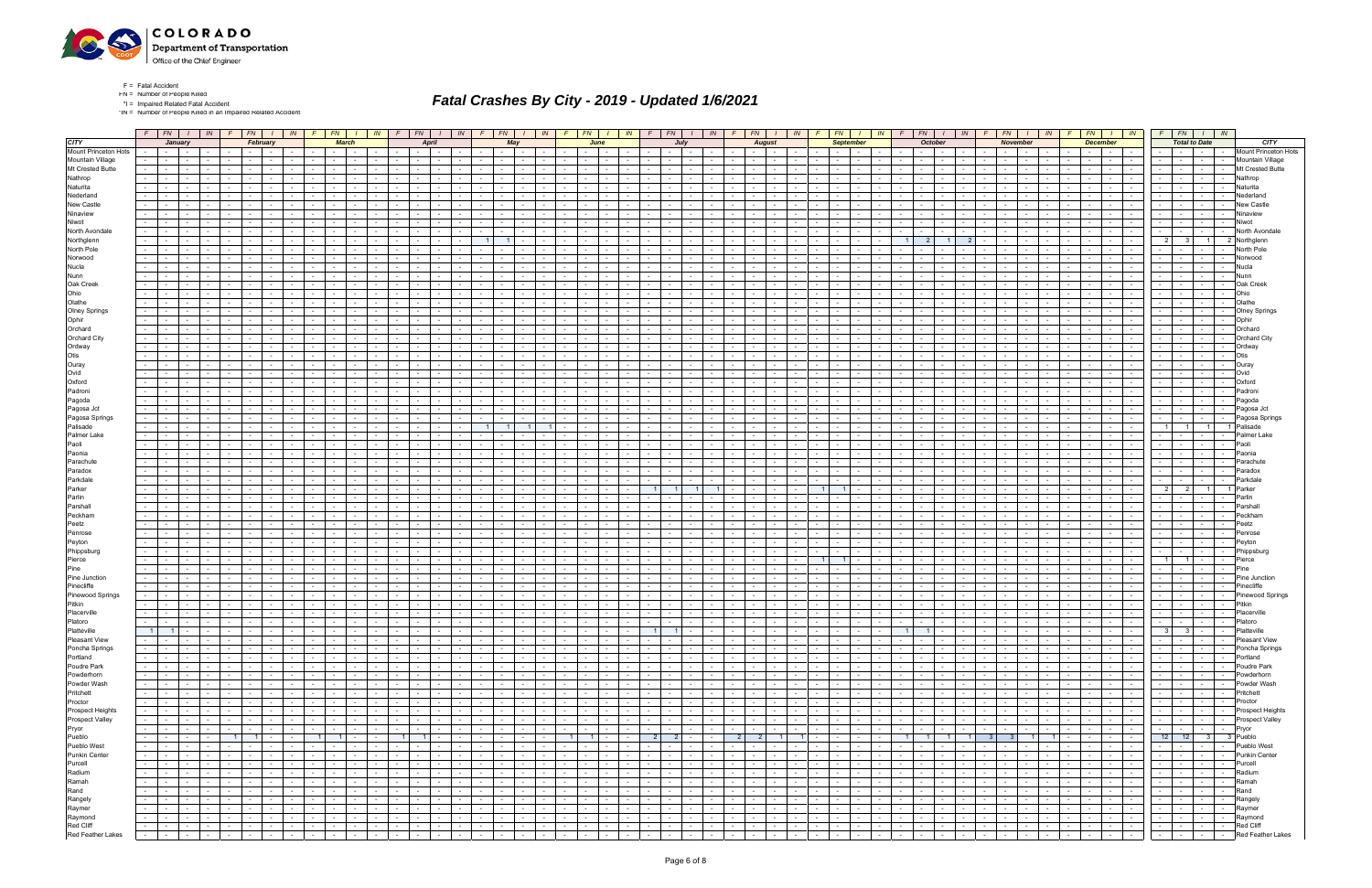

\*IN = Number of People Killed in an Impaired Related Accident

|                             |                 |                          |                 |                          |                 |                                          |                          |                                   |                      |                    |                                          |                 | $F \mid FN$                        |                 | $I$   $IN$                    |                 |                                                                                                                                                                                                                                |                             |            |                                     |                                                                                                           |                  |                 |                      |                                          |                 |                      | $IN$ $F$ $FN$ $I$ $IN$                                                                                        |                                    | F                |                          | $F N$ $I$ $I N$ $F$                     |                                         | $F N$ $I$ $N$                           |                              | FN                               |                            | $I$ $IN$ $F$               |                          |                 | $FN$ $\mid$ $\mid$ $\mid$ $\mid$ $\mid$ $\mid$ | $F$ $FN$ $I$ $N$           |                      |                |                                |
|-----------------------------|-----------------|--------------------------|-----------------|--------------------------|-----------------|------------------------------------------|--------------------------|-----------------------------------|----------------------|--------------------|------------------------------------------|-----------------|------------------------------------|-----------------|-------------------------------|-----------------|--------------------------------------------------------------------------------------------------------------------------------------------------------------------------------------------------------------------------------|-----------------------------|------------|-------------------------------------|-----------------------------------------------------------------------------------------------------------|------------------|-----------------|----------------------|------------------------------------------|-----------------|----------------------|---------------------------------------------------------------------------------------------------------------|------------------------------------|------------------|--------------------------|-----------------------------------------|-----------------------------------------|-----------------------------------------|------------------------------|----------------------------------|----------------------------|----------------------------|--------------------------|-----------------|------------------------------------------------|----------------------------|----------------------|----------------|--------------------------------|
| <b>CITY</b>                 |                 |                          | January         |                          |                 | February                                 |                          |                                   |                      |                    | <b>March</b>                             |                 |                                    | April           |                               |                 |                                                                                                                                                                                                                                | May                         |            |                                     | June                                                                                                      |                  |                 |                      | July                                     |                 |                      | <b>August</b>                                                                                                 |                                    |                  | <b>September</b>         |                                         |                                         | October                                 |                              |                                  | November                   |                            |                          | <b>December</b> |                                                |                            | <b>Total to Date</b> |                | <b>CITY</b>                    |
| <b>Mount Princeton Hots</b> |                 | $\sim 10^{-11}$          | $\sim$          |                          |                 |                                          |                          |                                   |                      |                    |                                          |                 |                                    |                 |                               |                 |                                                                                                                                                                                                                                |                             |            |                                     |                                                                                                           |                  |                 |                      |                                          |                 |                      | $\sim$                                                                                                        |                                    |                  |                          |                                         |                                         |                                         |                              |                                  |                            |                            |                          |                 | $\sim$                                         |                            |                      |                | Mount Princeton Hots           |
| Mountain Village            | $\sim$ 10 $\pm$ | $\sim 10^{-1}$           | $\sim$          |                          |                 |                                          |                          |                                   |                      |                    |                                          |                 |                                    |                 |                               |                 |                                                                                                                                                                                                                                |                             |            |                                     |                                                                                                           |                  |                 |                      |                                          |                 |                      | $\sim$                                                                                                        |                                    |                  |                          |                                         |                                         |                                         |                              |                                  |                            |                            |                          | $\sim$          | $\sim$ $\sim$ $\sim$<br>$\sim$                 | $\sim$                     |                      |                | Mountain Village               |
| Mt Crested Butte            | $\sim$          |                          |                 |                          |                 |                                          |                          |                                   |                      |                    |                                          |                 |                                    |                 |                               |                 |                                                                                                                                                                                                                                |                             |            |                                     |                                                                                                           |                  |                 |                      |                                          |                 |                      |                                                                                                               |                                    |                  |                          |                                         |                                         |                                         |                              |                                  |                            |                            |                          |                 | $\sim$                                         | $\sim$                     |                      |                | Mt Crested Butte               |
| Nathrop                     | $\sim$          |                          |                 |                          |                 |                                          |                          |                                   |                      |                    |                                          |                 |                                    |                 |                               |                 |                                                                                                                                                                                                                                |                             |            |                                     |                                                                                                           |                  |                 |                      |                                          |                 |                      |                                                                                                               |                                    |                  |                          |                                         |                                         |                                         |                              |                                  |                            |                            |                          |                 |                                                |                            |                      |                | Nathrop                        |
| Naturita                    | $\sim$          |                          |                 |                          |                 |                                          |                          |                                   |                      |                    |                                          |                 |                                    |                 |                               |                 |                                                                                                                                                                                                                                |                             |            |                                     |                                                                                                           |                  |                 |                      |                                          |                 |                      |                                                                                                               |                                    |                  |                          |                                         |                                         |                                         |                              |                                  |                            |                            |                          |                 | $\sim$ 100 $\mu$                               |                            |                      |                | Naturita                       |
| Nederland                   |                 |                          |                 |                          |                 |                                          |                          |                                   |                      |                    |                                          |                 |                                    |                 |                               |                 |                                                                                                                                                                                                                                |                             |            |                                     |                                                                                                           |                  |                 |                      |                                          |                 |                      |                                                                                                               |                                    |                  |                          |                                         |                                         |                                         |                              |                                  |                            |                            |                          |                 |                                                |                            |                      |                | √ederland                      |
| New Castle                  | $\sim$          |                          |                 |                          |                 |                                          |                          |                                   |                      |                    |                                          |                 |                                    |                 |                               |                 |                                                                                                                                                                                                                                |                             |            |                                     |                                                                                                           |                  |                 |                      |                                          |                 |                      |                                                                                                               |                                    |                  |                          |                                         |                                         |                                         |                              |                                  |                            |                            |                          |                 |                                                |                            |                      |                | New Castle                     |
| Ninaview                    | $\sim$          |                          |                 |                          |                 |                                          |                          |                                   |                      |                    |                                          |                 |                                    |                 |                               |                 |                                                                                                                                                                                                                                |                             |            |                                     |                                                                                                           |                  |                 |                      |                                          |                 |                      |                                                                                                               |                                    |                  |                          |                                         |                                         |                                         |                              |                                  |                            |                            |                          |                 | <b>Service</b>                                 |                            |                      |                | Ninaviev                       |
| Niwot                       |                 |                          |                 |                          |                 |                                          |                          |                                   |                      |                    |                                          |                 |                                    |                 |                               |                 |                                                                                                                                                                                                                                |                             |            |                                     |                                                                                                           |                  |                 |                      |                                          |                 |                      |                                                                                                               |                                    |                  |                          |                                         |                                         |                                         |                              |                                  |                            |                            |                          |                 |                                                | $\sim$                     |                      |                | √iwot                          |
| North Avondale              | $\sim$          |                          |                 |                          |                 |                                          |                          |                                   |                      |                    |                                          |                 |                                    |                 |                               |                 |                                                                                                                                                                                                                                |                             |            |                                     |                                                                                                           |                  |                 |                      |                                          |                 |                      |                                                                                                               |                                    |                  |                          |                                         |                                         |                                         |                              |                                  |                            |                            |                          |                 |                                                |                            |                      |                | North Avondal                  |
| Northglenn                  | $\sim$          |                          |                 |                          |                 |                                          |                          |                                   |                      |                    |                                          |                 |                                    |                 |                               |                 |                                                                                                                                                                                                                                |                             |            |                                     |                                                                                                           |                  |                 |                      |                                          |                 |                      |                                                                                                               |                                    |                  |                          |                                         |                                         |                                         |                              |                                  |                            |                            |                          |                 | $\sim$ 100 $\mu$                               | 2 <sup>1</sup>             | 3 <sup>1</sup>       | 1 <sup>1</sup> | 2 Northalenr                   |
| North Pole                  | $\sim$          |                          |                 |                          |                 |                                          |                          |                                   |                      |                    |                                          |                 |                                    |                 |                               |                 |                                                                                                                                                                                                                                |                             |            |                                     |                                                                                                           |                  |                 |                      |                                          |                 |                      |                                                                                                               |                                    |                  |                          |                                         |                                         |                                         |                              |                                  |                            |                            |                          |                 |                                                |                            |                      |                | North Pole                     |
| Norwood                     | $\sim$          |                          |                 |                          |                 |                                          |                          |                                   |                      |                    |                                          |                 |                                    |                 |                               |                 |                                                                                                                                                                                                                                |                             |            |                                     |                                                                                                           |                  |                 |                      |                                          |                 |                      |                                                                                                               |                                    |                  |                          |                                         |                                         |                                         |                              |                                  |                            |                            |                          |                 | $\sim$                                         | $\sim$                     |                      |                | Norwood                        |
| Nucla                       | $\sim$          |                          |                 |                          |                 |                                          |                          |                                   |                      |                    |                                          |                 |                                    |                 |                               |                 |                                                                                                                                                                                                                                |                             |            |                                     |                                                                                                           |                  |                 |                      |                                          |                 |                      |                                                                                                               |                                    |                  |                          |                                         |                                         |                                         |                              |                                  |                            |                            |                          |                 |                                                |                            |                      |                | Nucla                          |
| Nunn                        |                 |                          |                 |                          |                 |                                          |                          |                                   |                      |                    |                                          |                 |                                    |                 |                               |                 |                                                                                                                                                                                                                                |                             |            |                                     |                                                                                                           |                  |                 |                      |                                          |                 |                      |                                                                                                               |                                    |                  |                          |                                         |                                         |                                         |                              |                                  |                            |                            |                          |                 |                                                |                            |                      |                | Nunn                           |
| Oak Creek                   | $\sim$          |                          | $\sim$          |                          |                 |                                          |                          |                                   |                      |                    |                                          |                 |                                    |                 |                               |                 | $\sim$                                                                                                                                                                                                                         |                             |            |                                     |                                                                                                           |                  |                 |                      |                                          |                 |                      |                                                                                                               |                                    |                  |                          |                                         |                                         |                                         |                              |                                  |                            |                            |                          |                 | <b>Service</b>                                 | $\sim$                     |                      | $\sim$         | Oak Creek                      |
| Ohio                        |                 |                          |                 |                          |                 |                                          |                          |                                   |                      |                    |                                          |                 |                                    |                 |                               |                 |                                                                                                                                                                                                                                |                             |            |                                     |                                                                                                           |                  |                 |                      |                                          |                 |                      |                                                                                                               |                                    |                  |                          |                                         |                                         |                                         |                              |                                  |                            |                            |                          |                 |                                                |                            |                      |                |                                |
| Olathe                      |                 |                          |                 |                          |                 |                                          |                          |                                   |                      |                    |                                          |                 |                                    |                 |                               |                 |                                                                                                                                                                                                                                |                             |            |                                     |                                                                                                           |                  |                 |                      |                                          |                 |                      |                                                                                                               |                                    |                  |                          |                                         |                                         |                                         |                              |                                  |                            |                            |                          |                 |                                                |                            |                      |                | Olathe                         |
| <b>Olney Springs</b>        | $\sim$          |                          | $\sim$          |                          |                 |                                          |                          |                                   |                      |                    |                                          |                 |                                    | $\sim$          |                               |                 | $\sim$                                                                                                                                                                                                                         |                             |            |                                     |                                                                                                           |                  |                 |                      | $\sim$                                   |                 |                      | $\sim$                                                                                                        |                                    |                  |                          |                                         |                                         |                                         |                              |                                  |                            |                            |                          |                 | <b>Service</b><br>$\sim$                       | $\sim$                     |                      | $\sim$         | <b>Olney Springs</b>           |
| Ophir                       |                 |                          |                 |                          |                 |                                          |                          |                                   |                      |                    |                                          |                 |                                    |                 |                               |                 |                                                                                                                                                                                                                                |                             |            |                                     |                                                                                                           |                  |                 |                      |                                          |                 |                      |                                                                                                               |                                    |                  |                          |                                         |                                         |                                         |                              |                                  |                            |                            |                          |                 |                                                |                            |                      |                | Ophir                          |
| Orchard                     | $\sim$          |                          |                 |                          |                 |                                          |                          |                                   |                      |                    |                                          |                 |                                    |                 |                               |                 |                                                                                                                                                                                                                                |                             |            |                                     |                                                                                                           |                  |                 |                      |                                          |                 |                      |                                                                                                               |                                    |                  |                          |                                         |                                         |                                         |                              |                                  |                            |                            |                          |                 |                                                |                            |                      |                | Orchard                        |
| Orchard City                | $\sim$          |                          |                 |                          |                 |                                          |                          |                                   |                      |                    |                                          |                 |                                    |                 |                               |                 | $\sim$                                                                                                                                                                                                                         |                             |            |                                     |                                                                                                           |                  |                 |                      | $\sim$                                   |                 |                      | $\sim$                                                                                                        |                                    |                  |                          |                                         |                                         |                                         |                              |                                  |                            |                            |                          |                 | <b>Service</b>                                 | $\sim$                     |                      | $\sim$         | Orchard City                   |
| Ordway                      |                 |                          |                 |                          |                 |                                          |                          |                                   |                      |                    |                                          |                 |                                    |                 |                               |                 |                                                                                                                                                                                                                                |                             |            |                                     |                                                                                                           |                  |                 |                      |                                          |                 |                      |                                                                                                               |                                    |                  |                          |                                         |                                         |                                         |                              |                                  |                            |                            |                          |                 |                                                |                            |                      |                | Ordwa                          |
| Otis                        | $\sim$          |                          |                 |                          |                 |                                          |                          |                                   |                      |                    |                                          |                 |                                    |                 |                               |                 |                                                                                                                                                                                                                                |                             |            |                                     |                                                                                                           |                  |                 |                      |                                          |                 |                      |                                                                                                               |                                    |                  |                          |                                         |                                         |                                         |                              |                                  |                            |                            |                          |                 |                                                |                            |                      |                | <b>Otis</b>                    |
| Ouray                       | $\sim$          |                          |                 |                          |                 |                                          |                          |                                   |                      |                    |                                          |                 |                                    |                 |                               |                 | $\sim$                                                                                                                                                                                                                         |                             |            |                                     |                                                                                                           |                  |                 |                      |                                          |                 |                      |                                                                                                               |                                    |                  |                          |                                         |                                         |                                         |                              |                                  |                            |                            |                          |                 | $\sim$                                         | $\sim$                     |                      |                | Ouray                          |
| Ovid                        |                 |                          |                 |                          |                 |                                          |                          |                                   |                      |                    |                                          |                 |                                    |                 |                               |                 |                                                                                                                                                                                                                                |                             |            |                                     |                                                                                                           |                  |                 |                      |                                          |                 |                      |                                                                                                               |                                    |                  |                          |                                         |                                         |                                         |                              |                                  |                            |                            |                          |                 |                                                |                            |                      |                | Niv∩                           |
| Oxford                      | $\sim$ 10 $\pm$ |                          |                 |                          |                 |                                          |                          |                                   |                      |                    |                                          |                 |                                    |                 |                               |                 |                                                                                                                                                                                                                                |                             |            |                                     |                                                                                                           |                  |                 |                      |                                          |                 |                      |                                                                                                               |                                    |                  |                          |                                         |                                         |                                         |                              |                                  |                            |                            |                          |                 | $\sim$ 100 $\pm$                               |                            |                      |                | Oxford                         |
| Padroni                     | $\sim$          |                          |                 |                          |                 |                                          |                          |                                   |                      |                    |                                          |                 |                                    |                 |                               |                 |                                                                                                                                                                                                                                |                             |            |                                     |                                                                                                           |                  |                 |                      |                                          |                 |                      |                                                                                                               |                                    |                  |                          |                                         |                                         |                                         |                              |                                  |                            |                            |                          |                 |                                                |                            |                      |                | Padroni                        |
| Pagoda                      |                 |                          |                 |                          |                 |                                          |                          |                                   |                      |                    |                                          |                 |                                    |                 |                               |                 |                                                                                                                                                                                                                                |                             |            |                                     |                                                                                                           |                  |                 |                      |                                          |                 |                      |                                                                                                               |                                    |                  |                          |                                         |                                         |                                         |                              |                                  |                            |                            |                          |                 |                                                |                            |                      |                | Pagoda                         |
| Pagosa Jct                  | $\sim$ 10 $\pm$ |                          |                 |                          |                 |                                          |                          |                                   |                      |                    |                                          |                 |                                    |                 |                               |                 |                                                                                                                                                                                                                                |                             |            |                                     |                                                                                                           |                  |                 |                      |                                          |                 |                      |                                                                                                               |                                    |                  |                          |                                         |                                         |                                         |                              |                                  |                            |                            |                          |                 | $\sim$ 100 $\mu$                               |                            |                      |                | Pagosa Jct                     |
| Pagosa Springs              | $\sim$          |                          |                 |                          |                 |                                          |                          |                                   |                      |                    |                                          |                 |                                    |                 |                               |                 |                                                                                                                                                                                                                                |                             |            |                                     |                                                                                                           |                  |                 |                      |                                          |                 |                      |                                                                                                               |                                    |                  |                          |                                         |                                         |                                         |                              |                                  |                            |                            |                          |                 |                                                |                            |                      |                | Pagosa Springs                 |
| Palisade                    | $\sim$          |                          |                 |                          |                 |                                          |                          |                                   |                      |                    |                                          |                 |                                    |                 |                               |                 |                                                                                                                                                                                                                                |                             |            |                                     |                                                                                                           |                  |                 |                      |                                          |                 |                      |                                                                                                               |                                    |                  |                          |                                         |                                         |                                         |                              |                                  |                            |                            |                          |                 |                                                | $1 \mid$                   | $\overline{1}$       |                | Palisade                       |
| Palmer Lake                 | $\sim$          |                          |                 |                          |                 |                                          |                          |                                   |                      |                    |                                          |                 |                                    |                 |                               |                 |                                                                                                                                                                                                                                |                             |            |                                     |                                                                                                           |                  |                 |                      |                                          |                 |                      |                                                                                                               |                                    |                  |                          |                                         |                                         |                                         |                              |                                  |                            |                            |                          |                 | <b>Service</b>                                 |                            |                      |                | Palmer Lake                    |
| Paoli                       |                 |                          |                 |                          |                 |                                          |                          |                                   |                      |                    |                                          |                 |                                    |                 |                               |                 |                                                                                                                                                                                                                                |                             |            |                                     |                                                                                                           |                  |                 |                      |                                          |                 |                      |                                                                                                               |                                    |                  |                          |                                         |                                         |                                         |                              |                                  |                            |                            |                          |                 |                                                |                            |                      |                | Paoli                          |
| Paonia                      | $\sim$          |                          |                 |                          |                 |                                          |                          |                                   |                      |                    |                                          |                 |                                    |                 |                               |                 |                                                                                                                                                                                                                                |                             |            |                                     |                                                                                                           |                  |                 |                      |                                          |                 |                      |                                                                                                               |                                    |                  |                          |                                         |                                         |                                         |                              |                                  |                            |                            |                          |                 |                                                |                            |                      |                | Paonia                         |
| Parachute                   | $\sim$          |                          |                 |                          |                 |                                          |                          |                                   |                      |                    |                                          |                 |                                    |                 |                               |                 |                                                                                                                                                                                                                                |                             |            |                                     |                                                                                                           |                  |                 |                      |                                          |                 |                      |                                                                                                               |                                    |                  |                          |                                         |                                         |                                         |                              |                                  |                            |                            |                          |                 |                                                |                            |                      |                | <sup>o</sup> arachut           |
| Paradox                     | $\sim$          |                          |                 |                          |                 |                                          |                          |                                   |                      |                    |                                          |                 |                                    |                 |                               |                 |                                                                                                                                                                                                                                |                             |            |                                     |                                                                                                           |                  |                 |                      |                                          |                 |                      |                                                                                                               |                                    |                  |                          |                                         |                                         |                                         |                              |                                  |                            |                            |                          |                 |                                                |                            |                      |                | Paradox                        |
| Parkdale                    | $\sim$          |                          |                 |                          |                 |                                          |                          |                                   |                      |                    |                                          |                 |                                    |                 |                               |                 |                                                                                                                                                                                                                                |                             |            |                                     |                                                                                                           |                  |                 |                      |                                          |                 |                      |                                                                                                               |                                    |                  |                          |                                         |                                         |                                         |                              |                                  |                            |                            |                          |                 |                                                |                            |                      |                | Parkdale                       |
| Parker                      | $\sim$          |                          |                 |                          |                 |                                          |                          |                                   |                      |                    |                                          |                 |                                    |                 |                               |                 |                                                                                                                                                                                                                                |                             |            |                                     |                                                                                                           |                  |                 |                      |                                          |                 |                      |                                                                                                               |                                    |                  |                          |                                         |                                         |                                         |                              |                                  |                            |                            |                          |                 |                                                | $\overline{2}$             | $\overline{2}$       |                | Parker                         |
| Parlin                      | $\sim$          |                          |                 |                          |                 |                                          |                          |                                   |                      |                    |                                          |                 |                                    |                 |                               |                 |                                                                                                                                                                                                                                |                             |            |                                     |                                                                                                           |                  |                 |                      |                                          |                 |                      |                                                                                                               |                                    |                  |                          |                                         |                                         |                                         |                              |                                  |                            |                            |                          |                 |                                                |                            |                      |                | Parlin                         |
| Parshall                    | $\sim$          |                          |                 |                          |                 |                                          |                          |                                   |                      |                    |                                          |                 |                                    |                 |                               |                 |                                                                                                                                                                                                                                |                             |            |                                     |                                                                                                           |                  |                 |                      | $\sim$                                   |                 |                      |                                                                                                               |                                    |                  |                          |                                         |                                         |                                         |                              |                                  |                            |                            |                          |                 | $\sim$ $\sim$                                  | $\sim$                     |                      |                | Parshal                        |
| Peckham                     | $\sim$          |                          |                 |                          |                 |                                          |                          |                                   |                      |                    |                                          |                 |                                    |                 |                               |                 |                                                                                                                                                                                                                                |                             |            |                                     |                                                                                                           |                  |                 |                      |                                          |                 |                      |                                                                                                               |                                    |                  |                          |                                         |                                         |                                         |                              |                                  |                            |                            |                          |                 |                                                |                            |                      |                | Peckha                         |
| Peetz                       |                 |                          |                 |                          |                 |                                          |                          |                                   |                      |                    |                                          |                 |                                    |                 |                               |                 |                                                                                                                                                                                                                                |                             |            |                                     |                                                                                                           |                  |                 |                      |                                          |                 |                      |                                                                                                               |                                    |                  |                          |                                         |                                         |                                         |                              |                                  |                            |                            |                          |                 |                                                |                            |                      |                | Peetz                          |
| Penrose                     | $\sim$          |                          |                 |                          |                 |                                          |                          |                                   |                      |                    |                                          |                 |                                    |                 |                               |                 | $\sim$                                                                                                                                                                                                                         |                             |            |                                     |                                                                                                           |                  |                 |                      |                                          |                 |                      |                                                                                                               |                                    |                  |                          |                                         |                                         |                                         |                              |                                  |                            |                            |                          |                 | .                                              | $\sim$                     |                      |                | Penrose                        |
| Peyton                      |                 |                          |                 |                          |                 |                                          |                          |                                   |                      |                    |                                          |                 |                                    |                 |                               |                 |                                                                                                                                                                                                                                |                             |            |                                     |                                                                                                           |                  |                 |                      |                                          |                 |                      |                                                                                                               |                                    |                  |                          |                                         |                                         |                                         |                              |                                  |                            |                            |                          |                 |                                                |                            |                      |                |                                |
| Phippsburg                  | $\sim$ 10 $\pm$ |                          |                 |                          |                 |                                          |                          |                                   |                      |                    |                                          |                 |                                    |                 |                               |                 |                                                                                                                                                                                                                                |                             |            |                                     |                                                                                                           |                  |                 |                      |                                          |                 |                      |                                                                                                               |                                    |                  |                          |                                         |                                         |                                         |                              |                                  |                            |                            |                          |                 |                                                |                            |                      |                | Phippsburg                     |
| Pierce                      | $\sim$          |                          |                 |                          |                 |                                          |                          |                                   |                      |                    |                                          |                 |                                    |                 |                               |                 |                                                                                                                                                                                                                                |                             |            |                                     |                                                                                                           |                  |                 |                      |                                          |                 |                      |                                                                                                               |                                    | 1 <sup>1</sup>   | $\overline{1}$           |                                         |                                         |                                         |                              |                                  |                            |                            |                          |                 | .                                              | $1 \mid$                   | $\blacksquare$ 1     | $\sim$         | Pierce                         |
| Pine                        |                 |                          |                 |                          |                 |                                          |                          |                                   |                      |                    |                                          |                 |                                    |                 |                               |                 |                                                                                                                                                                                                                                |                             |            |                                     |                                                                                                           |                  |                 |                      |                                          |                 |                      |                                                                                                               |                                    |                  |                          |                                         |                                         |                                         |                              |                                  |                            |                            |                          |                 |                                                |                            |                      |                |                                |
| Pine Junction               | $\sim 100$      |                          |                 |                          |                 |                                          |                          |                                   |                      |                    |                                          |                 |                                    |                 |                               |                 |                                                                                                                                                                                                                                |                             |            |                                     |                                                                                                           |                  |                 |                      |                                          |                 |                      |                                                                                                               |                                    |                  |                          |                                         |                                         |                                         |                              |                                  |                            |                            |                          |                 |                                                |                            |                      |                | Pine Junction                  |
| Pinecliffe                  |                 |                          |                 |                          |                 |                                          |                          |                                   |                      |                    |                                          |                 |                                    |                 |                               |                 |                                                                                                                                                                                                                                |                             |            |                                     |                                                                                                           |                  |                 |                      |                                          |                 |                      |                                                                                                               |                                    |                  |                          |                                         |                                         |                                         |                              |                                  |                            |                            |                          |                 |                                                | $\sim$                     |                      |                | Pinecliffe                     |
| <b>Pinewood Springs</b>     | $\sim$          |                          |                 |                          |                 |                                          |                          |                                   |                      |                    |                                          |                 |                                    |                 |                               |                 |                                                                                                                                                                                                                                |                             |            |                                     |                                                                                                           |                  |                 |                      |                                          |                 |                      |                                                                                                               |                                    |                  |                          |                                         |                                         |                                         |                              |                                  |                            |                            |                          |                 |                                                |                            |                      |                | <b>Pinewood Springs</b>        |
| Pitkin                      | $\sim$ 10 $\pm$ |                          |                 |                          |                 |                                          |                          |                                   |                      |                    |                                          |                 |                                    |                 |                               |                 |                                                                                                                                                                                                                                |                             |            |                                     |                                                                                                           |                  |                 |                      |                                          |                 |                      |                                                                                                               |                                    |                  |                          |                                         |                                         |                                         |                              |                                  |                            |                            |                          |                 | $\sim$ 100 $\mu$                               |                            |                      |                | Pitkin                         |
| Placerville                 | $\sim$          |                          |                 |                          |                 |                                          |                          |                                   |                      |                    |                                          |                 |                                    |                 |                               |                 |                                                                                                                                                                                                                                |                             |            |                                     |                                                                                                           |                  |                 |                      |                                          |                 |                      |                                                                                                               |                                    |                  |                          |                                         |                                         |                                         |                              |                                  |                            |                            |                          |                 | $\sim$ $-$<br>$\sim 100$                       | $\sim$                     |                      |                | Placerville                    |
| Platoro                     | $\sim$ 10 $\pm$ | $\sim$ 100 $\mu$         | $\sim$          |                          |                 |                                          | $\sim$                   |                                   |                      | $\sim 10^{-11}$    | $\sim 10^{-1}$                           | $\sim$ $-$      |                                    | $\sim$ 10 $\pm$ | $\sim$ $-$                    |                 | $\sim$                                                                                                                                                                                                                         | $\sim$ 100 $\sim$           |            |                                     | $\sim$                                                                                                    |                  |                 | $\sim$ 10 $\pm$      | $\sim$<br>$\sim$ $-$                     |                 | $\sim$               | $\sim$<br>$\sim$                                                                                              |                                    |                  |                          |                                         |                                         |                                         |                              | $\sim$ $-$                       |                            |                            |                          |                 | $\sim 100$                                     | $\sim$ 100 $\mu$<br>$\sim$ |                      |                | Platoro                        |
| Platteville                 |                 | $1 \quad 1$              |                 |                          |                 |                                          |                          |                                   |                      |                    |                                          |                 | the contract of the con-           |                 | and the state of the state of |                 | <b>Service</b> Service                                                                                                                                                                                                         | $\sim$ $\sim$ $\sim$ $\sim$ |            |                                     |                                                                                                           |                  |                 |                      | $1 \quad 1$                              |                 |                      | .                                                                                                             |                                    | $\sim$           | $   -$                   | $\mathbf{1}$ and $\mathbf{1}$           | $\begin{array}{c c} \hline \end{array}$ | $\sim$ 1 $\sim$                         |                              | $\sim$ 100 $\mu$                 |                            | the company of the company | the contract of the con- |                 | the contract of the con-                       | $3 \mid 3 \mid -1$         |                      |                | Platteville                    |
| Pleasant View               |                 | <b>Section Contract</b>  | $\sim 100$      | <b>Contract</b>          | $\sim 100$      | $\sim$ $-$                               | the contract of the con- |                                   | $\sim 100$           |                    | the collection                           | $\sim 10^{-11}$ | the contract of                    |                 | the contract of the con-      |                 | $-1 - 1 - 1$                                                                                                                                                                                                                   |                             | $\sim$ $-$ |                                     | the contract of the contract of the con-                                                                  |                  | $\sim$          |                      | the contract of the con-                 |                 |                      |                                                                                                               | <b>Contract</b>                    | $\sim 10$        | $\sim 10^{-10}$          | $\sim$ $-$<br><b>Contract</b>           | <b>Contract</b>                         | $\sim 10^{-11}$<br>$\sim$ $\sim$ $\sim$ | $\sim 10^{-11}$              | the contract of                  |                            | and the state              | $\sim$ $  -$             | $\sim 10^{-10}$ | <b>Contract Contract</b>                       | $-1 - 1 - 1 - 1$           |                      |                | Pleasant View                  |
| Poncha Springs              |                 | <b>Service State</b>     | $\sim$          | $\sim$                   | $\sim$          | $\sim$ $\sim$ $\sim$ $\sim$              | $\sim$ $-$               | and the state of the state of the | $\sim 100$           |                    | the contract of the contract of          | <b>Contract</b> | <b>Contract Contract Contract</b>  |                 | and the state                 |                 |                                                                                                                                                                                                                                |                             | $\sim$     | the contract of the contract of the |                                                                                                           | <b>Contract</b>  | $\sim$          |                      | the contract of the con-                 | <b>Contract</b> |                      | and the contract of the contract of                                                                           | $\sim 10^{-11}$                    |                  | <b>Service</b> School    | $\sim$ $-$<br>$\sim$ 100 $\mu$          | $\sim$                                  | $\sim 10^{-10}$<br>$-1$                 | $\sim 10^{-10}$              | $\sim$ $  -$<br><b>Contract</b>  |                            | the contract of            | $\sim$ $-$               | <b>Contract</b> |                                                | .                          |                      | $\sim 10^{-1}$ | Poncha Springs                 |
| Portland                    |                 | <b>Second Second</b>     | $\sim 10^{-11}$ | <b>Contract</b>          | $\sim$          | 10 Million 10 Million                    |                          |                                   | $\sim$ $\sim$        |                    | المحال جال جا                            |                 | the contract of                    |                 | and the control               |                 | the contract of the contract of the contract of the contract of the contract of the contract of the contract of the contract of the contract of the contract of the contract of the contract of the contract of the contract o |                             |            |                                     | the contract of the contract of                                                                           |                  | $\sim$          |                      |                                          | $\sim 10^{-11}$ |                      | and the contract                                                                                              | <b>Contract</b>                    |                  | $-1 - 1$                 | the contract of                         | <b>Contract</b>                         | <b>Contract Contract</b>                | $\sim 10^{-11}$              | <b>Contract Contract</b>         |                            | <b>Contract Contract</b>   |                          |                 | .                                              | .                          |                      |                | Portland                       |
| Poudre Park                 | $\sim$          | <b>Contract Contract</b> | $\sim$ $-$      | <b>Contract Contract</b> | $\sim$          | $\sim$ $\sim$ $\sim$ $\sim$              | the contract of          |                                   | $\sim 100$           |                    | and the contract                         |                 | the contract of                    |                 | the contract                  |                 | $-1 - 1 - 1 - 1$                                                                                                                                                                                                               |                             | $\sim$     | the contract of                     |                                                                                                           | $\sim 10^{-11}$  | $\sim$ $-$      |                      | <b>Second Second Second</b>              | $\sim 10^{-10}$ |                      | 1989 - 1989 - 1989 - 1989 - 1989 - 1989 - 1989 - 1989 - 1989 - 1989 - 1989 - 1989 - 1989 - 1989 - 1989 - 1989 | $\sim 10^{-11}$                    | $\sim$ 100 $\mu$ | $\sim$ $\sim$ $\sim$     | $\sim$<br>$\sim 100$                    | $\sim$ $-$                              | $\sim$ $-$<br>$\sim$ $\sim$ $\sim$      | <b>Contract</b>              | <b>Service</b> Service           |                            | the contract of            | <b>Contract Contract</b> |                 | 1999 - Personal Property Corp.                 | the company                |                      |                | -   -   Poudre Park            |
| Powderhorn                  | $\sim 100$      | <b>Contract</b>          | $\sim$          | $\sim 100$               | $\sim$ $-$      | <b>Contract Contract</b>                 | the contract of          |                                   | $\sim$               |                    | the contract of the con-                 | $\sim 10^{-11}$ | the contract of                    |                 | and the state                 | $\sim 10^{-11}$ |                                                                                                                                                                                                                                | the contract of             | $\sim$     | $\sim$ $\sim$ $\sim$                |                                                                                                           | $\sim 10^{-11}$  | $\sim 10^{-1}$  | $\sim 10^{-11}$      | the contract of                          | <b>Contract</b> |                      | $\sim 100$ km s $^{-1}$<br>$\sim 100$                                                                         | $\sim 10^{-11}$                    | $\sim$           | <b>Contract Contract</b> | $\sim$<br>$\sim$ $-$                    | $\sim 10^{-1}$                          | $\sim$ $-$<br>$\sim$ $-$                | $\sim$ $-$                   | $\sim$ $\sim$<br><b>Contract</b> |                            | the contract of            | <b>Contract</b>          | <b>Contract</b> | the contract                                   | the contract of            |                      |                | - Powderhorn                   |
| Powder Wash                 | $\sim 100$      | <b>Contract</b>          | $\sim$          | $\sim 10^{-10}$          | $\sim$          | $\sim$ $\sim$ $\sim$                     |                          | the contract of                   | $\sim 10^{-11}$      |                    | $-1 - 1$                                 | $\sim 10^{-11}$ | $-1 - 1$                           |                 | and the state                 |                 | $-1 - 1 - 1$                                                                                                                                                                                                                   |                             | $\sim$     | the contract of                     |                                                                                                           | <b>Contract</b>  | $\sim$          |                      | $-1 - 1 - 1 - 1$                         | $\sim 10^{-11}$ |                      | the contract of the con-                                                                                      | $\sim$ $-$                         | $\sim$           | <b>Contract Contract</b> | $\sim$<br><b>Contract</b>               | $\sim 10^{-1}$                          | $\sim 10^{-11}$<br>$\sim$               | $\sim 10^{-11}$              | and the co                       |                            | the contract of            | the company of           |                 | 1940 - <b>1940</b>                             | the contract of            |                      | .              | Powder Wash                    |
| Pritchett                   | $\sim$          | <b>Contract</b>          | $\sim$          | $\sim$                   | $\sim$          | $\sim 100$                               | $\sim$                   | $\sim 10^{-11}$                   | $\sim$               |                    | <b>Second Second</b>                     | $\sim 10^{-1}$  | $\sim$ $\sim$                      | $\sim$ $-$      | and the state                 | $\sim 100$      | $\sim$ $-$                                                                                                                                                                                                                     | $\sim 100$ m $^{-1}$        | $\sim$     | $\sim 10^{-11}$                     | $\sim$                                                                                                    | <b>Contract</b>  | $\sim$          | $\sim 10^{-11}$      | $\sim 10^{-11}$                          | $\sim$ $-$      | $\sim$ $-$           | $\sim 10^{-11}$<br>$\sim 10^{-11}$                                                                            | $\sim$ $-$                         | $\sim$           | $\sim 10^{-11}$          | $\sim$<br>$\sim$                        | $\sim 10^{-1}$<br>$\sim 100$            | $\sim$                                  | $\sim$ $-$                   | $\sim 10^{-11}$<br>$\sim$ $-$    | $\sim$ $\sim$              | <b>Contract</b>            | $\sim$ $-$               | $\sim 10^{-11}$ | and the state                                  | <b>All Part</b>            | $\sim$ $\sim$ $\sim$ | $\sim$ $-$     | Pritchett                      |
| Proctor                     | $\sim$ $\sim$   | <b>Contract</b>          | $\sim$          | $\sim 100$               | $\sim$          | <b>Contract Contract</b>                 | the contract of          |                                   | $\sim$               |                    | the contract of                          | $\sim 10^{-11}$ | the contract of                    |                 | and the state                 | $\sim 10^{-11}$ | $\sim$ $-$                                                                                                                                                                                                                     | $\sim$ 100 $\sim$           | $\sim$     | $-1$                                | $\sim 10^{-1}$                                                                                            | <b>Contract</b>  | $\sim$          | $\sim 10^{-11}$      | the contract of                          | <b>Contract</b> |                      | $\sim 100$                                                                                                    | $\sim$ $-$                         | $\sim$           | <b>Contract Contract</b> | $\sim$<br>$\sim 100$                    | $\sim$                                  | $\sim$ $-$<br>$\sim$ $-$                | $\sim$ $-$                   | the contract of                  |                            | the contract of            | <b>Contract</b>          | $\sim 10^{-11}$ | the contract                                   |                            |                      |                | - - - - - Proctor              |
| Prospect Heights            |                 | <b>All Street</b>        | $\sim$          | <b>Contract</b>          | $\sim$          | $\sim$ $\sim$                            |                          | the contract of                   | $\sim 10^{-11}$      |                    | $-1 - 1$                                 | $\sim 10^{-11}$ | the contract of                    |                 | and the state                 |                 | $-1 - 1 - 1$                                                                                                                                                                                                                   |                             | $\sim$     | the contract of                     |                                                                                                           | <b>Contract</b>  | $\sim$ $-$      |                      | $-1 - 1 - 1 - 1$                         | $\sim 10^{-11}$ |                      | and the contract                                                                                              | $\sim$ $-$                         | $\sim$ $-$       | <b>Contract Contract</b> | $\sim$<br>$\sim 10^{-11}$               | $\sim$                                  | $\sim 10^{-11}$<br>$\sim$               | $\sim 10^{-11}$              | and the co                       |                            | the contract of            | the contract of          |                 | 1949 - Peter                                   |                            |                      |                | -   -   -   - Prospect Heights |
| Prospect Valley             | $\sim 100$      | <b>Contract</b>          | $\sim$          | $\sim 10^{-11}$          | $\sim$          | <b>Contract</b>                          | $\sim$                   | $\sim$                            | $\sim$               |                    | the contract of                          | $\sim 10^{-1}$  | <b>Second Control</b>              |                 | المحال المحاد                 | $\sim 10^{-11}$ |                                                                                                                                                                                                                                | <b>Contract Contract</b>    | $\sim$     | $\sim$ $\sim$                       | $\sim 10^{-1}$                                                                                            | <b>Contract</b>  | $\sim$          | $\sim 10^{-11}$      | the contract of                          | $\sim$          | $\sim 10^{-11}$      | $\sim$ $\sim$ $\sim$ $\sim$<br>$\sim 10^{-1}$                                                                 | $\sim$                             | $\sim$           | $\sim 10^{-10}$          | $\sim$<br>$\sim 10^{-11}$               | $\sim$                                  | $\sim$ $-$<br>$\sim 10^{-1}$            | $\sim$ $-$                   | $\sim$ $\sim$<br>$\sim 10^{-11}$ |                            | and the con-               | $\sim$ $-$               | $\sim 100$      | and the state                                  |                            |                      |                | -   -   -   - Prospect Valley  |
| Pryor                       | $\sim 100$      | <b>Contract</b>          | $\sim$          | $\sim 100$               | $\sim 100$      | $\sim$ $\sim$ $\sim$ $\sim$              |                          | the contract of the               | $\sim$ $\sim$ $\sim$ |                    | the contract of the con-                 |                 | $\sim$ $\sim$ $\sim$ $\sim$ $\sim$ |                 | the contract of the con-      | <b>Contract</b> |                                                                                                                                                                                                                                |                             | $\sim$     |                                     | $-1 - 1 - 1 - 1$                                                                                          |                  | $\sim$ $-$      |                      | $-1 - 1 - 1$                             | <b>Contract</b> |                      | $-1 - 1 - 1 -$                                                                                                | $\sim 10^{-11}$                    | $\sim$ $-$       | <b>Common</b>            | $\sim$<br>$\sim 100$                    | $\sim$                                  | $\sim$ $\sim$ $\sim$<br><b>Contract</b> | $\sim 10^{-11}$              | the contract of                  |                            | the contract of            | $\sim$ $-$               | <b>Contract</b> | <b>Contract Contract</b>                       | -   -   -   -   Pryor      |                      |                |                                |
| Pueblo                      | $\sim$          |                          | $\sim$          |                          |                 | $1 \quad 1$                              |                          | $\sim$                            |                      | $1 \mid 1 \mid -1$ |                                          | $\sim 10^{-11}$ |                                    |                 | $1 \t1 \t1$                   |                 | the contract                                                                                                                                                                                                                   | <b>Contract</b>             | $\sim$     |                                     | $\left  \begin{array}{c} 1 \\ 1 \end{array} \right $ $\left  \begin{array}{c} 1 \\ 1 \end{array} \right $ |                  | $\sim$ $-$      |                      | $2$   $2$   $-$                          | <b>Contract</b> | $2 \mid 2 \mid$      |                                                                                                               | $\blacksquare$ 1<br>$\overline{1}$ | $\sim$           | <b>Contract</b>          | $\sim$<br>$\sim 100$                    | 1                                       | $1 \quad 1$                             |                              | $1 \ 3 \ 3 \ 1 \ 1 \ 1$          |                            |                            |                          |                 | and the state                                  |                            |                      |                | 12 12 3 3 Pueblo               |
| Pueblo West                 | $\sim 100$      | <b>Contract</b>          | $\sim$          | $\sim$                   |                 | $-1 - 1$                                 | $\sim$                   | $\mathbf{I}$ and $\mathbf{I}$     | $\sim$ $\sim$ $\sim$ |                    |                                          | $\sim 10^{-11}$ |                                    |                 |                               |                 |                                                                                                                                                                                                                                |                             | $\sim$     | the contract of the contract of the |                                                                                                           | <b>Contract</b>  | $\sim$          |                      | $-1 - 1 -$                               | $\sim 10^{-11}$ | <b>Service State</b> | $\sim 10^{-11}$                                                                                               | $\sim$                             | $\sim$           | <b>Contract Contract</b> | $\sim$<br>$\sim$                        | $\sim$ 100 $\mu$                        | $\sim 10^{-10}$                         | $\sim$ 10 $\pm$              | $\sim$ $\sim$<br><b>Contract</b> |                            | the contract of the con-   | $\sim$ $  -$             | <b>Contract</b> | and the state                                  | $-1 - 1 - 1$               |                      | $\sim 10^{-1}$ | Pueblo West                    |
| Punkin Center               |                 | <b>All And</b>           | $\sim 10^{-1}$  | <b>Contract</b>          |                 | the contract of the contract of the con- |                          |                                   | $\sim$ $\sim$        |                    | and the state of the state               |                 |                                    |                 | $-$ 1 $-$ 1 $-$ 1 $-$         |                 | $-1 - 1 - 1$                                                                                                                                                                                                                   |                             | $\sim$     |                                     | the contract of the contract of the con-                                                                  |                  | $\sim$ $-$      |                      | and the later                            | $\sim 10^{-10}$ |                      |                                                                                                               | <b>Contract</b>                    |                  | $-1 - 1$                 | $\sim$<br>$\mathbf{I}$ and $\mathbf{I}$ | $\sim$                                  | $\sim 10^{-11}$<br>$\sim$               | $\sim 10^{-11}$              | $-1 - 1$                         |                            | the contract of            | $\sim$ $-$               | $\sim 10^{-10}$ | $  \cdot   \cdot  $                            | $-1 - 1 - 1$               |                      | $\sim$ $-$     | <b>Punkin Center</b>           |
| Purcell                     | $\sim$          | $\sim 100$               | $\sim$          |                          |                 | $-1$                                     | $\sim$                   | $\sim$ 100 $\pm$                  | $\sim$               |                    | the contract of the contract of the      | $\sim 10^{-11}$ | the contract of                    |                 | the contract                  | $\sim 100$      | $\sim 100$                                                                                                                                                                                                                     | <b>Contract Contract</b>    | $\sim$     | $-1$                                | $\sim 10^{-1}$                                                                                            | <b>Contract</b>  | $\sim$ $-$      | $\sim$ $\sim$ $\sim$ | the contract of                          | $\sim$ $-$      | $\sim 10^{-11}$      | <b>Common</b><br>$\sim 100$                                                                                   | $\sim$ $-$                         |                  | $\sim$ $-$               | $\sim$<br>$\sim$ $-$                    |                                         | $\sim$ $\sim$ $\sim$<br>$\sim$ $ \sim$  | $\sim$ $ \sim$<br>$\sim$ $-$ | $\sim 10^{-11}$                  | and the state of the state |                            | <b>Contract Contract</b> | $\sim 100$      | and the state                                  | the contract of            | $\sim 100$           | $\sim$         | Purcell                        |
| Radium                      | $\sim 100$      | <b>Contract</b>          | $\sim$          | $\sim 100$               | $\sim 10^{-10}$ | <b>Contract Contract</b>                 | the contract of          |                                   | $\sim$               |                    | the contract of the contract of the      | $\sim 10^{-11}$ | the contract of                    |                 | and the state                 | $\sim 10^{-10}$ | $\sim$ $-$                                                                                                                                                                                                                     | $\sim$ $-$                  | $\sim$     | $\sim$ $\sim$ $\sim$                | $\sim$                                                                                                    | $\sim$ 100 $\mu$ | $\sim$          | $\sim 10^{-11}$      | the contract of                          | <b>Contract</b> | <b>Contract</b>      | $\sim 100$ km s $^{-1}$<br>$\sim 100$                                                                         | $\sim 100$                         | $\sim$           | <b>Contract Contract</b> | $\sim$<br>$\sim$ $-$                    | $\sim$<br><b>Contract</b>               | $\sim 10^{-1}$                          | $\sim$ $-$                   | $\sim$ $\sim$<br><b>Contract</b> |                            | the contract of            | $\sim$ $-$               | $\sim 100$      | and the state                                  |                            |                      | $\sim$ $-$     | Radium                         |
| Ramah                       |                 | the contract of          | $\sim$ $-$      | <b>Contract</b>          |                 | the contract of the contract of the con- |                          |                                   | $\sim 10^{-11}$      |                    | the product of the con-                  |                 | the contract of                    |                 | and the control               |                 | $-1 - 1 - 1$                                                                                                                                                                                                                   |                             | $\sim$     |                                     | $-1 - 1 - 1 - 1$                                                                                          |                  | $\sim$ $-$      |                      | and the later                            | <b>Contract</b> |                      | the contract of the con-                                                                                      | $\sim 100$                         |                  | $-1 - 1$                 | $\sim$<br><b>Contract</b>               | $\sim$ $-$                              | $\sim 10^{-11}$<br>$\sim$               | $\sim 10^{-11}$              | $-1 - 1$                         |                            | the contract of            | $\sim$ $-$               | $\sim 10^{-11}$ | 1949 - Peter                                   | $-1 - 1 - 1$               |                      | $\sim$         | Ramah                          |
| Rand                        | $\sim 100$      | $\sim 100$               |                 |                          | $\sim$          | $\sim$ $\sim$ $\sim$                     | $\sim$                   | $\mathbf{r}$                      | $\sim$               |                    | the contract of the contract of the      | $\sim 10^{-11}$ | the contract of                    |                 | the collection                | $\sim 100$      | $\sim 100$                                                                                                                                                                                                                     | <b>Contract Contract</b>    | $\sim$     | the contract of                     |                                                                                                           | <b>Contract</b>  | $\sim$ $-$      | $\sim$ $\sim$ $\sim$ | the contract of                          | $\sim$ $-$      | <b>Contract</b>      | $\sim 100$<br>$\sim$ $-$                                                                                      | $\sim 10^{-11}$                    | $\sim$ $-$       | <b>Contract</b>          | $\sim$<br>$\sim 100$                    |                                         | $\sim$ $\sim$ $\sim$<br>$\sim$ $ \sim$  | $\sim$ $ \sim$<br>$\sim$ $-$ | $\sim 10^{-11}$                  |                            | <b>Contract Contract</b>   | $\sim$ $-$               | $\sim 100$      | <b>Contract Contract</b>                       | the contract of            |                      | $\sim$         | Rand                           |
| Rangely                     | $\sim$ $-$      | <b>Contract</b>          | $\sim$          | $\sim 10^{-10}$          | $\sim 10^{-11}$ | <b>Contract Contract</b>                 | the contract of          |                                   | $\sim$ $-$           |                    | the contract of the contract of the      | $\sim 10^{-11}$ | the contract of                    |                 | and the state                 | $\sim 10^{-10}$ | $\sim$ $-$                                                                                                                                                                                                                     | <b>Contract Contract</b>    | $\sim$     | $\sim$ $\sim$                       | $\sim 10^{-1}$                                                                                            | <b>Contract</b>  | $\sim$ $-$      | $\sim 100$           | the contract of                          | <b>Contract</b> | $\sim 10^{-11}$      | $\sim$ $\sim$ $\sim$ $\sim$<br>$\sim 100$                                                                     | $\sim 10^{-11}$                    | $\sim$           | <b>Contract Contract</b> | $\sim$<br><b>Contract</b>               | $\sim$<br><b>Contract</b>               | $\sim 10^{-1}$                          | $\sim 10^{-11}$              | $\sim$ $\sim$<br><b>Contract</b> |                            | the contract of            | <b>Contract</b>          | $\sim 100$      | and the state                                  | the contract of            | $\sim$ $-$           |                | - Rangely                      |
| Raymer                      |                 | <b>All Street</b>        | $\sim$          | <b>Contract</b>          | $\sim$          |                                          |                          |                                   | $\sim 10^{-11}$      |                    | the contract of the con-                 |                 |                                    |                 |                               |                 | $-$ 1 $-$ 1 $-$ 1 $-$                                                                                                                                                                                                          |                             |            |                                     | the contract of the con-                                                                                  |                  | $\sim$          |                      | $-1 - 1 - 1 - 1$                         | $\sim 10^{-10}$ |                      | the contract of the con-                                                                                      | <b>Contract</b>                    |                  | $-1 - 1$                 | $\sim$<br><b>Contract</b>               | $\sim$ $-$                              | $\sim 10^{-11}$<br>$\sim$               | $\sim 10^{-11}$              | and the co                       |                            | and the state              | $\sim$ $\sim$ $\sim$     |                 | and the contract                               |                            |                      |                | $    -$ Raymer                 |
| Raymond                     | $\sim 100$      | $\sim$                   | $\sim$          |                          | $\sim$          | $\sim$ 100 $\mu$                         | $\sim$                   | $\sim$                            | $\sim$               | $\sim$ $-$         | $\sim 10^{-10}$                          | $\sim 10^{-1}$  | $\sim$ $\sim$ $\sim$               | $\sim 100$      | and the state                 | $\sim 10^{-11}$ | $\sim$ $-$                                                                                                                                                                                                                     | <b>Contract Contract</b>    | $\sim$     | $\sim 100$                          | $\sim$                                                                                                    | <b>Contract</b>  | $\sim$          | $\sim 100$           | $\sim$ $-$<br>$\sim 10^{-11}$            | $\sim$          | $\sim$ $-$           | $\sim$<br><b>Contract</b>                                                                                     | $\sim$ $-$                         | $\sim$           | $\sim$                   | $\sim$<br>$\sim$                        | $\sim$ 100 $\mu$<br>$\sim$              | $\sim$ $-$                              | $\sim$ 10 $\pm$              | $\sim$ $-$<br>$\sim$ $-$         | $\sim 10^{-10}$            | $\sim 100$                 | $\sim$                   | $\sim$ $-$      | the collection                                 | the contract of            | <b>Service</b>       | $\sim$         | Raymond                        |
| Red Cliff                   |                 | the contract of          | $\sim$          | $\sim 100$               | $\sim$          | <b>Contract</b>                          |                          | the contract of                   |                      |                    | the contract of the contract of the con- |                 | the contract of                    |                 | the contract                  | $\sim 10^{-11}$ |                                                                                                                                                                                                                                | the contract of             | $\sim$     |                                     | $-1 - 1 - 1$                                                                                              |                  | $\sim$ $-$      |                      | the contract of the con-                 | $\sim 10^{-11}$ |                      | and the state of the state of the state                                                                       | $\sim 10^{-11}$                    | $\sim$           | <b>Contract</b>          | $\sim$<br>$\sim 10^{-11}$               | $\sim$                                  | $\sim$ $\sim$ $\sim$<br>$\sim$ $-$      | $\sim 10^{-11}$              | <b>Carl Carl Carl</b>            | the contract               |                            | $\sim 10^{-11}$          | $\sim 10^{-11}$ | the contract                                   | the contract of            | <b>Contract</b>      | $\sim$         | Red Cliff                      |
| <b>Red Feather Lakes</b>    |                 | <b>Section</b> Section   | $\sim 10$       | $\sim$ $-1$              | $\sim 100$      |                                          |                          | $     -$                          |                      |                    | .                                        |                 |                                    |                 |                               |                 | .                                                                                                                                                                                                                              |                             |            |                                     | $\sim$ 1 $\sim$ 1 $\sim$ 1                                                                                |                  | $\sim 10^{-11}$ |                      | the contract of the contract of the con- | $\sim 10^{-10}$ |                      | 1949 - 1940 - 1940 - 1940 - 1940 - 1940 - 1940 - 1940 - 1940 - 1940 - 1940 - 1940 - 1940 - 1940 - 1940 - 1940 | <b>Contract</b>                    |                  | $-1 - 1$                 | $\sim 10^{-11}$<br><b>Contract</b>      |                                         |                                         | $\sim$ $\sim$                | and the contract of              |                            | and the control            | the contract of          |                 | the contract of                                | the property of the        |                      | and the state  | <b>Red Feather Lakes</b>       |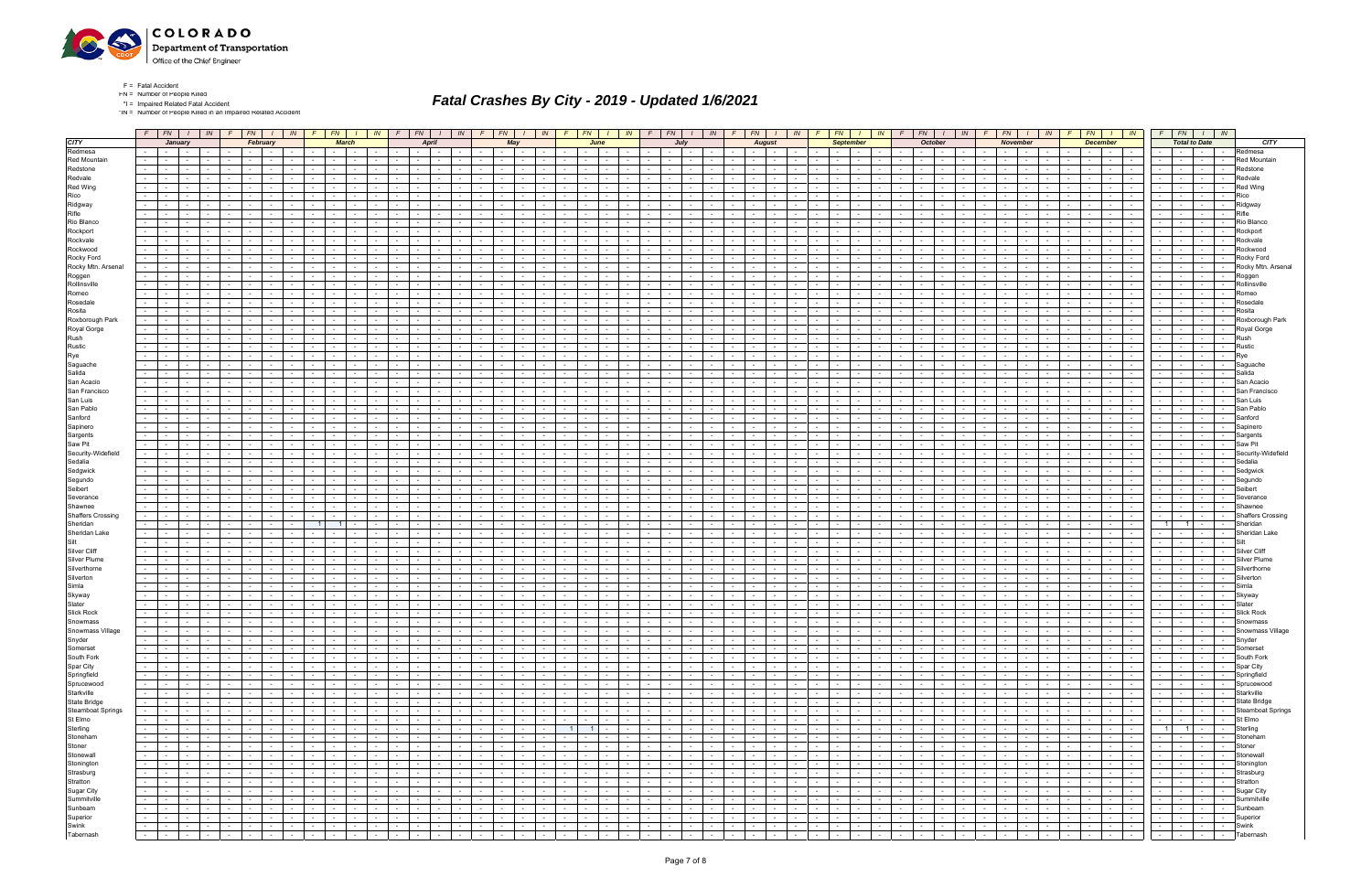

\*IN = Number of People Killed in an Impaired Related Accident

|                           |                  |                                                  |                                                                                                                                                                                                                                     |                               |                  |                                                         |                           |                               |                      | $F$ $F$ $\vert$ $I$ $\vert$ $I$ $\vert$ $I$ $\vert$ $F$ $\vert$ $F$ $\vert$ $I$ $\vert$ $I$ $\vert$ $I$ $\vert$ $I$ $\vert$ $I$ $\vert$ $I$ $\vert$ $I$ $\vert$ $I$ $\vert$ $I$ $\vert$ $I$ $\vert$ $I$ $\vert$ $I$ $\vert$ $I$ $\vert$ $I$ $\vert$ $I$ $\vert$ $I$ $\vert$ $I$ $\vert$ $I$ $\vert$ |                 |                      | $F \parallel F N$                  | $1 \mid W$                                                                                                                                                                                                                     |                      | $F$ $F$ $\mid$ $F$ $\mid$ $I$ $\mid$ $I$ $\mid$ $I$ $\mid$ $I$ $\mid$ $I$ $\mid$ $I$ $\mid$ $I$ $\mid$ $I$ $\mid$ $I$ $\mid$ $I$ $\mid$ $I$ $\mid$ $I$ $\mid$ $I$ $\mid$ $I$ $\mid$ $I$ $\mid$ $I$ $\mid$ $I$ $\mid$ $I$ $\mid$ $I$ $\mid$ $I$ $\mid$ $I$ $\mid$ $I$ $\mid$ |                            |                  |                                      |                                          |                                    |                              |                           | $F$ $FN$ $1$                             |                                    |                  | $IN$ $F$ $FN$ $I$ $N$                                                            |                               | $\sqrt{F}$               | $F N$ $I$                                                            | $\mid$ $\mid N \mid$ $\mid$ $\mid$ |                                                  | $FN$ $I$ $IN$                           |                               | FN                                                   |                                    | $1 \mid IN \mid$ |                                 |                 | $FN$ $I$ $IN$                                  | $F$ $FN$ $I$ $IN$                  |                             |                                           |                          |  |
|---------------------------|------------------|--------------------------------------------------|-------------------------------------------------------------------------------------------------------------------------------------------------------------------------------------------------------------------------------------|-------------------------------|------------------|---------------------------------------------------------|---------------------------|-------------------------------|----------------------|-----------------------------------------------------------------------------------------------------------------------------------------------------------------------------------------------------------------------------------------------------------------------------------------------------|-----------------|----------------------|------------------------------------|--------------------------------------------------------------------------------------------------------------------------------------------------------------------------------------------------------------------------------|----------------------|-----------------------------------------------------------------------------------------------------------------------------------------------------------------------------------------------------------------------------------------------------------------------------|----------------------------|------------------|--------------------------------------|------------------------------------------|------------------------------------|------------------------------|---------------------------|------------------------------------------|------------------------------------|------------------|----------------------------------------------------------------------------------|-------------------------------|--------------------------|----------------------------------------------------------------------|------------------------------------|--------------------------------------------------|-----------------------------------------|-------------------------------|------------------------------------------------------|------------------------------------|------------------|---------------------------------|-----------------|------------------------------------------------|------------------------------------|-----------------------------|-------------------------------------------|--------------------------|--|
| <b>CITY</b>               |                  |                                                  | January                                                                                                                                                                                                                             |                               |                  | February                                                |                           |                               |                      | <b>March</b>                                                                                                                                                                                                                                                                                        |                 |                      |                                    | April                                                                                                                                                                                                                          |                      |                                                                                                                                                                                                                                                                             | May                        |                  |                                      | June                                     |                                    |                              |                           | July                                     |                                    |                  | <b>August</b>                                                                    |                               |                          | <b>September</b>                                                     |                                    |                                                  | October                                 |                               |                                                      | November                           |                  |                                 | <b>December</b> |                                                |                                    | <b>Total to Date</b>        |                                           | <b>CITY</b>              |  |
| Redmesa                   |                  | $\sim$ $-$                                       | $\sim$                                                                                                                                                                                                                              |                               |                  |                                                         |                           |                               |                      |                                                                                                                                                                                                                                                                                                     |                 |                      |                                    |                                                                                                                                                                                                                                |                      |                                                                                                                                                                                                                                                                             |                            |                  |                                      |                                          |                                    |                              |                           |                                          |                                    |                  | $\sim$<br>$\sim$                                                                 |                               |                          |                                                                      |                                    |                                                  |                                         |                               |                                                      |                                    |                  |                                 |                 | $\sim$ 100 $\mu$                               | $\sim$                             |                             |                                           | Redmesa                  |  |
| Red Mountain              | $\sim$           | $\sim 10^{-1}$                                   |                                                                                                                                                                                                                                     |                               |                  |                                                         |                           |                               |                      |                                                                                                                                                                                                                                                                                                     |                 |                      |                                    |                                                                                                                                                                                                                                |                      |                                                                                                                                                                                                                                                                             |                            |                  |                                      |                                          |                                    |                              |                           |                                          |                                    |                  | $\sim$                                                                           |                               |                          |                                                                      |                                    |                                                  |                                         |                               |                                                      |                                    |                  |                                 | $\sim$          | <b>Service</b><br>$\sim$                       | $\sim$                             |                             |                                           | <b>Red Mountain</b>      |  |
| Redstone                  | $\sim$           |                                                  |                                                                                                                                                                                                                                     |                               |                  |                                                         |                           |                               |                      |                                                                                                                                                                                                                                                                                                     |                 |                      |                                    |                                                                                                                                                                                                                                |                      |                                                                                                                                                                                                                                                                             |                            |                  |                                      |                                          |                                    |                              |                           |                                          |                                    |                  |                                                                                  |                               |                          |                                                                      |                                    |                                                  |                                         |                               |                                                      |                                    |                  |                                 |                 | $\sim$                                         |                                    |                             |                                           |                          |  |
| Redvale                   | $\sim$           |                                                  |                                                                                                                                                                                                                                     |                               |                  |                                                         |                           |                               |                      |                                                                                                                                                                                                                                                                                                     |                 |                      |                                    |                                                                                                                                                                                                                                |                      |                                                                                                                                                                                                                                                                             |                            |                  |                                      |                                          |                                    |                              |                           |                                          |                                    |                  |                                                                                  |                               |                          |                                                                      |                                    |                                                  |                                         |                               |                                                      |                                    |                  |                                 |                 |                                                |                                    |                             |                                           | Redval                   |  |
| Red Wing                  | $\sim$ 10 $\pm$  |                                                  |                                                                                                                                                                                                                                     |                               |                  |                                                         |                           |                               |                      |                                                                                                                                                                                                                                                                                                     |                 |                      |                                    |                                                                                                                                                                                                                                |                      |                                                                                                                                                                                                                                                                             |                            |                  |                                      |                                          |                                    |                              |                           |                                          |                                    |                  |                                                                                  |                               |                          |                                                                      |                                    |                                                  |                                         |                               |                                                      |                                    |                  |                                 |                 | $\sim$ 100 $\mu$                               |                                    |                             |                                           | <b>Red Wind</b>          |  |
| Rico                      |                  |                                                  |                                                                                                                                                                                                                                     |                               |                  |                                                         |                           |                               |                      |                                                                                                                                                                                                                                                                                                     |                 |                      |                                    |                                                                                                                                                                                                                                |                      |                                                                                                                                                                                                                                                                             |                            |                  |                                      |                                          |                                    |                              |                           |                                          |                                    |                  |                                                                                  |                               |                          |                                                                      |                                    |                                                  |                                         |                               |                                                      |                                    |                  |                                 |                 |                                                |                                    |                             |                                           |                          |  |
| Ridgway                   |                  |                                                  |                                                                                                                                                                                                                                     |                               |                  |                                                         |                           |                               |                      |                                                                                                                                                                                                                                                                                                     |                 |                      |                                    |                                                                                                                                                                                                                                |                      |                                                                                                                                                                                                                                                                             |                            |                  |                                      |                                          |                                    |                              |                           |                                          |                                    |                  |                                                                                  |                               |                          |                                                                      |                                    |                                                  |                                         |                               |                                                      |                                    |                  |                                 |                 |                                                |                                    |                             |                                           | Ridgway                  |  |
| Rifle                     |                  |                                                  |                                                                                                                                                                                                                                     |                               |                  |                                                         |                           |                               |                      |                                                                                                                                                                                                                                                                                                     |                 |                      |                                    |                                                                                                                                                                                                                                |                      |                                                                                                                                                                                                                                                                             |                            |                  |                                      |                                          |                                    |                              |                           |                                          |                                    |                  |                                                                                  |                               |                          |                                                                      |                                    |                                                  |                                         |                               |                                                      |                                    |                  |                                 |                 | $\sim$ 100 $\mu$                               |                                    |                             |                                           |                          |  |
| Rio Blanco                |                  |                                                  |                                                                                                                                                                                                                                     |                               |                  |                                                         |                           |                               |                      |                                                                                                                                                                                                                                                                                                     |                 |                      |                                    |                                                                                                                                                                                                                                |                      |                                                                                                                                                                                                                                                                             |                            |                  |                                      |                                          |                                    |                              |                           |                                          |                                    |                  |                                                                                  |                               |                          |                                                                      |                                    |                                                  |                                         |                               |                                                      |                                    |                  |                                 |                 |                                                |                                    |                             |                                           | Rio Blanco               |  |
| Rockport                  | $\sim$           |                                                  |                                                                                                                                                                                                                                     |                               |                  |                                                         |                           |                               |                      |                                                                                                                                                                                                                                                                                                     |                 |                      |                                    |                                                                                                                                                                                                                                |                      |                                                                                                                                                                                                                                                                             |                            |                  |                                      |                                          |                                    |                              |                           |                                          |                                    |                  |                                                                                  |                               |                          |                                                                      |                                    |                                                  |                                         |                               |                                                      |                                    |                  |                                 |                 |                                                |                                    |                             |                                           | Rockport                 |  |
| Rockvale                  | $\sim$           |                                                  |                                                                                                                                                                                                                                     |                               |                  |                                                         |                           |                               |                      |                                                                                                                                                                                                                                                                                                     |                 |                      |                                    |                                                                                                                                                                                                                                |                      |                                                                                                                                                                                                                                                                             |                            |                  |                                      |                                          |                                    |                              |                           |                                          |                                    |                  |                                                                                  |                               |                          |                                                                      |                                    |                                                  |                                         |                               |                                                      |                                    |                  |                                 |                 | $\sim$ 100 $\mu$                               |                                    |                             |                                           | Rockvale                 |  |
| Rockwood                  |                  |                                                  |                                                                                                                                                                                                                                     |                               |                  |                                                         |                           |                               |                      |                                                                                                                                                                                                                                                                                                     |                 |                      |                                    |                                                                                                                                                                                                                                |                      |                                                                                                                                                                                                                                                                             |                            |                  |                                      |                                          |                                    |                              |                           |                                          |                                    |                  |                                                                                  |                               |                          |                                                                      |                                    |                                                  |                                         |                               |                                                      |                                    |                  |                                 |                 |                                                |                                    |                             |                                           | Rockwoor                 |  |
| Rocky Ford                | $\sim 100$       |                                                  |                                                                                                                                                                                                                                     |                               |                  |                                                         |                           |                               |                      |                                                                                                                                                                                                                                                                                                     |                 |                      |                                    |                                                                                                                                                                                                                                |                      |                                                                                                                                                                                                                                                                             |                            |                  |                                      |                                          |                                    |                              |                           |                                          |                                    |                  |                                                                                  |                               |                          |                                                                      |                                    |                                                  |                                         |                               |                                                      |                                    |                  |                                 |                 |                                                |                                    |                             |                                           | Rocky Ford               |  |
| Rocky Mtn. Arsenal        | $\sim$           |                                                  |                                                                                                                                                                                                                                     |                               |                  |                                                         |                           |                               |                      |                                                                                                                                                                                                                                                                                                     |                 |                      |                                    |                                                                                                                                                                                                                                |                      |                                                                                                                                                                                                                                                                             |                            |                  |                                      |                                          |                                    |                              |                           |                                          |                                    |                  |                                                                                  |                               |                          |                                                                      |                                    |                                                  |                                         |                               |                                                      |                                    |                  |                                 |                 |                                                |                                    |                             |                                           | Rocky Mtn. Arsenal       |  |
| Roggen                    | $\sim$           |                                                  |                                                                                                                                                                                                                                     |                               |                  |                                                         |                           |                               |                      |                                                                                                                                                                                                                                                                                                     |                 |                      |                                    |                                                                                                                                                                                                                                |                      |                                                                                                                                                                                                                                                                             |                            |                  |                                      |                                          |                                    |                              |                           |                                          |                                    |                  |                                                                                  |                               |                          |                                                                      |                                    |                                                  |                                         |                               |                                                      |                                    |                  |                                 |                 |                                                |                                    |                             |                                           | Roggen                   |  |
| Rollinsville              | $\sim$           |                                                  |                                                                                                                                                                                                                                     |                               |                  |                                                         |                           |                               |                      |                                                                                                                                                                                                                                                                                                     |                 |                      |                                    |                                                                                                                                                                                                                                |                      | $\sim$                                                                                                                                                                                                                                                                      |                            |                  |                                      |                                          |                                    |                              |                           |                                          |                                    |                  |                                                                                  |                               |                          |                                                                      |                                    |                                                  |                                         |                               |                                                      |                                    |                  |                                 |                 | <b>Service</b>                                 | $\sim$                             |                             |                                           | Rollinsville             |  |
| Romeo                     |                  |                                                  |                                                                                                                                                                                                                                     |                               |                  |                                                         |                           |                               |                      |                                                                                                                                                                                                                                                                                                     |                 |                      |                                    |                                                                                                                                                                                                                                |                      |                                                                                                                                                                                                                                                                             |                            |                  |                                      |                                          |                                    |                              |                           |                                          |                                    |                  |                                                                                  |                               |                          |                                                                      |                                    |                                                  |                                         |                               |                                                      |                                    |                  |                                 |                 |                                                |                                    |                             |                                           |                          |  |
| Rosedale                  |                  |                                                  |                                                                                                                                                                                                                                     |                               |                  |                                                         |                           |                               |                      |                                                                                                                                                                                                                                                                                                     |                 |                      |                                    |                                                                                                                                                                                                                                |                      |                                                                                                                                                                                                                                                                             |                            |                  |                                      |                                          |                                    |                              |                           |                                          |                                    |                  |                                                                                  |                               |                          |                                                                      |                                    |                                                  |                                         |                               |                                                      |                                    |                  |                                 |                 |                                                |                                    |                             |                                           | रेosedal                 |  |
| Rosita                    | $\sim$           |                                                  | $\sim$                                                                                                                                                                                                                              |                               |                  |                                                         |                           |                               |                      |                                                                                                                                                                                                                                                                                                     |                 |                      | $\sim$                             |                                                                                                                                                                                                                                |                      | $\sim$                                                                                                                                                                                                                                                                      |                            |                  |                                      |                                          |                                    |                              |                           | $\sim$                                   |                                    |                  | $\sim$                                                                           |                               |                          |                                                                      |                                    |                                                  |                                         |                               |                                                      |                                    |                  |                                 |                 | <b>Service</b><br>$\sim$                       | $\sim$                             |                             |                                           | Rosita                   |  |
| Roxborough Park           | $\sim$           |                                                  |                                                                                                                                                                                                                                     |                               |                  |                                                         |                           |                               |                      |                                                                                                                                                                                                                                                                                                     |                 |                      |                                    |                                                                                                                                                                                                                                |                      |                                                                                                                                                                                                                                                                             |                            |                  |                                      |                                          |                                    |                              |                           |                                          |                                    |                  |                                                                                  |                               |                          |                                                                      |                                    |                                                  |                                         |                               |                                                      |                                    |                  |                                 |                 |                                                |                                    |                             |                                           | Roxborough Park          |  |
| Royal Gorge               | $\sim$           |                                                  |                                                                                                                                                                                                                                     |                               |                  |                                                         |                           |                               |                      |                                                                                                                                                                                                                                                                                                     |                 |                      |                                    |                                                                                                                                                                                                                                |                      |                                                                                                                                                                                                                                                                             |                            |                  |                                      |                                          |                                    |                              |                           |                                          |                                    |                  |                                                                                  |                               |                          |                                                                      |                                    |                                                  |                                         |                               |                                                      |                                    |                  |                                 |                 |                                                |                                    |                             |                                           | Royal Gorge              |  |
| Rush                      | $\sim$           |                                                  |                                                                                                                                                                                                                                     |                               |                  |                                                         |                           |                               |                      |                                                                                                                                                                                                                                                                                                     |                 |                      |                                    |                                                                                                                                                                                                                                |                      | $\sim$                                                                                                                                                                                                                                                                      |                            |                  |                                      |                                          |                                    |                              |                           | $\sim$                                   |                                    |                  | $\sim$                                                                           |                               |                          |                                                                      |                                    |                                                  |                                         |                               |                                                      |                                    |                  |                                 |                 | <b>Service</b>                                 | $\sim$                             |                             | $\sim$                                    | Rush                     |  |
| Rustic                    |                  |                                                  |                                                                                                                                                                                                                                     |                               |                  |                                                         |                           |                               |                      |                                                                                                                                                                                                                                                                                                     |                 |                      |                                    |                                                                                                                                                                                                                                |                      |                                                                                                                                                                                                                                                                             |                            |                  |                                      |                                          |                                    |                              |                           |                                          |                                    |                  |                                                                                  |                               |                          |                                                                      |                                    |                                                  |                                         |                               |                                                      |                                    |                  |                                 |                 |                                                |                                    |                             |                                           | Rustic                   |  |
| Rye                       | $\sim$<br>$\sim$ |                                                  |                                                                                                                                                                                                                                     |                               |                  |                                                         |                           |                               |                      |                                                                                                                                                                                                                                                                                                     |                 |                      |                                    |                                                                                                                                                                                                                                |                      |                                                                                                                                                                                                                                                                             |                            |                  |                                      |                                          |                                    |                              |                           |                                          |                                    |                  |                                                                                  |                               |                          |                                                                      |                                    |                                                  |                                         |                               |                                                      |                                    |                  |                                 |                 | $\sim$                                         |                                    |                             |                                           |                          |  |
| Saguache<br>Salida        |                  |                                                  |                                                                                                                                                                                                                                     |                               |                  |                                                         |                           |                               |                      |                                                                                                                                                                                                                                                                                                     |                 |                      |                                    |                                                                                                                                                                                                                                |                      | $\sim$                                                                                                                                                                                                                                                                      |                            |                  |                                      |                                          |                                    |                              |                           |                                          |                                    |                  |                                                                                  |                               |                          |                                                                      |                                    |                                                  |                                         |                               |                                                      |                                    |                  |                                 |                 |                                                | $\sim$                             |                             | $\sim$                                    | Saguache<br>Salida       |  |
| San Acacio                | $\sim$           |                                                  |                                                                                                                                                                                                                                     |                               |                  |                                                         |                           |                               |                      |                                                                                                                                                                                                                                                                                                     |                 |                      |                                    |                                                                                                                                                                                                                                |                      |                                                                                                                                                                                                                                                                             |                            |                  |                                      |                                          |                                    |                              |                           |                                          |                                    |                  |                                                                                  |                               |                          |                                                                      |                                    |                                                  |                                         |                               |                                                      |                                    |                  |                                 |                 | $\sim$ 100 $\mu$                               |                                    |                             |                                           | San Acaci                |  |
| San Francisco             | $\sim$           |                                                  |                                                                                                                                                                                                                                     |                               |                  |                                                         |                           |                               |                      |                                                                                                                                                                                                                                                                                                     |                 |                      |                                    |                                                                                                                                                                                                                                |                      |                                                                                                                                                                                                                                                                             |                            |                  |                                      |                                          |                                    |                              |                           |                                          |                                    |                  |                                                                                  |                               |                          |                                                                      |                                    |                                                  |                                         |                               |                                                      |                                    |                  |                                 |                 |                                                |                                    |                             |                                           | San Francisco            |  |
| San Luis                  |                  |                                                  |                                                                                                                                                                                                                                     |                               |                  |                                                         |                           |                               |                      |                                                                                                                                                                                                                                                                                                     |                 |                      |                                    |                                                                                                                                                                                                                                |                      |                                                                                                                                                                                                                                                                             |                            |                  |                                      |                                          |                                    |                              |                           |                                          |                                    |                  |                                                                                  |                               |                          |                                                                      |                                    |                                                  |                                         |                               |                                                      |                                    |                  |                                 |                 |                                                |                                    |                             |                                           | San Luis                 |  |
| San Pablo                 | $\sim$           |                                                  |                                                                                                                                                                                                                                     |                               |                  |                                                         |                           |                               |                      |                                                                                                                                                                                                                                                                                                     |                 |                      |                                    |                                                                                                                                                                                                                                |                      |                                                                                                                                                                                                                                                                             |                            |                  |                                      |                                          |                                    |                              |                           |                                          |                                    |                  |                                                                                  |                               |                          |                                                                      |                                    |                                                  |                                         |                               |                                                      |                                    |                  |                                 |                 | $\sim$ 100 $\mu$                               |                                    |                             |                                           | San Pablo                |  |
| Sanford                   | $\sim$           |                                                  |                                                                                                                                                                                                                                     |                               |                  |                                                         |                           |                               |                      |                                                                                                                                                                                                                                                                                                     |                 |                      |                                    |                                                                                                                                                                                                                                |                      |                                                                                                                                                                                                                                                                             |                            |                  |                                      |                                          |                                    |                              |                           |                                          |                                    |                  |                                                                                  |                               |                          |                                                                      |                                    |                                                  |                                         |                               |                                                      |                                    |                  |                                 |                 |                                                |                                    |                             |                                           | Sanford                  |  |
| Sapinero                  |                  |                                                  |                                                                                                                                                                                                                                     |                               |                  |                                                         |                           |                               |                      |                                                                                                                                                                                                                                                                                                     |                 |                      |                                    |                                                                                                                                                                                                                                |                      |                                                                                                                                                                                                                                                                             |                            |                  |                                      |                                          |                                    |                              |                           |                                          |                                    |                  |                                                                                  |                               |                          |                                                                      |                                    |                                                  |                                         |                               |                                                      |                                    |                  |                                 |                 |                                                |                                    |                             |                                           | Sapinero                 |  |
| Sargents                  | $\sim$           |                                                  |                                                                                                                                                                                                                                     |                               |                  |                                                         |                           |                               |                      |                                                                                                                                                                                                                                                                                                     |                 |                      |                                    |                                                                                                                                                                                                                                |                      |                                                                                                                                                                                                                                                                             |                            |                  |                                      |                                          |                                    |                              |                           |                                          |                                    |                  |                                                                                  |                               |                          |                                                                      |                                    |                                                  |                                         |                               |                                                      |                                    |                  |                                 |                 | <b>Service</b>                                 |                                    |                             |                                           | Sargent                  |  |
| Saw Pit                   |                  |                                                  |                                                                                                                                                                                                                                     |                               |                  |                                                         |                           |                               |                      |                                                                                                                                                                                                                                                                                                     |                 |                      |                                    |                                                                                                                                                                                                                                |                      |                                                                                                                                                                                                                                                                             |                            |                  |                                      |                                          |                                    |                              |                           |                                          |                                    |                  |                                                                                  |                               |                          |                                                                      |                                    |                                                  |                                         |                               |                                                      |                                    |                  |                                 |                 |                                                |                                    |                             |                                           | Saw Pit                  |  |
| Security-Widefield        | $\sim 100$       |                                                  |                                                                                                                                                                                                                                     |                               |                  |                                                         |                           |                               |                      |                                                                                                                                                                                                                                                                                                     |                 |                      |                                    |                                                                                                                                                                                                                                |                      |                                                                                                                                                                                                                                                                             |                            |                  |                                      |                                          |                                    |                              |                           |                                          |                                    |                  |                                                                                  |                               |                          |                                                                      |                                    |                                                  |                                         |                               |                                                      |                                    |                  |                                 |                 |                                                |                                    |                             |                                           | Security-Widefiel        |  |
| Sedalia                   | $\sim$           |                                                  |                                                                                                                                                                                                                                     |                               |                  |                                                         |                           |                               |                      |                                                                                                                                                                                                                                                                                                     |                 |                      |                                    |                                                                                                                                                                                                                                |                      |                                                                                                                                                                                                                                                                             |                            |                  |                                      |                                          |                                    |                              |                           |                                          |                                    |                  |                                                                                  |                               |                          |                                                                      |                                    |                                                  |                                         |                               |                                                      |                                    |                  |                                 |                 |                                                |                                    |                             |                                           | Sedalia                  |  |
| Sedgwick                  | $\sim$           |                                                  |                                                                                                                                                                                                                                     |                               |                  |                                                         |                           |                               |                      |                                                                                                                                                                                                                                                                                                     |                 |                      |                                    |                                                                                                                                                                                                                                |                      |                                                                                                                                                                                                                                                                             |                            |                  |                                      |                                          |                                    |                              |                           |                                          |                                    |                  |                                                                                  |                               |                          |                                                                      |                                    |                                                  |                                         |                               |                                                      |                                    |                  |                                 |                 |                                                |                                    |                             |                                           | Sedgwicl                 |  |
| Segundo                   |                  |                                                  |                                                                                                                                                                                                                                     |                               |                  |                                                         |                           |                               |                      |                                                                                                                                                                                                                                                                                                     |                 |                      |                                    |                                                                                                                                                                                                                                |                      |                                                                                                                                                                                                                                                                             |                            |                  |                                      |                                          |                                    |                              |                           |                                          |                                    |                  |                                                                                  |                               |                          |                                                                      |                                    |                                                  |                                         |                               |                                                      |                                    |                  |                                 |                 |                                                |                                    |                             |                                           | Segundo                  |  |
| Seibert                   |                  |                                                  |                                                                                                                                                                                                                                     |                               |                  |                                                         |                           |                               |                      |                                                                                                                                                                                                                                                                                                     |                 |                      |                                    |                                                                                                                                                                                                                                |                      |                                                                                                                                                                                                                                                                             |                            |                  |                                      |                                          |                                    |                              |                           |                                          |                                    |                  |                                                                                  |                               |                          |                                                                      |                                    |                                                  |                                         |                               |                                                      |                                    |                  |                                 |                 |                                                |                                    |                             |                                           | Seibert                  |  |
| Severance                 |                  |                                                  |                                                                                                                                                                                                                                     |                               |                  |                                                         |                           |                               |                      |                                                                                                                                                                                                                                                                                                     |                 |                      |                                    |                                                                                                                                                                                                                                |                      |                                                                                                                                                                                                                                                                             |                            |                  |                                      |                                          |                                    |                              |                           |                                          |                                    |                  |                                                                                  |                               |                          |                                                                      |                                    |                                                  |                                         |                               |                                                      |                                    |                  |                                 |                 |                                                |                                    |                             |                                           | Severanc                 |  |
| Shawnee                   | $\sim$           |                                                  |                                                                                                                                                                                                                                     |                               |                  |                                                         |                           |                               |                      |                                                                                                                                                                                                                                                                                                     |                 |                      |                                    |                                                                                                                                                                                                                                |                      |                                                                                                                                                                                                                                                                             |                            |                  |                                      |                                          |                                    |                              |                           |                                          |                                    |                  |                                                                                  |                               |                          |                                                                      |                                    |                                                  |                                         |                               |                                                      |                                    |                  |                                 |                 | $\sim$ 100 $\mu$                               | $\sim$                             |                             |                                           | Shawne                   |  |
| <b>Shaffers Crossing</b>  |                  |                                                  |                                                                                                                                                                                                                                     |                               |                  |                                                         |                           |                               |                      |                                                                                                                                                                                                                                                                                                     |                 |                      |                                    |                                                                                                                                                                                                                                |                      |                                                                                                                                                                                                                                                                             |                            |                  |                                      |                                          |                                    |                              |                           |                                          |                                    |                  |                                                                                  |                               |                          |                                                                      |                                    |                                                  |                                         |                               |                                                      |                                    |                  |                                 |                 |                                                |                                    |                             |                                           | <b>Shaffers Crossing</b> |  |
| Sheridan                  |                  |                                                  |                                                                                                                                                                                                                                     |                               |                  |                                                         |                           |                               |                      |                                                                                                                                                                                                                                                                                                     |                 |                      |                                    |                                                                                                                                                                                                                                |                      |                                                                                                                                                                                                                                                                             |                            |                  |                                      |                                          |                                    |                              |                           |                                          |                                    |                  |                                                                                  |                               |                          |                                                                      |                                    |                                                  |                                         |                               |                                                      |                                    |                  |                                 |                 |                                                | $1 \mid$                           | $\overline{1}$              |                                           | Sheridan                 |  |
| Sheridan Lake             | $\sim$           |                                                  |                                                                                                                                                                                                                                     |                               |                  |                                                         |                           |                               |                      |                                                                                                                                                                                                                                                                                                     |                 |                      |                                    |                                                                                                                                                                                                                                |                      | $\sim$                                                                                                                                                                                                                                                                      |                            |                  |                                      |                                          |                                    |                              |                           |                                          |                                    |                  |                                                                                  |                               |                          |                                                                      |                                    |                                                  |                                         |                               |                                                      |                                    |                  |                                 |                 | $-1$                                           | $\sim$                             |                             | $\sim$                                    | Sheridan Lake            |  |
| Silt                      |                  |                                                  |                                                                                                                                                                                                                                     |                               |                  |                                                         |                           |                               |                      |                                                                                                                                                                                                                                                                                                     |                 |                      |                                    |                                                                                                                                                                                                                                |                      |                                                                                                                                                                                                                                                                             |                            |                  |                                      |                                          |                                    |                              |                           |                                          |                                    |                  |                                                                                  |                               |                          |                                                                      |                                    |                                                  |                                         |                               |                                                      |                                    |                  |                                 |                 |                                                |                                    |                             |                                           | Silt                     |  |
| Silver Cliff              | $\sim$           |                                                  |                                                                                                                                                                                                                                     |                               |                  |                                                         |                           |                               |                      |                                                                                                                                                                                                                                                                                                     |                 |                      |                                    |                                                                                                                                                                                                                                |                      |                                                                                                                                                                                                                                                                             |                            |                  |                                      |                                          |                                    |                              |                           |                                          |                                    |                  |                                                                                  |                               |                          |                                                                      |                                    |                                                  |                                         |                               |                                                      |                                    |                  |                                 |                 |                                                |                                    |                             |                                           | Silver Cli               |  |
| <b>Silver Plume</b>       | $\sim$           |                                                  |                                                                                                                                                                                                                                     |                               |                  |                                                         |                           |                               |                      |                                                                                                                                                                                                                                                                                                     |                 |                      |                                    |                                                                                                                                                                                                                                |                      |                                                                                                                                                                                                                                                                             |                            |                  |                                      |                                          |                                    |                              |                           |                                          |                                    |                  |                                                                                  |                               |                          |                                                                      |                                    |                                                  |                                         |                               |                                                      |                                    |                  |                                 |                 | $\sim$                                         |                                    |                             |                                           | Silver Plum              |  |
| Silverthorne              |                  |                                                  |                                                                                                                                                                                                                                     |                               |                  |                                                         |                           |                               |                      |                                                                                                                                                                                                                                                                                                     |                 |                      |                                    |                                                                                                                                                                                                                                |                      |                                                                                                                                                                                                                                                                             |                            |                  |                                      |                                          |                                    |                              |                           |                                          |                                    |                  |                                                                                  |                               |                          |                                                                      |                                    |                                                  |                                         |                               |                                                      |                                    |                  |                                 |                 |                                                |                                    |                             |                                           | Silverthorn              |  |
| Silverton                 | $\sim$ 10 $\pm$  |                                                  |                                                                                                                                                                                                                                     |                               |                  |                                                         |                           |                               |                      |                                                                                                                                                                                                                                                                                                     |                 |                      |                                    |                                                                                                                                                                                                                                |                      |                                                                                                                                                                                                                                                                             |                            |                  |                                      |                                          |                                    |                              |                           |                                          |                                    |                  |                                                                                  |                               |                          |                                                                      |                                    |                                                  |                                         |                               |                                                      |                                    |                  |                                 |                 |                                                |                                    |                             |                                           |                          |  |
| Simla                     |                  |                                                  |                                                                                                                                                                                                                                     |                               |                  |                                                         |                           |                               |                      |                                                                                                                                                                                                                                                                                                     |                 |                      |                                    |                                                                                                                                                                                                                                |                      |                                                                                                                                                                                                                                                                             |                            |                  |                                      |                                          |                                    |                              |                           |                                          |                                    |                  |                                                                                  |                               |                          |                                                                      |                                    |                                                  |                                         |                               |                                                      |                                    |                  |                                 |                 |                                                |                                    |                             |                                           | imla                     |  |
| Skyway                    |                  |                                                  |                                                                                                                                                                                                                                     |                               |                  |                                                         |                           |                               |                      |                                                                                                                                                                                                                                                                                                     |                 |                      |                                    |                                                                                                                                                                                                                                |                      |                                                                                                                                                                                                                                                                             |                            |                  |                                      |                                          |                                    |                              |                           |                                          |                                    |                  |                                                                                  |                               |                          |                                                                      |                                    |                                                  |                                         |                               |                                                      |                                    |                  |                                 |                 | $\sim$                                         |                                    |                             |                                           | Skywa <sup>,</sup>       |  |
| Slater                    | $\sim$           |                                                  |                                                                                                                                                                                                                                     |                               |                  |                                                         |                           |                               |                      |                                                                                                                                                                                                                                                                                                     |                 |                      |                                    |                                                                                                                                                                                                                                |                      |                                                                                                                                                                                                                                                                             |                            |                  |                                      |                                          |                                    |                              |                           |                                          |                                    |                  |                                                                                  |                               |                          |                                                                      |                                    |                                                  |                                         |                               |                                                      |                                    |                  |                                 |                 | $\sim$ 100 $\mu$                               |                                    |                             |                                           | Slater                   |  |
| <b>Slick Rock</b>         | $\sim$           |                                                  |                                                                                                                                                                                                                                     |                               |                  |                                                         |                           |                               |                      |                                                                                                                                                                                                                                                                                                     |                 |                      |                                    |                                                                                                                                                                                                                                |                      |                                                                                                                                                                                                                                                                             |                            |                  |                                      |                                          |                                    |                              |                           |                                          |                                    |                  |                                                                                  |                               |                          |                                                                      |                                    |                                                  |                                         |                               |                                                      |                                    |                  |                                 |                 | $\sim$<br>$\sim 100$                           | $\sim$                             |                             |                                           | <b>Slick Rock</b>        |  |
| Snowmass                  | $\sim$           | $\sim$ $-$                                       | $\sim$                                                                                                                                                                                                                              |                               |                  |                                                         | $\sim$                    |                               |                      | $\sim 10^{-11}$<br>$\sim 10^{-1}$                                                                                                                                                                                                                                                                   | $\sim$ $-$      |                      | $\sim$                             |                                                                                                                                                                                                                                |                      | $\sim$                                                                                                                                                                                                                                                                      | $\sim$                     |                  |                                      | $\sim$                                   |                                    |                              | $\sim$ 10 $\pm$<br>$\sim$ | $\sim$ $-$                               |                                    | $\sim$<br>$\sim$ | $\sim$                                                                           |                               |                          |                                                                      |                                    |                                                  |                                         |                               | $\sim$ $-$                                           |                                    |                  |                                 | $\sim$          | $\sim$ 100 $\mu$                               | $\sim 100$<br>$\sim$               |                             |                                           | Snowmass                 |  |
| Snowmass Village          |                  |                                                  |                                                                                                                                                                                                                                     |                               |                  |                                                         |                           |                               |                      |                                                                                                                                                                                                                                                                                                     |                 |                      | the contract of the con-           | and the state of the state of                                                                                                                                                                                                  |                      | $\sim$ $-$                                                                                                                                                                                                                                                                  | .                          |                  |                                      |                                          |                                    |                              |                           | the contract of the con-                 |                                    | .                |                                                                                  |                               | $\sim$                   | $   -$                                                               | $\sim$ $-$                         |                                                  |                                         |                               |                                                      | the contract of the con-           |                  |                                 | $\sim$ $-$      | the contract of the con-                       | the contract of the con-           |                             |                                           | Snowmass Village         |  |
| Snyder                    | $\sim$ $-$       | $\sim 100$ km s $^{-1}$                          | $\sim$                                                                                                                                                                                                                              | <b>Contract</b>               | $\sim$           | $\sim$ $\sim$ $\sim$                                    | the contract of           | $\mathbf{1}$ and $\mathbf{1}$ | $\sim$ 100 $\mu$     | the collection                                                                                                                                                                                                                                                                                      | $\sim 10^{-11}$ |                      | the contract of                    |                                                                                                                                                                                                                                |                      | <b>Second Second</b>                                                                                                                                                                                                                                                        | $\sim$ $-$                 | $\sim$           |                                      | $-1 - 1$                                 | $\sim 10^{-10}$                    | $\sim$ $-$                   |                           | the contract of the con-                 |                                    |                  |                                                                                  | <b>Contract</b>               | $\sim$                   | $\sim 10^{-10}$<br>$\sim$                                            | $\sim 10^{-11}$                    | $\sim$ $-$<br>$\sim$ $\sim$ $\sim$               | $\sim 10^{-11}$                         | <b>Contract</b>               | $\sim 10^{-11}$                                      | and the control                    |                  | $\sim$ $  -$                    | $\sim 100$      | المحال المنا                                   | the contract of                    | $\sim$ 1                    | $\sim 10^{-11}$                           | Snyder                   |  |
| Somerset                  |                  | the property of the con-                         | $\sim$ $-$                                                                                                                                                                                                                          | $\sim 100$                    | $\sim$           | <b>Contract Contract</b>                                | $\sim$ $-$                |                               | $\sim 10^{-11}$      | the contract of the contract of the con-                                                                                                                                                                                                                                                            | <b>Contract</b> |                      | <b>Contract Contract Contract</b>  | and the state of the state of                                                                                                                                                                                                  |                      |                                                                                                                                                                                                                                                                             |                            | $\sim$           | the contract of the con-             |                                          | <b>Contract</b>                    | $\sim$ $-$                   |                           |                                          | <b>Contract</b>                    | $\sim 10^{-10}$  | $\sim$ $\sim$ $\sim$ $\sim$<br>$\sim 10^{-11}$                                   | <b>Contract</b>               | the contract of the con- | $\sim$ $-$                                                           | $\sim$ 100 $\mu$                   | $\sim$ $-$                                       | $\sim 10^{-10}$<br>$\sim$ $\sim$ $\sim$ | $\sim 10^{-10}$               | $\sim$ $-$<br>$\sim 10^{-10}$                        | and the state                      |                  | $\sim$ $-$                      | $\sim 10^{-11}$ | 1940 - Peter                                   | $\sim$ 1 $\sim$ 1 $\sim$ 1         |                             | $\sim$                                    | Somerset                 |  |
| South Fork<br>Spar City   | $\sim$           | <b>Second Second</b><br><b>Contract Contract</b> | $\sim 10^{-1}$                                                                                                                                                                                                                      | <b>Contract</b><br>$\sim 100$ | $\sim$           | 10 Million 10 Million                                   |                           |                               |                      |                                                                                                                                                                                                                                                                                                     |                 |                      | the contract of                    |                                                                                                                                                                                                                                |                      | the collection of the collection                                                                                                                                                                                                                                            |                            |                  |                                      | the contract of the contract of          |                                    | $\sim$                       |                           |                                          | $\sim 10^{-11}$                    |                  | and the contract                                                                 | <b>Contract</b>               | $-1 - 1$                 |                                                                      | the contract of                    | $\sim$ $ -$                                      | the contract of                         | $\sim 10^{-11}$               | <b>Contract Contract</b><br><b>Contract Contract</b> | <b>Contract Contract</b>           |                  |                                 |                 | .                                              | $-$ 1 $-$ 1 $-$ 1 $-$              |                             |                                           | South Fork<br>Spar City  |  |
|                           | $\sim$ $-$       | <b>Contract</b>                                  | $\sim 10^{-11}$<br>$\sim$                                                                                                                                                                                                           | $\sim 100$                    | $\sim$<br>$\sim$ | $\sim$ $\sim$ $\sim$ $\sim$<br><b>Contract Contract</b> | $\sim$<br>the contract of | $\sim$ $\sim$                 | $\sim$<br>$\sim$ $-$ | and the contract<br>the contract of the con-                                                                                                                                                                                                                                                        | $\sim 10^{-11}$ |                      | the contract of<br>the contract of | المعالم المعال<br>and the state                                                                                                                                                                                                | $\sim 10^{-10}$      | <b>Contract</b>                                                                                                                                                                                                                                                             | $\sim$ 100 $\sim$          | $\sim$           | the contract<br>$\sim$ $\sim$ $\sim$ |                                          | $\sim 10^{-11}$<br>$\sim 10^{-11}$ | $\sim$ $-$<br>$\sim 10^{-1}$ | $\sim$ $\sim$             | the collection                           | <b>Contract</b><br><b>Contract</b> | $\sim$ $\sim$    | and the state of the state of the state<br>$\sim 100$ km s $^{-1}$<br>$\sim 100$ | <b>Contract</b><br>$\sim 100$ | $\sim 100$<br>$\sim$     | $\sim$ $\sim$ $\sim$<br>$\sim$<br><b>Contract Contract</b><br>$\sim$ | <b>Contract</b>                    | $\sim$ $-$<br>$\sim$ $-$<br>$\sim$ $\sim$ $\sim$ | $\sim 10^{-11}$<br>$-1$<br>$\sim$ $-$   | <b>Contract</b><br>$\sim$ $-$ | the contract of                                      | the contract of<br>the contract of |                  | the contract of<br>$\sim$ $  -$ | <b>Contract</b> | 1989 - Personal Property Corp.<br>the contract | the contract of<br>the contract of |                             | and the state                             | - Springfield            |  |
| Springfield<br>Sprucewood | $\sim$ $\sim$    | $\sim$ $\sim$ $\sim$                             | $\sim$                                                                                                                                                                                                                              | <b>Contract Contract</b>      | $\sim$           |                                                         | the contract of           |                               | $\sim 100$           | $-1 - 1$                                                                                                                                                                                                                                                                                            | $\sim 10^{-11}$ |                      | $-1 - 1$                           | and the state                                                                                                                                                                                                                  |                      | $-1 - 1 - 1$                                                                                                                                                                                                                                                                |                            | $\sim$<br>$\sim$ | the contract                         |                                          | <b>Service</b>                     | $\sim$                       |                           | the contract of the con-                 | $\sim 10^{-11}$                    |                  | the contract of the con-                                                         | <b>Contract</b>               |                          | $\sim$<br>$\sim$ $ -$                                                | <b>Contract</b><br>n e s           | $\sim$ $-$                                       | $\sim 10^{-11}$                         | $\sim 10^{-11}$               | <b>Contract Contract</b>                             | the contract of                    |                  | the company of                  |                 | 1940 - <b>1940</b>                             |                                    |                             |                                           | Sprucewood               |  |
| Starkville                | $\sim 10^{-1}$   | $\sim 100$                                       | $\sim$                                                                                                                                                                                                                              | $\sim$ 100 $\sim$             | $\sim$           | $\sim$ $\sim$<br>$\sim 100$                             | $\sim$                    | $\sim 10^{-11}$               | $\sim$               | <b>Second Second</b>                                                                                                                                                                                                                                                                                | $\sim 100$      | $\sim$ $\sim$        | $\sim 100$                         | and the state                                                                                                                                                                                                                  | $\sim 100$           | $\sim$ $-$                                                                                                                                                                                                                                                                  | $\sim 100$ km s $^{-1}$    | $\sim$           | $\sim 10^{-11}$                      | $\sim$                                   | <b>Contract</b>                    | $\sim$                       | $\sim 10^{-11}$           | $\sim$ $-$                               | $\sim 10^{-1}$                     | $\sim$           | $\sim 10^{-11}$<br>$\sim$ $-$                                                    | $\sim$                        | $\sim 100$<br>$\sim$     | $\sim$<br>$\sim 100$                                                 | $\sim$                             | $\sim$ $-$<br>$\sim 100$                         | $\sim$ $-$                              | $\sim 10^{-11}$               | $\sim 10^{-11}$<br>$\sim 10^{-11}$                   | $\sim$ $\sim$                      | $\sim 10^{-11}$  | $\sim 10^{-11}$                 | $\sim 10^{-11}$ | المجال الجالا                                  | the contract of<br>the contract of |                             | .<br>$\sim$ $-$<br>$\sim$ $\sim$ $\sim$   | Starkville               |  |
| State Bridge              |                  | <b>Service State</b>                             | $\sim$                                                                                                                                                                                                                              | $\sim 100$                    | $\sim$           | <b>Contract Contract</b>                                | $\sim$                    | $\mathbf{I}$ and $\mathbf{I}$ | $\sim$               | the contract of                                                                                                                                                                                                                                                                                     | $\sim 10^{-11}$ |                      | the contract of                    | and the state                                                                                                                                                                                                                  | $\sim 10^{-10}$      | $\sim$ $-$                                                                                                                                                                                                                                                                  | $\sim$ 100 $\sim$          | $\sim$           | $\sim$ $\sim$                        | $\sim 10^{-11}$                          | <b>Contract</b>                    | $\sim$                       | $\sim 100$                | the collection                           | $\sim 10^{-11}$                    | $\sim$ $-$       | $\sim 100$ km s $^{-1}$<br>$\sim 100$                                            | $\sim$ $-$                    | $\sim$                   | <b>Contract Contract</b><br>$\sim$                                   | $\sim$ $-$                         | $\sim$<br>$\sim$ $-$                             | $\sim$ $-$                              | $\sim$ $-$                    | $\sim$ $\sim$<br><b>Contract</b>                     | the contract of                    |                  | <b>Contract</b>                 | $\sim 100$      | the contract                                   | the property of                    | $\sim$ $\sim$ $\sim$ $\sim$ | <b>Contract</b>                           | <b>State Bridge</b>      |  |
| <b>Steamboat Springs</b>  |                  | <b>All Street</b>                                | $\sim$                                                                                                                                                                                                                              | <b>Contract Contract</b>      | $\sim$           | $\sim$ $\sim$                                           | the contract of           |                               | $\sim 10^{-11}$      | and the state                                                                                                                                                                                                                                                                                       | $\sim 10^{-11}$ |                      | <b>Second Second</b>               | and the state                                                                                                                                                                                                                  |                      | the contract of                                                                                                                                                                                                                                                             | $\sim$ $ -$                | $\sim$           |                                      | the contract of                          | <b>Service</b>                     | $\sim$                       |                           | $-1 - 1 - 1 - 1$                         | $\sim 10^{-11}$                    | $\sim 10^{-11}$  | $\vert \hspace{.1cm} \vert$ - $\vert \hspace{.1cm} \vert$ - $\vert$              | $\sim$ $-$                    | $\sim$                   | $\sim$<br><b>Contract Contract</b>                                   | <b>Contract</b>                    | $\sim 10^{-1}$                                   | $\sim 10^{-11}$                         | $\sim 10^{-11}$               | $\sim 10^{-11}$                                      | the contract of                    |                  | <b>Contract Contract</b>        |                 | 1940 - <b>1940</b>                             | the company                        |                             | and the con-                              | <b>Steamboat Springs</b> |  |
| St Elmo                   | $\sim 10$        | $\sim$                                           | $\sim$                                                                                                                                                                                                                              | $\sim$                        |                  | <b>Service</b>                                          | $\sim$                    | <b>Contract</b>               | $\sim$               | the contract of                                                                                                                                                                                                                                                                                     | $\sim 10^{-1}$  | $\sim$ $\sim$ $\sim$ | $\sim$ $-$                         | the contract                                                                                                                                                                                                                   | $\sim$ 100 $\mu$     | $\sim$ $-$                                                                                                                                                                                                                                                                  | <b>Contract</b>            | $\sim$           | $\sim$ $\sim$                        | $\sim 10^{-11}$                          | <b>Contract</b>                    | $\sim$                       | $\sim 100$                | $\sim 10^{-11}$                          | $\sim$                             | $\sim$           | $\sim 10^{-11}$<br>$\sim 10^{-1}$                                                | $\sim$                        | $\sim$                   | <b>Contract</b><br>$\sim$                                            | $\sim$                             | $\sim 10^{-1}$<br>$\sim 100$                     | $\sim 10^{-1}$                          | $\sim$ $-$                    | $\sim 10^{-11}$<br>$\sim 10^{-11}$                   | $\sim$ $-$                         | <b>Contract</b>  | $\sim 10^{-10}$                 | $\sim 10^{-1}$  | and the state                                  | <b>All Part</b>                    | $1 - 1$                     | $\sim 10^{-11}$                           | St Elmo                  |  |
| Sterling                  | $\sim 100$       | <b>Contract</b>                                  | $\sim$                                                                                                                                                                                                                              | <b>Contract Contract</b>      | $\sim$           | $\sim$ 100 $\mu$                                        | the contract of           |                               | <b>Contract</b>      | the contract of the con-                                                                                                                                                                                                                                                                            | <b>Contract</b> |                      | <b>Contract Contract</b>           | the collection                                                                                                                                                                                                                 | $\sim 100$           |                                                                                                                                                                                                                                                                             | and the state of the state | $\sim$           |                                      | $1 \quad 1$                              |                                    | $\sim$ $-$                   | $-1$                      | and the state                            | $\sim 10^{-11}$                    |                  |                                                                                  | $\sim 10^{-11}$               | $\sim$ $-$               | <b>Common</b><br>$\sim$                                              | $\sim 100$                         | $\sim$                                           | $\sim$ $\sim$ $\sim$<br>$\sim$ $-$      | $\sim$ $-$                    | the contract of                                      | the contract of                    |                  | $\sim$ $-$                      | $\sim 10^{-11}$ | the contract                                   | $1 \quad 1 \quad -1$               |                             | $\sim$ 100 $\pm$                          | Sterling                 |  |
| Stoneham                  | $\sim$           | <b>Contract</b>                                  | $\sim$                                                                                                                                                                                                                              |                               | $\sim$           | <b>Service</b>                                          | $\sim$                    | <b>Contract</b>               | $\sim$               | the contract of                                                                                                                                                                                                                                                                                     | $\sim 10^{-11}$ |                      | the contract of                    | and the state                                                                                                                                                                                                                  | $\sim 100$           | $\sim 100$                                                                                                                                                                                                                                                                  | <b>Contract</b>            | $\sim$           | $\sim 100$                           | $\sim$                                   | $\sim 100$                         | $\sim$ $-$                   | $\sim 10^{-11}$           | the contract of                          | <b>Contract</b>                    | <b>Contract</b>  | $\sim$ $  -$<br>$\sim 100$                                                       | <b>Contract</b>               | $\sim$ $-$               | $\sim$<br><b>Contract</b>                                            | $\sim 100$                         | $\sim$ $\sim$ $\sim$<br>$\sim$                   | $\sim$ $-$                              | $\sim$ $-$<br>$\sim$ $-$      | $\sim 10^{-11}$                                      | the contract of                    |                  | $\sim$                          | $\sim 100$      | $\mathbb{R}^n$ . $\mathbb{R}^n$                | <b>Service</b>                     | $\sim 100$                  | $\sim$                                    | Stoneham                 |  |
| Stoner                    |                  | <b>Service</b> State                             | $\sim$                                                                                                                                                                                                                              | $\sim$                        | $\sim$           | $\sim$ $-$                                              | $\sim$ $-$                | $\mathbf{1}$ and $\mathbf{1}$ | $\sim$               |                                                                                                                                                                                                                                                                                                     | $\sim 10^{-10}$ |                      | the contract of                    | and the state                                                                                                                                                                                                                  | $\sim$ $\sim$ $\sim$ |                                                                                                                                                                                                                                                                             |                            | $\sim$           | the contract of                      |                                          | $\sim 10^{-11}$                    | $\sim$                       |                           | the contract of the contract of the con- | <b>Contract</b>                    | the contract of  | $\sim 10^{-11}$                                                                  | $\sim 10^{-11}$               | $\sim$                   | $\mathbf{1}$ and $\mathbf{1}$<br>$\sim$ $-$                          | <b>Contract</b>                    | $\sim$<br>$\sim$ $-$                             | $\sim 10^{-1}$                          | $\sim 10^{-11}$               | and the contract                                     | and the state                      |                  | $\sim 10^{-10}$                 | $\sim 10^{-11}$ | and the state                                  | <b>Service State</b>               | $\sim$ $\sim$ $\sim$ $\sim$ | $\sim$ $-$                                | Stoner                   |  |
| Stonewall                 |                  | the contract of                                  | $\sim 10^{-11}$                                                                                                                                                                                                                     | <b>Contract Contract</b>      |                  | $-1$ $-1$                                               | the contract of           |                               | $\sim 100$           | and the contract of the con-                                                                                                                                                                                                                                                                        |                 |                      | the contract of                    | and the state                                                                                                                                                                                                                  |                      | $-1 - 1 - 1 - 1$                                                                                                                                                                                                                                                            |                            | $\sim$ $-$       |                                      |                                          |                                    | $\sim$ $-$                   |                           | the contract of the con-                 | <b>Contract</b>                    |                  | the contract of the con-                                                         | <b>Contract</b>               | $-1 - 1$                 | $\sim$ $-$                                                           | <b>Contract</b>                    | $\sim$ $-$                                       | $\sim 10^{-11}$<br>$-1$                 | $\sim 10^{-11}$               | $-1 - 1$                                             | the contract of                    |                  | $\sim$ $  -$                    | $\sim 10^{-10}$ | $  \cdot   \cdot  $                            | the contract of                    | $\sim$ $\sim$               | <b>Contract</b>                           | Stonewall                |  |
| Stonington                | $\sim$           | <b>Contract Contract</b>                         | $\sim$                                                                                                                                                                                                                              |                               |                  | $\sim 100$                                              | $\sim$                    | $\mathbf{I}$ and $\mathbf{I}$ | $\sim$               | the contract of the con-                                                                                                                                                                                                                                                                            | <b>Contract</b> |                      | the contract of                    | the contract                                                                                                                                                                                                                   | $\sim 100$           | $\sim 100$                                                                                                                                                                                                                                                                  | <b>Contract</b>            | $\sim$           | the contract of                      |                                          | <b>Contract</b>                    | $\sim$ $-$                   | $\sim$ $\sim$ $\sim$      | and the control                          | $\sim 10^{-1}$                     | $\sim 10^{-11}$  | <b>Common</b><br>$\sim 100$                                                      | $\sim$ $-$                    | $\sim$                   | $\sim$<br><b>Contract Contract</b>                                   | $\sim 100$                         | $\sim$                                           | $-1$<br>$\sim$ $ \sim$                  | $\sim$ $-$<br>$\sim 10^{-1}$  | $\sim 10^{-11}$                                      | and the state of the state         |                  | $\sim$ $-$                      | $\sim 100$      | <b>Contract Contract</b>                       | <b>Service</b> Service             |                             | the collection                            | Stonington               |  |
| Strasburg                 | $\sim 100$       | <b>Contract</b>                                  | $\sim$                                                                                                                                                                                                                              | $\sim 100$                    | $\sim$           | <b>Contract Contract</b>                                | the contract of           |                               | $\sim$               | the contract of the con-                                                                                                                                                                                                                                                                            | $\sim 10^{-11}$ |                      | the contract of                    | and the state                                                                                                                                                                                                                  | $\sim 10^{-10}$      |                                                                                                                                                                                                                                                                             | the contract of the con-   | $\sim$           | $\sim$ $\sim$                        | $\sim 10^{-1}$                           | $\sim 10^{-11}$                    | $\sim$ $-$                   | $\sim 10^{-11}$           | the contract of                          | <b>Contract</b>                    | <b>Contract</b>  | $\sim 100$ km s $^{-1}$<br>$\sim 100$                                            | $\sim 10^{-11}$               | $\sim$                   | <b>Contract Contract</b><br>$\sim$ $-$                               | <b>Contract</b>                    | $\sim$ $-$<br>$\sim$ $-$                         | $\sim 10^{-1}$                          | $\sim$ $-$                    | $\sim$ $\sim$<br><b>Contract</b>                     | the contract of                    |                  | <b>Contract</b>                 | $\sim 100$      | the contract                                   | the contract of                    |                             | the contract of                           | Strasburg                |  |
| Stratton                  |                  | <b>Second Second</b>                             | $\sim 10^{-11}$                                                                                                                                                                                                                     | <b>Contract Contract</b>      |                  | $-1$ $-1$                                               | the contract of           |                               | $\sim 100$           | the product of the con-                                                                                                                                                                                                                                                                             |                 |                      | the contract of                    | and the control                                                                                                                                                                                                                |                      | $-1 - 1 - 1$                                                                                                                                                                                                                                                                |                            | $\sim$           |                                      | $-1 - 1 - 1 - 1$                         |                                    | $\sim$ $-$                   |                           |                                          | <b>Contract</b>                    |                  | the contract of the con-                                                         | $\sim 100$                    | $-1 - 1$                 | $\sim$ $-$                                                           | $\mathbf{1}$ and $\mathbf{1}$      | $\sim$ $-$                                       | $\sim 10^{-11}$<br>$\sim$               | $\sim 10^{-11}$               | $-1 - 1$                                             | <b>Contract Contract</b>           |                  | $\sim$ $\sim$ $\sim$            | $\sim 10^{-11}$ | 1949 - Peter                                   | <b>Second Control</b>              |                             | <b>Contract Contract</b>                  | - Stratton               |  |
| Sugar City                | $\sim$           | <b>Contract Contract</b>                         | $\sim$                                                                                                                                                                                                                              |                               | $\sim$           | $-1$                                                    | $\sim$                    | $\mathbf{r}$                  | $\sim$               | the contract of the contract of the                                                                                                                                                                                                                                                                 | <b>Contract</b> |                      | the contract of                    | the collection                                                                                                                                                                                                                 | $\sim 100$           | $\sim 100$                                                                                                                                                                                                                                                                  | <b>Common</b>              | $\sim$           | the contract of                      |                                          | <b>Contract</b>                    | $\sim$ $-$                   | $\sim$ $\sim$ $\sim$      | the contract of                          | $\sim 100$                         | $\sim 10^{-11}$  | $\sim 10^{-11}$<br>$\sim$ $-$                                                    | $\sim 10^{-11}$               | $\sim$ $-$               | $\sim 100$<br>$\sim$                                                 | $\sim 100$                         | $\sim$ $-$                                       | $-1$<br>$\sim 100$                      | $\sim$ $-$<br>$\sim$ $-$      | $\sim 10^{-11}$                                      | the contract of                    |                  | $\sim$ $-$                      | $\sim 100$      | the contract                                   | the contract of                    |                             | $\sim$ $\sim$ $\sim$ $\sim$<br>$\sim$ $-$ | <b>Sugar City</b>        |  |
| Summitville               | $\sim 10^{-11}$  | <b>Contract</b>                                  | $\sim$ $-$                                                                                                                                                                                                                          | $\sim 100$                    | $\sim 10^{-11}$  | <b>Contract Contract</b>                                | the contract of           |                               | $\sim$ $-$           | the contract of the contract of the                                                                                                                                                                                                                                                                 | $\sim 10^{-11}$ |                      | the contract of                    | and the state                                                                                                                                                                                                                  | $\sim 10^{-10}$      | <b>Contract</b>                                                                                                                                                                                                                                                             | $\sim$ 100 $\sim$          | $\sim$           | $\sim$ $\sim$                        | $\sim 10^{-11}$                          | <b>Contract</b>                    | $\sim$ $-$                   | <b>Contract</b>           | the contract of                          | <b>Contract</b>                    | $\sim 10^{-11}$  | $\sim$ $\sim$ $\sim$ $\sim$<br>$\sim 100$                                        | $\sim 10^{-11}$               | $\sim$                   | <b>Contract Contract</b><br>$\sim$                                   | <b>Contract</b>                    | $\sim$ $-$<br><b>Contract</b>                    | $\sim 10^{-1}$                          | $\sim$ $-$                    | and the state                                        | the contract of                    |                  | <b>Contract</b>                 | $\sim 100$      | and the state                                  | $\sim$ $\sim$ $\sim$               | $\sim$ $-$                  | $\sim$                                    | Summitville              |  |
| Sunbeam                   |                  | <b>All And</b>                                   | $\sim$                                                                                                                                                                                                                              | <b>Contract</b>               | $\sim$           | $-1 - 1 -$                                              |                           |                               | $\sim 10^{-11}$      | the contract of the con-                                                                                                                                                                                                                                                                            |                 |                      |                                    |                                                                                                                                                                                                                                |                      | $-$ 1 $-$ 1 $-$ 1 $-$                                                                                                                                                                                                                                                       |                            |                  |                                      | $-1 - 1 - 1$                             |                                    | $\sim 10^{-1}$               |                           |                                          | $\sim 10^{-10}$                    |                  | <b>Second Second Second</b>                                                      | <b>Contract</b>               | the contract of the      | $\sim$ $-$                                                           | $\mathbf{1}$                       | $\sim$                                           | $\sim 10^{-11}$                         | $\sim 10^{-11}$               | and the co                                           | <b>Contract Contract</b>           |                  | $\sim$ $\sim$                   |                 | and the contract                               | the contract of                    |                             | <b>Contract Contract</b>                  | Sunbeam                  |  |
| Superior                  | $\sim$           | $\sim$                                           | $\sim$                                                                                                                                                                                                                              |                               | $\sim$           | $\sim$ 100 $\mu$                                        | $\sim$                    | <b>Contract</b>               | $\sim$               | the contract of                                                                                                                                                                                                                                                                                     | $\sim 10^{-11}$ | $\sim$ $\sim$        | $\sim$ $-$                         | and the state                                                                                                                                                                                                                  | $\sim 10^{-11}$      | $\sim 10^{-1}$                                                                                                                                                                                                                                                              | <b>Contract</b>            | $\sim$           | <b>Service</b>                       | $\sim$                                   | <b>Contract</b>                    | $\sim$ $-$                   | $\sim 10^{-11}$           | $\sim 10^{-11}$                          | $\sim 10^{-11}$                    | $\sim$ $-$       | $\sim 10^{-10}$<br>$\sim 10^{-1}$                                                | $\sim 10^{-11}$               | $\sim$                   | $\sim$ 100 $\mu$<br>$\sim$                                           | $\sim$ $-$                         | $\sim$<br><b>Contract</b>                        | $\sim$ $-$                              | $\sim$ $-$                    | $\sim 10^{-11}$<br>$\sim 10^{-11}$                   | $\sim$ $\sim$ $\sim$ $\sim$        | $\sim 10^{-11}$  | $\sim$                          | $\sim$          | <b>Contract Contract</b>                       | the contract                       | <b>Contract</b>             | $\sim$                                    | Superior                 |  |
| Swink                     |                  | the contract of                                  | $\sim$                                                                                                                                                                                                                              | $\sim 10^{-11}$               | $\sim$           | $\sim$ $-$                                              | the contract of the con-  |                               |                      | 55 The Hole Hotel                                                                                                                                                                                                                                                                                   |                 |                      |                                    |                                                                                                                                                                                                                                |                      | the contract of the contract of the con-                                                                                                                                                                                                                                    |                            |                  |                                      | the contract of the contract of the con- |                                    | $\sim$                       |                           |                                          | $\sim 10^{-10}$                    |                  |                                                                                  | <b>Contract</b>               | the contract of          | $\sim$                                                               | <b>Contract</b>                    | $\sim$ $-$                                       | $\sim 10^{-10}$<br>$\sim$ $\sim$ $\sim$ | $\sim$ $-$                    | the contract of                                      | <b>Contract Contract</b>           |                  | $\sim 100$                      | $\sim 10^{-11}$ | <b>Service</b>                                 | the contract                       | <b>Contract</b>             | $\sim$                                    | Swink                    |  |
| Tabernash                 |                  |                                                  | <u>the second</u> control of the second second the second second that the second second the second second second the second second second second second second second second second second second second second second second secon | $\sim$ $\sim$                 |                  | .                                                       |                           |                               |                      |                                                                                                                                                                                                                                                                                                     |                 |                      |                                    | the contract of the contract of the contract of the contract of the contract of the contract of the contract of the contract of the contract of the contract of the contract of the contract of the contract of the contract o |                      | the contract of the contract of the con-                                                                                                                                                                                                                                    |                            |                  |                                      | .                                        |                                    |                              |                           |                                          |                                    |                  | .                                                                                | $\sim$ $\sim$ $\sim$          |                          | $-1 - 1 - 1 - 1 - 1$                                                 |                                    |                                                  |                                         |                               |                                                      |                                    |                  | the company of                  |                 | the contract of                                | the contract of                    |                             | the collection                            | Tabernash                |  |